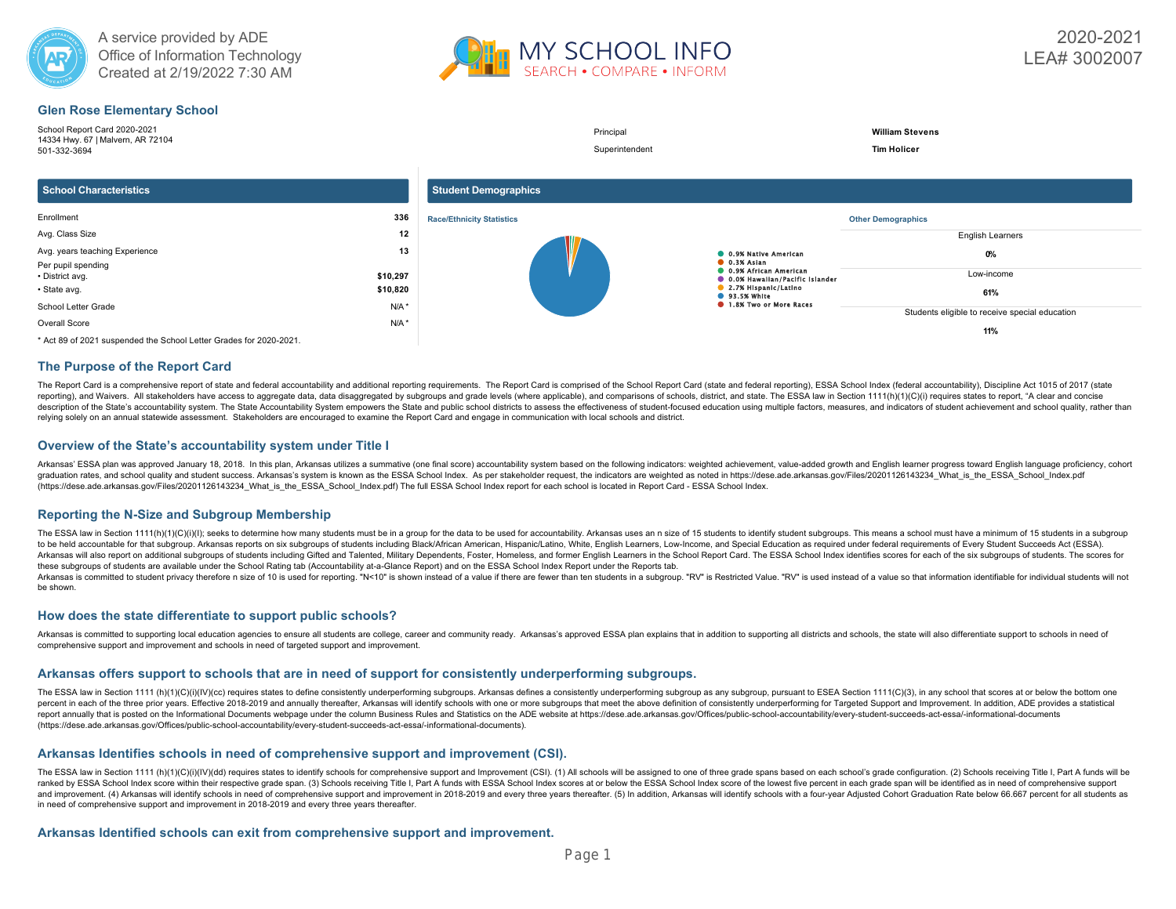



# **Glen Rose Elementary School**



# **The Purpose of the Report Card**

The Report Card is a comprehensive report of state and federal accountability and additional reporting requirements. The Report Card is comprised of the School Report Card (state and federal areporting), ESSA School Index reporting), and Waivers. All stakeholders have access to aggregate data, data disaggregated by subgroups and grade levels (where applicable), and comparisons of schools, district, and state. The ESSA law in Section 1111(h) description of the State's accountability system. The State Accountability System empowers the State and public school districts to assess the effectiveness of student-focused education using multiple factors, measures, an relying solely on an annual statewide assessment. Stakeholders are encouraged to examine the Report Card and engage in communication with local schools and district.

### **Overview of the State's accountability system under Title I**

Arkansas' ESSA plan was approved January 18, 2018. In this plan, Arkansas utilizes a summative (one final score) accountability system based on the following indicators: weighted achievement, value-added growth and English graduation rates, and school quality and student success. Arkansas's system is known as the ESSA School Index. As per stakeholder request, the indicators are weighted as noted in https://dese.ade.arkansas.gov/Files/2020112 (https://dese.ade.arkansas.gov/Files/20201126143234\_What\_is\_the\_ESSA\_School\_Index.pdf) The full ESSA School Index report for each school is located in Report Card - ESSA School Index.

# **Reporting the N-Size and Subgroup Membership**

The ESSA law in Section 1111(h)(1)(C)(i)(l); seeks to determine how many students must be in a group for the data to be used for accountability. Arkansas uses an n size of 15 students to identify student subgroups. This me to be held accountable for that subgroup. Arkansas reports on six subgroups of students including Black/African American, Hispanic/Latino, White, English Learners, Low-Income, and Special Education as required under federa Arkansas will also report on additional subgroups of students including Gifted and Talented, Military Dependents, Foster, Homeless, and former English Learners in the School Report Card. The ESSA School Index identifies sc these subgroups of students are available under the School Rating tab (Accountability at-a-Glance Report) and on the ESSA School Index Report under the Reports tab.

Arkansas is committed to student privacy therefore n size of 10 is used for reporting. "N<10" is shown instead of a value if there are fewer than ten students in a subgroup. "RV" is Restricted Value. "RV" is used instead o be shown.

### **How does the state differentiate to support public schools?**

Arkansas is committed to supporting local education agencies to ensure all students are college, career and community ready. Arkansas's approved ESSA plan explains that in addition to supporting all districts and schools, comprehensive support and improvement and schools in need of targeted support and improvement.

#### **Arkansas offers support to schools that are in need of support for consistently underperforming subgroups.**

The ESSA law in Section 1111 (h)(1)(c)(i)(lV)(cc) requires states to define consistently underperforming subgroups. Arkansas defines a consistently underperforming subgroup as any subgroup, pursuant to ESEA Section 1111(C) percent in each of the three prior years. Effective 2018-2019 and annually thereafter, Arkansas will identify schools with one or more subgroups that meet the above definition of consistently underperforming for Targeted S report annually that is posted on the Informational Documents webpage under the column Business Rules and Statistics on the ADE website at https://dese.ade.arkansas.gov/Offices/public-school-accountability/every-student-su (https://dese.ade.arkansas.gov/Offices/public-school-accountability/every-student-succeeds-act-essa/-informational-documents).

#### **Arkansas Identifies schools in need of comprehensive support and improvement (CSI).**

The ESSA law in Section 1111 (h)(1)(C)(i)(V)(dd) requires states to identify schools for comprehensive support and Improvement (CSI). (1) All schools will be assigned to one of three grade spans based on each school's grad ranked by ESSA School Index score within their respective grade span. (3) Schools receiving Title I, Part A funds with ESSA School Index scores at or below the ESSA School Index score of the lowest five percent in each gra and improvement. (4) Arkansas will identify schools in need of comprehensive support and improvement in 2018-2019 and every three years thereafter. (5) In addition, Arkansas will identify schools with a four-year Adjusted in need of comprehensive support and improvement in 2018-2019 and every three years thereafter.

#### **Arkansas Identified schools can exit from comprehensive support and improvement.**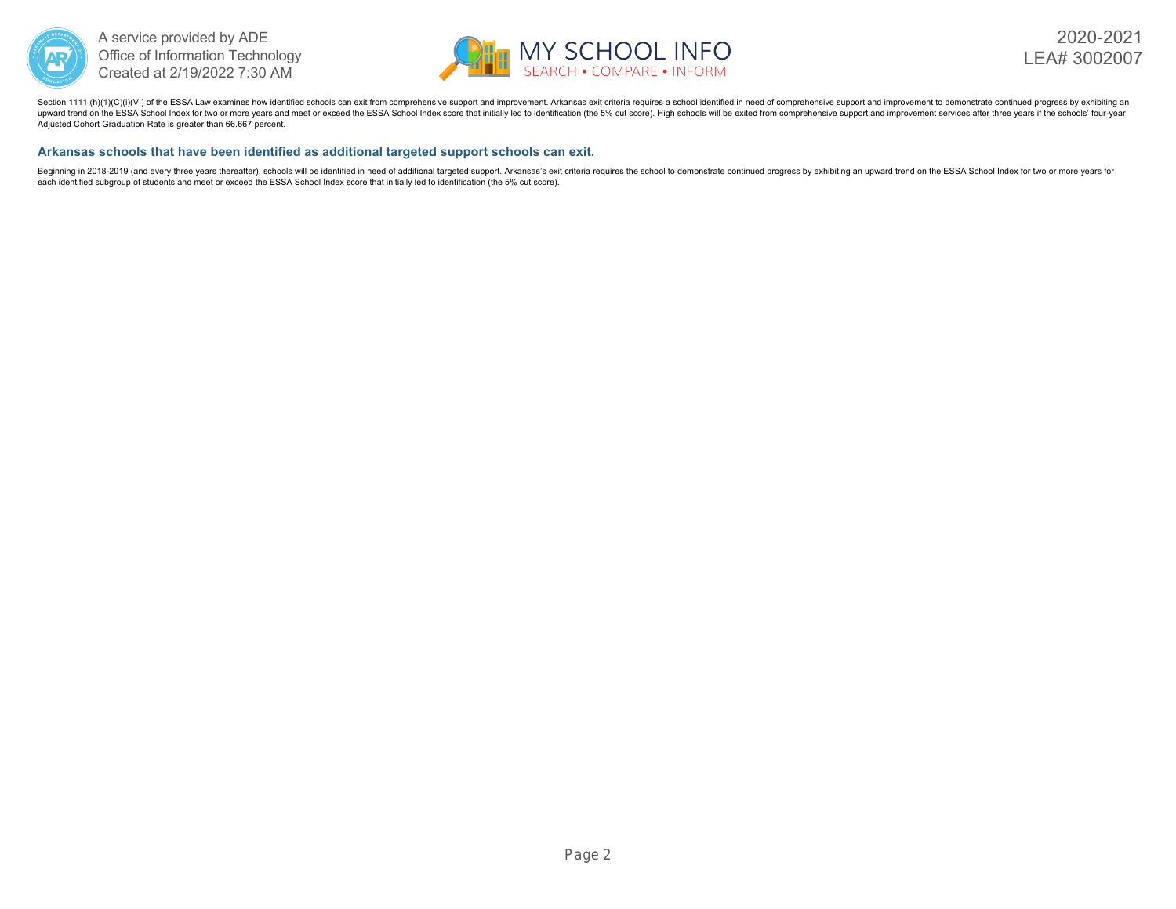



Section 1111 (h)(1)(C)(i)(VI) of the ESSA Law examines how identified schools can exit from comprehensive support and improvement. Arkansas exit criteria requires a school identified in need of comprehensive support and im upward trend on the ESSA School Index for two or more years and meet or exceed the ESSA School Index score that initially led to identification (the 5% cut score). High schools will be exited from comprehensive support and Adjusted Cohort Graduation Rate is greater than 66.667 percent.

# **Arkansas schools that have been identified as additional targeted support schools can exit.**

Beginning in 2018-2019 (and every three years thereafter), schools will be identified in need of additional targeted support. Arkansas's exit criteria requires the school to demonstrate continued progress by exhibiting an each identified subgroup of students and meet or exceed the ESSA School Index score that initially led to identification (the 5% cut score).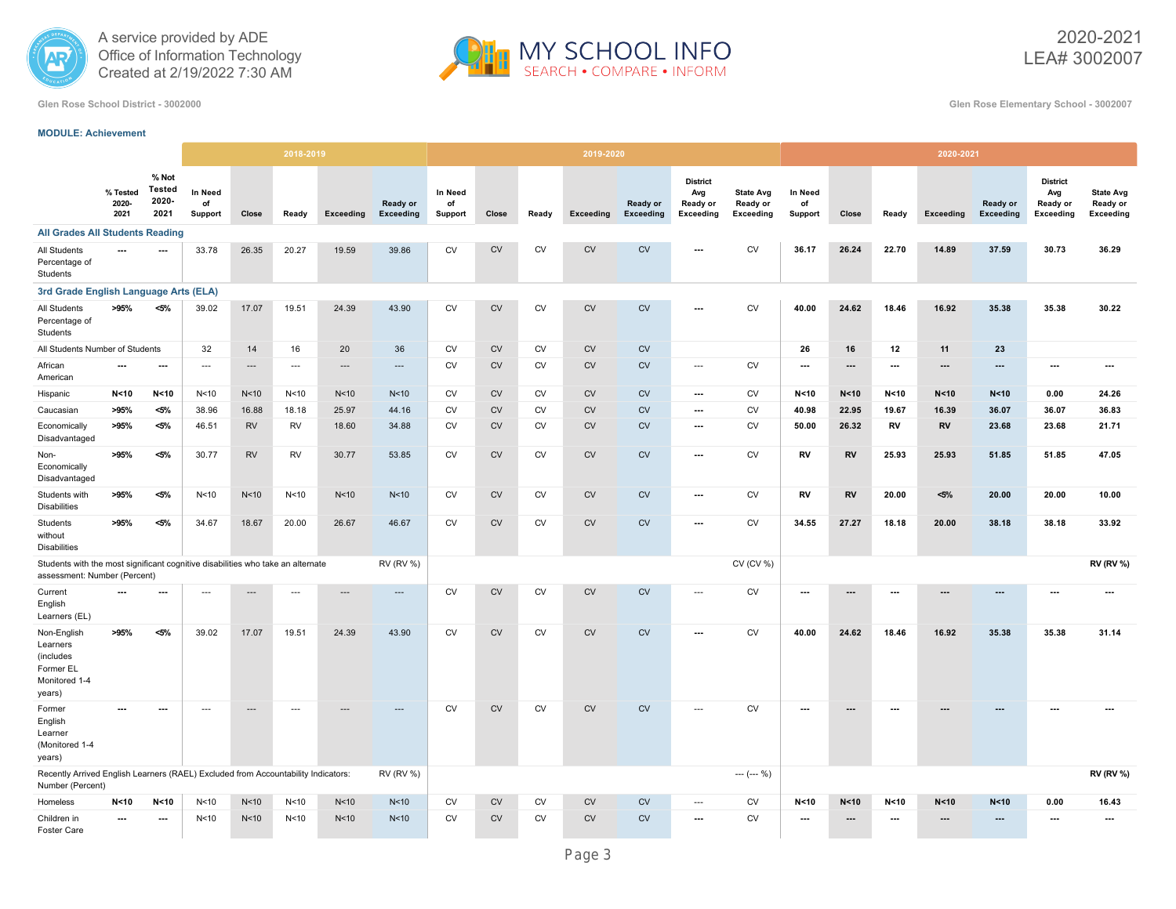



2020-2021 LEA# 3002007

**Glen Rose School District - 3002000 Glen Rose Elementary School - 3002007**

# **MODULE: Achievement**

|                                                                                                                 |                           |                                  |                          |                          | 2018-2019                |                 |                       |                          |            |           | 2019-2020 |                       |                                                        |                                           |                                 |                          |                          | 2020-2021 |                       |                                                 |                                                  |
|-----------------------------------------------------------------------------------------------------------------|---------------------------|----------------------------------|--------------------------|--------------------------|--------------------------|-----------------|-----------------------|--------------------------|------------|-----------|-----------|-----------------------|--------------------------------------------------------|-------------------------------------------|---------------------------------|--------------------------|--------------------------|-----------|-----------------------|-------------------------------------------------|--------------------------------------------------|
|                                                                                                                 | % Tested<br>2020-<br>2021 | % Not<br>Tested<br>2020-<br>2021 | In Need<br>of<br>Support | Close                    | Ready                    | Exceeding       | Ready or<br>Exceeding | In Need<br>of<br>Support | Close      | Ready     | Exceeding | Ready or<br>Exceeding | <b>District</b><br>Avg<br>Ready or<br><b>Exceeding</b> | <b>State Avg</b><br>Ready or<br>Exceeding | <b>In Need</b><br>of<br>Support | Close                    | Ready                    | Exceeding | Ready or<br>Exceeding | <b>District</b><br>Avg<br>Ready or<br>Exceeding | <b>State Avg</b><br>Ready or<br><b>Exceeding</b> |
| <b>All Grades All Students Reading</b>                                                                          |                           |                                  |                          |                          |                          |                 |                       |                          |            |           |           |                       |                                                        |                                           |                                 |                          |                          |           |                       |                                                 |                                                  |
| <b>All Students</b><br>Percentage of<br>Students                                                                | $\overline{\phantom{a}}$  | $\overline{a}$                   | 33.78                    | 26.35                    | 20.27                    | 19.59           | 39.86                 | CV                       | ${\sf CV}$ | <b>CV</b> | CV        | CV                    |                                                        | <b>CV</b>                                 | 36.17                           | 26.24                    | 22.70                    | 14.89     | 37.59                 | 30.73                                           | 36.29                                            |
| 3rd Grade English Language Arts (ELA)                                                                           |                           |                                  |                          |                          |                          |                 |                       |                          |            |           |           |                       |                                                        |                                           |                                 |                          |                          |           |                       |                                                 |                                                  |
| All Students<br>Percentage of<br>Students                                                                       | >95%                      | $< 5\%$                          | 39.02                    | 17.07                    | 19.51                    | 24.39           | 43.90                 | CV                       | ${\sf CV}$ | CV        | CV        | CV                    | ---                                                    | <b>CV</b>                                 | 40.00                           | 24.62                    | 18.46                    | 16.92     | 35.38                 | 35.38                                           | 30.22                                            |
| All Students Number of Students                                                                                 |                           |                                  | 32                       | 14                       | 16                       | 20              | 36                    | <b>CV</b>                | <b>CV</b>  | <b>CV</b> | <b>CV</b> | CV                    |                                                        |                                           | 26                              | 16                       | 12                       | 11        | 23                    |                                                 |                                                  |
| African<br>American                                                                                             | ---                       | $\hspace{0.05cm} \ldots$         | ---                      | $\cdots$                 | $\overline{\phantom{a}}$ | ---             | ---                   | <b>CV</b>                | <b>CV</b>  | <b>CV</b> | <b>CV</b> | CV                    | ---                                                    | <b>CV</b>                                 | $\hspace{0.05cm} \ldots$        | ---                      | $\ldots$                 | ---       | ---                   | ---                                             | $\hspace{0.05cm} \ldots$                         |
| Hispanic                                                                                                        | N < 10                    | N < 10                           | N < 10                   | N<10                     | N <sub>10</sub>          | N<10            | N <sub>10</sub>       | CV                       | <b>CV</b>  | <b>CV</b> | <b>CV</b> | <b>CV</b>             | $\hspace{0.05cm} \ldots$                               | <b>CV</b>                                 | N < 10                          | N < 10                   | N < 10                   | N < 10    | N < 10                | 0.00                                            | 24.26                                            |
| Caucasian                                                                                                       | >95%                      | $< 5\%$                          | 38.96                    | 16.88                    | 18.18                    | 25.97           | 44.16                 | CV                       | <b>CV</b>  | CV        | <b>CV</b> | <b>CV</b>             | ---                                                    | <b>CV</b>                                 | 40.98                           | 22.95                    | 19.67                    | 16.39     | 36.07                 | 36.07                                           | 36.83                                            |
| Economically<br>Disadvantaged                                                                                   | >95%                      | <5%                              | 46.51                    | <b>RV</b>                | RV                       | 18.60           | 34.88                 | <b>CV</b>                | <b>CV</b>  | <b>CV</b> | <b>CV</b> | <b>CV</b>             | $\hspace{0.05cm} \ldots$                               | <b>CV</b>                                 | 50.00                           | 26.32                    | RV                       | RV        | 23.68                 | 23.68                                           | 21.71                                            |
| Non-<br>Economically<br>Disadvantaged                                                                           | >95%                      | $< 5\%$                          | 30.77                    | <b>RV</b>                | <b>RV</b>                | 30.77           | 53.85                 | <b>CV</b>                | <b>CV</b>  | <b>CV</b> | <b>CV</b> | <b>CV</b>             | $\overline{\phantom{a}}$                               | <b>CV</b>                                 | RV                              | <b>RV</b>                | 25.93                    | 25.93     | 51.85                 | 51.85                                           | 47.05                                            |
| Students with<br><b>Disabilities</b>                                                                            | >95%                      | <5%                              | N<10                     | N<10                     | N <sub>10</sub>          | N<10            | N<10                  | CV                       | <b>CV</b>  | CV        | <b>CV</b> | CV                    | $\hspace{0.05cm} \cdots$                               | <b>CV</b>                                 | RV                              | <b>RV</b>                | 20.00                    | $5\%$     | 20.00                 | 20.00                                           | 10.00                                            |
| Students<br>without<br><b>Disabilities</b>                                                                      | >95%                      | $< 5\%$                          | 34.67                    | 18.67                    | 20.00                    | 26.67           | 46.67                 | <b>CV</b>                | <b>CV</b>  | <b>CV</b> | <b>CV</b> | CV                    | $\overline{\phantom{a}}$                               | CV                                        | 34.55                           | 27.27                    | 18.18                    | 20.00     | 38.18                 | 38.18                                           | 33.92                                            |
| Students with the most significant cognitive disabilities who take an alternate<br>assessment: Number (Percent) |                           |                                  |                          |                          |                          |                 | <b>RV (RV %)</b>      |                          |            |           |           |                       |                                                        | CV (CV %)                                 |                                 |                          |                          |           |                       |                                                 | <b>RV (RV %)</b>                                 |
| Current<br>English<br>Learners (EL)                                                                             | $\overline{\phantom{a}}$  | ---                              | ---                      | $\overline{a}$           | ---                      | ---             | ---                   | <b>CV</b>                | ${\rm CV}$ | <b>CV</b> | CV        | ${\sf CV}$            | ---                                                    | <b>CV</b>                                 | $\hspace{0.05cm} \ldots$        | ---                      | ---                      | ---       | ---                   | $\overline{\phantom{a}}$                        | ---                                              |
| Non-English<br>Learners<br>(includes<br>Former EL<br>Monitored 1-4<br>years)                                    | >95%                      | <5%                              | 39.02                    | 17.07                    | 19.51                    | 24.39           | 43.90                 | <b>CV</b>                | <b>CV</b>  | <b>CV</b> | <b>CV</b> | CV                    | $\overline{\phantom{a}}$                               | <b>CV</b>                                 | 40.00                           | 24.62                    | 18.46                    | 16.92     | 35.38                 | 35.38                                           | 31.14                                            |
| Former<br>English<br>Learner<br>(Monitored 1-4<br>years)                                                        |                           | $\overline{\phantom{a}}$         | $\overline{a}$           | $\overline{\phantom{a}}$ | $\overline{a}$           |                 | ---                   | <b>CV</b>                | <b>CV</b>  | <b>CV</b> | <b>CV</b> | CV                    | $\overline{a}$                                         | <b>CV</b>                                 | ---                             | $\overline{\phantom{a}}$ | $\overline{\phantom{a}}$ |           |                       | $\overline{a}$                                  |                                                  |
| Recently Arrived English Learners (RAEL) Excluded from Accountability Indicators:<br>Number (Percent)           |                           |                                  |                          |                          |                          |                 | <b>RV (RV %)</b>      |                          |            |           |           |                       |                                                        | $--- (-0)$                                |                                 |                          |                          |           |                       |                                                 | <b>RV (RV %)</b>                                 |
| Homeless                                                                                                        | N < 10                    | N<10                             | N <sub>10</sub>          | N<10                     | N <sub>10</sub>          | N <sub>10</sub> | N<10                  | <b>CV</b>                | <b>CV</b>  | <b>CV</b> | <b>CV</b> | CV                    | ---                                                    | <b>CV</b>                                 | N < 10                          | N <sub>10</sub>          | N <sub>10</sub>          | N < 10    | N < 10                | 0.00                                            | 16.43                                            |
| Children in<br>Foster Care                                                                                      | ---                       | ---                              | N <sub>10</sub>          | N<10                     | N <sub>10</sub>          | N <sub>10</sub> | N <sub>10</sub>       | <b>CV</b>                | <b>CV</b>  | <b>CV</b> | <b>CV</b> | <b>CV</b>             | ---                                                    | ${\sf CV}$                                | $\hspace{0.05cm} \ldots$        | ---                      | ---                      | ---       | ---                   | $\hspace{0.05cm} \ldots$                        | $\hspace{0.05cm} \ldots$                         |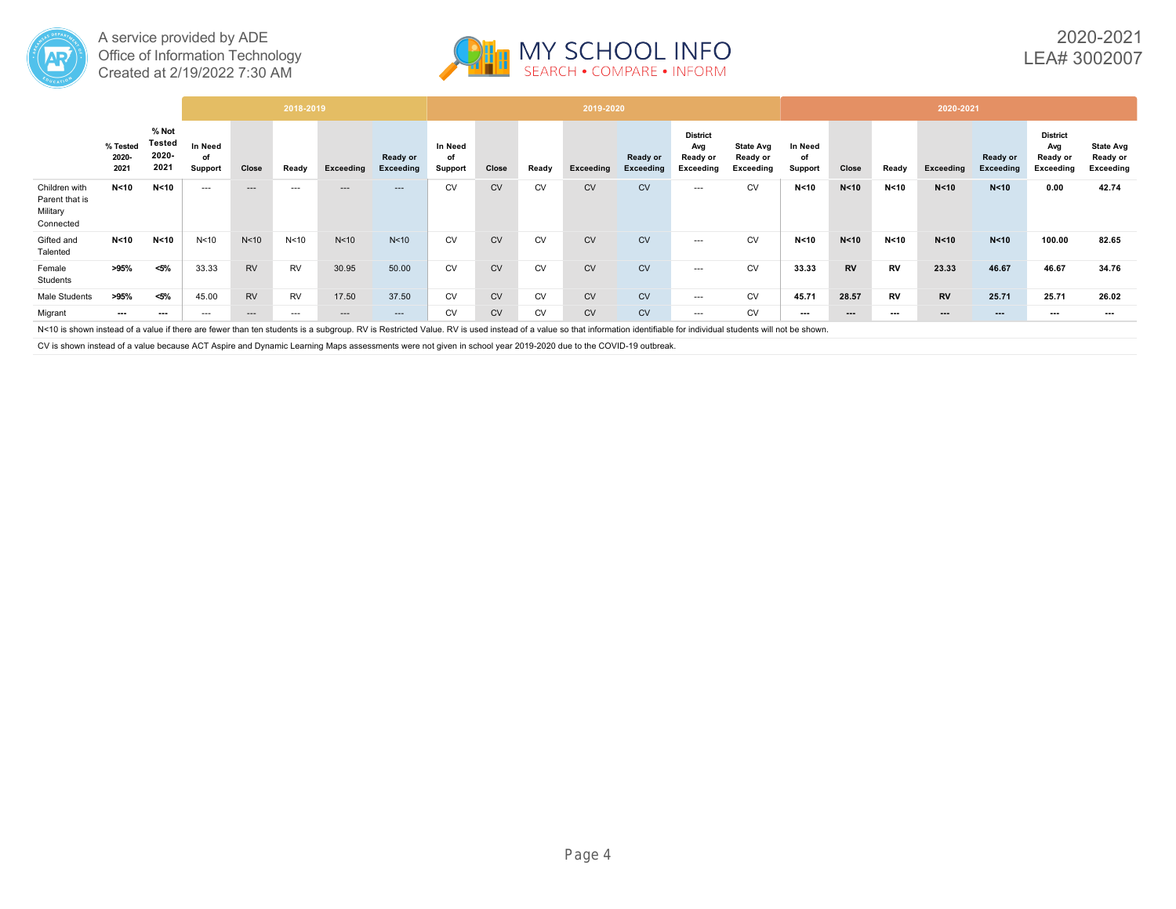



# 2020-2021 LEA# 3002007

|                                                                                                                                                                                                                        |                           |                                         |                          |                 | 2018-2019       |                 |                              |                          |           |           | 2019-2020        |                       |                                                 |                                           |                          |           |           | 2020-2021              |                              |                                                 |                                           |
|------------------------------------------------------------------------------------------------------------------------------------------------------------------------------------------------------------------------|---------------------------|-----------------------------------------|--------------------------|-----------------|-----------------|-----------------|------------------------------|--------------------------|-----------|-----------|------------------|-----------------------|-------------------------------------------------|-------------------------------------------|--------------------------|-----------|-----------|------------------------|------------------------------|-------------------------------------------------|-------------------------------------------|
|                                                                                                                                                                                                                        | % Tested<br>2020-<br>2021 | % Not<br><b>Tested</b><br>2020-<br>2021 | In Need<br>оf<br>Support | Close           | Ready           | Exceeding       | Ready or<br><b>Exceeding</b> | In Need<br>of<br>Support | Close     | Ready     | <b>Exceeding</b> | Ready or<br>Exceeding | <b>District</b><br>Avg<br>Ready or<br>Exceeding | <b>State Avg</b><br>Ready or<br>Exceeding | In Need<br>of<br>Support | Close     | Ready     | <b>Exceeding</b>       | Ready or<br><b>Exceeding</b> | <b>District</b><br>Avg<br>Ready or<br>Exceeding | <b>State Avg</b><br>Ready or<br>Exceeding |
| Children with<br>Parent that is<br>Military<br>Connected                                                                                                                                                               | N < 10                    | N < 10                                  | $---$                    | $---$           | $- - -$         | ---             | $---$                        | <b>CV</b>                | <b>CV</b> | CV        | <b>CV</b>        | <b>CV</b>             | $---$                                           | <b>CV</b>                                 | N < 10                   | N < 10    | N < 10    | N < 10                 | N < 10                       | 0.00                                            | 42.74                                     |
| Gifted and<br>Talented                                                                                                                                                                                                 | N<10                      | N<10                                    | N <sub>10</sub>          | N <sub>10</sub> | N <sub>10</sub> | N <sub>10</sub> | N<10                         | <b>CV</b>                | <b>CV</b> | <b>CV</b> | <b>CV</b>        | <b>CV</b>             | $---$                                           | <b>CV</b>                                 | N < 10                   | N < 10    | N<10      | N < 10                 | N < 10                       | 100.00                                          | 82.65                                     |
| Female<br>Students                                                                                                                                                                                                     | >95%                      | $< 5\%$                                 | 33.33                    | <b>RV</b>       | <b>RV</b>       | 30.95           | 50.00                        | CV                       | <b>CV</b> | CV        | <b>CV</b>        | <b>CV</b>             | $---$                                           | <b>CV</b>                                 | 33.33                    | <b>RV</b> | <b>RV</b> | 23.33                  | 46.67                        | 46.67                                           | 34.76                                     |
| <b>Male Students</b>                                                                                                                                                                                                   | >95%                      | <5%                                     | 45.00                    | <b>RV</b>       | <b>RV</b>       | 17.50           | 37.50                        | CV                       | <b>CV</b> | CV        | <b>CV</b>        | <b>CV</b>             | $---$                                           | <b>CV</b>                                 | 45.71                    | 28.57     | <b>RV</b> | <b>RV</b>              | 25.71                        | 25.71                                           | 26.02                                     |
| Migrant                                                                                                                                                                                                                | $- - -$                   | $- - -$                                 | $---$                    | $---$           | $---$           | $\cdots$        | $---$                        | <b>CV</b>                | <b>CV</b> | <b>CV</b> | <b>CV</b>        | <b>CV</b>             | $---$                                           | <b>CV</b>                                 | ---                      | $\cdots$  | $\cdots$  | $\qquad \qquad \cdots$ | $\cdots$                     | $- - -$                                         | $\overline{\phantom{a}}$                  |
| N<10 is shown instead of a value if there are fewer than ten students is a subgroup. RV is Restricted Value. RV is used instead of a value so that information identifiable for individual students will not be shown. |                           |                                         |                          |                 |                 |                 |                              |                          |           |           |                  |                       |                                                 |                                           |                          |           |           |                        |                              |                                                 |                                           |

CV is shown instead of a value because ACT Aspire and Dynamic Learning Maps assessments were not given in school year 2019-2020 due to the COVID-19 outbreak.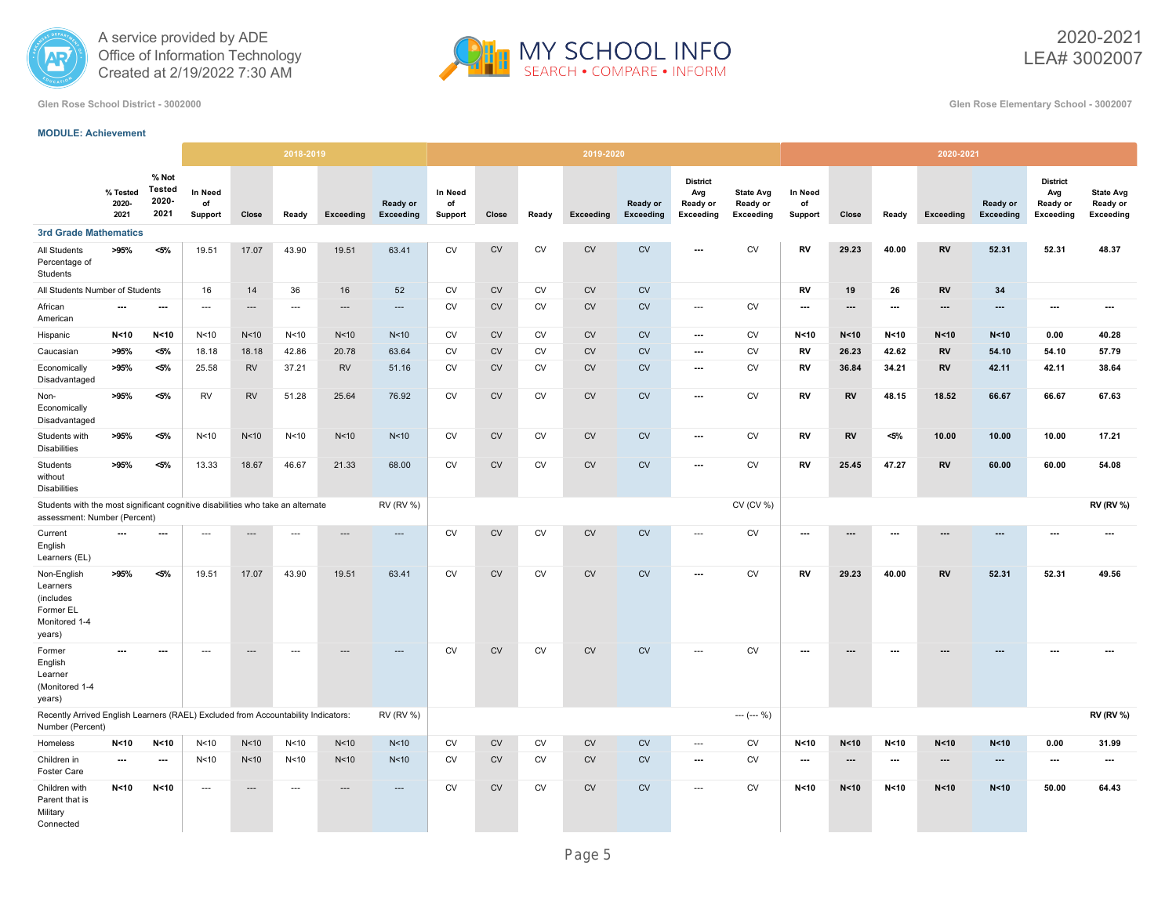



2020-2021 LEA# 3002007

**Glen Rose School District - 3002000 Glen Rose Elementary School - 3002007**

#### **MODULE: Achievement**

|                                                                                                                 |                           |                                  |                          |                          | 2018-2019                |                 |                          |                          |           |           | 2019-2020 |                       |                                                        |                                           |                                 |                 |                          | 2020-2021                |                          |                                                        |                                                  |
|-----------------------------------------------------------------------------------------------------------------|---------------------------|----------------------------------|--------------------------|--------------------------|--------------------------|-----------------|--------------------------|--------------------------|-----------|-----------|-----------|-----------------------|--------------------------------------------------------|-------------------------------------------|---------------------------------|-----------------|--------------------------|--------------------------|--------------------------|--------------------------------------------------------|--------------------------------------------------|
|                                                                                                                 | % Tested<br>2020-<br>2021 | % Not<br>Tested<br>2020-<br>2021 | In Need<br>of<br>Support | Close                    | Ready                    | Exceeding       | Ready or<br>Exceeding    | In Need<br>of<br>Support | Close     | Ready     | Exceeding | Ready or<br>Exceeding | <b>District</b><br>Avg<br>Ready or<br><b>Exceeding</b> | <b>State Avg</b><br>Ready or<br>Exceeding | <b>In Need</b><br>of<br>Support | Close           | Ready                    | Exceeding                | Ready or<br>Exceeding    | <b>District</b><br>Avg<br>Ready or<br><b>Exceeding</b> | <b>State Avg</b><br>Ready or<br><b>Exceeding</b> |
| <b>3rd Grade Mathematics</b>                                                                                    |                           |                                  |                          |                          |                          |                 |                          |                          |           |           |           |                       |                                                        |                                           |                                 |                 |                          |                          |                          |                                                        |                                                  |
| All Students<br>Percentage of<br>Students                                                                       | >95%                      | $< 5\%$                          | 19.51                    | 17.07                    | 43.90                    | 19.51           | 63.41                    | <b>CV</b>                | <b>CV</b> | <b>CV</b> | <b>CV</b> | <b>CV</b>             | $\overline{\phantom{a}}$                               | <b>CV</b>                                 | <b>RV</b>                       | 29.23           | 40.00                    | <b>RV</b>                | 52.31                    | 52.31                                                  | 48.37                                            |
| All Students Number of Students                                                                                 |                           |                                  | 16                       | 14                       | 36                       | 16              | 52                       | <b>CV</b>                | <b>CV</b> | <b>CV</b> | <b>CV</b> | <b>CV</b>             |                                                        |                                           | <b>RV</b>                       | 19              | 26                       | <b>RV</b>                | 34                       |                                                        |                                                  |
| African<br>American                                                                                             | $\overline{\phantom{a}}$  | $\sim$                           | $\overline{a}$           | $---$                    | $\sim$                   | $---$           | $\overline{\phantom{a}}$ | <b>CV</b>                | <b>CV</b> | <b>CV</b> | <b>CV</b> | CV                    | $\overline{\phantom{a}}$                               | <b>CV</b>                                 | $\hspace{0.05cm} \ldots$        | ---             | $\hspace{0.05cm} \ldots$ | $\overline{\phantom{a}}$ | $\overline{\phantom{a}}$ | $\overline{\phantom{a}}$                               | ---                                              |
| Hispanic                                                                                                        | N<10                      | N < 10                           | N <sub>10</sub>          | N<10                     | N <sub>10</sub>          | N <sub>10</sub> | N <sub>10</sub>          | <b>CV</b>                | <b>CV</b> | <b>CV</b> | CV        | CV                    | $\hspace{0.05cm} \ldots$                               | CV                                        | N < 10                          | N <sub>10</sub> | N <sub>10</sub>          | N < 10                   | N < 10                   | 0.00                                                   | 40.28                                            |
| Caucasian                                                                                                       | >95%                      | $< 5\%$                          | 18.18                    | 18.18                    | 42.86                    | 20.78           | 63.64                    | <b>CV</b>                | <b>CV</b> | <b>CV</b> | <b>CV</b> | CV                    | $\hspace{0.05cm} \ldots$                               | CV                                        | RV                              | 26.23           | 42.62                    | <b>RV</b>                | 54.10                    | 54.10                                                  | 57.79                                            |
| Economically<br>Disadvantaged                                                                                   | >95%                      | $< 5\%$                          | 25.58                    | <b>RV</b>                | 37.21                    | <b>RV</b>       | 51.16                    | CV                       | <b>CV</b> | <b>CV</b> | CV        | CV                    | $\hspace{0.05cm} \cdots$                               | CV                                        | <b>RV</b>                       | 36.84           | 34.21                    | <b>RV</b>                | 42.11                    | 42.11                                                  | 38.64                                            |
| Non-<br>Economically<br>Disadvantaged                                                                           | >95%                      | $< 5\%$                          | <b>RV</b>                | <b>RV</b>                | 51.28                    | 25.64           | 76.92                    | <b>CV</b>                | <b>CV</b> | <b>CV</b> | <b>CV</b> | CV                    | $\overline{\phantom{a}}$                               | <b>CV</b>                                 | RV                              | <b>RV</b>       | 48.15                    | 18.52                    | 66.67                    | 66.67                                                  | 67.63                                            |
| Students with<br><b>Disabilities</b>                                                                            | >95%                      | $< 5\%$                          | N <sub>10</sub>          | N<10                     | N <sub>10</sub>          | N<10            | N <sub>10</sub>          | <b>CV</b>                | <b>CV</b> | <b>CV</b> | CV        | CV                    | $\hspace{0.05cm} \ldots$                               | <b>CV</b>                                 | RV                              | <b>RV</b>       | $< 5\%$                  | 10.00                    | 10.00                    | 10.00                                                  | 17.21                                            |
| Students<br>without<br><b>Disabilities</b>                                                                      | >95%                      | $< 5\%$                          | 13.33                    | 18.67                    | 46.67                    | 21.33           | 68.00                    | <b>CV</b>                | <b>CV</b> | <b>CV</b> | <b>CV</b> | CV                    | ---                                                    | CV                                        | RV                              | 25.45           | 47.27                    | <b>RV</b>                | 60.00                    | 60.00                                                  | 54.08                                            |
| Students with the most significant cognitive disabilities who take an alternate<br>assessment: Number (Percent) |                           |                                  |                          |                          |                          |                 | <b>RV (RV %)</b>         |                          |           |           |           |                       |                                                        | CV (CV %)                                 |                                 |                 |                          |                          |                          |                                                        | <b>RV (RV %)</b>                                 |
| Current<br>English<br>Learners (EL)                                                                             | $\overline{\phantom{a}}$  | ---                              | $\overline{a}$           | $---$                    | ---                      | $---$           | $\overline{\phantom{a}}$ | <b>CV</b>                | <b>CV</b> | <b>CV</b> | <b>CV</b> | CV                    | $\sim$                                                 | CV                                        | $\hspace{0.05cm} \ldots$        | ---             | $\overline{\phantom{a}}$ | $\overline{\phantom{a}}$ | ---                      | $\overline{a}$                                         | $\overline{a}$                                   |
| Non-English<br>Learners<br>(includes<br>Former EL<br>Monitored 1-4<br>years)                                    | >95%                      | $< 5\%$                          | 19.51                    | 17.07                    | 43.90                    | 19.51           | 63.41                    | <b>CV</b>                | <b>CV</b> | <b>CV</b> | <b>CV</b> | <b>CV</b>             | $\overline{\phantom{a}}$                               | <b>CV</b>                                 | <b>RV</b>                       | 29.23           | 40.00                    | <b>RV</b>                | 52.31                    | 52.31                                                  | 49.56                                            |
| Former<br>English<br>Learner<br>(Monitored 1-4<br>years)                                                        | ---                       | $\overline{\phantom{a}}$         | $\ldots$                 | $\overline{\phantom{a}}$ | $\hspace{0.05cm} \ldots$ |                 | ---                      | <b>CV</b>                | <b>CV</b> | <b>CV</b> | CV        | CV                    | $\cdots$                                               | ${\sf CV}$                                | $\cdots$                        | ---             | ---                      |                          |                          | ---                                                    | ---                                              |
| Recently Arrived English Learners (RAEL) Excluded from Accountability Indicators:<br>Number (Percent)           |                           |                                  |                          |                          |                          |                 | <b>RV (RV %)</b>         |                          |           |           |           |                       |                                                        | $--- (--- %)$                             |                                 |                 |                          |                          |                          |                                                        | <b>RV (RV %)</b>                                 |
| Homeless                                                                                                        | N < 10                    | N < 10                           | N <sub>10</sub>          | N<10                     | N <sub>10</sub>          | N <sub>10</sub> | N <sub>10</sub>          | <b>CV</b>                | <b>CV</b> | <b>CV</b> | <b>CV</b> | ${\sf CV}$            | $\overline{\phantom{a}}$                               | ${\sf CV}$                                | N < 10                          | N < 10          | N <sub>10</sub>          | N < 10                   | N < 10                   | 0.00                                                   | 31.99                                            |
| Children in<br><b>Foster Care</b>                                                                               | $\overline{\phantom{a}}$  |                                  | N <sub>10</sub>          | N<10                     | N <sub>10</sub>          | N <sub>10</sub> | N <sub>10</sub>          | CV                       | <b>CV</b> | CV        | CV        | ${\sf CV}$            | ---                                                    | ${\sf CV}$                                | $\cdots$                        | ---             | $\ldots$                 | $\overline{\phantom{a}}$ | ---                      | $\overline{\phantom{a}}$                               | $\overline{a}$                                   |
| Children with<br>Parent that is<br>Military<br>Connected                                                        | N < 10                    | N < 10                           | ---                      | $---$                    | $\overline{\phantom{a}}$ |                 | $---$                    | <b>CV</b>                | <b>CV</b> | <b>CV</b> | <b>CV</b> | <b>CV</b>             | $\overline{\phantom{a}}$                               | CV                                        | N < 10                          | N < 10          | N < 10                   | N < 10                   | N < 10                   | 50.00                                                  | 64.43                                            |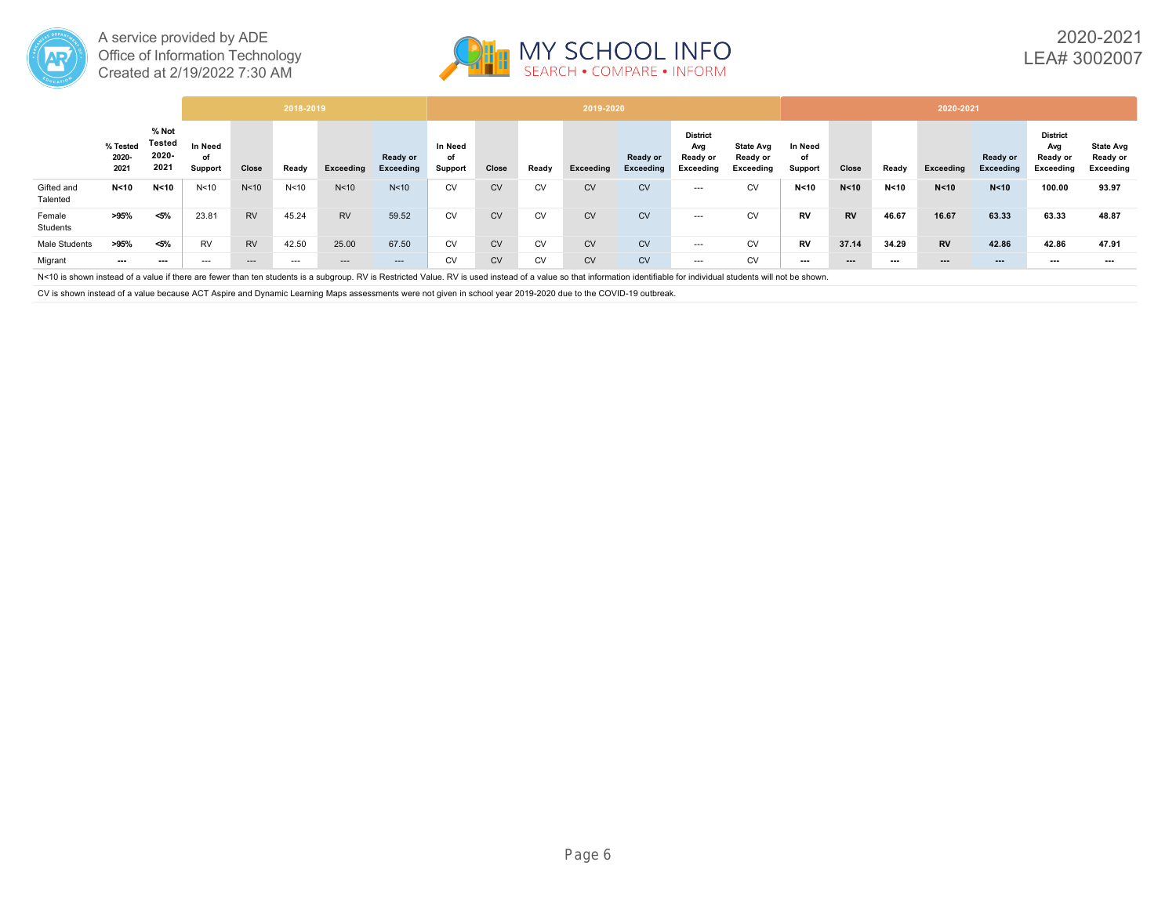



|                        |                           |                                  |                          |                 | 2018-2019       |                 |                       |                          |           |           | 2019-2020 |                       |                                                 |                                           |                          |           |        | 2020-2021              |                       |                                                 |                                           |
|------------------------|---------------------------|----------------------------------|--------------------------|-----------------|-----------------|-----------------|-----------------------|--------------------------|-----------|-----------|-----------|-----------------------|-------------------------------------------------|-------------------------------------------|--------------------------|-----------|--------|------------------------|-----------------------|-------------------------------------------------|-------------------------------------------|
|                        | % Tested<br>2020-<br>2021 | % Not<br>Tested<br>2020-<br>2021 | In Need<br>of<br>Support | Close           | Ready           | Exceeding       | Ready or<br>Exceeding | In Need<br>of<br>Support | Close     | Ready     | Exceeding | Ready or<br>Exceeding | <b>District</b><br>Avg<br>Ready or<br>Exceeding | <b>State Avg</b><br>Ready or<br>Exceeding | In Need<br>of<br>Support | Close     | Ready  | Exceeding              | Ready or<br>Exceeding | <b>District</b><br>Avg<br>Ready or<br>Exceeding | <b>State Avg</b><br>Ready or<br>Exceeding |
| Gifted and<br>Talented | N < 10                    | N <sub>10</sub>                  | N <sub>10</sub>          | N <sub>10</sub> | N <sub>10</sub> | N <sub>10</sub> | N <sub>10</sub>       | <b>CV</b>                | <b>CV</b> | <b>CV</b> | <b>CV</b> | <b>CV</b>             | $--$                                            | <b>CV</b>                                 | N < 10                   | N < 10    | N < 10 | N < 10                 | N < 10                | 100.00                                          | 93.97                                     |
| Female<br>Students     | >95%                      | $< 5\%$                          | 23.81                    | <b>RV</b>       | 45.24           | <b>RV</b>       | 59.52                 | <b>CV</b>                | <b>CV</b> | <b>CV</b> | <b>CV</b> | <b>CV</b>             | $--$                                            | <b>CV</b>                                 | <b>RV</b>                | <b>RV</b> | 46.67  | 16.67                  | 63.33                 | 63.33                                           | 48.87                                     |
| Male Students          | >95%                      | $< 5\%$                          | <b>RV</b>                | <b>RV</b>       | 42.50           | 25.00           | 67.50                 | <b>CV</b>                | CV        | <b>CV</b> | <b>CV</b> | <b>CV</b>             | $---$                                           | <b>CV</b>                                 | <b>RV</b>                | 37.14     | 34.29  | <b>RV</b>              | 42.86                 | 42.86                                           | 47.91                                     |
| Migrant                | ---                       | $\cdots$                         | $---$                    | $- - -$         | $---$           | ---             | $---$                 | CV                       | <b>CV</b> | <b>CV</b> | <b>CV</b> | <b>CV</b>             | $---$                                           | CV                                        | $\cdots$                 | $\cdots$  | ---    | $\qquad \qquad \cdots$ | $--$                  | $--$                                            | $--$                                      |

N<10 is shown instead of a value if there are fewer than ten students is a subgroup. RV is Restricted Value. RV is used instead of a value so that information identifiable for individual students will not be shown.

CV is shown instead of a value because ACT Aspire and Dynamic Learning Maps assessments were not given in school year 2019-2020 due to the COVID-19 outbreak.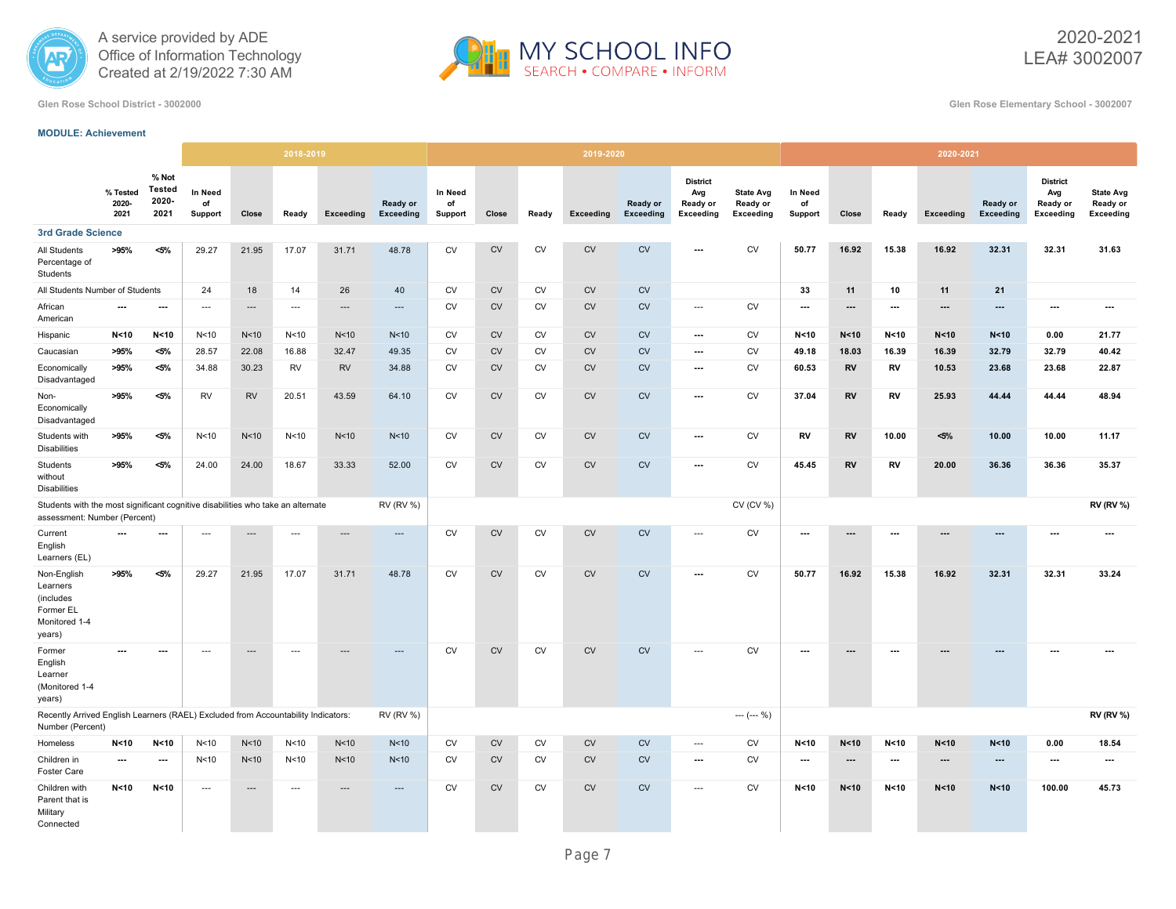



2020-2021 LEA# 3002007

**Glen Rose School District - 3002000 Glen Rose Elementary School - 3002007**

### **MODULE: Achievement**

|                                                                                                                 |                           |                                         |                          |                          | 2018-2019                |                 |                              |                          |            |            | 2019-2020 |                       |                                                 |                                           |                          |                          |                          | 2020-2021                |                              |                                                        |                                                  |
|-----------------------------------------------------------------------------------------------------------------|---------------------------|-----------------------------------------|--------------------------|--------------------------|--------------------------|-----------------|------------------------------|--------------------------|------------|------------|-----------|-----------------------|-------------------------------------------------|-------------------------------------------|--------------------------|--------------------------|--------------------------|--------------------------|------------------------------|--------------------------------------------------------|--------------------------------------------------|
|                                                                                                                 | % Tested<br>2020-<br>2021 | % Not<br><b>Tested</b><br>2020-<br>2021 | In Need<br>of<br>Support | Close                    | Ready                    | Exceeding       | Ready or<br><b>Exceeding</b> | In Need<br>of<br>Support | Close      | Ready      | Exceeding | Ready or<br>Exceeding | <b>District</b><br>Avg<br>Ready or<br>Exceeding | <b>State Avg</b><br>Ready or<br>Exceeding | In Need<br>of<br>Support | Close                    | Ready                    | Exceeding                | Ready or<br><b>Exceeding</b> | <b>District</b><br>Avg<br>Ready or<br><b>Exceeding</b> | <b>State Avg</b><br>Ready or<br><b>Exceeding</b> |
| <b>3rd Grade Science</b>                                                                                        |                           |                                         |                          |                          |                          |                 |                              |                          |            |            |           |                       |                                                 |                                           |                          |                          |                          |                          |                              |                                                        |                                                  |
| All Students<br>Percentage of<br>Students                                                                       | >95%                      | $< 5\%$                                 | 29.27                    | 21.95                    | 17.07                    | 31.71           | 48.78                        | <b>CV</b>                | <b>CV</b>  | <b>CV</b>  | <b>CV</b> | <b>CV</b>             |                                                 | <b>CV</b>                                 | 50.77                    | 16.92                    | 15.38                    | 16.92                    | 32.31                        | 32.31                                                  | 31.63                                            |
| All Students Number of Students                                                                                 |                           |                                         | 24                       | 18                       | 14                       | 26              | 40                           | <b>CV</b>                | CV         | <b>CV</b>  | <b>CV</b> | <b>CV</b>             |                                                 |                                           | 33                       | 11                       | 10                       | 11                       | 21                           |                                                        |                                                  |
| African<br>American                                                                                             | $\ldots$                  | ---                                     | ---                      | $---$                    | $\overline{\phantom{a}}$ | ---             | $\cdots$                     | <b>CV</b>                | CV         | <b>CV</b>  | <b>CV</b> | <b>CV</b>             | $\overline{\phantom{a}}$                        | <b>CV</b>                                 | $\hspace{0.05cm} \ldots$ | $\overline{\phantom{a}}$ | $\ldots$                 | $---$                    | ---                          | $\hspace{0.05cm} \ldots$                               | $\hspace{0.05cm} \ldots$                         |
| Hispanic                                                                                                        | N < 10                    | N <sub>10</sub>                         | N <sub>10</sub>          | N <sub>10</sub>          | N <sub>10</sub>          | N <sub>10</sub> | N <sub>10</sub>              | <b>CV</b>                | CV         | <b>CV</b>  | <b>CV</b> | CV                    | $\ldots$                                        | <b>CV</b>                                 | N < 10                   | N < 10                   | N < 10                   | N < 10                   | N < 10                       | 0.00                                                   | 21.77                                            |
| Caucasian                                                                                                       | >95%                      | $< 5\%$                                 | 28.57                    | 22.08                    | 16.88                    | 32.47           | 49.35                        | <b>CV</b>                | CV         | <b>CV</b>  | <b>CV</b> | <b>CV</b>             | $\hspace{0.05cm} \cdots$                        | <b>CV</b>                                 | 49.18                    | 18.03                    | 16.39                    | 16.39                    | 32.79                        | 32.79                                                  | 40.42                                            |
| Economically<br>Disadvantaged                                                                                   | >95%                      | $< 5\%$                                 | 34.88                    | 30.23                    | RV                       | <b>RV</b>       | 34.88                        | <b>CV</b>                | <b>CV</b>  | <b>CV</b>  | <b>CV</b> | <b>CV</b>             | ---                                             | <b>CV</b>                                 | 60.53                    | <b>RV</b>                | RV                       | 10.53                    | 23.68                        | 23.68                                                  | 22.87                                            |
| Non-<br>Economically<br>Disadvantaged                                                                           | >95%                      | $< 5\%$                                 | <b>RV</b>                | <b>RV</b>                | 20.51                    | 43.59           | 64.10                        | <b>CV</b>                | <b>CV</b>  | CV         | <b>CV</b> | CV                    | ---                                             | <b>CV</b>                                 | 37.04                    | <b>RV</b>                | <b>RV</b>                | 25.93                    | 44.44                        | 44.44                                                  | 48.94                                            |
| Students with<br><b>Disabilities</b>                                                                            | >95%                      | $< 5\%$                                 | N <sub>10</sub>          | N <sub>10</sub>          | N <sub>10</sub>          | N <sub>10</sub> | N <sub>10</sub>              | CV                       | CV         | CV         | <b>CV</b> | CV                    | ---                                             | CV                                        | RV                       | <b>RV</b>                | 10.00                    | $< 5\%$                  | 10.00                        | 10.00                                                  | 11.17                                            |
| Students<br>without<br><b>Disabilities</b>                                                                      | >95%                      | $< 5\%$                                 | 24.00                    | 24.00                    | 18.67                    | 33.33           | 52.00                        | CV                       | ${\sf CV}$ | CV         | <b>CV</b> | CV                    | $\overline{\phantom{a}}$                        | ${\sf CV}$                                | 45.45                    | <b>RV</b>                | RV                       | 20.00                    | 36.36                        | 36.36                                                  | 35.37                                            |
| Students with the most significant cognitive disabilities who take an alternate<br>assessment: Number (Percent) |                           |                                         |                          |                          |                          |                 | <b>RV (RV %)</b>             |                          |            |            |           |                       |                                                 | CV (CV %)                                 |                          |                          |                          |                          |                              |                                                        | <b>RV (RV %)</b>                                 |
| Current<br>English<br>Learners (EL)                                                                             | $\overline{\phantom{a}}$  | ---                                     | $\overline{a}$           | ---                      | $\overline{a}$           | ---             | $---$                        | <b>CV</b>                | CV         | CV         | <b>CV</b> | CV                    | ---                                             | <b>CV</b>                                 | ---                      | ---                      | ---                      | $---$                    | ---                          | $\overline{\phantom{a}}$                               | $---$                                            |
| Non-English<br>Learners<br>(includes<br>Former EL<br>Monitored 1-4<br>years)                                    | >95%                      | $< 5\%$                                 | 29.27                    | 21.95                    | 17.07                    | 31.71           | 48.78                        | CV                       | CV         | ${\sf CV}$ | CV        | CV                    | ---                                             | ${\sf CV}$                                | 50.77                    | 16.92                    | 15.38                    | 16.92                    | 32.31                        | 32.31                                                  | 33.24                                            |
| Former<br>English<br>Learner<br>(Monitored 1-4<br>years)                                                        | ---                       | $\overline{\phantom{a}}$                | ---                      | $---$                    | $---$                    | $\overline{a}$  | $---$                        | <b>CV</b>                | <b>CV</b>  | <b>CV</b>  | <b>CV</b> | <b>CV</b>             | $\overline{a}$                                  | <b>CV</b>                                 | $---$                    | $\overline{\phantom{a}}$ | $\overline{\phantom{a}}$ |                          | ---                          | $\overline{\phantom{a}}$                               |                                                  |
| Recently Arrived English Learners (RAEL) Excluded from Accountability Indicators:<br>Number (Percent)           |                           |                                         |                          |                          |                          |                 | <b>RV (RV %)</b>             |                          |            |            |           |                       |                                                 | $--- (-0)$                                |                          |                          |                          |                          |                              |                                                        | <b>RV (RV %)</b>                                 |
| Homeless                                                                                                        | N < 10                    | N < 10                                  | N <sub>10</sub>          | N<10                     | N <sub>10</sub>          | N <sub>10</sub> | N <sub>10</sub>              | CV                       | CV         | CV         | <b>CV</b> | CV                    | $\ldots$                                        | CV                                        | N < 10                   | N <sub>10</sub>          | N < 10                   | N < 10                   | N < 10                       | 0.00                                                   | 18.54                                            |
| Children in<br>Foster Care                                                                                      | $\overline{\phantom{a}}$  | $\overline{\phantom{a}}$                | N <sub>10</sub>          | N <sub>10</sub>          | N <sub>10</sub>          | N <sub>10</sub> | N <sub>10</sub>              | <b>CV</b>                | <b>CV</b>  | <b>CV</b>  | <b>CV</b> | <b>CV</b>             | $\overline{\phantom{a}}$                        | <b>CV</b>                                 | $\overline{\phantom{a}}$ | $\overline{\phantom{a}}$ | $\overline{\phantom{a}}$ | $\overline{\phantom{a}}$ | $---$                        | $\overline{\phantom{a}}$                               | $\overline{\phantom{a}}$                         |
| Children with<br>Parent that is<br>Military<br>Connected                                                        | N < 10                    | N < 10                                  | ---                      | $\overline{\phantom{a}}$ | $\overline{a}$           |                 |                              | <b>CV</b>                | CV         | <b>CV</b>  | <b>CV</b> | CV                    | ---                                             | CV                                        | N < 10                   | N < 10                   | N < 10                   | N < 10                   | N < 10                       | 100.00                                                 | 45.73                                            |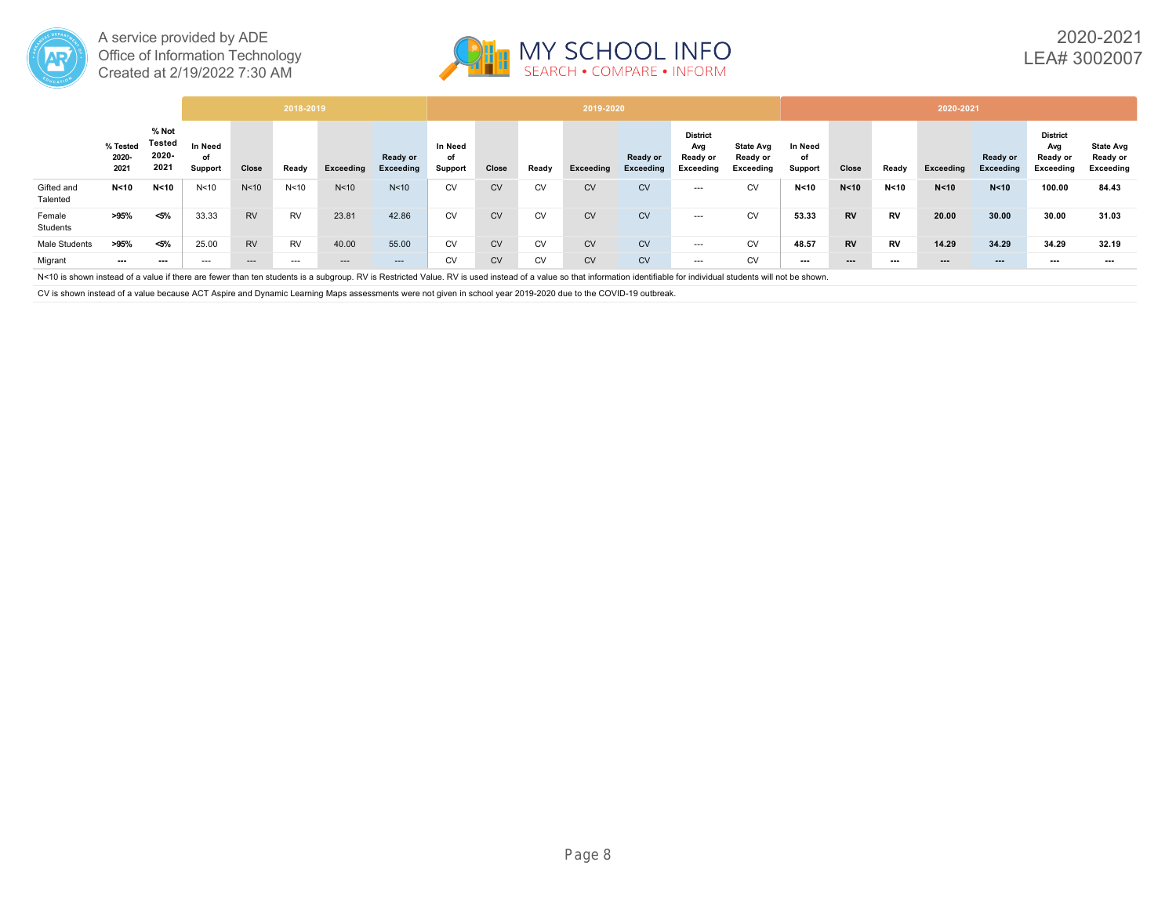



|                        |                           |                                  |                          |                 | 2018-2019       |                 |                       |                          |           |           | 2019-2020 |                       |                                                 |                                           |                          |           |           | 2020-2021              |                       |                                                 |                                           |
|------------------------|---------------------------|----------------------------------|--------------------------|-----------------|-----------------|-----------------|-----------------------|--------------------------|-----------|-----------|-----------|-----------------------|-------------------------------------------------|-------------------------------------------|--------------------------|-----------|-----------|------------------------|-----------------------|-------------------------------------------------|-------------------------------------------|
|                        | % Tested<br>2020-<br>2021 | % Not<br>Tested<br>2020-<br>2021 | In Need<br>of<br>Support | Close           | Ready           | Exceeding       | Ready or<br>Exceeding | In Need<br>of<br>Support | Close     | Ready     | Exceeding | Ready or<br>Exceeding | <b>District</b><br>Avg<br>Ready or<br>Exceeding | <b>State Avg</b><br>Ready or<br>Exceeding | In Need<br>of<br>Support | Close     | Ready     | Exceeding              | Ready or<br>Exceeding | <b>District</b><br>Avg<br>Ready or<br>Exceeding | <b>State Avg</b><br>Ready or<br>Exceeding |
| Gifted and<br>Talented | N < 10                    | N <sub>10</sub>                  | N <sub>10</sub>          | N <sub>10</sub> | N <sub>10</sub> | N <sub>10</sub> | N <sub>10</sub>       | <b>CV</b>                | <b>CV</b> | <b>CV</b> | <b>CV</b> | <b>CV</b>             | $--$                                            | <b>CV</b>                                 | N < 10                   | N < 10    | N < 10    | N < 10                 | N < 10                | 100.00                                          | 84.43                                     |
| Female<br>Students     | >95%                      | $< 5\%$                          | 33.33                    | <b>RV</b>       | <b>RV</b>       | 23.81           | 42.86                 | <b>CV</b>                | <b>CV</b> | <b>CV</b> | <b>CV</b> | <b>CV</b>             | $---$                                           | <b>CV</b>                                 | 53.33                    | <b>RV</b> | <b>RV</b> | 20.00                  | 30.00                 | 30.00                                           | 31.03                                     |
| Male Students          | >95%                      | $< 5\%$                          | 25.00                    | <b>RV</b>       | <b>RV</b>       | 40.00           | 55.00                 | <b>CV</b>                | CV        | <b>CV</b> | <b>CV</b> | <b>CV</b>             | $---$                                           | <b>CV</b>                                 | 48.57                    | <b>RV</b> | <b>RV</b> | 14.29                  | 34.29                 | 34.29                                           | 32.19                                     |
| Migrant                | ---                       | $\cdots$                         | $---$                    | $- - -$         | $---$           | ---             | $---$                 | CV                       | <b>CV</b> | <b>CV</b> | <b>CV</b> | <b>CV</b>             | $---$                                           | CV                                        | $\cdots$                 | $\cdots$  | ---       | $\qquad \qquad \cdots$ | $--$                  | $--$                                            | $--$                                      |

N<10 is shown instead of a value if there are fewer than ten students is a subgroup. RV is Restricted Value. RV is used instead of a value so that information identifiable for individual students will not be shown.

CV is shown instead of a value because ACT Aspire and Dynamic Learning Maps assessments were not given in school year 2019-2020 due to the COVID-19 outbreak.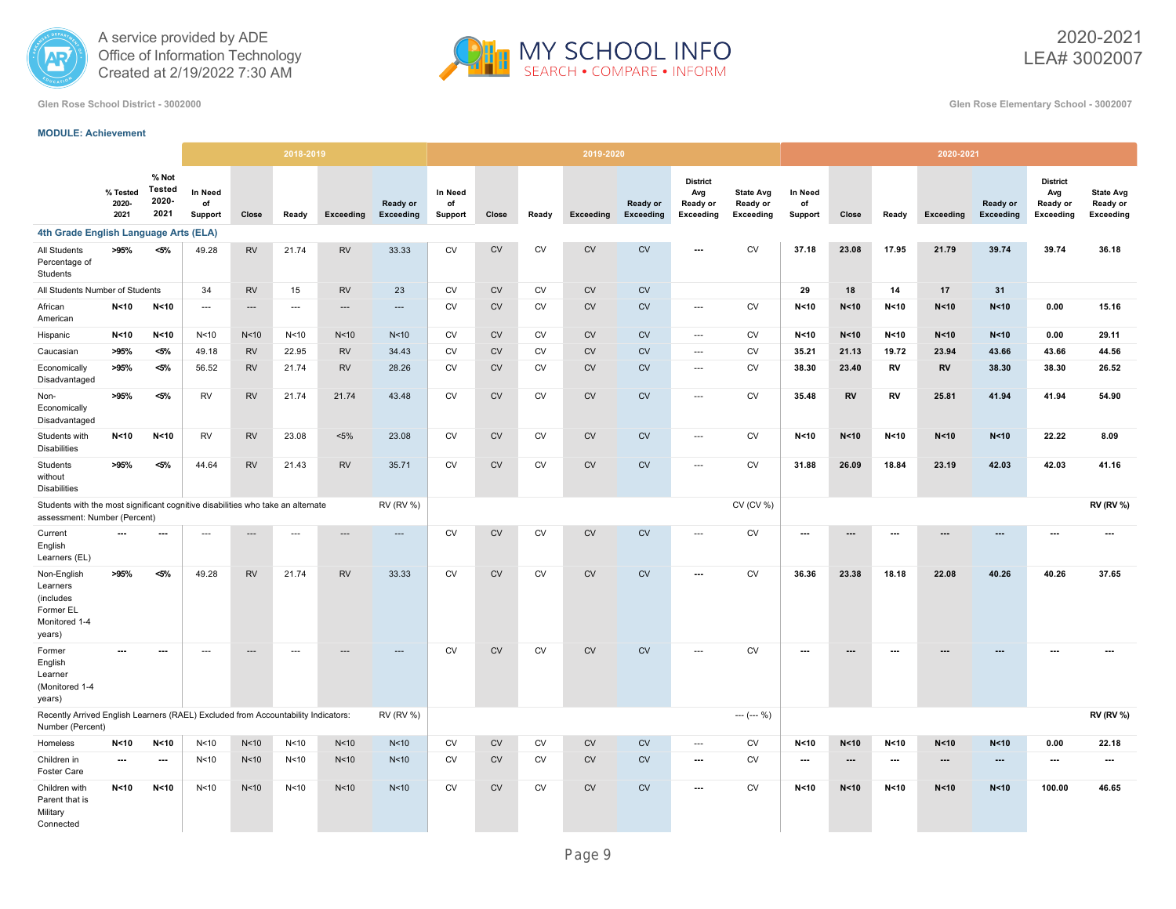



2020-2021 LEA# 3002007

**Glen Rose School District - 3002000 Glen Rose Elementary School - 3002007**

#### **MODULE: Achievement**

|                                                                                                                 |                           |                                         |                          |                          | 2018-2019                |                 |                       |                          |            |           | 2019-2020 |                              |                                                 |                                           |                                 |                 |                          | 2020-2021                |                              |                                                 |                                                  |
|-----------------------------------------------------------------------------------------------------------------|---------------------------|-----------------------------------------|--------------------------|--------------------------|--------------------------|-----------------|-----------------------|--------------------------|------------|-----------|-----------|------------------------------|-------------------------------------------------|-------------------------------------------|---------------------------------|-----------------|--------------------------|--------------------------|------------------------------|-------------------------------------------------|--------------------------------------------------|
|                                                                                                                 | % Tested<br>2020-<br>2021 | % Not<br><b>Tested</b><br>2020-<br>2021 | In Need<br>of<br>Support | Close                    | Ready                    | Exceeding       | Ready or<br>Exceeding | In Need<br>of<br>Support | Close      | Ready     | Exceeding | Ready or<br><b>Exceeding</b> | <b>District</b><br>Avg<br>Ready or<br>Exceeding | <b>State Avg</b><br>Ready or<br>Exceeding | <b>In Need</b><br>of<br>Support | Close           | Ready                    | Exceeding                | Ready or<br><b>Exceeding</b> | <b>District</b><br>Avg<br>Ready or<br>Exceeding | <b>State Avg</b><br>Ready or<br><b>Exceeding</b> |
| 4th Grade English Language Arts (ELA)                                                                           |                           |                                         |                          |                          |                          |                 |                       |                          |            |           |           |                              |                                                 |                                           |                                 |                 |                          |                          |                              |                                                 |                                                  |
| All Students<br>Percentage of<br>Students                                                                       | >95%                      | $< 5\%$                                 | 49.28                    | ${\sf RV}$               | 21.74                    | <b>RV</b>       | 33.33                 | CV                       | ${\rm CV}$ | CV        | CV        | CV                           | $\overline{\phantom{a}}$                        | <b>CV</b>                                 | 37.18                           | 23.08           | 17.95                    | 21.79                    | 39.74                        | 39.74                                           | 36.18                                            |
| All Students Number of Students                                                                                 |                           |                                         | 34                       | <b>RV</b>                | 15                       | <b>RV</b>       | 23                    | <b>CV</b>                | ${\sf CV}$ | <b>CV</b> | <b>CV</b> | CV                           |                                                 |                                           | 29                              | 18              | 14                       | 17                       | 31                           |                                                 |                                                  |
| African<br>American                                                                                             | N <sub>10</sub>           | N < 10                                  | $\overline{\phantom{a}}$ | $---$                    | $---$                    | ---             | ---                   | <b>CV</b>                | CV         | <b>CV</b> | CV        | <b>CV</b>                    | $\hspace{0.05cm} \ldots$                        | <b>CV</b>                                 | N < 10                          | N <sub>10</sub> | N < 10                   | N < 10                   | N < 10                       | 0.00                                            | 15.16                                            |
| Hispanic                                                                                                        | N<10                      | N <sub>10</sub>                         | N <sub>10</sub>          | N<10                     | N <sub>10</sub>          | N <sub>10</sub> | N <sub>10</sub>       | <b>CV</b>                | CV         | <b>CV</b> | CV        | <b>CV</b>                    | $\cdots$                                        | CV                                        | N < 10                          | N <sub>10</sub> | N < 10                   | N < 10                   | N < 10                       | 0.00                                            | 29.11                                            |
| Caucasian                                                                                                       | >95%                      | $< 5\%$                                 | 49.18                    | <b>RV</b>                | 22.95                    | <b>RV</b>       | 34.43                 | <b>CV</b>                | <b>CV</b>  | <b>CV</b> | <b>CV</b> | <b>CV</b>                    | $\overline{\phantom{a}}$                        | <b>CV</b>                                 | 35.21                           | 21.13           | 19.72                    | 23.94                    | 43.66                        | 43.66                                           | 44.56                                            |
| Economically<br>Disadvantaged                                                                                   | >95%                      | <5%                                     | 56.52                    | <b>RV</b>                | 21.74                    | <b>RV</b>       | 28.26                 | <b>CV</b>                | <b>CV</b>  | <b>CV</b> | <b>CV</b> | <b>CV</b>                    | $\overline{\phantom{a}}$                        | <b>CV</b>                                 | 38.30                           | 23.40           | RV                       | RV                       | 38.30                        | 38.30                                           | 26.52                                            |
| Non-<br>Economically<br>Disadvantaged                                                                           | >95%                      | $< 5\%$                                 | <b>RV</b>                | <b>RV</b>                | 21.74                    | 21.74           | 43.48                 | <b>CV</b>                | <b>CV</b>  | CV        | <b>CV</b> | <b>CV</b>                    | $\sim$                                          | <b>CV</b>                                 | 35.48                           | <b>RV</b>       | RV                       | 25.81                    | 41.94                        | 41.94                                           | 54.90                                            |
| Students with<br><b>Disabilities</b>                                                                            | N < 10                    | N < 10                                  | <b>RV</b>                | <b>RV</b>                | 23.08                    | $< 5\%$         | 23.08                 | <b>CV</b>                | <b>CV</b>  | <b>CV</b> | CV        | <b>CV</b>                    | $\sim$                                          | <b>CV</b>                                 | N < 10                          | N < 10          | N < 10                   | N < 10                   | N < 10                       | 22.22                                           | 8.09                                             |
| Students<br>without<br><b>Disabilities</b>                                                                      | >95%                      | $< 5\%$                                 | 44.64                    | <b>RV</b>                | 21.43                    | <b>RV</b>       | 35.71                 | CV                       | CV         | CV        | <b>CV</b> | CV                           | $\overline{\phantom{a}}$                        | CV                                        | 31.88                           | 26.09           | 18.84                    | 23.19                    | 42.03                        | 42.03                                           | 41.16                                            |
| Students with the most significant cognitive disabilities who take an alternate<br>assessment: Number (Percent) |                           |                                         |                          |                          |                          |                 | <b>RV (RV %)</b>      |                          |            |           |           |                              |                                                 | CV (CV %)                                 |                                 |                 |                          |                          |                              |                                                 | <b>RV (RV %)</b>                                 |
| Current<br>English<br>Learners (EL)                                                                             | $\overline{\phantom{a}}$  | ---                                     | $\overline{\phantom{a}}$ | $---$                    | $\overline{a}$           | ---             | ---                   | <b>CV</b>                | <b>CV</b>  | <b>CV</b> | CV        | <b>CV</b>                    | $\overline{\phantom{a}}$                        | <b>CV</b>                                 | ---                             | ---             | ---                      | $\overline{\phantom{a}}$ | ---                          | ---                                             | ---                                              |
| Non-English<br>Learners<br>(includes<br>Former EL<br>Monitored 1-4<br>years)                                    | >95%                      | $< 5\%$                                 | 49.28                    | <b>RV</b>                | 21.74                    | <b>RV</b>       | 33.33                 | <b>CV</b>                | CV         | CV        | <b>CV</b> | CV                           | $\overline{\phantom{a}}$                        | CV                                        | 36.36                           | 23.38           | 18.18                    | 22.08                    | 40.26                        | 40.26                                           | 37.65                                            |
| Former<br>English<br>Learner<br>Monitored 1-4<br>years)                                                         | ---                       | $\overline{\phantom{a}}$                | $\hspace{0.05cm} \ldots$ | $\hspace{0.05cm} \cdots$ | $\overline{\phantom{a}}$ |                 | ---                   | <b>CV</b>                | CV         | CV        | CV        | <b>CV</b>                    | $\overline{\phantom{a}}$                        | CV                                        | ---                             | ---             | $\hspace{0.05cm} \cdots$ |                          |                              | ---                                             |                                                  |
| Recently Arrived English Learners (RAEL) Excluded from Accountability Indicators:<br>Number (Percent)           |                           |                                         |                          |                          |                          |                 | <b>RV (RV %)</b>      |                          |            |           |           |                              |                                                 | $--- (-0)$                                |                                 |                 |                          |                          |                              |                                                 | <b>RV (RV %)</b>                                 |
| Homeless                                                                                                        | N < 10                    | N < 10                                  | N <sub>10</sub>          | N<10                     | N <sub>10</sub>          | N <sub>10</sub> | N <sub>10</sub>       | <b>CV</b>                | CV         | CV        | CV        | ${\sf CV}$                   | $\overline{\phantom{a}}$                        | CV                                        | N <sub>10</sub>                 | N < 10          | N <sub>10</sub>          | N < 10                   | N < 10                       | 0.00                                            | 22.18                                            |
| Children in<br>Foster Care                                                                                      | ---                       | $\hspace{0.05cm} \ldots$                | N<10                     | N<10                     | N <sub>10</sub>          | N <sub>10</sub> | N <sub>10</sub>       | <b>CV</b>                | CV         | CV        | CV        | CV                           | $\hspace{0.05cm} \ldots$                        | <b>CV</b>                                 | $\hspace{0.05cm} \ldots$        | ---             | $\ldots$                 | ---                      | ---                          | ---                                             | $\overline{a}$                                   |
| Children with<br>Parent that is<br>Military<br>Connected                                                        | N <sub>10</sub>           | N < 10                                  | N <sub>10</sub>          | N<10                     | N <sub>10</sub>          | N <sub>10</sub> | N <sub>10</sub>       | <b>CV</b>                | CV         | <b>CV</b> | CV        | <b>CV</b>                    | $\overline{\phantom{a}}$                        | <b>CV</b>                                 | N < 10                          | N <sub>10</sub> | N < 10                   | N < 10                   | N < 10                       | 100.00                                          | 46.65                                            |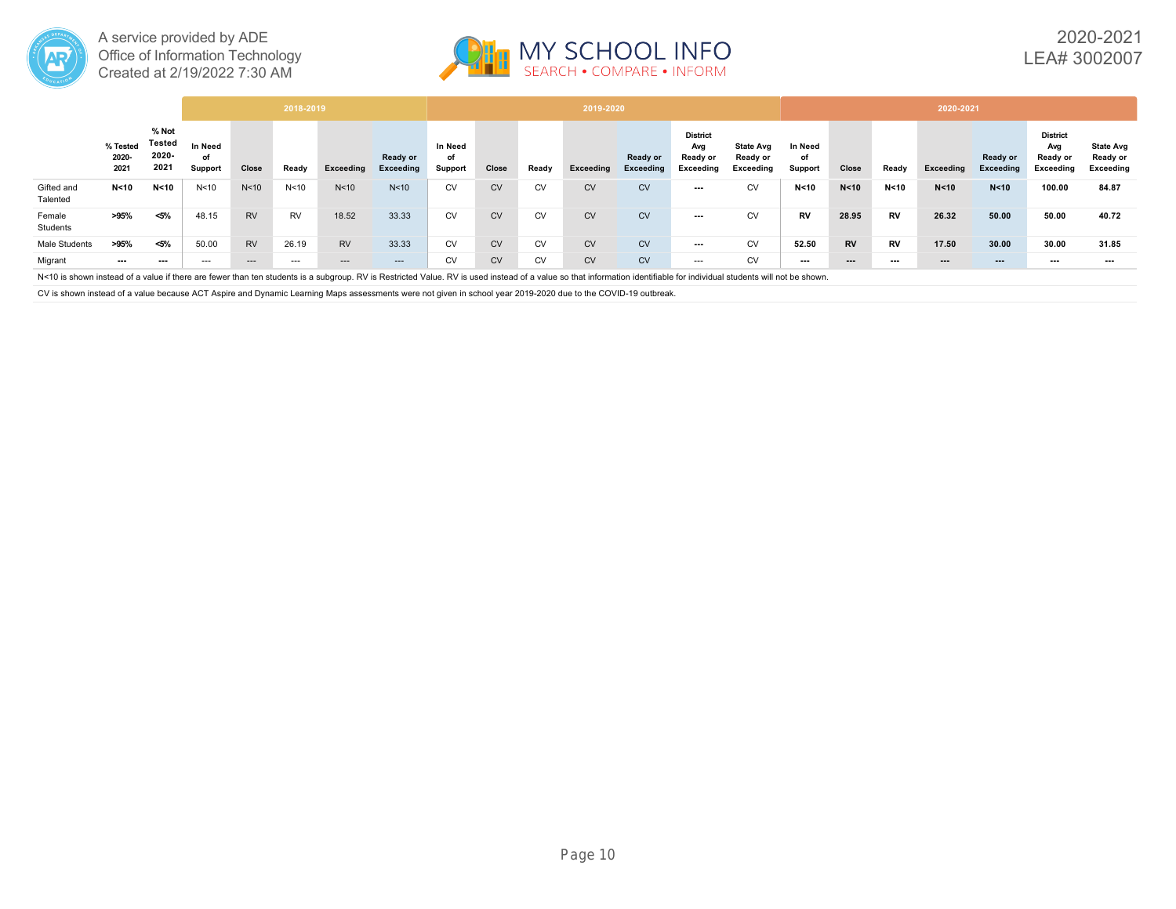



|                        |                           |                                  |                          |                 | 2018-2019       |                 |                       |                          |           |           | 2019-2020 |                       |                                                 |                                           |                          |           |           | 2020-2021              |                       |                                                 |                                           |
|------------------------|---------------------------|----------------------------------|--------------------------|-----------------|-----------------|-----------------|-----------------------|--------------------------|-----------|-----------|-----------|-----------------------|-------------------------------------------------|-------------------------------------------|--------------------------|-----------|-----------|------------------------|-----------------------|-------------------------------------------------|-------------------------------------------|
|                        | % Tested<br>2020-<br>2021 | % Not<br>Tested<br>2020-<br>2021 | In Need<br>of<br>Support | Close           | Ready           | Exceeding       | Ready or<br>Exceeding | In Need<br>of<br>Support | Close     | Ready     | Exceeding | Ready or<br>Exceeding | <b>District</b><br>Avg<br>Ready or<br>Exceeding | <b>State Avg</b><br>Ready or<br>Exceeding | In Need<br>of<br>Support | Close     | Ready     | Exceeding              | Ready or<br>Exceeding | <b>District</b><br>Avg<br>Ready or<br>Exceeding | <b>State Avg</b><br>Ready or<br>Exceeding |
| Gifted and<br>Talented | N < 10                    | N <sub>10</sub>                  | N <sub>10</sub>          | N <sub>10</sub> | N <sub>10</sub> | N <sub>10</sub> | N <sub>10</sub>       | <b>CV</b>                | <b>CV</b> | <b>CV</b> | <b>CV</b> | <b>CV</b>             | ---                                             | <b>CV</b>                                 | N < 10                   | N < 10    | N < 10    | N < 10                 | N < 10                | 100.00                                          | 84.87                                     |
| Female<br>Students     | >95%                      | $< 5\%$                          | 48.15                    | <b>RV</b>       | <b>RV</b>       | 18.52           | 33.33                 | <b>CV</b>                | <b>CV</b> | <b>CV</b> | <b>CV</b> | <b>CV</b>             | ---                                             | <b>CV</b>                                 | <b>RV</b>                | 28.95     | <b>RV</b> | 26.32                  | 50.00                 | 50.00                                           | 40.72                                     |
| Male Students          | >95%                      | $< 5\%$                          | 50.00                    | <b>RV</b>       | 26.19           | <b>RV</b>       | 33.33                 | <b>CV</b>                | CV        | <b>CV</b> | <b>CV</b> | <b>CV</b>             | ---                                             | <b>CV</b>                                 | 52.50                    | <b>RV</b> | <b>RV</b> | 17.50                  | 30.00                 | 30.00                                           | 31.85                                     |
| Migrant                | ---                       | $\cdots$                         | $---$                    | $- - -$         | $---$           | ---             | $---$                 | <b>CV</b>                | <b>CV</b> | <b>CV</b> | <b>CV</b> | <b>CV</b>             | $---$                                           | CV                                        | $\cdots$                 | $\cdots$  | ---       | $\qquad \qquad \cdots$ | $--$                  | $--$                                            | $--$                                      |

N<10 is shown instead of a value if there are fewer than ten students is a subgroup. RV is Restricted Value. RV is used instead of a value so that information identifiable for individual students will not be shown.

CV is shown instead of a value because ACT Aspire and Dynamic Learning Maps assessments were not given in school year 2019-2020 due to the COVID-19 outbreak.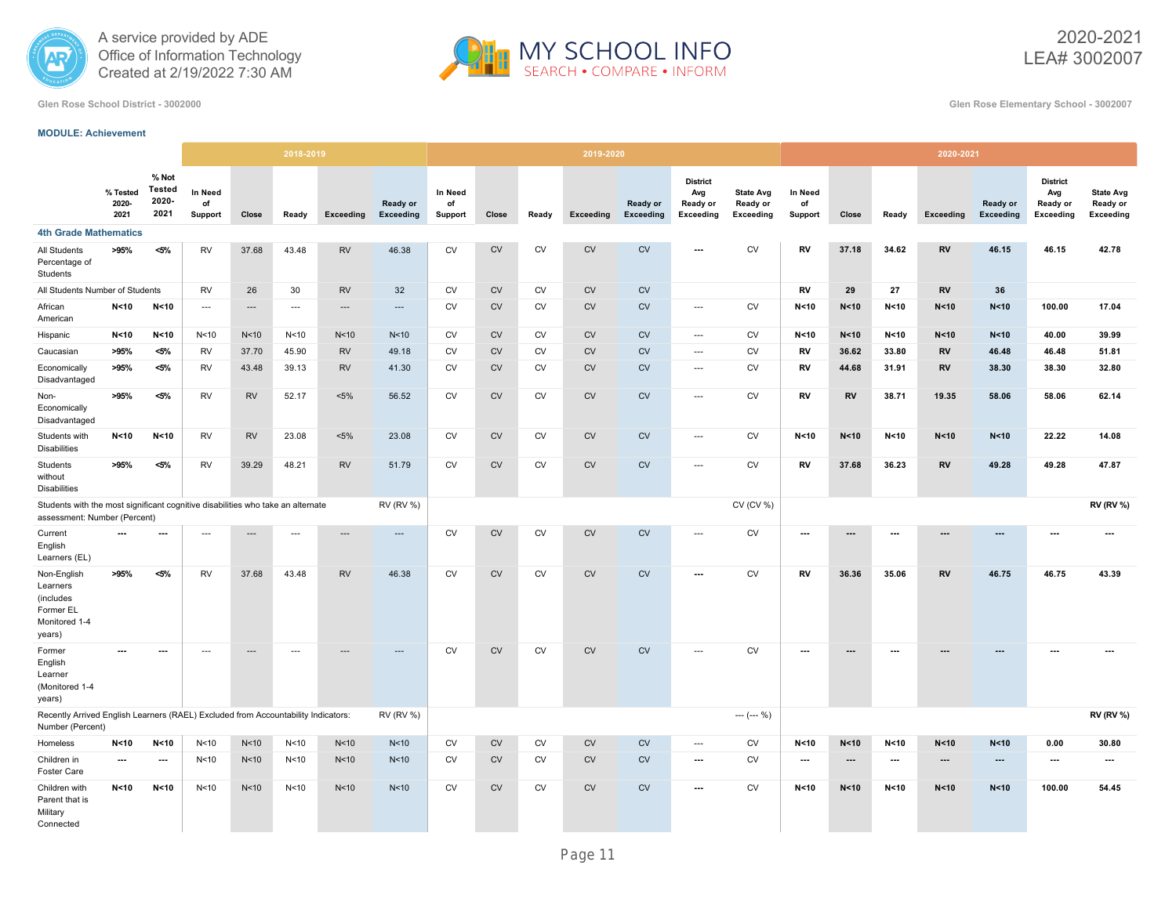



2020-2021 LEA# 3002007

**Glen Rose School District - 3002000 Glen Rose Elementary School - 3002007**

#### **MODULE: Achievement**

|                                                                                                                 |                           |                                         |                          |                          | 2018-2019       |                 |                          |                          |            |           | 2019-2020 |                       |                                                        |                                           |                          |                          |                          | 2020-2021                |                              |                                                        |                                                  |
|-----------------------------------------------------------------------------------------------------------------|---------------------------|-----------------------------------------|--------------------------|--------------------------|-----------------|-----------------|--------------------------|--------------------------|------------|-----------|-----------|-----------------------|--------------------------------------------------------|-------------------------------------------|--------------------------|--------------------------|--------------------------|--------------------------|------------------------------|--------------------------------------------------------|--------------------------------------------------|
|                                                                                                                 | % Tested<br>2020-<br>2021 | % Not<br><b>Tested</b><br>2020-<br>2021 | In Need<br>of<br>Support | Close                    | Ready           | Exceeding       | Ready or<br>Exceeding    | In Need<br>of<br>Support | Close      | Ready     | Exceeding | Ready or<br>Exceeding | <b>District</b><br>Avg<br>Ready or<br><b>Exceeding</b> | <b>State Avg</b><br>Ready or<br>Exceeding | In Need<br>of<br>Support | Close                    | Ready                    | Exceeding                | Ready or<br><b>Exceeding</b> | <b>District</b><br>Avg<br>Ready or<br><b>Exceeding</b> | <b>State Avg</b><br>Ready or<br><b>Exceeding</b> |
| <b>4th Grade Mathematics</b>                                                                                    |                           |                                         |                          |                          |                 |                 |                          |                          |            |           |           |                       |                                                        |                                           |                          |                          |                          |                          |                              |                                                        |                                                  |
| All Students<br>Percentage of<br>Students                                                                       | >95%                      | $< 5\%$                                 | <b>RV</b>                | 37.68                    | 43.48           | <b>RV</b>       | 46.38                    | <b>CV</b>                | <b>CV</b>  | <b>CV</b> | <b>CV</b> | <b>CV</b>             | $\overline{\phantom{a}}$                               | <b>CV</b>                                 | RV                       | 37.18                    | 34.62                    | <b>RV</b>                | 46.15                        | 46.15                                                  | 42.78                                            |
| All Students Number of Students                                                                                 |                           |                                         | <b>RV</b>                | 26                       | 30              | <b>RV</b>       | 32                       | <b>CV</b>                | <b>CV</b>  | <b>CV</b> | <b>CV</b> | CV                    |                                                        |                                           | RV                       | 29                       | 27                       | <b>RV</b>                | 36                           |                                                        |                                                  |
| African<br>American                                                                                             | N < 10                    | N <sub>10</sub>                         | $\cdots$                 | $\hspace{0.05cm} \ldots$ | $\cdots$        | $\cdots$        | $---$                    | <b>CV</b>                | ${\sf CV}$ | CV        | <b>CV</b> | CV                    | $---$                                                  | CV                                        | N < 10                   | N < 10                   | N < 10                   | N < 10                   | N < 10                       | 100.00                                                 | 17.04                                            |
| Hispanic                                                                                                        | N < 10                    | N <sub>10</sub>                         | N <sub>10</sub>          | N <sub>10</sub>          | N <sub>10</sub> | N<10            | N <sub>10</sub>          | <b>CV</b>                | <b>CV</b>  | <b>CV</b> | <b>CV</b> | CV                    | $\cdots$                                               | CV                                        | N < 10                   | N < 10                   | N <sub>10</sub>          | N < 10                   | N < 10                       | 40.00                                                  | 39.99                                            |
| Caucasian                                                                                                       | >95%                      | <5%                                     | <b>RV</b>                | 37.70                    | 45.90           | <b>RV</b>       | 49.18                    | <b>CV</b>                | <b>CV</b>  | <b>CV</b> | <b>CV</b> | <b>CV</b>             | ---                                                    | CV                                        | RV                       | 36.62                    | 33.80                    | RV                       | 46.48                        | 46.48                                                  | 51.81                                            |
| Economically<br>Disadvantaged                                                                                   | >95%                      | <5%                                     | <b>RV</b>                | 43.48                    | 39.13           | <b>RV</b>       | 41.30                    | <b>CV</b>                | <b>CV</b>  | <b>CV</b> | <b>CV</b> | <b>CV</b>             | $\cdots$                                               | CV                                        | RV                       | 44.68                    | 31.91                    | <b>RV</b>                | 38.30                        | 38.30                                                  | 32.80                                            |
| Non-<br>Economically<br>Disadvantaged                                                                           | >95%                      | $< 5\%$                                 | <b>RV</b>                | <b>RV</b>                | 52.17           | $< 5\%$         | 56.52                    | <b>CV</b>                | <b>CV</b>  | <b>CV</b> | <b>CV</b> | <b>CV</b>             | ---                                                    | <b>CV</b>                                 | RV                       | RV                       | 38.71                    | 19.35                    | 58.06                        | 58.06                                                  | 62.14                                            |
| Students with<br><b>Disabilities</b>                                                                            | N < 10                    | N<10                                    | RV                       | <b>RV</b>                | 23.08           | $< 5\%$         | 23.08                    | CV                       | <b>CV</b>  | CV        | <b>CV</b> | CV                    | ---                                                    | <b>CV</b>                                 | N < 10                   | N < 10                   | N < 10                   | N < 10                   | N < 10                       | 22.22                                                  | 14.08                                            |
| Students<br>without<br><b>Disabilities</b>                                                                      | >95%                      | $< 5\%$                                 | <b>RV</b>                | 39.29                    | 48.21           | <b>RV</b>       | 51.79                    | <b>CV</b>                | <b>CV</b>  | <b>CV</b> | <b>CV</b> | CV                    | $\sim$                                                 | <b>CV</b>                                 | RV                       | 37.68                    | 36.23                    | <b>RV</b>                | 49.28                        | 49.28                                                  | 47.87                                            |
| Students with the most significant cognitive disabilities who take an alternate<br>assessment: Number (Percent) |                           |                                         |                          |                          |                 |                 | <b>RV (RV %)</b>         |                          |            |           |           |                       |                                                        | CV (CV %)                                 |                          |                          |                          |                          |                              |                                                        | <b>RV (RV %)</b>                                 |
| Current<br>English<br>Learners (EL)                                                                             | ---                       | ---                                     | $\overline{\phantom{a}}$ | $---$                    | $---$           | $---$           | $\overline{\phantom{a}}$ | <b>CV</b>                | <b>CV</b>  | <b>CV</b> | <b>CV</b> | <b>CV</b>             | $\overline{\phantom{a}}$                               | CV                                        | ---                      | ---                      | $\overline{\phantom{a}}$ | $---$                    | ---                          | $\overline{\phantom{a}}$                               | ---                                              |
| Non-English<br>Learners<br>(includes<br>Former EL<br>Monitored 1-4<br>years)                                    | >95%                      | <5%                                     | <b>RV</b>                | 37.68                    | 43.48           | <b>RV</b>       | 46.38                    | <b>CV</b>                | <b>CV</b>  | <b>CV</b> | <b>CV</b> | <b>CV</b>             | $\overline{\phantom{a}}$                               | <b>CV</b>                                 | RV                       | 36.36                    | 35.06                    | <b>RV</b>                | 46.75                        | 46.75                                                  | 43.39                                            |
| Former<br>English<br>Learner<br>(Monitored 1-4<br>years)                                                        |                           | ---                                     | $\hspace{0.05cm} \ldots$ | $\cdots$                 | $\ldots$        |                 | ---                      | <b>CV</b>                | ${\sf CV}$ | CV        | <b>CV</b> | ${\sf CV}$            | $\overline{\phantom{a}}$                               | CV                                        | ---                      | ---                      | ---                      |                          |                              |                                                        |                                                  |
| Recently Arrived English Learners (RAEL) Excluded from Accountability Indicators:<br>Number (Percent)           |                           |                                         |                          |                          |                 |                 | <b>RV (RV %)</b>         |                          |            |           |           |                       |                                                        | $--- (--- %)$                             |                          |                          |                          |                          |                              |                                                        | <b>RV (RV %)</b>                                 |
| Homeless                                                                                                        | N <sub>10</sub>           | N <sub>10</sub>                         | N<10                     | N<10                     | N <sub>10</sub> | N <sub>10</sub> | N <sub>10</sub>          | CV                       | <b>CV</b>  | CV        | <b>CV</b> | <b>CV</b>             | $\overline{\phantom{a}}$                               | CV                                        | N <sub>10</sub>          | N <sub>10</sub>          | N <sub>10</sub>          | N < 10                   | N < 10                       | 0.00                                                   | 30.80                                            |
| Children in<br>Foster Care                                                                                      | ---                       | $\ldots$                                | N < 10                   | N<10                     | N < 10          | N <sub>10</sub> | N<10                     | CV                       | ${\sf CV}$ | CV        | <b>CV</b> | <b>CV</b>             | $\ldots$                                               | CV                                        | ---                      | $\hspace{0.05cm} \cdots$ | $\ldots$                 | $\overline{\phantom{a}}$ | ---                          | ---                                                    | $\overline{a}$                                   |
| Children with<br>Parent that is<br>Military<br>Connected                                                        | N < 10                    | N <sub>10</sub>                         | N <sub>10</sub>          | N <sub>10</sub>          | N <sub>10</sub> | N <sub>10</sub> | N <sub>10</sub>          | <b>CV</b>                | <b>CV</b>  | <b>CV</b> | <b>CV</b> | ${\sf CV}$            | $\ldots$                                               | <b>CV</b>                                 | N <sub>10</sub>          | N < 10                   | N <sub>10</sub>          | N < 10                   | N < 10                       | 100.00                                                 | 54.45                                            |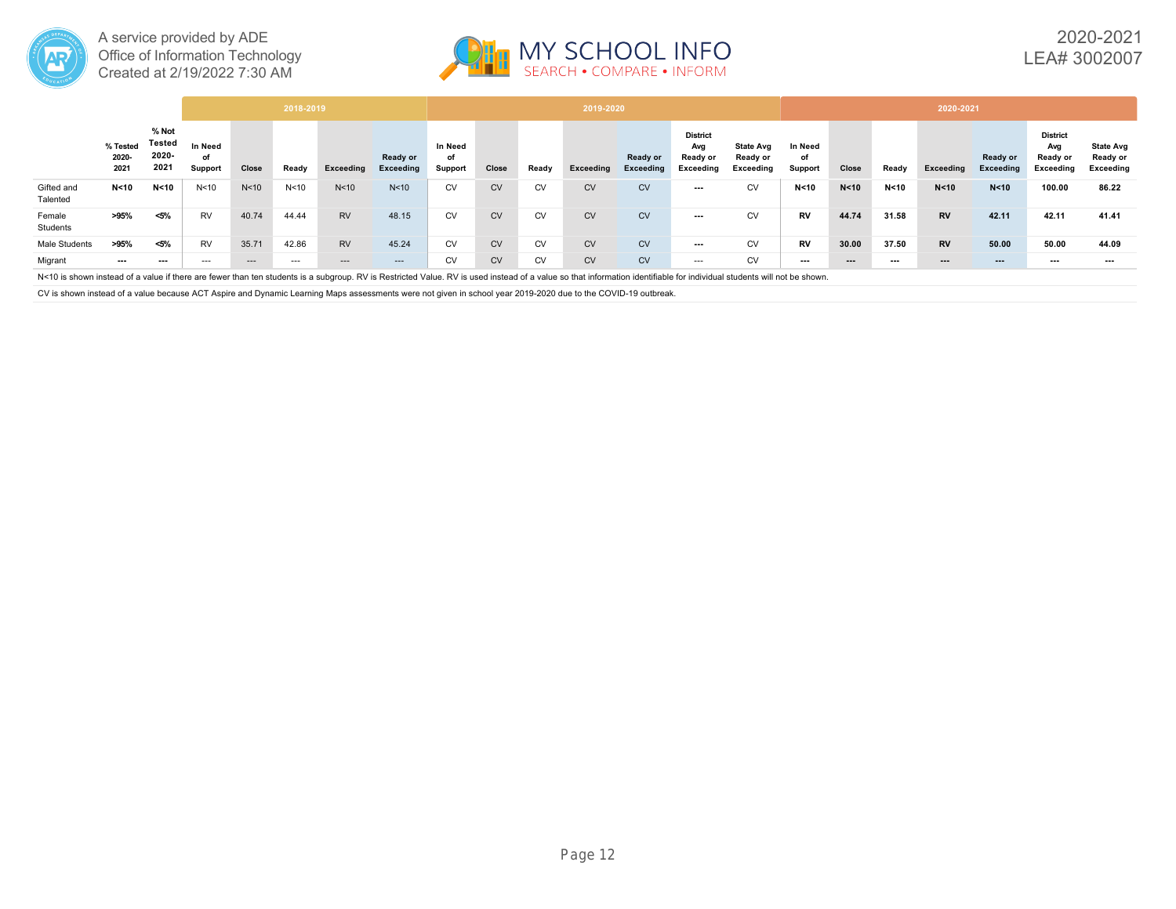



|                        |                           |                                  |                          |                 | 2018-2019       |                 |                       |                          |           |           | 2019-2020 |                       |                                                 |                                           |                          |          |        | 2020-2021              |                       |                                                 |                                           |
|------------------------|---------------------------|----------------------------------|--------------------------|-----------------|-----------------|-----------------|-----------------------|--------------------------|-----------|-----------|-----------|-----------------------|-------------------------------------------------|-------------------------------------------|--------------------------|----------|--------|------------------------|-----------------------|-------------------------------------------------|-------------------------------------------|
|                        | % Tested<br>2020-<br>2021 | % Not<br>Tested<br>2020-<br>2021 | In Need<br>of<br>Support | Close           | Ready           | Exceeding       | Ready or<br>Exceeding | In Need<br>of<br>Support | Close     | Ready     | Exceeding | Ready or<br>Exceeding | <b>District</b><br>Avg<br>Ready or<br>Exceeding | <b>State Avg</b><br>Ready or<br>Exceeding | In Need<br>of<br>Support | Close    | Ready  | Exceeding              | Ready or<br>Exceeding | <b>District</b><br>Avg<br>Ready or<br>Exceeding | <b>State Avg</b><br>Ready or<br>Exceeding |
| Gifted and<br>Talented | N < 10                    | N <sub>10</sub>                  | N <sub>10</sub>          | N <sub>10</sub> | N <sub>10</sub> | N <sub>10</sub> | N <sub>10</sub>       | <b>CV</b>                | <b>CV</b> | <b>CV</b> | <b>CV</b> | <b>CV</b>             | ---                                             | <b>CV</b>                                 | N < 10                   | N < 10   | N < 10 | N < 10                 | N < 10                | 100.00                                          | 86.22                                     |
| Female<br>Students     | >95%                      | $< 5\%$                          | <b>RV</b>                | 40.74           | 44.44           | <b>RV</b>       | 48.15                 | <b>CV</b>                | <b>CV</b> | <b>CV</b> | <b>CV</b> | <b>CV</b>             | ---                                             | <b>CV</b>                                 | <b>RV</b>                | 44.74    | 31.58  | <b>RV</b>              | 42.11                 | 42.11                                           | 41.41                                     |
| Male Students          | >95%                      | <5%                              | <b>RV</b>                | 35.71           | 42.86           | <b>RV</b>       | 45.24                 | <b>CV</b>                | CV        | <b>CV</b> | <b>CV</b> | <b>CV</b>             | ---                                             | <b>CV</b>                                 | <b>RV</b>                | 30.00    | 37.50  | <b>RV</b>              | 50.00                 | 50.00                                           | 44.09                                     |
| Migrant                | ---                       | $\cdots$                         | $---$                    | $- - -$         | $---$           | ---             | $---$                 | CV                       | <b>CV</b> | <b>CV</b> | <b>CV</b> | <b>CV</b>             | $---$                                           | CV                                        | $\cdots$                 | $\cdots$ | ---    | $\qquad \qquad \cdots$ | $--$                  | $--$                                            | $--$                                      |

N<10 is shown instead of a value if there are fewer than ten students is a subgroup. RV is Restricted Value. RV is used instead of a value so that information identifiable for individual students will not be shown.

CV is shown instead of a value because ACT Aspire and Dynamic Learning Maps assessments were not given in school year 2019-2020 due to the COVID-19 outbreak.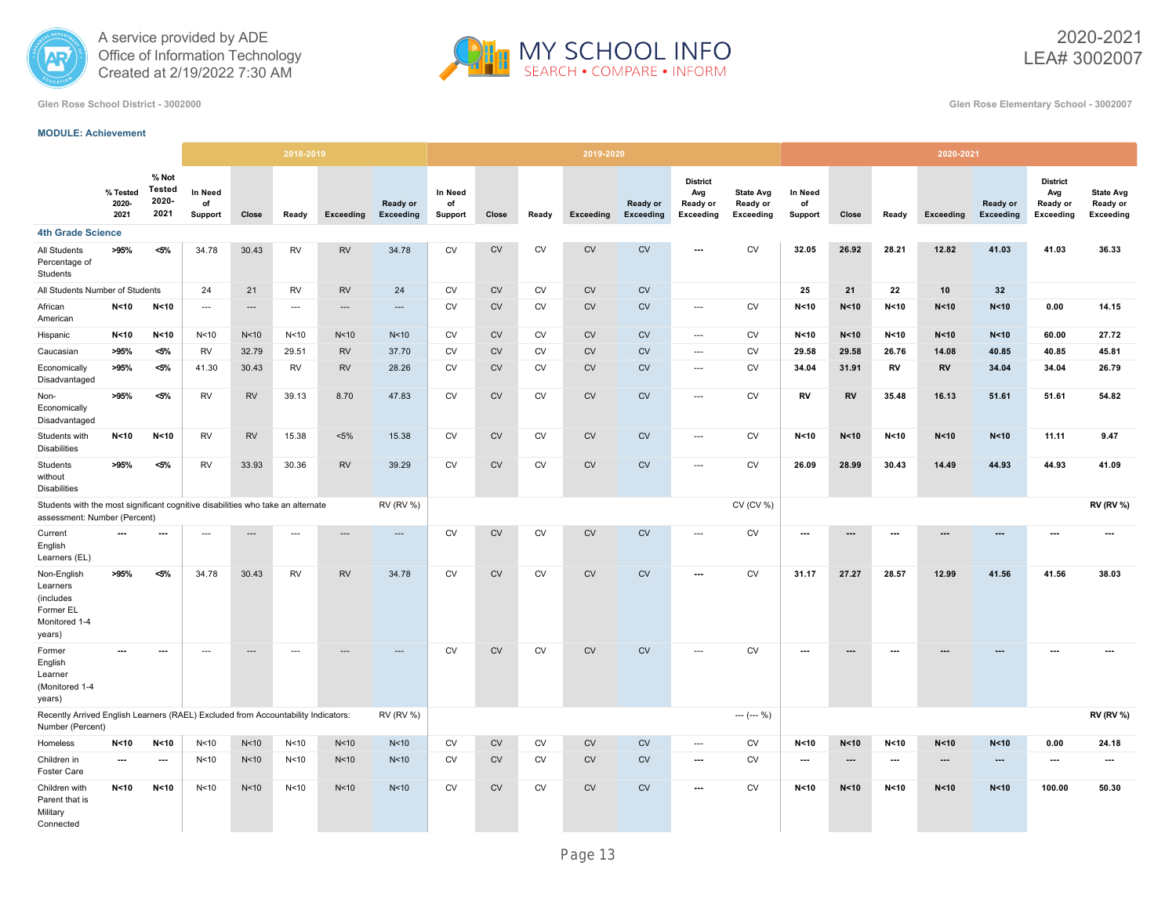



2020-2021 LEA# 3002007

**Glen Rose School District - 3002000 Glen Rose Elementary School - 3002007**

#### **MODULE: Achievement**

|                                                                                                                 |                           |                                         |                          |                          | 2018-2019                |                          |                              |                          |            |           | 2019-2020 |                              |                                                        |                                           |                          |                          |                          | 2020-2021                |                              |                                                 |                                                  |
|-----------------------------------------------------------------------------------------------------------------|---------------------------|-----------------------------------------|--------------------------|--------------------------|--------------------------|--------------------------|------------------------------|--------------------------|------------|-----------|-----------|------------------------------|--------------------------------------------------------|-------------------------------------------|--------------------------|--------------------------|--------------------------|--------------------------|------------------------------|-------------------------------------------------|--------------------------------------------------|
|                                                                                                                 | % Tested<br>2020-<br>2021 | % Not<br><b>Tested</b><br>2020-<br>2021 | In Need<br>of<br>Support | Close                    | Ready                    | Exceeding                | Ready or<br><b>Exceeding</b> | In Need<br>of<br>Support | Close      | Ready     | Exceeding | Ready or<br><b>Exceeding</b> | <b>District</b><br>Avg<br>Ready or<br><b>Exceeding</b> | <b>State Avg</b><br>Ready or<br>Exceeding | In Need<br>of<br>Support | Close                    | Ready                    | Exceeding                | Ready or<br><b>Exceeding</b> | <b>District</b><br>Avg<br>Ready or<br>Exceeding | <b>State Avg</b><br>Ready or<br><b>Exceeding</b> |
| <b>4th Grade Science</b>                                                                                        |                           |                                         |                          |                          |                          |                          |                              |                          |            |           |           |                              |                                                        |                                           |                          |                          |                          |                          |                              |                                                 |                                                  |
| All Students<br>Percentage of<br>Students                                                                       | >95%                      | $< 5\%$                                 | 34.78                    | 30.43                    | <b>RV</b>                | <b>RV</b>                | 34.78                        | ${\sf CV}$               | ${\sf CV}$ | CV        | <b>CV</b> | <b>CV</b>                    | $\overline{\phantom{a}}$                               | <b>CV</b>                                 | 32.05                    | 26.92                    | 28.21                    | 12.82                    | 41.03                        | 41.03                                           | 36.33                                            |
| All Students Number of Students                                                                                 |                           |                                         | 24                       | 21                       | <b>RV</b>                | <b>RV</b>                | 24                           | CV                       | CV         | CV        | CV        | CV                           |                                                        |                                           | 25                       | 21                       | 22                       | 10                       | 32                           |                                                 |                                                  |
| African<br>American                                                                                             | N<10                      | N < 10                                  | $\cdots$                 | $\overline{\phantom{a}}$ | $\hspace{0.05cm} \ldots$ | ---                      | $\cdots$                     | <b>CV</b>                | <b>CV</b>  | <b>CV</b> | <b>CV</b> | CV                           | $\cdots$                                               | <b>CV</b>                                 | N < 10                   | N <sub>10</sub>          | N < 10                   | N < 10                   | N < 10                       | 0.00                                            | 14.15                                            |
| Hispanic                                                                                                        | N < 10                    | N < 10                                  | N <sub>10</sub>          | N<10                     | N <sub>10</sub>          | N <sub>10</sub>          | N<10                         | <b>CV</b>                | <b>CV</b>  | <b>CV</b> | <b>CV</b> | CV                           | $\overline{\phantom{a}}$                               | <b>CV</b>                                 | N < 10                   | N <sub>10</sub>          | N < 10                   | N < 10                   | N < 10                       | 60.00                                           | 27.72                                            |
| Caucasian                                                                                                       | >95%                      | $< 5\%$                                 | <b>RV</b>                | 32.79                    | 29.51                    | <b>RV</b>                | 37.70                        | <b>CV</b>                | <b>CV</b>  | CV        | <b>CV</b> | CV                           | $\overline{\phantom{a}}$                               | CV                                        | 29.58                    | 29.58                    | 26.76                    | 14.08                    | 40.85                        | 40.85                                           | 45.81                                            |
| Economically<br>Disadvantaged                                                                                   | >95%                      | $< 5\%$                                 | 41.30                    | 30.43                    | <b>RV</b>                | <b>RV</b>                | 28.26                        | CV                       | <b>CV</b>  | CV        | <b>CV</b> | <b>CV</b>                    | $\overline{\phantom{a}}$                               | CV                                        | 34.04                    | 31.91                    | RV                       | <b>RV</b>                | 34.04                        | 34.04                                           | 26.79                                            |
| Non-<br>Economically<br>Disadvantaged                                                                           | >95%                      | $< 5\%$                                 | <b>RV</b>                | <b>RV</b>                | 39.13                    | 8.70                     | 47.83                        | CV                       | <b>CV</b>  | <b>CV</b> | <b>CV</b> | ${\sf CV}$                   | $\overline{\phantom{a}}$                               | CV                                        | <b>RV</b>                | <b>RV</b>                | 35.48                    | 16.13                    | 51.61                        | 51.61                                           | 54.82                                            |
| Students with<br><b>Disabilities</b>                                                                            | N <sub>10</sub>           | N < 10                                  | <b>RV</b>                | <b>RV</b>                | 15.38                    | $< 5\%$                  | 15.38                        | CV                       | CV         | CV        | CV        | ${\sf CV}$                   | $\cdots$                                               | CV                                        | N < 10                   | N < 10                   | N <sub>10</sub>          | N < 10                   | N < 10                       | 11.11                                           | 9.47                                             |
| Students<br>without<br><b>Disabilities</b>                                                                      | >95%                      | $< 5\%$                                 | <b>RV</b>                | 33.93                    | 30.36                    | <b>RV</b>                | 39.29                        | CV                       | <b>CV</b>  | <b>CV</b> | <b>CV</b> | CV                           | $\overline{\phantom{a}}$                               | CV                                        | 26.09                    | 28.99                    | 30.43                    | 14.49                    | 44.93                        | 44.93                                           | 41.09                                            |
| Students with the most significant cognitive disabilities who take an alternate<br>assessment: Number (Percent) |                           |                                         |                          |                          |                          |                          | <b>RV (RV %)</b>             |                          |            |           |           |                              |                                                        | CV (CV %)                                 |                          |                          |                          |                          |                              |                                                 | <b>RV (RV %)</b>                                 |
| Current<br>English<br>Learners (EL)                                                                             | $\overline{\phantom{a}}$  | ---                                     | ---                      | $\overline{\phantom{a}}$ | ---                      | $\overline{\phantom{a}}$ | $\overline{\phantom{a}}$     | <b>CV</b>                | <b>CV</b>  | <b>CV</b> | CV        | CV                           | ---                                                    | ${\sf CV}$                                |                          | ---                      | ---                      |                          | ---                          |                                                 | $\overline{a}$                                   |
| Non-English<br>Learners<br>(includes<br>Former EL<br>Monitored 1-4<br>years)                                    | >95%                      | $< 5\%$                                 | 34.78                    | 30.43                    | <b>RV</b>                | <b>RV</b>                | 34.78                        | <b>CV</b>                | <b>CV</b>  | <b>CV</b> | <b>CV</b> | <b>CV</b>                    | $\overline{\phantom{a}}$                               | <b>CV</b>                                 | 31.17                    | 27.27                    | 28.57                    | 12.99                    | 41.56                        | 41.56                                           | 38.03                                            |
| Former<br>English<br>Learner<br>(Monitored 1-4<br>years)                                                        | ---                       | $\hspace{0.05cm} \ldots$                | $\hspace{0.05cm} \ldots$ | $\hspace{1.5cm} \cdots$  | $\hspace{0.05cm} \ldots$ |                          | ---                          | <b>CV</b>                | <b>CV</b>  | <b>CV</b> | <b>CV</b> | CV                           | $\overline{\phantom{a}}$                               | <b>CV</b>                                 | $\hspace{0.05cm} \cdots$ | ---                      | ---                      |                          |                              | ---                                             | ---                                              |
| Recently Arrived English Learners (RAEL) Excluded from Accountability Indicators:<br>Number (Percent)           |                           |                                         |                          |                          |                          |                          | <b>RV (RV %)</b>             |                          |            |           |           |                              |                                                        | $--- (--- %)$                             |                          |                          |                          |                          |                              |                                                 | <b>RV (RV %)</b>                                 |
| Homeless                                                                                                        | N < 10                    | N<10                                    | N <sub>10</sub>          | N<10                     | N <sub>10</sub>          | N <sub>10</sub>          | N <sub>10</sub>              | <b>CV</b>                | <b>CV</b>  | <b>CV</b> | <b>CV</b> | CV                           | $\overline{\phantom{a}}$                               | <b>CV</b>                                 | N < 10                   | N < 10                   | N < 10                   | N < 10                   | N < 10                       | 0.00                                            | 24.18                                            |
| Children in<br>Foster Care                                                                                      | $\overline{\phantom{a}}$  | $\cdots$                                | N <sub>10</sub>          | N<10                     | N <sub>10</sub>          | N <sub>10</sub>          | N<10                         | CV                       | CV         | CV        | <b>CV</b> | CV                           | $\hspace{0.05cm} \ldots$                               | ${\sf CV}$                                | $\hspace{0.05cm} \ldots$ | $\overline{\phantom{a}}$ | $\overline{\phantom{a}}$ | $\overline{\phantom{a}}$ | $\hspace{0.05cm} \ldots$     | $\overline{\phantom{a}}$                        | $---$                                            |
| Children with<br>Parent that is<br>Military<br>Connected                                                        | N<10                      | N < 10                                  | N < 10                   | N<10                     | N <sub>10</sub>          | N <sub>10</sub>          | N<10                         | <b>CV</b>                | <b>CV</b>  | <b>CV</b> | <b>CV</b> | <b>CV</b>                    | $\hspace{0.05cm} \ldots$                               | CV                                        | N < 10                   | N < 10                   | N < 10                   | N < 10                   | N < 10                       | 100.00                                          | 50.30                                            |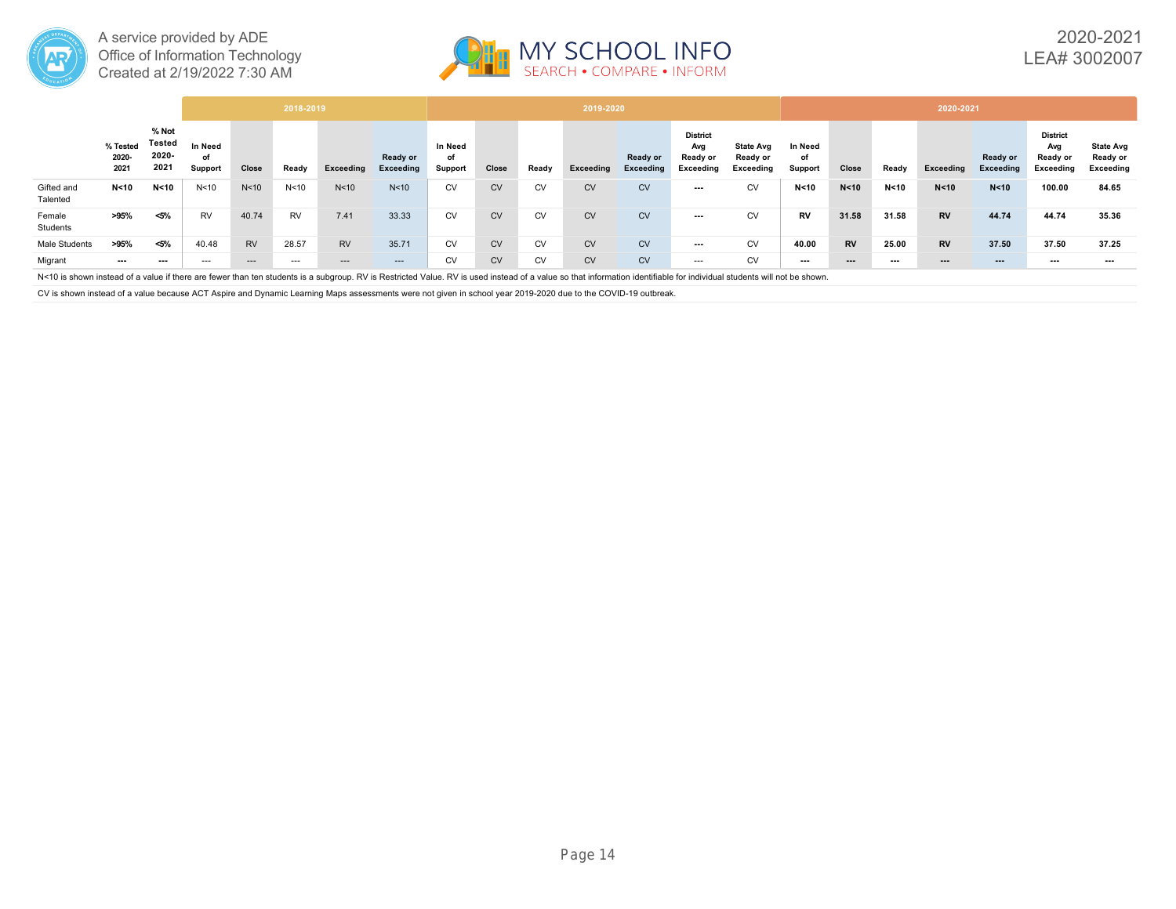



|                        |                           |                                  |                          |                 | 2018-2019       |                 |                       |                          |           |           | 2019-2020 |                       |                                                 |                                           |                          |           |        | 2020-2021              |                       |                                                 |                                           |
|------------------------|---------------------------|----------------------------------|--------------------------|-----------------|-----------------|-----------------|-----------------------|--------------------------|-----------|-----------|-----------|-----------------------|-------------------------------------------------|-------------------------------------------|--------------------------|-----------|--------|------------------------|-----------------------|-------------------------------------------------|-------------------------------------------|
|                        | % Tested<br>2020-<br>2021 | % Not<br>Tested<br>2020-<br>2021 | In Need<br>οf<br>Support | Close           | Ready           | Exceeding       | Ready or<br>Exceeding | In Need<br>of<br>Support | Close     | Ready     | Exceeding | Ready or<br>Exceeding | <b>District</b><br>Avg<br>Ready or<br>Exceeding | <b>State Avg</b><br>Ready or<br>Exceeding | In Need<br>of<br>Support | Close     | Ready  | Exceeding              | Ready or<br>Exceeding | <b>District</b><br>Avg<br>Ready or<br>Exceeding | <b>State Avg</b><br>Ready or<br>Exceeding |
| Gifted and<br>Talented | N < 10                    | N <sub>10</sub>                  | N <sub>10</sub>          | N <sub>10</sub> | N <sub>10</sub> | N <sub>10</sub> | N <sub>10</sub>       | <b>CV</b>                | <b>CV</b> | <b>CV</b> | <b>CV</b> | <b>CV</b>             | ---                                             | <b>CV</b>                                 | N < 10                   | N < 10    | N < 10 | N < 10                 | N < 10                | 100.00                                          | 84.65                                     |
| Female<br>Students     | >95%                      | <5%                              | <b>RV</b>                | 40.74           | <b>RV</b>       | 7.41            | 33.33                 | <b>CV</b>                | <b>CV</b> | <b>CV</b> | <b>CV</b> | <b>CV</b>             | ---                                             | <b>CV</b>                                 | <b>RV</b>                | 31.58     | 31.58  | <b>RV</b>              | 44.74                 | 44.74                                           | 35.36                                     |
| Male Students          | >95%                      | <5%                              | 40.48                    | <b>RV</b>       | 28.57           | <b>RV</b>       | 35.71                 | <b>CV</b>                | <b>CV</b> | <b>CV</b> | <b>CV</b> | <b>CV</b>             | ---                                             | <b>CV</b>                                 | 40.00                    | <b>RV</b> | 25.00  | <b>RV</b>              | 37.50                 | 37.50                                           | 37.25                                     |
| Migrant                | ---                       | $\cdots$                         | $---$                    | $---$           | $---$           | ---             | $---$                 | <b>CV</b>                | <b>CV</b> | <b>CV</b> | <b>CV</b> | <b>CV</b>             | $---$                                           | <b>CV</b>                                 | $\cdots$                 | $\cdots$  | ---    | $\qquad \qquad \cdots$ | $\cdots$              | $\overline{\phantom{a}}$                        | ---                                       |

N<10 is shown instead of a value if there are fewer than ten students is a subgroup. RV is Restricted Value. RV is used instead of a value so that information identifiable for individual students will not be shown.

CV is shown instead of a value because ACT Aspire and Dynamic Learning Maps assessments were not given in school year 2019-2020 due to the COVID-19 outbreak.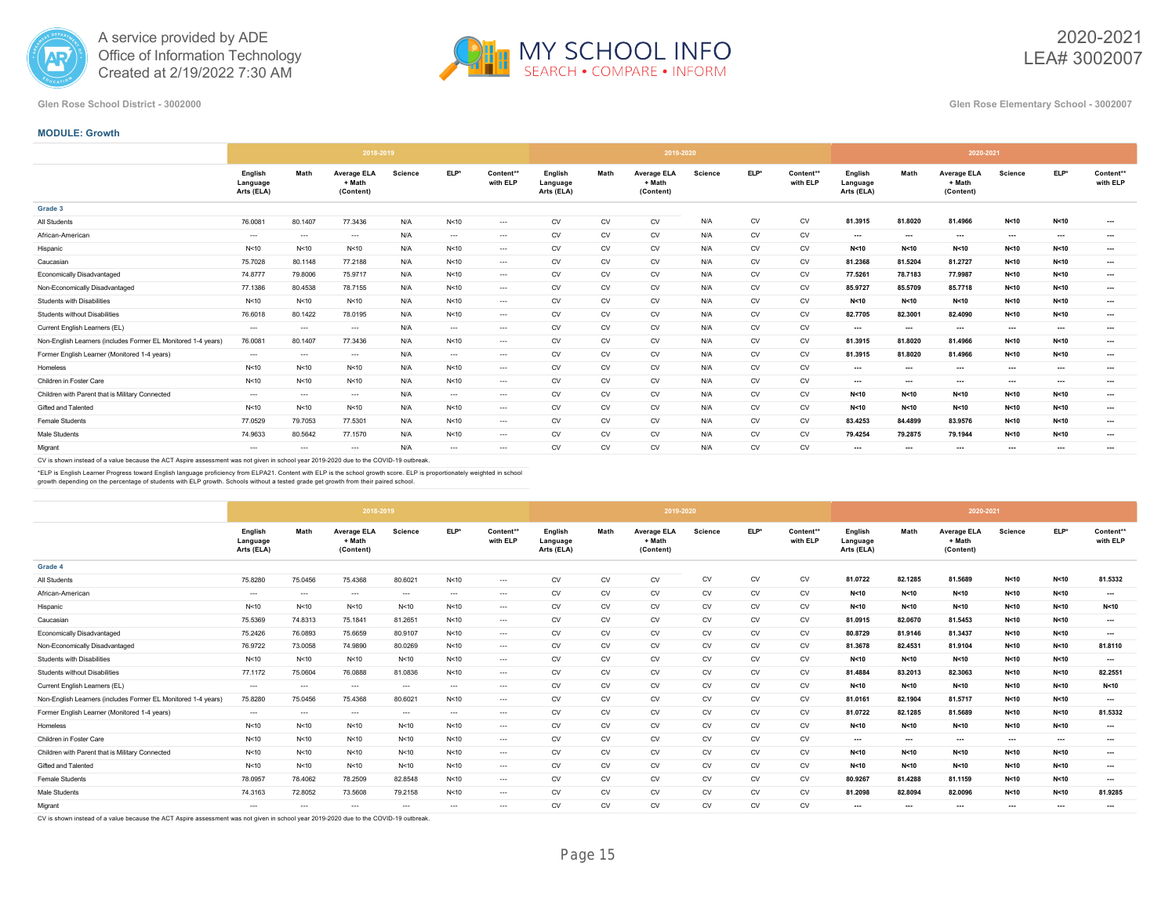



2020-2021 LEA# 3002007

**Glen Rose School District - 3002000 Glen Rose Elementary School - 3002007**

### **MODULE: Growth**

|                                                               |                                   |          | 2018-2019                                 |         |          |                       |                                   |           | 2019-2020                                 |         |           |                       |                                   |          | 2020-2021                                 |                |          |                       |
|---------------------------------------------------------------|-----------------------------------|----------|-------------------------------------------|---------|----------|-----------------------|-----------------------------------|-----------|-------------------------------------------|---------|-----------|-----------------------|-----------------------------------|----------|-------------------------------------------|----------------|----------|-----------------------|
|                                                               | Enalish<br>Language<br>Arts (ELA) | Math     | <b>Average ELA</b><br>+ Math<br>(Content) | Science | ELP*     | Content**<br>with ELP | English<br>Language<br>Arts (ELA) | Math      | <b>Average ELA</b><br>+ Math<br>(Content) | Science | ELP*      | Content**<br>with ELP | English<br>Language<br>Arts (ELA) | Math     | <b>Average ELA</b><br>+ Math<br>(Content) | <b>Science</b> | ELP*     | Content**<br>with ELP |
| Grade 3                                                       |                                   |          |                                           |         |          |                       |                                   |           |                                           |         |           |                       |                                   |          |                                           |                |          |                       |
| All Students                                                  | 76.0081                           | 80.1407  | 77.3436                                   | N/A     | N<10     | $\cdots$              | CV                                | CV        | CV                                        | N/A     | CV        | CV                    | 81.3915                           | 81.8020  | 81.4966                                   | N<10           | N < 10   | $\cdots$              |
| African-American                                              | $-1$                              | $\cdots$ | $\cdots$                                  | N/A     | $\cdots$ | $\cdots$              | CV                                | CV        | CV                                        | N/A     | CV        | CV                    | $\cdots$                          | $\cdots$ | $\cdots$                                  | $\cdots$       | ---      | $\cdots$              |
| Hispanic                                                      | N <sub>10</sub>                   | N<10     | N<10                                      | N/A     | N<10     | $\cdots$              | <b>CV</b>                         | <b>CV</b> | CV                                        | N/A     | <b>CV</b> | CV                    | N<10                              | N<10     | N < 10                                    | N<10           | N<10     | $\cdots$              |
| Caucasian                                                     | 75.7028                           | 80.1148  | 77.2188                                   | N/A     | N<10     | $\cdots$              | CV                                | CV        | CV                                        | N/A     | CV        | CV                    | 81.2368                           | 81.5204  | 81.2727                                   | N<10           | N<10     | $\cdots$              |
| <b>Economically Disadvantaged</b>                             | 74,8777                           | 79.8006  | 75,9717                                   | N/A     | N<10     | $\cdots$              | <b>CV</b>                         | <b>CV</b> | CV                                        | N/A     | <b>CV</b> | CV                    | 77.5261                           | 78.7183  | 77.9987                                   | N<10           | N<10     | $\cdots$              |
| Non-Economically Disadvantaged                                | 77.1386                           | 80.4538  | 78.7155                                   | N/A     | N<10     | $\cdots$              | CV                                | CV        | CV                                        | N/A     | CV        | CV                    | 85.9727                           | 85.5709  | 85,7718                                   | N<10           | N<10     | $\cdots$              |
| Students with Disabilities                                    | N <sub>10</sub>                   | N<10     | N<10                                      | N/A     | N<10     | $\cdots$              | CV                                | CV        | CV                                        | N/A     | CV        | CV                    | N < 10                            | N < 10   | N < 10                                    | N < 10         | N<10     | $\cdots$              |
| Students without Disabilities                                 | 76.6018                           | 80.1422  | 78.0195                                   | N/A     | N<10     | $\cdots$              | <b>CV</b>                         | <b>CV</b> | CV                                        | N/A     | <b>CV</b> | CV                    | 82.7705                           | 82.3001  | 82.4090                                   | N<10           | N<10     | $\cdots$              |
| Current English Learners (EL)                                 | $-1$                              | $\cdots$ | $\cdots$                                  | N/A     | $\cdots$ | $- - -$               | CV                                | CV        | CV                                        | N/A     | CV        | CV                    | $\cdots$                          | $\cdots$ | $\cdots$                                  | $\cdots$       | ---      | $\cdots$              |
| Non-English Learners (includes Former EL Monitored 1-4 years) | 76.0081                           | 80.1407  | 77.3436                                   | N/A     | N<10     | $\cdots$              | <b>CV</b>                         | <b>CV</b> | CV                                        | N/A     | <b>CV</b> | CV                    | 81.3915                           | 81.8020  | 81.4966                                   | N<10           | N<10     | $\cdots$              |
| Former English Learner (Monitored 1-4 years)                  | $\cdots$                          | $\cdots$ | $\cdots$                                  | N/A     | $\cdots$ | $\cdots$              | CV                                | CV        | CV                                        | N/A     | CV        | CV                    | 81.3915                           | 81.8020  | 81.4966                                   | N<10           | N<10     | $\cdots$              |
| Homeless                                                      | N <sub>10</sub>                   | N<10     | N<10                                      | N/A     | N<10     | $\cdots$              | <b>CV</b>                         | <b>CV</b> | CV                                        | N/A     | <b>CV</b> | CV                    | $\cdots$                          | $\cdots$ | $\overline{\phantom{a}}$                  | $\cdots$       | $\cdots$ | $\cdots$              |
| Children in Foster Care                                       | N <sub>10</sub>                   | N<10     | N<10                                      | N/A     | N<10     | $\cdots$              | <b>CV</b>                         | <b>CV</b> | CV                                        | N/A     | <b>CV</b> | CV                    | $\cdots$                          | $\cdots$ | $\cdots$                                  | $\cdots$       |          | $\cdots$              |
| Children with Parent that is Military Connected               | $-1$                              | $\cdots$ | $\cdots$                                  | N/A     | $\cdots$ | $\cdots$              | CV                                | CV        | CV                                        | N/A     | CV        | CV                    | N < 10                            | N < 10   | N < 10                                    | N<10           | N < 10   | $\cdots$              |
| Gifted and Talented                                           | N <sub>10</sub>                   | N<10     | N<10                                      | N/A     | N<10     | $\cdots$              | <b>CV</b>                         | <b>CV</b> | CV                                        | N/A     | <b>CV</b> | <b>CV</b>             | N<10                              | N<10     | N<10                                      | N<10           | N<10     | $\cdots$              |
| Female Students                                               | 77.0529                           | 79.7053  | 77.5301                                   | N/A     | N<10     | $\cdots$              | CV                                | CV        | CV                                        | N/A     | CV        | CV                    | 83.4253                           | 84.4899  | 83.9576                                   | N<10           | N<10     | $\cdots$              |
| Male Students                                                 | 74.9633                           | 80.5642  | 77.1570                                   | N/A     | N<10     | $\cdots$              | CV                                | CV        | CV                                        | N/A     | CV        | CV                    | 79.4254                           | 79.2875  | 79.1944                                   | N < 10         | N<10     | $\cdots$              |
| Migrant                                                       | $\cdots$                          | $-$      | $\cdots$                                  | N/A     | $\cdots$ | $- - -$               | <b>CV</b>                         | <b>CV</b> | CV                                        | N/A     | <b>CV</b> | CV                    | $\cdots$                          | $\cdots$ | $\cdots$                                  | $\cdots$       | ---      | $\cdots$              |

CV is shown instead of a value because the ACT Aspire assessment was not given in school year 2019-2020 due to the COVID-19 outbreak.

\*ELP is English Learner Progress toward English language proficiency from ELPA21. Content with ELP is the school growth score. ELP is proportionately weighted in school<br>growth depending on the percentage of students with E

|                                                               |                                   |          | 2018-2019                                 |                |          |                       |                                   |           | 2019-2020                                 |                |           |                       |                                   |          | 2020-2021                                 |                          |          |                       |
|---------------------------------------------------------------|-----------------------------------|----------|-------------------------------------------|----------------|----------|-----------------------|-----------------------------------|-----------|-------------------------------------------|----------------|-----------|-----------------------|-----------------------------------|----------|-------------------------------------------|--------------------------|----------|-----------------------|
|                                                               | Enalish<br>Language<br>Arts (ELA) | Math     | <b>Average ELA</b><br>+ Math<br>(Content) | <b>Science</b> | ELP*     | Content**<br>with ELP | English<br>Language<br>Arts (ELA) | Math      | <b>Average ELA</b><br>+ Math<br>(Content) | <b>Science</b> | ELP*      | Content**<br>with ELP | English<br>Language<br>Arts (ELA) | Math     | <b>Average ELA</b><br>+ Math<br>(Content) | <b>Science</b>           | ELP*     | Content**<br>with ELP |
| Grade 4                                                       |                                   |          |                                           |                |          |                       |                                   |           |                                           |                |           |                       |                                   |          |                                           |                          |          |                       |
| All Students                                                  | 75.8280                           | 75.0456  | 75,4368                                   | 80.6021        | N<10     | $\cdots$              | <b>CV</b>                         | <b>CV</b> | CV                                        | <b>CV</b>      | <b>CV</b> | CV                    | 81.0722                           | 82.1285  | 81.5689                                   | N<10                     | N<10     | 81.5332               |
| African-American                                              | $\sim$ $\sim$                     | $\cdots$ | $\cdots$                                  | $\cdots$       | $\cdots$ | $\cdots$              | CV                                | <b>CV</b> | CV                                        | CV             | CV        | CV                    | N<10                              | N < 10   | N<10                                      | N<10                     | N<10     | $\cdots$              |
| Hispanic                                                      | N<10                              | N<10     | N<10                                      | N<10           | N<10     | $\cdots$              | <b>CV</b>                         | <b>CV</b> | CV                                        | <b>CV</b>      | <b>CV</b> | CV                    | N<10                              | N<10     | N<10                                      | N<10                     | N<10     | N<10                  |
| Caucasian                                                     | 75.5369                           | 74.8313  | 75.1841                                   | 81.2651        | N<10     | $\cdots$              | <b>CV</b>                         | CV        | CV                                        | <b>CV</b>      | <b>CV</b> | CV                    | 81.0915                           | 82.0670  | 81.5453                                   | N<10                     | N<10     | $\cdots$              |
| Economically Disadvantaged                                    | 75.2426                           | 76.0893  | 75.6659                                   | 80.9107        | N<10     | $\cdots$              | CV                                | <b>CV</b> | CV                                        | <b>CV</b>      | CV        | CV                    | 80.8729                           | 81.9146  | 81.3437                                   | N<10                     | N<10     | $\cdots$              |
| Non-Economically Disadvantaged                                | 76.9722                           | 73.0058  | 74.9890                                   | 80.0269        | N<10     | $---$                 | <b>CV</b>                         | <b>CV</b> | CV                                        | CV             | CV        | CV                    | 81.3678                           | 82.4531  | 81.9104                                   | N < 10                   | N<10     | 81.8110               |
| Students with Disabilities                                    | N <sub>10</sub>                   | N<10     | N<10                                      | N<10           | N<10     | $\cdots$              | <b>CV</b>                         | <b>CV</b> | CV                                        | <b>CV</b>      | <b>CV</b> | CV                    | N<10                              | N<10     | N<10                                      | N<10                     | N<10     | $\cdots$              |
| <b>Students without Disabilities</b>                          | 77.1172                           | 75.0604  | 76.0888                                   | 81.0836        | N<10     | $\cdots$              | CV                                | <b>CV</b> | CV                                        | <b>CV</b>      | CV        | CV                    | 81.4884                           | 83.2013  | 82.3063                                   | N<10                     | N<10     | 82.2551               |
| Current English Learners (EL)                                 | $\sim$ $\sim$                     | $\cdots$ | $\cdots$                                  | $\cdots$       | $\cdots$ | $\cdots$              | <b>CV</b>                         | <b>CV</b> | CV                                        | <b>CV</b>      | <b>CV</b> | CV                    | N<10                              | N<10     | N<10                                      | N<10                     | N < 10   | N < 10                |
| Non-English Learners (includes Former EL Monitored 1-4 years) | 75.8280                           | 75.0456  | 75,4368                                   | 80.6021        | N<10     | $\cdots$              | <b>CV</b>                         | <b>CV</b> | CV                                        | <b>CV</b>      | <b>CV</b> | CV                    | 81.0161                           | 82.1904  | 81.5717                                   | N<10                     | N<10     | $\cdots$              |
| Former English Learner (Monitored 1-4 years)                  | $\sim$ $\sim$                     | $\cdots$ | $\cdots$                                  | $--$           | $\sim$   | $\cdots$              | CV                                | <b>CV</b> | CV                                        | CV             | CV        | CV                    | 81.0722                           | 82.1285  | 81.5689                                   | N<10                     | N<10     | 81.5332               |
| Homeless                                                      | N <sub>10</sub>                   | N<10     | N<10                                      | N<10           | N<10     | $---$                 | <b>CV</b>                         | <b>CV</b> | CV                                        | <b>CV</b>      | <b>CV</b> | CV                    | N<10                              | N<10     | N<10                                      | N<10                     | N<10     | $\cdots$              |
| Children in Foster Care                                       | N<10                              | N<10     | N<10                                      | N<10           | N<10     | $---$                 | <b>CV</b>                         | CV        | CV                                        | <b>CV</b>      | <b>CV</b> | CV                    | $\cdots$                          | $\cdots$ | ---                                       | $\overline{\phantom{a}}$ | $\cdots$ | $\cdots$              |
| Children with Parent that is Military Connected               | N <sub>10</sub>                   | N<10     | N<10                                      | N<10           | N<10     | $\cdots$              | <b>CV</b>                         | <b>CV</b> | <b>CV</b>                                 | <b>CV</b>      | <b>CV</b> | CV                    | N<10                              | N<10     | N<10                                      | N<10                     | N<10     | $\cdots$              |
| Gifted and Talented                                           | N < 10                            | N<10     | N<10                                      | N<10           | N<10     | $\cdots$              | CV                                | <b>CV</b> | CV                                        | CV             | CV        | CV                    | N<10                              | N<10     | N<10                                      | N<10                     | N<10     | $\cdots$              |
| Female Students                                               | 78.0957                           | 78.4062  | 78.2509                                   | 82.8548        | N<10     | $---$                 | <b>CV</b>                         | <b>CV</b> | CV                                        | CV             | <b>CV</b> | CV                    | 80.9267                           | 81.4288  | 81.1159                                   | N<10                     | N<10     | $\sim$                |
| Male Students                                                 | 74.3163                           | 72.8052  | 73.5608                                   | 79.2158        | N<10     | $\cdots$              | <b>CV</b>                         | <b>CV</b> | CV                                        | <b>CV</b>      | <b>CV</b> | CV                    | 81.2098                           | 82.8094  | 82.0096                                   | N<10                     | N<10     | 81.9285               |
| Migrant                                                       | $\cdots$                          | $-$      | $-$                                       | $\cdots$       | $\cdots$ | ---                   | <b>CV</b>                         | <b>CV</b> | <b>CV</b>                                 | CV             | <b>CV</b> | <b>CV</b>             | $\sim$                            | ---      | $\sim$                                    | $\cdots$                 | $-$      | ---                   |

CV is shown instead of a value because the ACT Aspire assessment was not given in school year 2019-2020 due to the COVID-19 outbreak.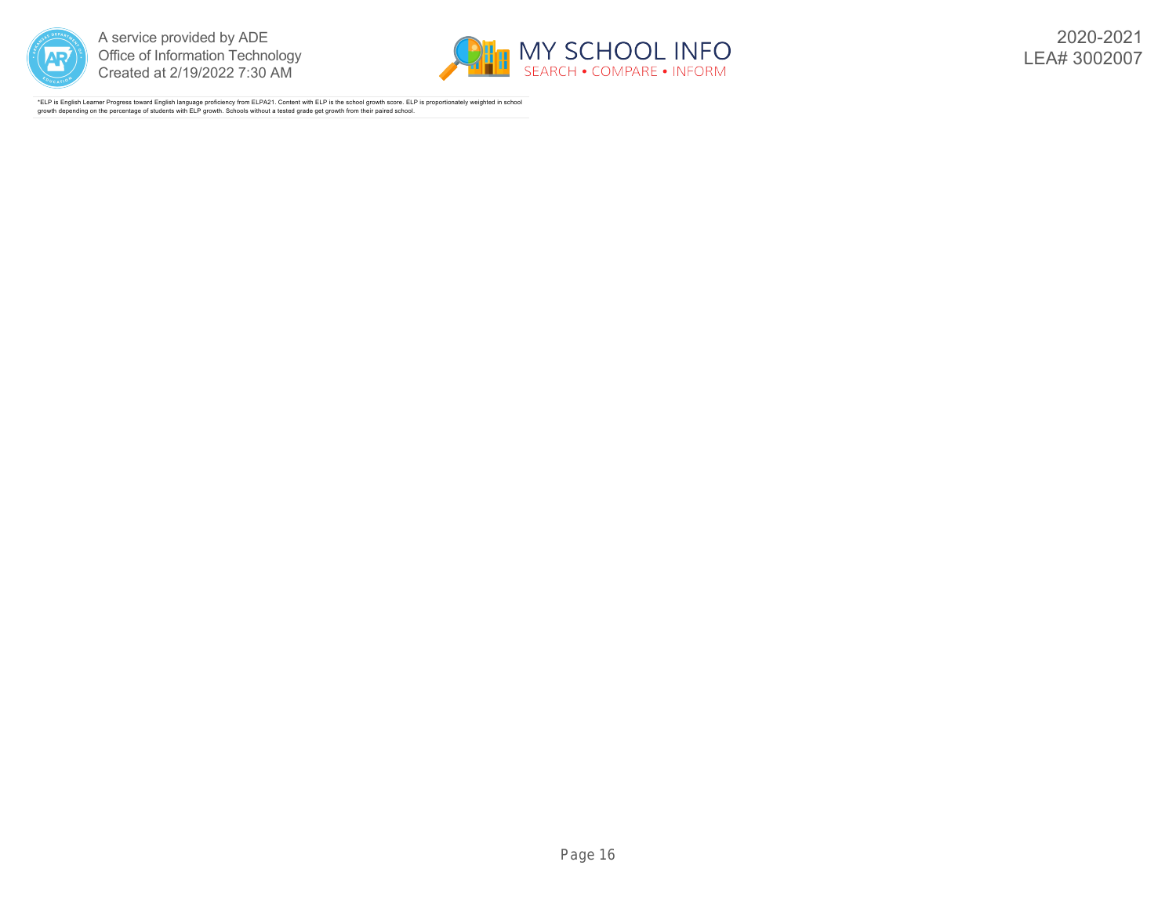



2020-2021 LEA# 3002007

\*ELP is English Learner Progress toward English language proficiency from ELPA21. Content with ELP is the school growth score. ELP is proportionately weighted in school growth depending on the percentage of students with ELP growth. Schools without a tested grade get growth from their paired school.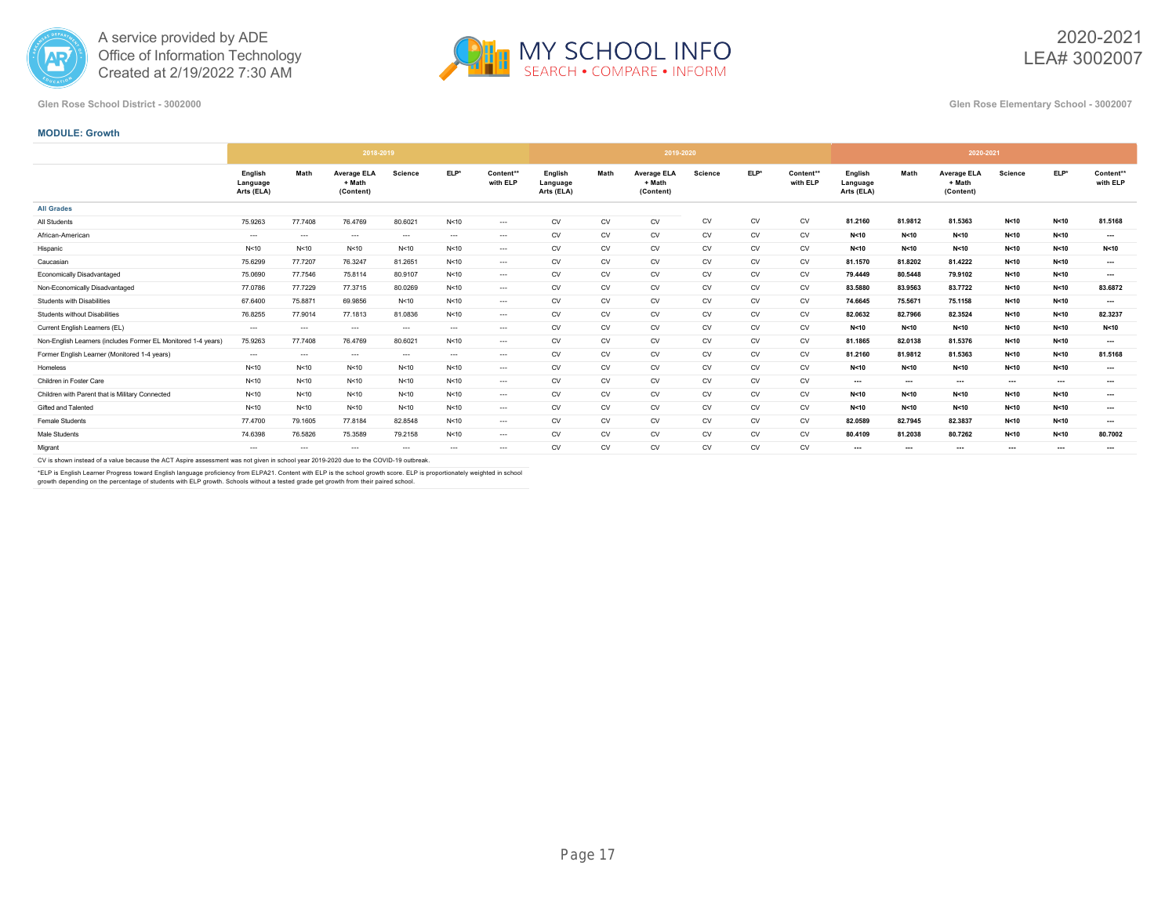



2020-2021 LEA# 3002007

#### **Glen Rose School District - 3002000 Glen Rose Elementary School - 3002007**

#### **MODULE: Growth**

|                                                               |                                   |         | 2018-2019                                 |                |          |                       |                                   |           | 2019-2020                                 |                |           |                       |                                   |          | 2020-2021                                 |                          |          |                       |
|---------------------------------------------------------------|-----------------------------------|---------|-------------------------------------------|----------------|----------|-----------------------|-----------------------------------|-----------|-------------------------------------------|----------------|-----------|-----------------------|-----------------------------------|----------|-------------------------------------------|--------------------------|----------|-----------------------|
|                                                               | English<br>Language<br>Arts (ELA) | Math    | <b>Average ELA</b><br>+ Math<br>(Content) | <b>Science</b> | ELP*     | Content**<br>with ELP | English<br>Language<br>Arts (ELA) | Math      | <b>Average ELA</b><br>+ Math<br>(Content) | <b>Science</b> | ELP*      | Content**<br>with ELP | English<br>Language<br>Arts (ELA) | Math     | <b>Average ELA</b><br>+ Math<br>(Content) | <b>Science</b>           | ELP*     | Content**<br>with ELP |
| <b>All Grades</b>                                             |                                   |         |                                           |                |          |                       |                                   |           |                                           |                |           |                       |                                   |          |                                           |                          |          |                       |
| All Students                                                  | 75.9263                           | 77,7408 | 76.4769                                   | 80.6021        | N<10     | $---$                 | <b>CV</b>                         | CV        | CV                                        | <b>CV</b>      | <b>CV</b> | CV                    | 81.2160                           | 81.9812  | 81.5363                                   | N < 10                   | N < 10   | 81.5168               |
| African-American                                              | $\cdots$                          | $\sim$  | $\cdots$                                  | $\cdots$       | $\cdots$ | $\cdots$              | ${\sf CV}$                        | CV        | CV                                        | <b>CV</b>      | CV        | CV                    | N < 10                            | N<10     | N<10                                      | N<10                     | N<10     | $\cdots$              |
| Hispanic                                                      | N<10                              | N<10    | N < 10                                    | N < 10         | N<10     | $\cdots$              | <b>CV</b>                         | CV        | CV                                        | <b>CV</b>      | <b>CV</b> | CV                    | N < 10                            | N<10     | N<10                                      | N<10                     | N<10     | N<10                  |
| Caucasian                                                     | 75.6299                           | 77.7207 | 76.3247                                   | 81.2651        | N<10     | $---$                 | <b>CV</b>                         | CV        | CV                                        | <b>CV</b>      | CV        | CV                    | 81.1570                           | 81.8202  | 81.4222                                   | N<10                     | N<10     | $\sim$                |
| Economically Disadvantaged                                    | 75.0690                           | 77.7546 | 75.8114                                   | 80.9107        | N<10     | $---$                 | <b>CV</b>                         | CV        | CV                                        | <b>CV</b>      | <b>CV</b> | CV                    | 79,4449                           | 80,5448  | 79.9102                                   | N<10                     | N<10     | $\cdots$              |
| Non-Economically Disadvantaged                                | 77.0786                           | 77.7229 | 77.3715                                   | 80.0269        | N<10     | $\cdots$              | ${\sf CV}$                        | CV        | CV                                        | CV             | CV        | CV                    | 83.5880                           | 83.9563  | 83.7722                                   | N<10                     | N<10     | 83.6872               |
| Students with Disabilities                                    | 67.6400                           | 75.8871 | 69.9856                                   | N < 10         | N<10     | $---$                 | <b>CV</b>                         | CV        | CV                                        | CV             | CV        | CV                    | 74.6645                           | 75.5671  | 75.1158                                   | N<10                     | N<10     | $\sim$                |
| Students without Disabilities                                 | 76.8255                           | 77.9014 | 77.1813                                   | 81.0836        | N<10     | $\cdots$              | <b>CV</b>                         | CV        | CV                                        | <b>CV</b>      | <b>CV</b> | CV                    | 82.0632                           | 82.7966  | 82.3524                                   | N<10                     | N<10     | 82.3237               |
| Current English Learners (EL)                                 | $\sim$                            | $\sim$  | $\sim$                                    | $\cdots$       | $\cdots$ | $\cdots$              | <b>CV</b>                         | CV        | CV                                        | <b>CV</b>      | <b>CV</b> | CV                    | N<10                              | N < 10   | N<10                                      | N<10                     | N<10     | N<10                  |
| Non-English Learners (includes Former EL Monitored 1-4 years) | 75.9263                           | 77.7408 | 76.4769                                   | 80.6021        | N<10     | $---$                 | <b>CV</b>                         | CV        | CV                                        | <b>CV</b>      | CV        | CV                    | 81.1865                           | 82.0138  | 81.5376                                   | N<10                     | N<10     | $\cdots$              |
| Former English Learner (Monitored 1-4 years)                  | $\cdots$                          | $\sim$  | $\cdots$                                  | $\cdots$       | $\cdots$ | $---$                 | <b>CV</b>                         | <b>CV</b> | CV                                        | <b>CV</b>      | <b>CV</b> | CV                    | 81.2160                           | 81.9812  | 81.5363                                   | N<10                     | N<10     | 81.5168               |
| Homeless                                                      | N<10                              | N<10    | N<10                                      | N < 10         | N<10     | $---$                 | ${\sf CV}$                        | CV        | CV                                        | <b>CV</b>      | CV        | CV                    | N<10                              | N<10     | N<10                                      | N<10                     | N<10     | $\cdots$              |
| Children in Foster Care                                       | N<10                              | N<10    | N < 10                                    | N < 10         | N<10     | $---$                 | <b>CV</b>                         | CV        | CV                                        | <b>CV</b>      | <b>CV</b> | CV                    | $\cdots$                          | $\cdots$ | ---                                       | $\overline{\phantom{a}}$ | $\cdots$ | $\cdots$              |
| Children with Parent that is Military Connected               | N<10                              | N<10    | N<10                                      | N<10           | N<10     | $\cdots$              | <b>CV</b>                         | CV        | CV                                        | <b>CV</b>      | CV        | CV                    | N<10                              | N<10     | N<10                                      | N<10                     | N<10     | $\cdots$              |
| Gifted and Talented                                           | N<10                              | N < 10  | N<10                                      | N < 10         | N<10     | $\cdots$              | <b>CV</b>                         | CV        | CV                                        | <b>CV</b>      | <b>CV</b> | CV                    | N < 10                            | N<10     | N<10                                      | N < 10                   | N < 10   | $\cdots$              |
| Female Students                                               | 77,4700                           | 79.1605 | 77.8184                                   | 82.8548        | N<10     | $---$                 | ${\sf CV}$                        | CV        | CV                                        | CV             | <b>CV</b> | CV                    | 82.0589                           | 82.7945  | 82.3837                                   | N<10                     | N<10     | $\cdots$              |
| Male Students                                                 | 74.6398                           | 76.5826 | 75.3589                                   | 79.2158        | N<10     | $---$                 | <b>CV</b>                         | CV        | CV                                        | <b>CV</b>      | <b>CV</b> | CV                    | 80.4109                           | 81.2038  | 80.7262                                   | N<10                     | N<10     | 80.7002               |
| Migrant                                                       | $\cdots$                          | $-$     | $-$                                       | $-$            | $\cdots$ | $\cdots$              | <b>CV</b>                         | CV        | CV                                        | <b>CV</b>      | <b>CV</b> | CV                    | ---                               | ---      | ---                                       | $\cdots$                 | $\cdots$ | $\cdots$              |

CV is shown instead of a value because the ACT Aspire assessment was not given in school year 2019-2020 due to the COVID-19 outbreak.

\*ELP is English Learner Progress toward English language proficiency from ELPA21. Content with ELP is the school growth score. ELP is proportionately weighted in school<br>growth depending on the percentage of students with E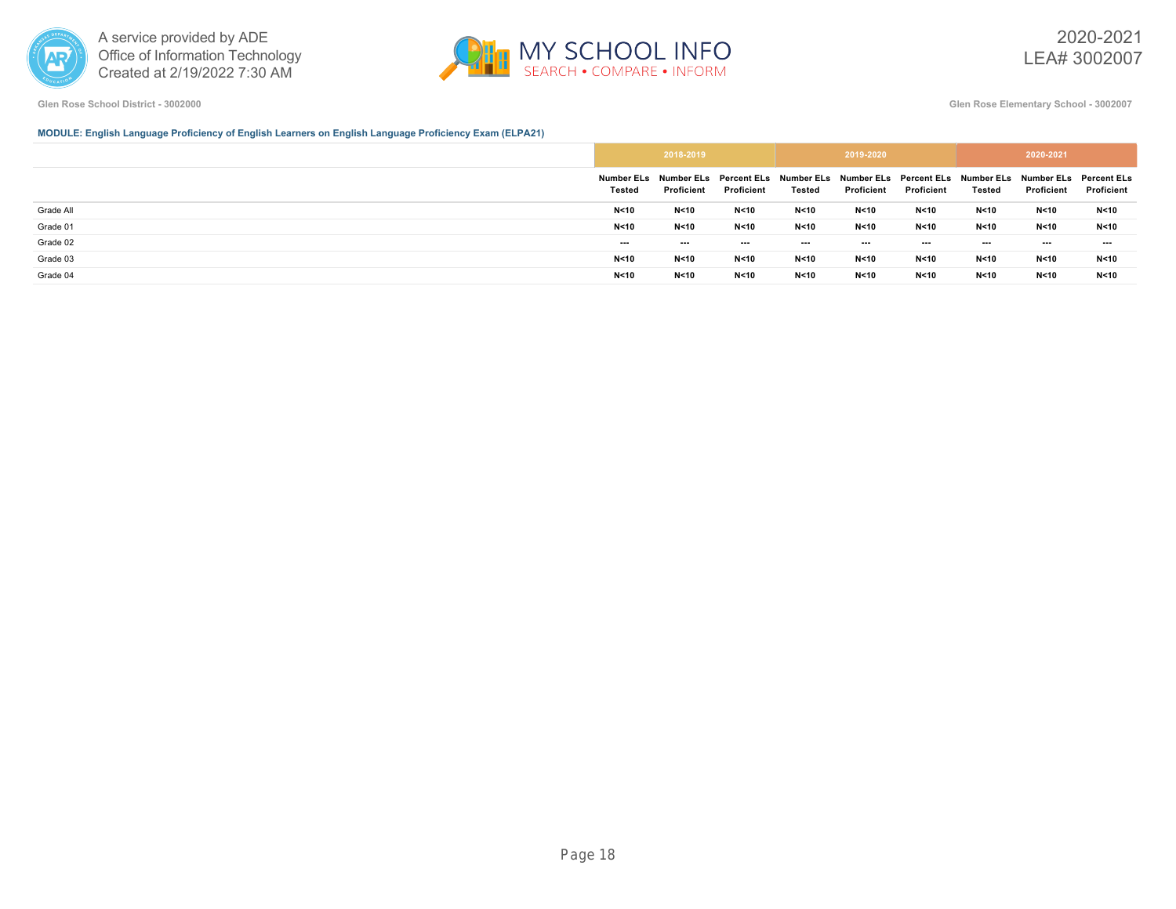



**Glen Rose School District - 3002000 Glen Rose Elementary School - 3002007**

# **MODULE: English Language Proficiency of English Learners on English Language Proficiency Exam (ELPA21)**

|           |                          | 2018-2019  |            |               | 2019-2020  |            |          | 2020-2021                                                                                                           |            |
|-----------|--------------------------|------------|------------|---------------|------------|------------|----------|---------------------------------------------------------------------------------------------------------------------|------------|
|           | <b>Tested</b>            | Proficient | Proficient | <b>Tested</b> | Proficient | Proficient | Tested   | Number ELs Number ELs Percent ELs Number ELs Number ELs Percent ELs Number ELs Number ELs Percent ELs<br>Proficient | Proficient |
| Grade All | N <sub>10</sub>          | N<10       | N<10       | N < 10        | N<10       | N < 10     | N<10     | N<10                                                                                                                | N<10       |
| Grade 01  | N <sub>10</sub>          | N<10       | N<10       | N < 10        | N<10       | N < 10     | N<10     | N<10                                                                                                                | N<10       |
| Grade 02  | $\overline{\phantom{a}}$ | ---        | ---        | $\cdots$      | $--$       | $\cdots$   | $\ldots$ | $\overline{\phantom{a}}$                                                                                            | $- - -$    |
| Grade 03  | N <sub>10</sub>          | N<10       | N<10       | N < 10        | N<10       | N < 10     | N < 10   | N<10                                                                                                                | N<10       |
| Grade 04  | N <sub>10</sub>          | N<10       | N < 10     | N < 10        | N<10       | N < 10     | N < 10   | N<10                                                                                                                | N < 10     |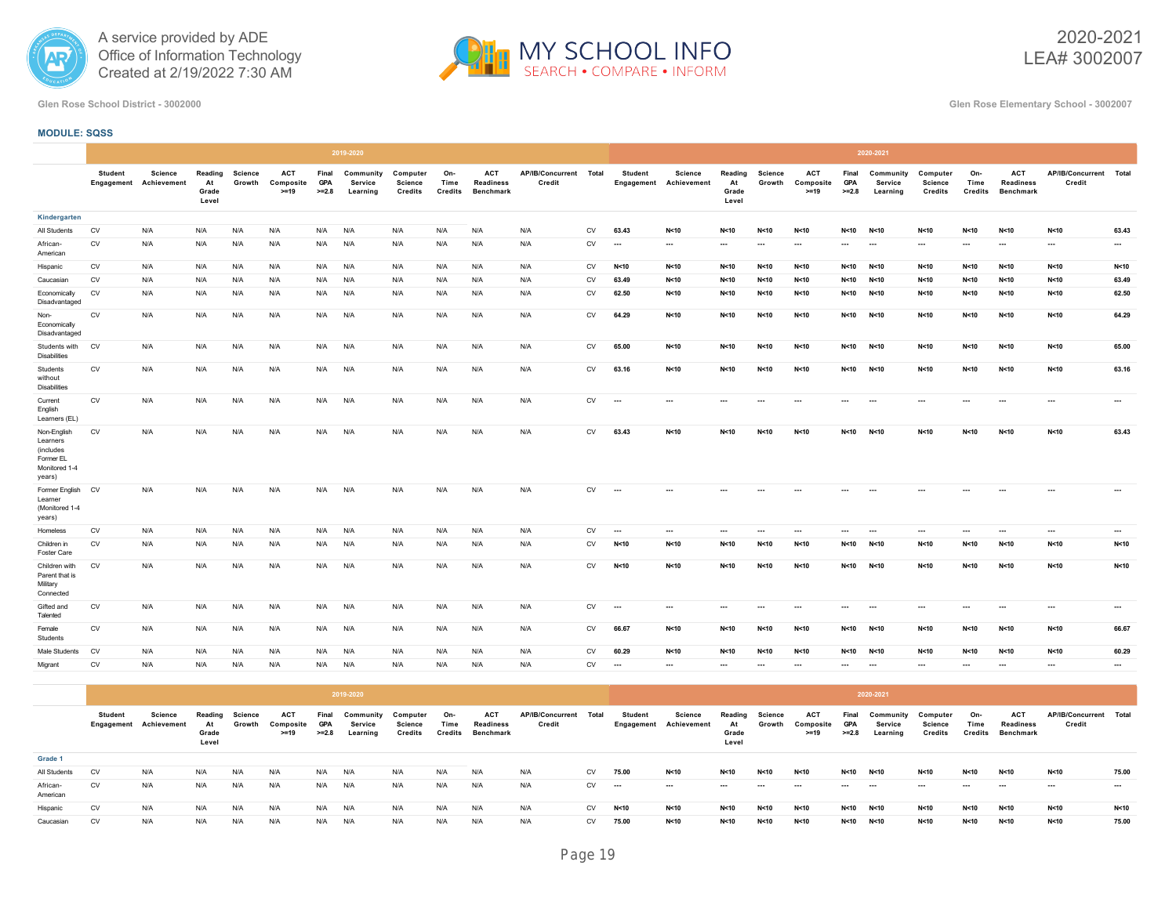



2020-2021 LEA# 3002007

**Glen Rose School District - 3002000 Glen Rose Elementary School - 3002007**

# **MODULE: SQSS**

|                                                                              |                |                                          |                                 |                          |                                   |                                | 2019-2020                        |                                       |                               |                                                    |                                  |            |                          |                                          |                                 |                          |                                   |                                | 2020-2021                               |                                              |                               |                                                    |                                  |          |
|------------------------------------------------------------------------------|----------------|------------------------------------------|---------------------------------|--------------------------|-----------------------------------|--------------------------------|----------------------------------|---------------------------------------|-------------------------------|----------------------------------------------------|----------------------------------|------------|--------------------------|------------------------------------------|---------------------------------|--------------------------|-----------------------------------|--------------------------------|-----------------------------------------|----------------------------------------------|-------------------------------|----------------------------------------------------|----------------------------------|----------|
|                                                                              | <b>Student</b> | <b>Science</b><br>Engagement Achievement | Reading<br>At<br>Grade<br>Level | <b>Science</b><br>Growth | <b>ACT</b><br>Composite<br>$>=19$ | Final<br><b>GPA</b><br>$>=2.8$ | Community<br>Service<br>Learning | Computer<br>Science<br><b>Credits</b> | On-<br>Time<br><b>Credits</b> | <b>ACT</b><br><b>Readiness</b><br><b>Benchmark</b> | AP/IB/Concurrent Total<br>Credit |            | <b>Student</b>           | <b>Science</b><br>Engagement Achievement | Reading<br>At<br>Grade<br>Level | <b>Science</b><br>Growth | <b>ACT</b><br>Composite<br>$>=19$ | Final<br><b>GPA</b><br>$>=2.8$ | Community<br><b>Service</b><br>Learning | Computer<br><b>Science</b><br><b>Credits</b> | On-<br>Time<br><b>Credits</b> | <b>ACT</b><br><b>Readiness</b><br><b>Benchmark</b> | AP/IB/Concurrent Total<br>Credit |          |
| Kindergarten                                                                 |                |                                          |                                 |                          |                                   |                                |                                  |                                       |                               |                                                    |                                  |            |                          |                                          |                                 |                          |                                   |                                |                                         |                                              |                               |                                                    |                                  |          |
| All Students                                                                 | CV             | N/A                                      | N/A                             | N/A                      | N/A                               | N/A                            | N/A                              | N/A                                   | N/A                           | N/A                                                | N/A                              | <b>CV</b>  | 63.43                    | N<10                                     | N < 10                          | N<10                     | N < 10                            | N < 10                         | N<10                                    | N<10                                         | N<10                          | N<10                                               | N < 10                           | 63.43    |
| African-<br>American                                                         | ${\sf CV}$     | N/A                                      | N/A                             | N/A                      | N/A                               | N/A                            | N/A                              | N/A                                   | N/A                           | N/A                                                | N/A                              | <b>CV</b>  | $\cdots$                 | $\cdots$                                 | $\cdots$                        | $\cdots$                 | $\cdots$                          | $\cdots$                       | $\cdots$                                | $\sim$                                       | $\cdots$                      | $\cdots$                                           | $\cdots$                         | $\cdots$ |
| Hispanic                                                                     | CV             | N/A                                      | N/A                             | N/A                      | N/A                               | N/A                            | N/A                              | N/A                                   | N/A                           | N/A                                                | N/A                              | CV         | N<10                     | N<10                                     | N < 10                          | N < 10                   | N < 10                            | N < 10                         | N<10                                    | N<10                                         | N<10                          | N<10                                               | N<10                             | N<10     |
| Caucasian                                                                    | <b>CV</b>      | N/A                                      | N/A                             | N/A                      | N/A                               | N/A                            | N/A                              | N/A                                   | N/A                           | N/A                                                | N/A                              | <b>CV</b>  | 63.49                    | N<10                                     | N < 10                          | N<10                     | N < 10                            | N < 10                         | N<10                                    | N<10                                         | N<10                          | N<10                                               | N < 10                           | 63.49    |
| Economically<br>Disadvantaged                                                | CV             | N/A                                      | N/A                             | N/A                      | N/A                               | N/A                            | N/A                              | N/A                                   | N/A                           | N/A                                                | N/A                              | CV         | 62.50                    | N<10                                     | N < 10                          | N<10                     | N<10                              | N<10                           | N < 10                                  | N<10                                         | N<10                          | N<10                                               | N<10                             | 62.50    |
| Non-<br>Economically<br>Disadvantaged                                        | ${\sf CV}$     | N/A                                      | N/A                             | N/A                      | N/A                               | N/A                            | N/A                              | N/A                                   | N/A                           | N/A                                                | N/A                              | CV         | 64.29                    | N<10                                     | N<10                            | N < 10                   | N<10                              | N<10                           | N<10                                    | N<10                                         | N<10                          | N<10                                               | N < 10                           | 64.29    |
| Students with<br><b>Disabilities</b>                                         | <b>CV</b>      | N/A                                      | N/A                             | N/A                      | N/A                               | N/A                            | N/A                              | N/A                                   | N/A                           | N/A                                                | N/A                              | <b>CV</b>  | 65.00                    | N<10                                     | N < 10                          | N < 10                   | N<10                              | N<10                           | N<10                                    | N<10                                         | N<10                          | N<10                                               | N<10                             | 65.00    |
| Students<br>without<br><b>Disabilities</b>                                   | CV             | N/A                                      | N/A                             | N/A                      | N/A                               | N/A                            | N/A                              | N/A                                   | N/A                           | N/A                                                | N/A                              | CV         | 63.16                    | N<10                                     | N < 10                          | N < 10                   | N < 10                            | N<10                           | N < 10                                  | N<10                                         | N<10                          | N<10                                               | N < 10                           | 63.16    |
| Current<br>English<br>Learners (EL)                                          | ${\sf CV}$     | N/A                                      | N/A                             | N/A                      | N/A                               | N/A                            | N/A                              | N/A                                   | N/A                           | N/A                                                | N/A                              | CV         | $\overline{\phantom{a}}$ | $\cdots$                                 | $\cdots$                        |                          | $\cdots$                          | $\cdots$                       | $\sim$                                  | $\cdots$                                     | $\cdots$                      | $\ldots$                                           | $\cdots$                         | $\cdots$ |
| Non-English<br>Learners<br>(includes<br>Former EL<br>Monitored 1-4<br>years) | CV             | N/A                                      | N/A                             | N/A                      | N/A                               | N/A                            | N/A                              | N/A                                   | N/A                           | N/A                                                | N/A                              | CV         | 63.43                    | N<10                                     | N < 10                          | N<10                     | N < 10                            | N < 10                         | N<10                                    | N<10                                         | N<10                          | N<10                                               | N<10                             | 63.43    |
| Former English<br>Learner<br>(Monitored 1-4<br>years)                        | <b>CV</b>      | N/A                                      | N/A                             | N/A                      | N/A                               | N/A                            | N/A                              | N/A                                   | N/A                           | N/A                                                | N/A                              | CV         | $\cdots$                 | ---                                      |                                 |                          |                                   |                                |                                         |                                              |                               |                                                    |                                  | ---      |
| Homeless                                                                     | CV             | N/A                                      | N/A                             | N/A                      | N/A                               | N/A                            | N/A                              | N/A                                   | N/A                           | N/A                                                | N/A                              | CV         | $\cdots$                 | $\cdots$                                 | $\cdots$                        | $\cdots$                 | $\cdots$                          | $\cdots$                       | $\hspace{0.05cm} \cdots$                | $\cdots$                                     | $\sim$                        | $\cdots$                                           | $\cdots$                         | $\cdots$ |
| Children in<br>Foster Care                                                   | CV             | N/A                                      | N/A                             | N/A                      | N/A                               | N/A                            | N/A                              | N/A                                   | N/A                           | N/A                                                | N/A                              | CV         | N < 10                   | N<10                                     | N < 10                          | N<10                     | N<10                              | N < 10                         | N < 10                                  | N < 10                                       | N<10                          | N<10                                               | N<10                             | N<10     |
| Children with<br>Parent that is<br>Military<br>Connected                     | <b>CV</b>      | N/A                                      | N/A                             | N/A                      | N/A                               | N/A                            | N/A                              | N/A                                   | N/A                           | N/A                                                | N/A                              | <b>CV</b>  | N<10                     | N<10                                     | N < 10                          | N<10                     | N < 10                            | N < 10                         | N < 10                                  | N<10                                         | N<10                          | N<10                                               | N < 10                           | N<10     |
| Gifted and<br>Talented                                                       | CV             | N/A                                      | N/A                             | N/A                      | N/A                               | N/A                            | N/A                              | N/A                                   | N/A                           | N/A                                                | N/A                              | ${\sf CV}$ | $\cdots$                 | $\cdots$                                 | $\cdots$                        | $\ddotsc$                | $\cdots$                          | $\cdots$                       | $\cdots$                                | $\cdots$                                     |                               | $\cdots$                                           | $\cdots$                         | $\cdots$ |
| Female<br>Students                                                           | CV             | N/A                                      | N/A                             | N/A                      | N/A                               | N/A                            | N/A                              | N/A                                   | N/A                           | N/A                                                | N/A                              | CV         | 66.67                    | N<10                                     | N < 10                          | N < 10                   | N<10                              | N<10                           | N < 10                                  | N < 10                                       | N < 10                        | N<10                                               | N<10                             | 66.67    |
| Male Students                                                                | <b>CV</b>      | N/A                                      | N/A                             | N/A                      | N/A                               | N/A                            | N/A                              | N/A                                   | N/A                           | N/A                                                | N/A                              | <b>CV</b>  | 60.29                    | N < 10                                   | N < 10                          | N < 10                   | N<10                              | N < 10                         | N < 10                                  | N < 10                                       | N<10                          | N < 10                                             | N < 10                           | 60.29    |
| Migrant                                                                      | CV             | N/A                                      | N/A                             | N/A                      | N/A                               | N/A                            | N/A                              | N/A                                   | N/A                           | N/A                                                | N/A                              | CV         | $\sim$                   | $\cdots$                                 | $\cdots$                        | $\cdots$                 | $\cdots$                          | ---                            | $\cdots$                                | $\cdots$                                     | $\sim$                        | $\cdots$                                           | $\cdots$                         | $\cdots$ |

|                      |                |                                          |                                 |                   |                                   |                                | 2019-2020                        |                                |                        |                                      |                            |           |                          |                                   |                                 |                   |                                   |                                | 2020-2021                        |                                |                        |                                             |                                  |          |
|----------------------|----------------|------------------------------------------|---------------------------------|-------------------|-----------------------------------|--------------------------------|----------------------------------|--------------------------------|------------------------|--------------------------------------|----------------------------|-----------|--------------------------|-----------------------------------|---------------------------------|-------------------|-----------------------------------|--------------------------------|----------------------------------|--------------------------------|------------------------|---------------------------------------------|----------------------------------|----------|
|                      | <b>Student</b> | Science<br><b>Engagement Achievement</b> | Reading<br>At<br>Grade<br>Level | Science<br>Growth | <b>ACT</b><br>Composite<br>$>=19$ | Final<br><b>GPA</b><br>$>=2.8$ | Community<br>Service<br>Learning | Computer<br>Science<br>Credits | On-<br>Time<br>Credits | <b>ACT</b><br>Readiness<br>Benchmark | AP/IB/Concurrent<br>Credit | Total     | Student                  | Science<br>Engagement Achievement | Reading<br>At<br>Grade<br>Level | Science<br>Growth | <b>ACT</b><br>Composite<br>$>=19$ | Final<br><b>GPA</b><br>$>=2.8$ | Community<br>Service<br>Learning | Computer<br>Science<br>Credits | On-<br>Time<br>Credits | <b>ACT</b><br><b>Readiness</b><br>Benchmark | AP/IB/Concurrent Total<br>Credit |          |
| Grade 1              |                |                                          |                                 |                   |                                   |                                |                                  |                                |                        |                                      |                            |           |                          |                                   |                                 |                   |                                   |                                |                                  |                                |                        |                                             |                                  |          |
| All Students         | <b>CV</b>      | N/A                                      | N/A                             | N/A               | N/A                               | N/A                            | N/A                              | N/A                            | N/A                    | N/A                                  | N/A                        | <b>CV</b> | 75.00                    | N<10                              | N<10                            | N<10              | N < 10                            | N < 10                         | N < 10                           | N<10                           | N < 10                 | N<10                                        | N<10                             | 75.00    |
| African-<br>American | CV             | N/A                                      | N/A                             | N/A               | N/A                               | N/A                            | N/A                              | N/A                            | N/A                    | N/A                                  | N/A                        | <b>CV</b> | $\overline{\phantom{a}}$ | $\cdots$                          | $-1$                            | ---               | $- - -$                           | ---                            | ---                              | ---                            | $\sim$                 | $-$                                         | $\sim$                           | $\cdots$ |
| Hispanic             | CV             | N/A                                      | N/A                             | N/A               | N/A                               | N/A                            | N/A                              | N/A                            | N/A                    | N/A                                  | N/A                        | <b>CV</b> | N<10                     | N<10                              | N<10                            | N<10              | N < 10                            | N < 10                         | N<10                             | N<10                           | N<10                   | N<10                                        | N<10                             | N<10     |
| Caucasian            | <b>CV</b>      | N/A                                      | N/A                             | N/A               | N/A                               | N/A                            | N/A                              | N/A                            | N/A                    | N/A                                  | N/A                        | <b>CV</b> | 75.00                    | N < 10                            | N < 10                          | N < 10            | N < 10                            | N < 10                         | N < 10                           | N<10                           | N < 10                 | N < 10                                      | N<10                             | 75.00    |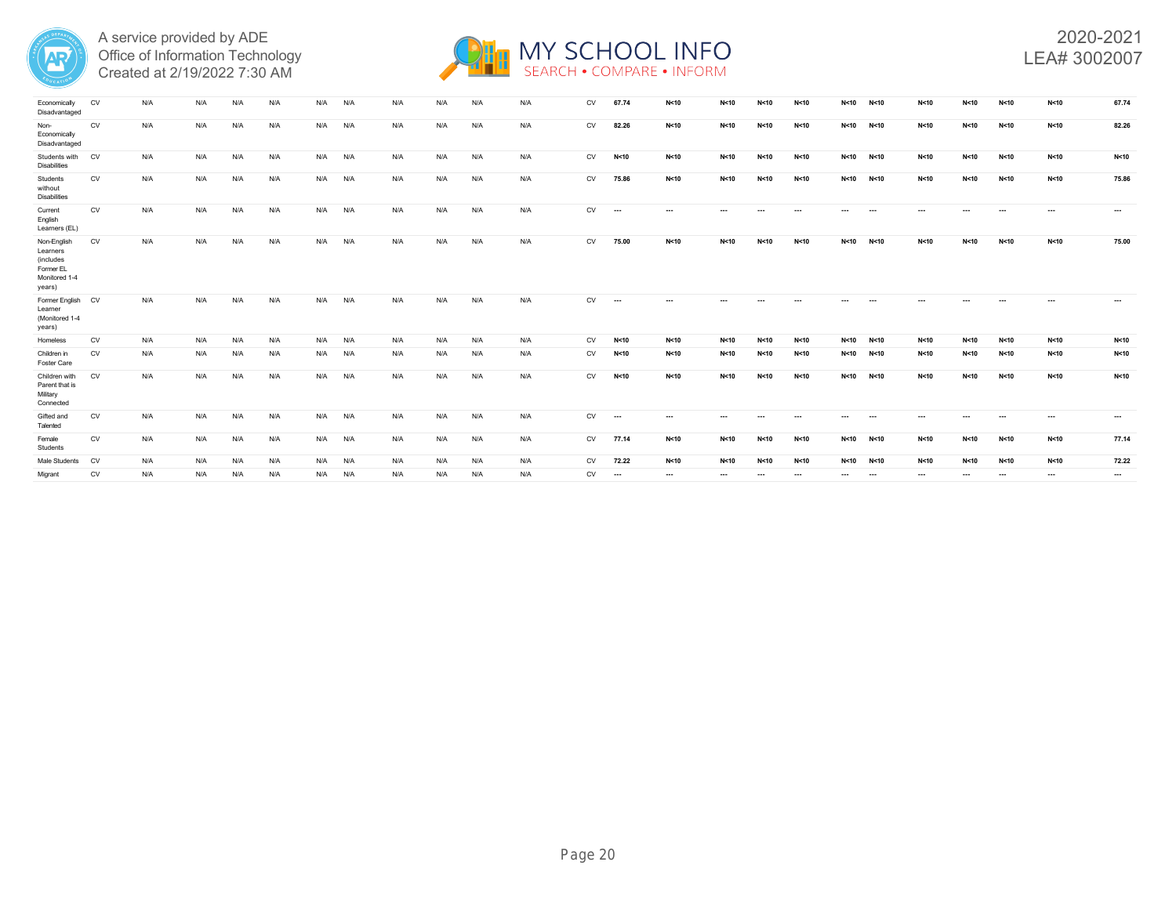



| Economically<br>Disadvantaged                                                | CV        | N/A | N/A |     | N/A | N/A | N/A | N/A |     | N/A | N/A | CV        | 67.74                    | N<10     | N < 10 | N<10   | N<10                     | N<10 | N < 10   | N<10 | N < 10 | N<10                     | N<10   | 67.74           |
|------------------------------------------------------------------------------|-----------|-----|-----|-----|-----|-----|-----|-----|-----|-----|-----|-----------|--------------------------|----------|--------|--------|--------------------------|------|----------|------|--------|--------------------------|--------|-----------------|
| Non-<br>Economically<br>Disadvantaged                                        | CV        | N/A | N/A | N/A | N/A | N/A | N/A | N/A | N/A | N/A | N/A | CV        | 82.26                    | N<10     | N<10   | N<10   | N<10                     | N<10 | N<10     | N<10 | N<10   | N<10                     | N<10   | 82.26           |
| Students with<br><b>Disabilities</b>                                         | <b>CV</b> | N/A | N/A | N/A | N/A | N/A | N/A | N/A | N/A | N/A | N/A | CV        | N < 10                   | N<10     | N<10   | N<10   | N<10                     | N<10 | N<10     | N<10 | N<10   | N<10                     | N<10   | N <sub>10</sub> |
| Students<br>without<br><b>Disabilities</b>                                   | CV        | N/A | N/A | N/A | N/A | N/A | N/A | N/A | N/A | N/A | N/A | CV        | 75.86                    | N<10     | N<10   | N<10   | N<10                     | N<10 | N<10     | N<10 | N<10   | N<10                     | N<10   | 75.86           |
| Current<br>English<br>Learners (EL)                                          | CV        | N/A | N/A | N/A | N/A | N/A | N/A | N/A | N/A | N/A | N/A | CV        | $\cdots$                 | $\cdots$ |        |        |                          |      | $\sim$   |      |        |                          | $\sim$ |                 |
| Non-English<br>Learners<br>(includes<br>Former EL<br>Monitored 1-4<br>years) | CV        | N/A | N/A | N/A | N/A | N/A | N/A | N/A | N/A | N/A | N/A | <b>CV</b> | 75.00                    | N<10     | N < 10 | N<10   | N<10                     | N<10 | N<10     | N<10 | N<10   | N<10                     | N<10   | 75.00           |
| Former English CV<br>Learner<br>(Monitored 1-4<br>years)                     |           | N/A | N/A | N/A | N/A | N/A | N/A | N/A | N/A | N/A | N/A | CV        | $\overline{\phantom{a}}$ | $\sim$   |        |        |                          | ---  |          |      |        |                          | $\sim$ | $\cdots$        |
| Homeless                                                                     | CV        | N/A | N/A | N/A | N/A | N/A | N/A | N/A | N/A | N/A | N/A | CV        | N<10                     | N<10     | N<10   | N<10   | N<10                     | N<10 | N<10     | N<10 | N<10   | N<10                     | N<10   | N <sub>10</sub> |
| Children in<br><b>Foster Care</b>                                            | CV        | N/A | N/A | N/A | N/A | N/A | N/A | N/A | N/A | N/A | N/A | CV        | N < 10                   | N<10     | N<10   | N<10   | N<10                     | N<10 | N < 10   | N<10 | N<10   | N<10                     | N<10   | N <sub>10</sub> |
| Children with<br>Parent that is<br>Military<br>Connected                     | CV        | N/A | N/A | N/A | N/A | N/A | N/A | N/A | N/A | N/A | N/A | CV        | N < 10                   | N<10     | N < 10 | N < 10 | N<10                     | N<10 | N < 10   | N<10 | N < 10 | N<10                     | N<10   | N <sub>10</sub> |
| Gifted and<br>Talented                                                       | CV        | N/A | N/A | N/A | N/A | N/A | N/A | N/A | N/A | N/A | N/A | CV        | $\cdots$                 | $\cdots$ |        |        | $\ddotsc$                |      | $\cdots$ | ---  |        |                          |        | $\cdots$        |
| Female<br>Students                                                           | CV        | N/A | N/A | N/A | N/A | N/A | N/A | N/A | N/A | N/A | N/A | CV        | 77.14                    | N<10     | N<10   | N < 10 | N<10                     | N<10 | N<10     | N<10 | N<10   | N<10                     | N<10   | 77.14           |
| Male Students                                                                | CV        | N/A | N/A | N/A | N/A | N/A | N/A | N/A | N/A | N/A | N/A | CV        | 72.22                    | N<10     | N<10   | N<10   | N<10                     | N<10 | N<10     | N<10 | N<10   | N<10                     | N<10   | 72.22           |
| Migrant                                                                      | CV        | N/A | N/A | N/A | N/A | N/A | N/A | N/A | N/A | N/A | N/A | CV        | $\cdots$                 | $\cdots$ | ---    |        | $\overline{\phantom{a}}$ |      | $\cdots$ | ---  |        | $\overline{\phantom{a}}$ | ---    | $\cdots$        |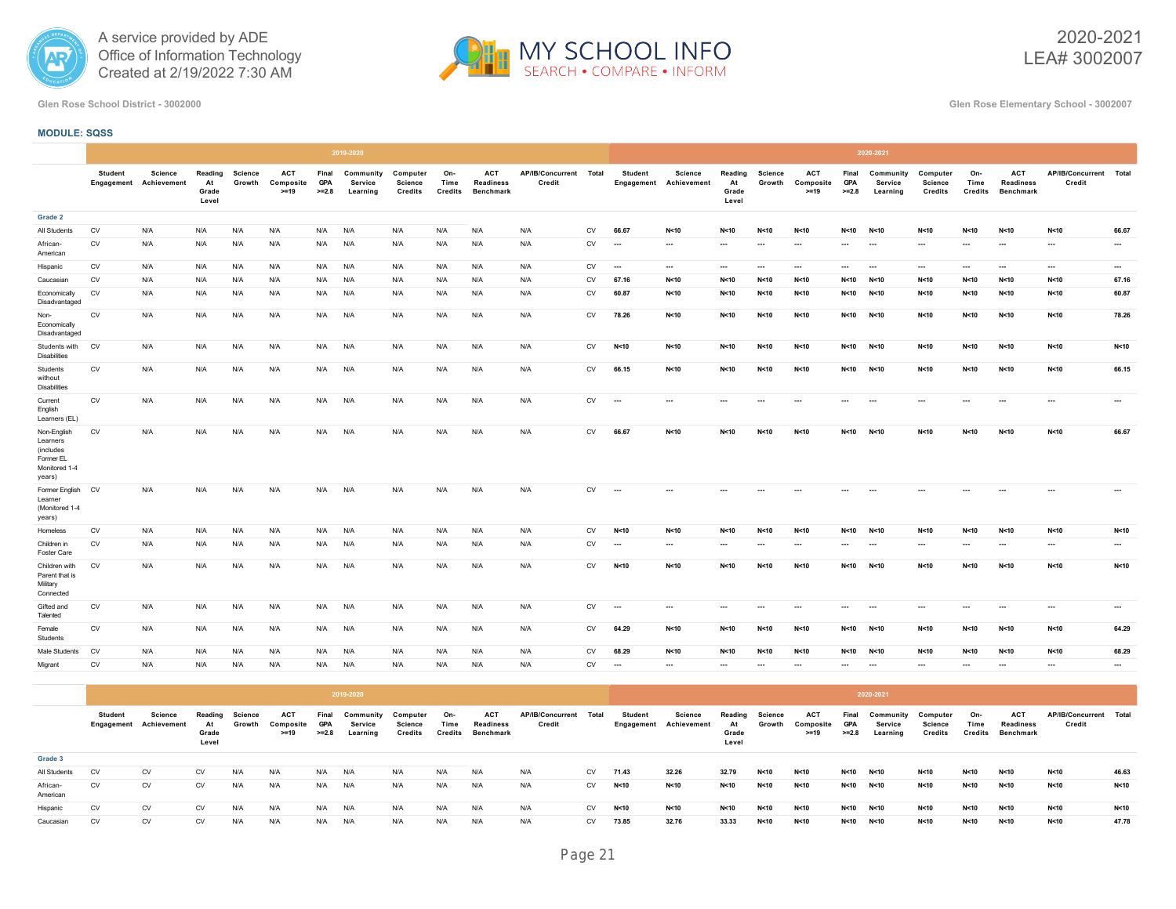



2020-2021 LEA# 3002007

**Glen Rose School District - 3002000 Glen Rose Elementary School - 3002007**

# **MODULE: SQSS**

|                                                                              |                |                                                 |                                 |                          |                                   |                                | 2019-2020                               |                                |                               |                                                    |                                  |            |                          |                                          |                                 |                          |                                   |                                | 2020-2021                               |                                              |                               |                                             |                                  |                          |
|------------------------------------------------------------------------------|----------------|-------------------------------------------------|---------------------------------|--------------------------|-----------------------------------|--------------------------------|-----------------------------------------|--------------------------------|-------------------------------|----------------------------------------------------|----------------------------------|------------|--------------------------|------------------------------------------|---------------------------------|--------------------------|-----------------------------------|--------------------------------|-----------------------------------------|----------------------------------------------|-------------------------------|---------------------------------------------|----------------------------------|--------------------------|
|                                                                              | <b>Student</b> | <b>Science</b><br><b>Engagement</b> Achievement | Reading<br>At<br>Grade<br>Level | <b>Science</b><br>Growth | <b>ACT</b><br>Composite<br>$>=19$ | Final<br><b>GPA</b><br>$>=2.8$ | Community<br><b>Service</b><br>Learning | Computer<br>Science<br>Credits | On-<br>Time<br><b>Credits</b> | <b>ACT</b><br><b>Readiness</b><br><b>Benchmark</b> | AP/IB/Concurrent Total<br>Credit |            | <b>Student</b>           | <b>Science</b><br>Engagement Achievement | Reading<br>At<br>Grade<br>Level | <b>Science</b><br>Growth | <b>ACT</b><br>Composite<br>$>=19$ | Final<br><b>GPA</b><br>$>=2.8$ | Community<br><b>Service</b><br>Learning | Computer<br><b>Science</b><br><b>Credits</b> | On-<br>Time<br><b>Credits</b> | ACT<br><b>Readiness</b><br><b>Benchmark</b> | AP/IB/Concurrent Total<br>Credit |                          |
| Grade 2                                                                      |                |                                                 |                                 |                          |                                   |                                |                                         |                                |                               |                                                    |                                  |            |                          |                                          |                                 |                          |                                   |                                |                                         |                                              |                               |                                             |                                  |                          |
| All Students                                                                 | ${\sf CV}$     | N/A                                             | N/A                             | N/A                      | N/A                               | N/A                            | N/A                                     | N/A                            | N/A                           | N/A                                                | N/A                              | <b>CV</b>  | 66.67                    | N<10                                     | N < 10                          | N<10                     | N < 10                            | N<10                           | N<10                                    | N<10                                         | N<10                          | N<10                                        | N<10                             | 66.67                    |
| African-<br>American                                                         | CV             | N/A                                             | N/A                             | N/A                      | N/A                               | N/A                            | N/A                                     | N/A                            | N/A                           | N/A                                                | N/A                              | <b>CV</b>  | $\sim$                   | $\cdots$                                 | $\cdots$                        | $\cdots$                 | $\sim$                            | $\cdots$                       | $\cdots$                                | $\sim$                                       | $\sim$                        | $\cdots$                                    | $\cdots$                         | $\ldots$                 |
| Hispanic                                                                     | CV             | N/A                                             | N/A                             | N/A                      | N/A                               | N/A                            | N/A                                     | N/A                            | N/A                           | N/A                                                | N/A                              | ${\sf CV}$ | $\cdots$                 | $\cdots$                                 |                                 | $\cdots$                 | $\cdots$                          | $\cdots$                       | $\hspace{0.05cm} \cdots$                | $\cdots$                                     | $\cdots$                      | $\cdots$                                    | $\cdots$                         | $\cdots$                 |
| Caucasian                                                                    | <b>CV</b>      | N/A                                             | N/A                             | N/A                      | N/A                               | N/A                            | N/A                                     | N/A                            | N/A                           | N/A                                                | N/A                              | <b>CV</b>  | 67.16                    | N<10                                     | N < 10                          | N<10                     | N < 10                            | N < 10                         | N<10                                    | N<10                                         | N<10                          | N<10                                        | N < 10                           | 67.16                    |
| Economically<br>Disadvantaged                                                | CV             | N/A                                             | N/A                             | N/A                      | N/A                               | N/A                            | N/A                                     | N/A                            | N/A                           | N/A                                                | N/A                              | <b>CV</b>  | 60.87                    | N<10                                     | N<10                            | N<10                     | N<10                              | N<10                           | N < 10                                  | N<10                                         | N<10                          | N < 10                                      | N<10                             | 60.87                    |
| Non-<br>Economically<br>Disadvantaged                                        | CV             | N/A                                             | N/A                             | N/A                      | N/A                               | N/A                            | N/A                                     | N/A                            | N/A                           | N/A                                                | N/A                              | CV         | 78.26                    | N<10                                     | N < 10                          | N < 10                   | N < 10                            | N<10                           | N < 10                                  | N < 10                                       | N<10                          | N<10                                        | N<10                             | 78.26                    |
| Students with<br><b>Disabilities</b>                                         | <b>CV</b>      | N/A                                             | N/A                             | N/A                      | N/A                               | N/A                            | N/A                                     | N/A                            | N/A                           | N/A                                                | N/A                              | <b>CV</b>  | N < 10                   | N<10                                     | N < 10                          | N<10                     | N < 10                            | N<10                           | N<10                                    | N<10                                         | N<10                          | N<10                                        | N < 10                           | N<10                     |
| Students<br>without<br><b>Disabilities</b>                                   | CV             | N/A                                             | N/A                             | N/A                      | N/A                               | N/A                            | N/A                                     | N/A                            | N/A                           | N/A                                                | N/A                              | <b>CV</b>  | 66.15                    | N<10                                     | N < 10                          | N<10                     | N < 10                            | N<10                           | N < 10                                  | N<10                                         | N<10                          | N<10                                        | N<10                             | 66.15                    |
| Current<br>English<br>Learners (EL)                                          | CV             | N/A                                             | N/A                             | N/A                      | N/A                               | N/A                            | N/A                                     | N/A                            | N/A                           | N/A                                                | N/A                              | CV         | $\cdots$                 |                                          |                                 | $\overline{\phantom{a}}$ | $\cdots$                          | $\cdots$                       | $\sim$                                  |                                              |                               | $\sim$                                      | $\cdots$                         | ---                      |
| Non-English<br>Learners<br>(includes<br>Former EL<br>Monitored 1-4<br>years) | CV             | N/A                                             | N/A                             | N/A                      | N/A                               | N/A                            | N/A                                     | N/A                            | N/A                           | N/A                                                | N/A                              | <b>CV</b>  | 66.67                    | N<10                                     | N<10                            | N < 10                   | N < 10                            | N<10                           | N < 10                                  | N<10                                         | N<10                          | N<10                                        | N<10                             | 66.67                    |
| Former English CV<br>Learner<br>(Monitored 1-4<br>years)                     |                | N/A                                             | N/A                             | N/A                      | N/A                               | N/A                            | N/A                                     | N/A                            | N/A                           | N/A                                                | N/A                              | <b>CV</b>  | $\cdots$                 |                                          | $\sim$                          | $\sim$                   |                                   | $\cdots$                       | $\cdots$                                |                                              |                               | $\overline{a}$                              | ---                              | $\cdots$                 |
| Homeless                                                                     | CV             | N/A                                             | N/A                             | N/A                      | N/A                               | N/A                            | N/A                                     | N/A                            | N/A                           | N/A                                                | N/A                              | CV         | N < 10                   | N<10                                     | N < 10                          | N < 10                   | N < 10                            | N<10                           | N<10                                    | N<10                                         | N<10                          | N<10                                        | N<10                             | N<10                     |
| Children in<br>Foster Care                                                   | CV             | N/A                                             | N/A                             | N/A                      | N/A                               | N/A                            | N/A                                     | N/A                            | N/A                           | N/A                                                | N/A                              | CV         | $\sim$                   | $\cdots$                                 | $\cdots$                        | $\sim$                   | $\overline{\phantom{a}}$          | $\cdots$                       | $\sim$                                  | $\cdots$                                     | $\cdots$                      | $\cdots$                                    | $\cdots$                         | $\sim$                   |
| Children with<br>Parent that is<br>Military<br>Connected                     | <b>CV</b>      | N/A                                             | N/A                             | N/A                      | N/A                               | N/A                            | N/A                                     | N/A                            | N/A                           | N/A                                                | N/A                              | CV         | N < 10                   | N<10                                     | N < 10                          | N<10                     | N < 10                            | N < 10                         | N<10                                    | N<10                                         | N<10                          | N<10                                        | N<10                             | N<10                     |
| Gifted and<br>Talented                                                       | CV             | N/A                                             | N/A                             | N/A                      | N/A                               | N/A                            | N/A                                     | N/A                            | N/A                           | N/A                                                | N/A                              | <b>CV</b>  | $\overline{\phantom{a}}$ | $\cdots$                                 | $\sim$                          | $\sim$                   | $\cdots$                          |                                | $\sim$                                  | $\sim$                                       |                               | $\overline{a}$                              | $\overline{\phantom{a}}$         | $\overline{\phantom{a}}$ |
| Female<br>Students                                                           | <b>CV</b>      | N/A                                             | N/A                             | N/A                      | N/A                               | N/A                            | N/A                                     | N/A                            | N/A                           | N/A                                                | N/A                              | CV         | 64.29                    | N<10                                     | N < 10                          | N < 10                   | N<10                              | N < 10                         | N < 10                                  | N < 10                                       | N<10                          | N<10                                        | N<10                             | 64.29                    |
| Male Students                                                                | CV             | N/A                                             | N/A                             | N/A                      | N/A                               | N/A                            | N/A                                     | N/A                            | N/A                           | N/A                                                | N/A                              | CV         | 68.29                    | N<10                                     | N<10                            | N<10                     | N < 10                            | N<10                           | N < 10                                  | N<10                                         | N<10                          | N<10                                        | N<10                             | 68.29                    |
| Migrant                                                                      | <b>CV</b>      | N/A                                             | N/A                             | N/A                      | N/A                               | N/A                            | N/A                                     | N/A                            | N/A                           | N/A                                                | N/A                              | <b>CV</b>  | $\ldots$                 | $\cdots$                                 | $\cdots$                        | $\cdots$                 | $\sim$                            | $\cdots$                       | $\cdots$                                | $\cdots$                                     | $\sim$                        | $\cdots$                                    | $\cdots$                         | $\cdots$                 |

|                      |                |                                   |                                 |                   |                                   |                                | 2019-2020                        |                                |                        |                                             |                            |           |                              |                               |                                 |                   |                                   |                                | 2020-2021                        |                                |                        |                                             |                                  |       |
|----------------------|----------------|-----------------------------------|---------------------------------|-------------------|-----------------------------------|--------------------------------|----------------------------------|--------------------------------|------------------------|---------------------------------------------|----------------------------|-----------|------------------------------|-------------------------------|---------------------------------|-------------------|-----------------------------------|--------------------------------|----------------------------------|--------------------------------|------------------------|---------------------------------------------|----------------------------------|-------|
|                      | <b>Student</b> | Science<br>Engagement Achievement | Reading<br>At<br>Grade<br>Level | Science<br>Growth | <b>ACT</b><br>Composite<br>$>=19$ | Final<br><b>GPA</b><br>$>=2.8$ | Community<br>Service<br>Learning | Computer<br>Science<br>Credits | On-<br>Time<br>Credits | <b>ACT</b><br><b>Readiness</b><br>Benchmark | AP/IB/Concurrent<br>Credit | Total     | <b>Student</b><br>Engagement | Science<br><b>Achievement</b> | Reading<br>At<br>Grade<br>Level | Science<br>Growth | <b>ACT</b><br>Composite<br>$>=19$ | Final<br><b>GPA</b><br>$>=2.8$ | Community<br>Service<br>Learning | Computer<br>Science<br>Credits | On-<br>Time<br>Credits | <b>ACT</b><br><b>Readiness</b><br>Benchmark | AP/IB/Concurrent Total<br>Credit |       |
| Grade 3              |                |                                   |                                 |                   |                                   |                                |                                  |                                |                        |                                             |                            |           |                              |                               |                                 |                   |                                   |                                |                                  |                                |                        |                                             |                                  |       |
| All Students         | <b>CV</b>      | <b>CV</b>                         | <b>CV</b>                       | N/A               | N/A                               | N/A                            | N/A                              | N/A                            | N/A                    | N/A                                         | N/A                        | CV        | 71.43                        | 32.26                         | 32.79                           | N < 10            | N<10                              | N < 10                         | N < 10                           | N<10                           | N<10                   | N < 10                                      | N<10                             | 46.63 |
| African-<br>American | <b>CV</b>      | <b>CV</b>                         | <b>CV</b>                       | N/A               | N/A                               | N/A                            | N/A                              | N/A                            | N/A                    | N/A                                         | N/A                        | <b>CV</b> | N < 10                       | N < 10                        | N < 10                          | N < 10            | N < 10                            | N<10                           | N<10                             | N<10                           | N<10                   | N < 10                                      | N<10                             | N<10  |
| Hispanic             | CV             | <b>CV</b>                         | <b>CV</b>                       | N/A               | N/A                               | N/A                            | N/A                              | N/A                            | N/A                    | N/A                                         | N/A                        | <b>CV</b> | N < 10                       | N < 10                        | N < 10                          | N < 10            | N < 10                            | N<10                           | N<10                             | N<10                           | N<10                   | N < 10                                      | N<10                             | N<10  |
| Caucasian            | <b>CV</b>      | <b>CV</b>                         | <b>CV</b>                       | N/A               | N/A                               | N/A                            | N/A                              | N/A                            | N/A                    | N/A                                         | N/A                        | <b>CV</b> | 73.85                        | 32.76                         | 33.33                           | N < 10            | N < 10                            | N<10                           | N < 10                           | N<10                           | N<10                   | N < 10                                      | N<10                             | 47.78 |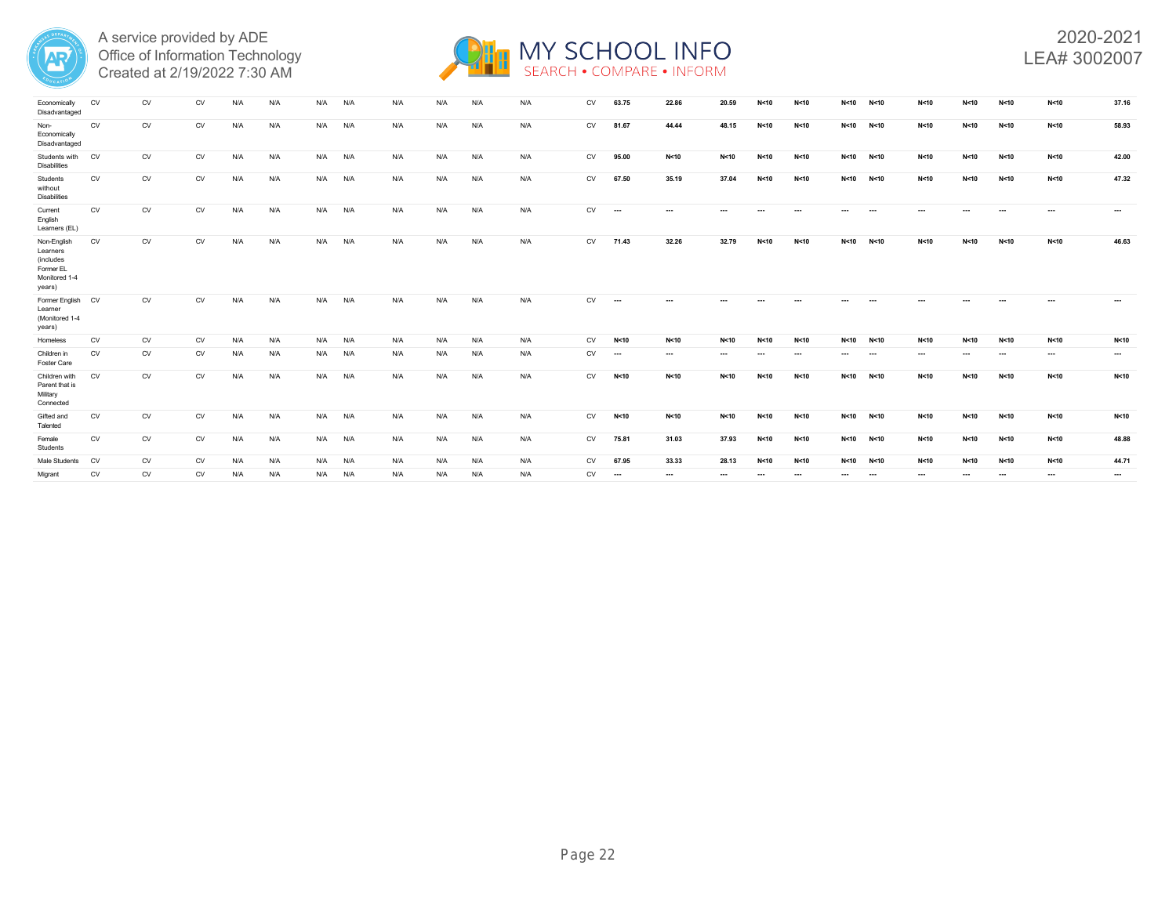



| Economically<br>Disadvantaged                                                | CV        | CV        | CV        |     | N/A | N/A | N/f | N/A |     |     | N/A | CV        | 63.75                    | 22.86    | 20.59    |          | N < 10                   | N < 10    | N<10                     | N<10     | N<10     | N<10     | N<10     | 37.16           |
|------------------------------------------------------------------------------|-----------|-----------|-----------|-----|-----|-----|-----|-----|-----|-----|-----|-----------|--------------------------|----------|----------|----------|--------------------------|-----------|--------------------------|----------|----------|----------|----------|-----------------|
| Non-<br>Economically<br>Disadvantaged                                        | CV        | <b>CV</b> | <b>CV</b> | N/A | N/A | N/A | N/A | N/A | N/A | N/A | N/A | CV        | 81.67                    | 44.44    | 48.15    | N<10     | N<10                     | N<10      | N<10                     | N < 10   | N<10     | N<10     | N<10     | 58.93           |
| Students with<br><b>Disabilities</b>                                         | <b>CV</b> | CV        | <b>CV</b> | N/A | N/A | N/A | N/A | N/A | N/A | N/A | N/A | CV        | 95.00                    | N<10     | N<10     | N<10     | N<10                     | N<10      | N<10                     | N<10     | N<10     | N<10     | N<10     | 42.00           |
| Students<br>without<br><b>Disabilities</b>                                   | CV        | CV        | CV        | N/A | N/A | N/A | N/A | N/A | N/A | N/A | N/A | CV        | 67.50                    | 35.19    | 37.04    | N<10     | N<10                     | N<10 N<10 |                          | N<10     | N<10     | N<10     | N<10     | 47.32           |
| Current<br>English<br>Learners (EL)                                          | <b>CV</b> | <b>CV</b> | <b>CV</b> | N/A | N/A | N/A | N/A | N/A | N/A | N/A | N/A | CV        | $\overline{\phantom{a}}$ | $\cdots$ |          | $\cdots$ | $\overline{\phantom{a}}$ | ---       | $\sim$                   | $\cdots$ |          | $\sim$   | $\cdots$ | $\cdots$        |
| Non-English<br>Learners<br>(includes<br>Former EL<br>Monitored 1-4<br>years) | CV        | CV        | CV        | N/A | N/A | N/A | N/A | N/A | N/A | N/A | N/A | CV        | 71.43                    | 32.26    | 32.79    | N<10     | N<10                     | N < 10    | N<10                     | N<10     | N<10     | N<10     | N<10     | 46.63           |
| Former English<br>Learner<br>(Monitored 1-4<br>years)                        | <b>CV</b> | <b>CV</b> | <b>CV</b> | N/A | N/A | N/A | N/A | N/A | N/A | N/A | N/A | <b>CV</b> | $\overline{\phantom{a}}$ | $\cdots$ |          |          |                          |           |                          | $- - -$  |          |          |          | $\cdots$        |
| Homeless                                                                     | CV        | CV        | CV        | N/A | N/A | N/A | N/A | N/A | N/A | N/A | N/A | CV        | N < 10                   | N<10     | N<10     | N<10     | N<10                     | N<10      | N<10                     | N<10     | N<10     | N<10     | N<10     | N <sub>10</sub> |
| Children in<br><b>Foster Care</b>                                            | <b>CV</b> | <b>CV</b> | <b>CV</b> | N/A | N/A | N/A | N/A | N/A | N/A | N/A | N/A | CV        | $\overline{\phantom{a}}$ | $\cdots$ | $\cdots$ | $\cdots$ | $\cdots$                 | $\cdots$  | $\overline{\phantom{a}}$ | $\cdots$ | $\cdots$ | $\cdots$ | $\cdots$ | $\cdots$        |
| Children with<br>Parent that is<br>Military<br>Connected                     | CV        | CV        | <b>CV</b> | N/A | N/A | N/A | N/A | N/A | N/A | N/A | N/A | CV        | N < 10                   | N<10     | N<10     | N<10     | N<10                     | N<10      | N<10                     | N<10     | N<10     | N<10     | N<10     | N <sub>10</sub> |
| Gifted and<br>Talented                                                       | CV        | CV        | CV        | N/A | N/A | N/A | N/A | N/A | N/A | N/A | N/A | CV        | N < 10                   | N<10     | N<10     | N<10     | N<10                     | N<10      | N<10                     | N<10     | N<10     | N<10     | N<10     | N<10            |
| Female<br>Students                                                           | CV        | CV        | CV        | N/A | N/A | N/A | N/A | N/A | N/A | N/A | N/A | CV        | 75.81                    | 31.03    | 37.93    | N < 10   | N<10                     | N<10      | N<10                     | N<10     | N < 10   | N<10     | N<10     | 48.88           |
| Male Students                                                                | <b>CV</b> | <b>CV</b> | <b>CV</b> | N/A | N/A | N/A | N/A | N/A | N/A | N/A | N/A | <b>CV</b> | 67.95                    | 33.33    | 28.13    | N<10     | N<10                     | N<10      | N<10                     | N<10     | N<10     | N<10     | N<10     | 44.71           |
| Migrant                                                                      | <b>CV</b> | <b>CV</b> | <b>CV</b> | N/A | N/A | N/A | N/A | N/A | N/A | N/A | N/A | CV        | $\cdots$                 | $\cdots$ | $\cdots$ | $\cdots$ | $\cdots$                 | $\cdots$  | $\sim$                   | $\cdots$ | $\cdots$ | $\cdots$ | $\sim$   | $\cdots$        |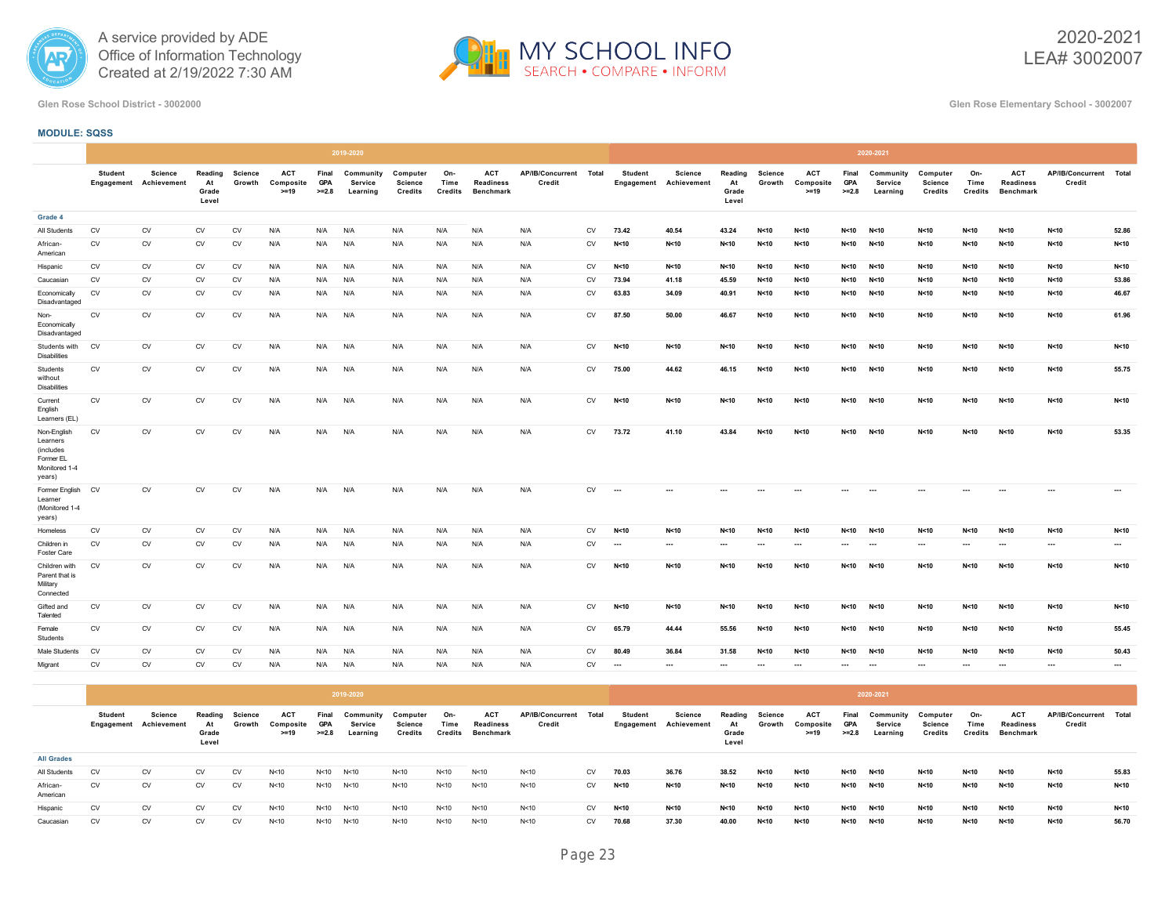



2020-2021 LEA# 3002007

**Glen Rose School District - 3002000 Glen Rose Elementary School - 3002007**

# **MODULE: SQSS**

|                                                                              |                |                                                 |                                 |                          |                                   |                                | 2019-2020                        |                                |                        |                                             |                                  |           |                          |                                   |                                 |                          |                                   |                                | 2020-2021                        |                                       |                               |                                                    |                                  |          |
|------------------------------------------------------------------------------|----------------|-------------------------------------------------|---------------------------------|--------------------------|-----------------------------------|--------------------------------|----------------------------------|--------------------------------|------------------------|---------------------------------------------|----------------------------------|-----------|--------------------------|-----------------------------------|---------------------------------|--------------------------|-----------------------------------|--------------------------------|----------------------------------|---------------------------------------|-------------------------------|----------------------------------------------------|----------------------------------|----------|
|                                                                              | <b>Student</b> | <b>Science</b><br><b>Engagement</b> Achievement | Reading<br>At<br>Grade<br>Level | <b>Science</b><br>Growth | <b>ACT</b><br>Composite<br>$>=19$ | Final<br><b>GPA</b><br>$>=2.8$ | Community<br>Service<br>Learning | Computer<br>Science<br>Credits | On-<br>Time<br>Credits | <b>ACT</b><br>Readiness<br><b>Benchmark</b> | AP/IB/Concurrent Total<br>Credit |           | <b>Student</b>           | Science<br>Engagement Achievement | Reading<br>At<br>Grade<br>Level | <b>Science</b><br>Growth | <b>ACT</b><br>Composite<br>$>=19$ | Final<br><b>GPA</b><br>$>=2.8$ | Community<br>Service<br>Learning | Computer<br><b>Science</b><br>Credits | On-<br>Time<br><b>Credits</b> | <b>ACT</b><br><b>Readiness</b><br><b>Benchmark</b> | AP/IB/Concurrent Total<br>Credit |          |
| Grade 4                                                                      |                |                                                 |                                 |                          |                                   |                                |                                  |                                |                        |                                             |                                  |           |                          |                                   |                                 |                          |                                   |                                |                                  |                                       |                               |                                                    |                                  |          |
| All Students                                                                 | CV             | CV                                              | CV                              | CV                       | N/A                               | N/A                            | N/A                              | N/A                            | N/A                    | N/A                                         | N/A                              | <b>CV</b> | 73.42                    | 40.54                             | 43.24                           | N<10                     | N < 10                            | N < 10                         | N<10                             | N<10                                  | N<10                          | N<10                                               | N < 10                           | 52.86    |
| African-<br>American                                                         | <b>CV</b>      | <b>CV</b>                                       | <b>CV</b>                       | <b>CV</b>                | N/A                               | N/A                            | N/A                              | N/A                            | N/A                    | N/A                                         | N/A                              | <b>CV</b> | N<10                     | N < 10                            | N<10                            | N < 10                   | N<10                              | N<10                           | N < 10                           | N < 10                                | N<10                          | N < 10                                             | N < 10                           | N<10     |
| Hispanic                                                                     | CV             | CV                                              | CV                              | CV                       | N/A                               | N/A                            | N/A                              | N/A                            | N/A                    | N/A                                         | N/A                              | <b>CV</b> | N < 10                   | N<10                              | N < 10                          | N<10                     | N < 10                            | N<10                           | N<10                             | N<10                                  | N<10                          | N < 10                                             | N < 10                           | N<10     |
| Caucasian                                                                    | <b>CV</b>      | <b>CV</b>                                       | <b>CV</b>                       | <b>CV</b>                | N/A                               | N/A                            | N/A                              | N/A                            | N/A                    | N/A                                         | N/A                              | <b>CV</b> | 73.94                    | 41.18                             | 45.59                           | N < 10                   | N < 10                            | N < 10                         | N < 10                           | N < 10                                | N<10                          | N < 10                                             | N < 10                           | 53.86    |
| Economically<br>Disadvantaged                                                | CV             | <b>CV</b>                                       | <b>CV</b>                       | CV                       | N/A                               | N/A                            | N/A                              | N/A                            | N/A                    | N/A                                         | N/A                              | CV        | 63.83                    | 34.09                             | 40.91                           | N < 10                   | N < 10                            | N<10                           | N<10                             | N < 10                                | N<10                          | N<10                                               | N < 10                           | 46.67    |
| Non-<br>Economically<br>Disadvantaged                                        | ${\sf CV}$     | CV                                              | CV                              | CV                       | N/A                               | N/A                            | N/A                              | N/A                            | N/A                    | N/A                                         | N/A                              | CV        | 87.50                    | 50.00                             | 46.67                           | N < 10                   | N < 10                            | N<10                           | N < 10                           | N<10                                  | N<10                          | N<10                                               | N<10                             | 61.96    |
| Students with<br><b>Disabilities</b>                                         | <b>CV</b>      | CV                                              | CV                              | CV                       | N/A                               | N/A                            | N/A                              | N/A                            | N/A                    | N/A                                         | N/A                              | CV        | N<10                     | N<10                              | N < 10                          | N<10                     | N<10                              | N<10                           | N<10                             | N<10                                  | N<10                          | N<10                                               | N<10                             | N<10     |
| Students<br>without<br><b>Disabilities</b>                                   | CV             | CV                                              | CV                              | CV                       | N/A                               | N/A                            | N/A                              | N/A                            | N/A                    | N/A                                         | N/A                              | CV        | 75.00                    | 44.62                             | 46.15                           | N < 10                   | N < 10                            | N<10                           | N < 10                           | N < 10                                | N<10                          | N<10                                               | N<10                             | 55.75    |
| Current<br>English<br>Learners (EL)                                          | ${\sf CV}$     | CV                                              | CV                              | CV                       | N/A                               | N/A                            | N/A                              | N/A                            | N/A                    | N/A                                         | N/A                              | CV        | N < 10                   | N<10                              | N < 10                          | N<10                     | N<10                              | N<10                           | N<10                             | N<10                                  | N<10                          | N<10                                               | N<10                             | N<10     |
| Non-English<br>Learners<br>(includes<br>Former EL<br>Monitored 1-4<br>years) | CV             | CV                                              | CV                              | CV                       | N/A                               | N/A                            | N/A                              | N/A                            | N/A                    | N/A                                         | N/A                              | CV        | 73.72                    | 41.10                             | 43.84                           | N < 10                   | N < 10                            | N<10                           | N < 10                           | N < 10                                | N<10                          | N<10                                               | N < 10                           | 53.35    |
| Former English<br>Learner<br>(Monitored 1-4<br>years)                        | <b>CV</b>      | CV                                              | CV                              | CV                       | N/A                               | N/A                            | N/A                              | N/A                            | N/A                    | N/A                                         | N/A                              | CV        | $\overline{\phantom{a}}$ | $\ldots$                          | ---                             |                          |                                   |                                | $\sim$                           |                                       |                               | $\cdots$                                           | $\cdots$                         | $\cdots$ |
| Homeless                                                                     | CV             | CV                                              | CV                              | CV                       | N/A                               | N/A                            | N/A                              | N/A                            | N/A                    | N/A                                         | N/A                              | CV        | N < 10                   | N<10                              | N < 10                          | N<10                     | N<10                              | N < 10                         | N < 10                           | N<10                                  | N<10                          | N<10                                               | N<10                             | N<10     |
| Children in<br>Foster Care                                                   | <b>CV</b>      | <b>CV</b>                                       | CV                              | CV                       | N/A                               | N/A                            | N/A                              | N/A                            | N/A                    | N/A                                         | N/A                              | <b>CV</b> | $\ldots$                 | $\cdots$                          |                                 | $\cdots$                 | $\sim$                            | $\cdots$                       | $\cdots$                         |                                       |                               | $\cdots$                                           | $\cdots$                         | $\ldots$ |
| Children with<br>Parent that is<br>Military<br>Connected                     | <b>CV</b>      | CV                                              | <b>CV</b>                       | CV                       | N/A                               | N/A                            | N/A                              | N/A                            | N/A                    | N/A                                         | N/A                              | <b>CV</b> | N < 10                   | N<10                              | N < 10                          | N < 10                   | N < 10                            | N < 10                         | N < 10                           | N<10                                  | N<10                          | N<10                                               | N < 10                           | N<10     |
| Gifted and<br>Talented                                                       | <b>CV</b>      | <b>CV</b>                                       | <b>CV</b>                       | <b>CV</b>                | N/A                               | N/A                            | N/A                              | N/A                            | N/A                    | N/A                                         | N/A                              | <b>CV</b> | N < 10                   | N<10                              | N < 10                          | N < 10                   | N < 10                            | N<10                           | N < 10                           | N < 10                                | N<10                          | N<10                                               | N<10                             | N<10     |
| Female<br>Students                                                           | ${\sf CV}$     | <b>CV</b>                                       | CV                              | CV                       | N/A                               | N/A                            | N/A                              | N/A                            | N/A                    | N/A                                         | N/A                              | CV        | 65.79                    | 44.44                             | 55.56                           | N<10                     | N<10                              | N<10                           | N < 10                           | N < 10                                | N<10                          | N<10                                               | N < 10                           | 55.45    |
| Male Students                                                                | <b>CV</b>      | <b>CV</b>                                       | <b>CV</b>                       | <b>CV</b>                | N/A                               | N/A                            | N/A                              | N/A                            | N/A                    | N/A                                         | N/A                              | <b>CV</b> | 80.49                    | 36.84                             | 31.58                           | N < 10                   | N < 10                            | N < 10                         | N < 10                           | N < 10                                | N<10                          | N < 10                                             | N < 10                           | 50.43    |
| Migrant                                                                      | CV             | CV                                              | <b>CV</b>                       | CV                       | N/A                               | N/A                            | N/A                              | N/A                            | N/A                    | N/A                                         | N/A                              | CV        | $\ddotsc$                | $\cdots$                          |                                 | $\cdots$                 | $\cdots$                          |                                | $\cdots$                         | $\cdots$                              |                               | $\cdots$                                           | $\cdots$                         | $\cdots$ |
|                                                                              |                |                                                 |                                 |                          |                                   |                                |                                  |                                |                        |                                             |                                  |           |                          |                                   |                                 |                          |                                   |                                |                                  |                                       |                               |                                                    |                                  |          |

|                      |                |                                   |                                 |                   |                                   |                                | 2019-2020                        |                                |                        |                                      |                            |           |                              |                        |                                 |                   |                                   |                                | 2020-2021                        |                                |                        |                                             |                                  |       |
|----------------------|----------------|-----------------------------------|---------------------------------|-------------------|-----------------------------------|--------------------------------|----------------------------------|--------------------------------|------------------------|--------------------------------------|----------------------------|-----------|------------------------------|------------------------|---------------------------------|-------------------|-----------------------------------|--------------------------------|----------------------------------|--------------------------------|------------------------|---------------------------------------------|----------------------------------|-------|
|                      | <b>Student</b> | Science<br>Engagement Achievement | Reading<br>At<br>Grade<br>Level | Science<br>Growth | <b>ACT</b><br>Composite<br>$>=19$ | Final<br><b>GPA</b><br>$>=2.8$ | Community<br>Service<br>Learning | Computer<br>Science<br>Credits | On-<br>Time<br>Credits | ACT<br><b>Readiness</b><br>Benchmark | AP/IB/Concurrent<br>Credit | Total     | <b>Student</b><br>Engagement | Science<br>Achievement | Reading<br>At<br>Grade<br>Level | Science<br>Growth | <b>ACT</b><br>Composite<br>$>=19$ | Final<br><b>GPA</b><br>$>=2.8$ | Community<br>Service<br>Learning | Computer<br>Science<br>Credits | On-<br>Time<br>Credits | <b>ACT</b><br><b>Readiness</b><br>Benchmark | AP/IB/Concurrent Total<br>Credit |       |
| <b>All Grades</b>    |                |                                   |                                 |                   |                                   |                                |                                  |                                |                        |                                      |                            |           |                              |                        |                                 |                   |                                   |                                |                                  |                                |                        |                                             |                                  |       |
| All Students         | <b>CV</b>      | <b>CV</b>                         | <b>CV</b>                       | <b>CV</b>         | N < 10                            |                                | N<10 N<10                        | N<10                           | N<10                   | N<10                                 | N<10                       | CV        | 70.03                        | 36.76                  | 38.52                           | N < 10            | N < 10                            | N < 10                         | N<10                             | N < 10                         | N<10                   | N<10                                        | N<10                             | 55.83 |
| African-<br>American | <b>CV</b>      | <b>CV</b>                         | <b>CV</b>                       | <b>CV</b>         | N < 10                            | N < 10                         | N < 10                           | N<10                           | N<10                   | N<10                                 | N<10                       | <b>CV</b> | N < 10                       | N<10                   | N < 10                          | N < 10            | N < 10                            | N < 10                         | N < 10                           | N<10                           | N<10                   | N<10                                        | N<10                             | N<10  |
| Hispanic             | CV             | <b>CV</b>                         | <b>CV</b>                       | <b>CV</b>         | N < 10                            | N < 10                         | N < 10                           | N<10                           | N<10                   | N<10                                 | N<10                       | <b>CV</b> | N < 10                       | N<10                   | N < 10                          | N < 10            | N < 10                            | N < 10                         | N < 10                           | N<10                           | N<10                   | N<10                                        | N<10                             | N<10  |
| Caucasian            | <b>CV</b>      | <b>CV</b>                         | <b>CV</b>                       | <b>CV</b>         | N < 10                            |                                | N<10 N<10                        | N < 10                         | N < 10                 | N<10                                 | N < 10                     | <b>CV</b> | 70.68                        | 37.30                  | 40.00                           | N < 10            | N < 10                            | N < 10                         | N < 10                           | N<10                           | N<10                   | N < 10                                      | N<10                             | 56.70 |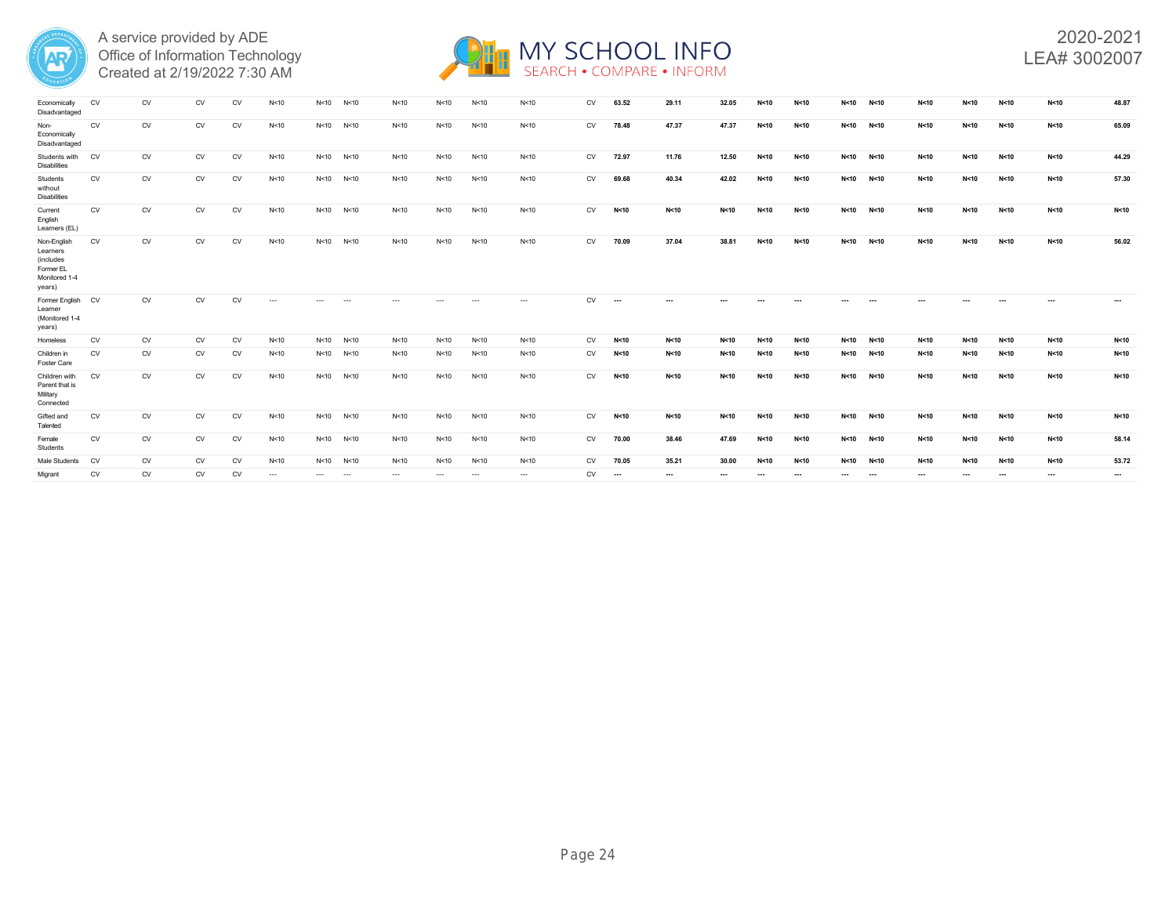



| Economically<br>Disadvantaged                                                | CV        | <b>CV</b> | <b>CV</b> | CV        | N <sub>10</sub> | N<10     | N<10     | N <sub>10</sub> | N<10     | N<10            | N<10     | <b>CV</b> | 63.52                    | 29.11    | 32.05  | N<10     | N < 10 | N < 10 | N < 10   | N<10     | N<10     | N<10 | N < 10   | 48.87           |
|------------------------------------------------------------------------------|-----------|-----------|-----------|-----------|-----------------|----------|----------|-----------------|----------|-----------------|----------|-----------|--------------------------|----------|--------|----------|--------|--------|----------|----------|----------|------|----------|-----------------|
| Non-<br>Economically<br>Disadvantaged                                        | CV        | CV        | <b>CV</b> | CV        | N < 10          | N<10     | N < 10   | N<10            | N<10     | N<10            | N<10     | CV        | 78.48                    | 47.37    | 47.37  | N<10     | N<10   | N<10   | N<10     | N<10     | N<10     | N<10 | N<10     | 65.09           |
| Students with<br><b>Disabilities</b>                                         | <b>CV</b> | <b>CV</b> | <b>CV</b> | <b>CV</b> | N<10            | N < 10   | N < 10   | N<10            | N<10     | N<10            | N<10     | CV        | 72.97                    | 11.76    | 12.50  | N<10     | N<10   | N<10   | N<10     | N<10     | N<10     | N<10 | N<10     | 44.29           |
| Students<br>without<br><b>Disabilities</b>                                   | CV        | CV        | <b>CV</b> | <b>CV</b> | N<10            | N < 10   | N < 10   | N<10            | N<10     | N<10            | N<10     | <b>CV</b> | 69.68                    | 40.34    | 42.02  | N<10     | N<10   | N<10   | N < 10   | N<10     | N<10     | N<10 | N<10     | 57.30           |
| Current<br>English<br>Learners (EL)                                          | <b>CV</b> | CV        | <b>CV</b> | <b>CV</b> | N<10            | N < 10   | N < 10   | N<10            | N<10     | N<10            | N<10     | CV        | N < 10                   | N<10     | N<10   | N<10     | N<10   | N<10   | N<10     | N<10     | N<10     | N<10 | N<10     | N<10            |
| Non-English<br>Learners<br>(includes<br>Former EL<br>Monitored 1-4<br>years) | CV        | CV        | CV        | CV        | N < 10          | N<10     | N<10     | N<10            | N<10     | N <sub>10</sub> | N<10     | CV        | 70.09                    | 37.04    | 38.81  | N<10     | N<10   | N<10   | N < 10   | N<10     | N < 10   | N<10 | N<10     | 56.02           |
| Former English<br>Learner<br>(Monitored 1-4<br>years)                        | <b>CV</b> | <b>CV</b> | <b>CV</b> | <b>CV</b> | $\cdots$        |          |          |                 |          |                 | $\cdots$ | <b>CV</b> | $\overline{\phantom{a}}$ | $\cdots$ |        |          |        |        |          |          |          |      |          | $\cdots$        |
| Homeless                                                                     | CV        | <b>CV</b> | CV        | <b>CV</b> | N<10            | N < 10   | N < 10   | N<10            | N<10     | N<10            | N<10     | CV        | N<10                     | N<10     | N<10   | N<10     | N<10   | N<10   | N<10     | N<10     | N < 10   | N<10 | N<10     | N <sub>10</sub> |
| Children in<br><b>Foster Care</b>                                            | <b>CV</b> | <b>CV</b> | CV        | <b>CV</b> | N<10            | N<10     | N < 10   | N<10            | N<10     | N<10            | N<10     | CV        | N < 10                   | N<10     | N < 10 | N<10     | N<10   | N<10   | N < 10   | N<10     | N<10     | N<10 | N<10     | N <sub>10</sub> |
| Children with<br>Parent that is<br>Military<br>Connected                     | <b>CV</b> | CV        | CV        | <b>CV</b> | N<10            | N<10     | N < 10   | N<10            | N<10     | N<10            | N<10     | CV        | N<10                     | N<10     | N<10   | N<10     | N<10   | N<10   | N<10     | N<10     | N<10     | N<10 | N<10     | N <sub>10</sub> |
| Gifted and<br>Talented                                                       | CV        | CV        | CV        | CV        | N<10            | N<10     | N < 10   | N<10            | N<10     | N<10            | N<10     | CV        | N<10                     | N<10     | N < 10 | N<10     | N<10   | N<10   | N<10     | N<10     | N<10     | N<10 | N<10     | N <sub>10</sub> |
| Female<br>Students                                                           | CV        | CV        | <b>CV</b> | <b>CV</b> | N<10            | N < 10   | N < 10   | N<10            | N<10     | N<10            | N<10     | CV        | 70.00                    | 38.46    | 47.69  | N < 10   | N<10   | N<10   | N < 10   | N<10     | N < 10   | N<10 | N<10     | 58.14           |
| Male Students                                                                | <b>CV</b> | CV        | <b>CV</b> | <b>CV</b> | N<10            | N<10     | N<10     | N<10            | N<10     | N <sub>10</sub> | N<10     | <b>CV</b> | 70.05                    | 35.21    | 30.00  | N < 10   | N<10   | N<10   | N < 10   | N<10     | N<10     | N<10 | N<10     | 53.72           |
| Migrant                                                                      | CV        | CV        | CV        | CV        | $\cdots$        | $\cdots$ | $\cdots$ | $\cdots$        | $\cdots$ | $\cdots$        | $\cdots$ | CV        | $\ldots$                 |          | ---    | $\cdots$ | ---    | ---    | $\cdots$ | $\cdots$ | $\cdots$ | ---  | $\cdots$ | $\cdots$        |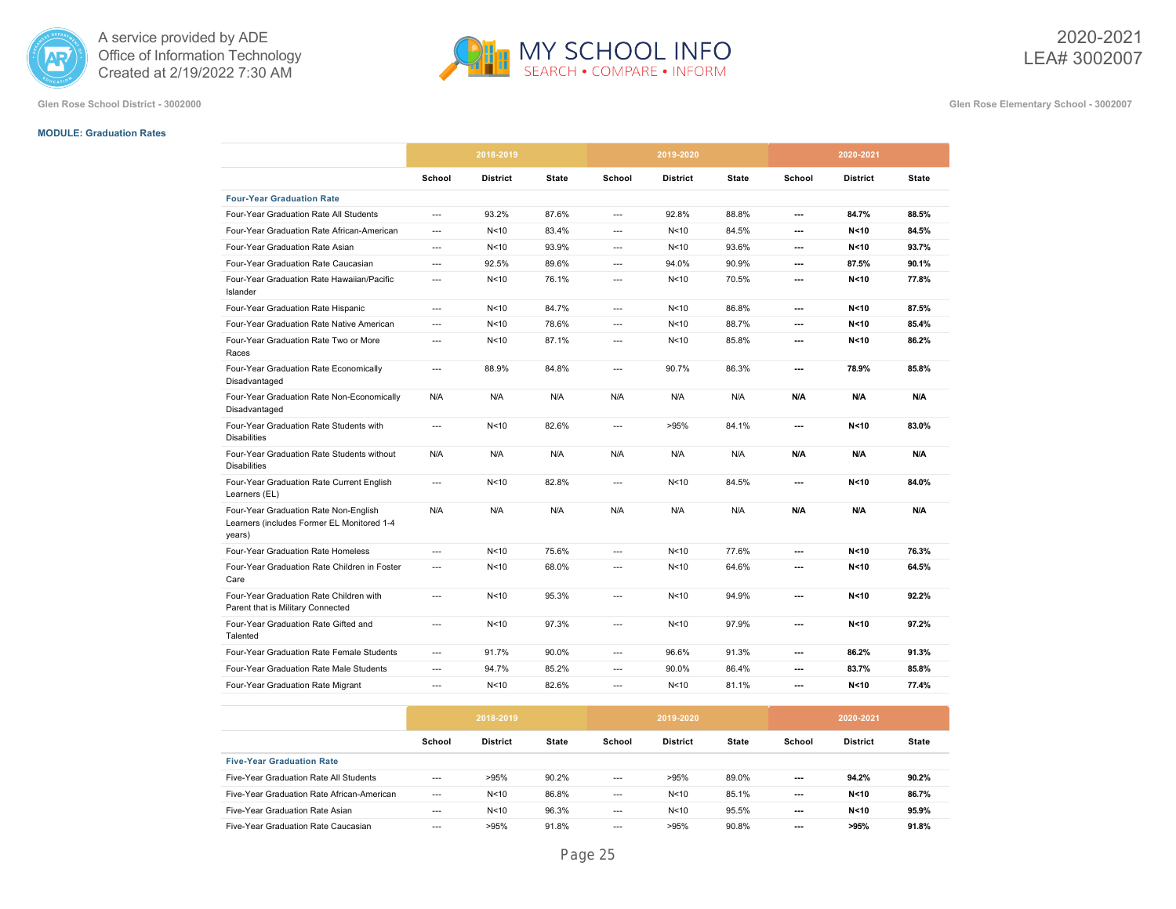



**Glen Rose School District - 3002000 Glen Rose Elementary School - 3002007**

#### **MODULE: Graduation Rates**

|                                                                                               | 2018-2019                |                 |       |        | 2019-2020       |              | 2020-2021                |                 |              |
|-----------------------------------------------------------------------------------------------|--------------------------|-----------------|-------|--------|-----------------|--------------|--------------------------|-----------------|--------------|
|                                                                                               | School                   | <b>District</b> | State | School | <b>District</b> | <b>State</b> | School                   | <b>District</b> | <b>State</b> |
| <b>Four-Year Graduation Rate</b>                                                              |                          |                 |       |        |                 |              |                          |                 |              |
| Four-Year Graduation Rate All Students                                                        | ---                      | 93.2%           | 87.6% | ---    | 92.8%           | 88.8%        | ---                      | 84.7%           | 88.5%        |
| Four-Year Graduation Rate African-American                                                    | ---                      | N <sub>10</sub> | 83.4% | ---    | N <sub>10</sub> | 84.5%        | ---                      | N < 10          | 84.5%        |
| Four-Year Graduation Rate Asian                                                               | ---                      | N <sub>10</sub> | 93.9% | ---    | N <sub>10</sub> | 93.6%        | ---                      | N < 10          | 93.7%        |
| Four-Year Graduation Rate Caucasian                                                           | ---                      | 92.5%           | 89.6% | ---    | 94.0%           | 90.9%        | ---                      | 87.5%           | 90.1%        |
| Four-Year Graduation Rate Hawaiian/Pacific<br>Islander                                        | $---$                    | N <sub>10</sub> | 76.1% | ---    | N <sub>10</sub> | 70.5%        | ---                      | N < 10          | 77.8%        |
| Four-Year Graduation Rate Hispanic                                                            | ---                      | N <sub>10</sub> | 84.7% | ---    | N <sub>10</sub> | 86.8%        | ---                      | N < 10          | 87.5%        |
| Four-Year Graduation Rate Native American                                                     | $---$                    | N <sub>10</sub> | 78.6% | ---    | N <sub>10</sub> | 88.7%        | ---                      | N < 10          | 85.4%        |
| Four-Year Graduation Rate Two or More<br>Races                                                | ---                      | N <sub>10</sub> | 87.1% | ---    | N<10            | 85.8%        | ---                      | N < 10          | 86.2%        |
| Four-Year Graduation Rate Economically<br>Disadvantaged                                       | ---                      | 88.9%           | 84.8% | ---    | 90.7%           | 86.3%        | $\overline{\phantom{a}}$ | 78.9%           | 85.8%        |
| Four-Year Graduation Rate Non-Economically<br>Disadvantaged                                   | N/A                      | N/A             | N/A   | N/A    | N/A             | N/A          | N/A                      | N/A             | N/A          |
| Four-Year Graduation Rate Students with<br><b>Disabilities</b>                                | $\overline{\phantom{a}}$ | N <sub>10</sub> | 82.6% | ---    | >95%            | 84.1%        | ---                      | N < 10          | 83.0%        |
| Four-Year Graduation Rate Students without<br><b>Disabilities</b>                             | N/A                      | N/A             | N/A   | N/A    | N/A             | N/A          | N/A                      | N/A             | N/A          |
| Four-Year Graduation Rate Current English<br>Learners (EL)                                    | $\overline{\phantom{a}}$ | N <sub>10</sub> | 82.8% | ---    | N <sub>10</sub> | 84.5%        | ---                      | N < 10          | 84.0%        |
| Four-Year Graduation Rate Non-English<br>Learners (includes Former EL Monitored 1-4<br>years) | N/A                      | N/A             | N/A   | N/A    | N/A             | N/A          | N/A                      | N/A             | N/A          |
| Four-Year Graduation Rate Homeless                                                            | ---                      | N <sub>10</sub> | 75.6% | ---    | N <sub>10</sub> | 77.6%        | ---                      | N < 10          | 76.3%        |
| Four-Year Graduation Rate Children in Foster<br>Care                                          | $\overline{\phantom{a}}$ | N <sub>10</sub> | 68.0% | ---    | N <sub>10</sub> | 64.6%        | ---                      | N < 10          | 64.5%        |
| Four-Year Graduation Rate Children with<br>Parent that is Military Connected                  | $\overline{a}$           | N <sub>10</sub> | 95.3% | ---    | N <sub>10</sub> | 94.9%        | ---                      | N < 10          | 92.2%        |
| Four-Year Graduation Rate Gifted and<br>Talented                                              | ---                      | N <sub>10</sub> | 97.3% | ---    | N <sub>10</sub> | 97.9%        | ---                      | N < 10          | 97.2%        |
| Four-Year Graduation Rate Female Students                                                     | $---$                    | 91.7%           | 90.0% | ---    | 96.6%           | 91.3%        | ---                      | 86.2%           | 91.3%        |
| Four-Year Graduation Rate Male Students                                                       | ---                      | 94.7%           | 85.2% | ---    | 90.0%           | 86.4%        | ---                      | 83.7%           | 85.8%        |
| Four-Year Graduation Rate Migrant                                                             | ---                      | N <sub>10</sub> | 82.6% | ---    | N <sub>10</sub> | 81.1%        | ---                      | N < 10          | 77.4%        |

|                                            | 2018-2019 |                 |       |                          | 2019-2020       |       | 2020-2021                |                 |              |  |
|--------------------------------------------|-----------|-----------------|-------|--------------------------|-----------------|-------|--------------------------|-----------------|--------------|--|
|                                            | School    | <b>District</b> | State | School                   | <b>District</b> | State | School                   | <b>District</b> | <b>State</b> |  |
| <b>Five-Year Graduation Rate</b>           |           |                 |       |                          |                 |       |                          |                 |              |  |
| Five-Year Graduation Rate All Students     | ---       | >95%            | 90.2% | $---$                    | >95%            | 89.0% | ---                      | 94.2%           | 90.2%        |  |
| Five-Year Graduation Rate African-American | $---$     | N <sub>10</sub> | 86.8% | $---$                    | N < 10          | 85.1% | $---$                    | N < 10          | 86.7%        |  |
| Five-Year Graduation Rate Asian            | $--$      | N <sub>10</sub> | 96.3% | $\overline{\phantom{a}}$ | N <sub>10</sub> | 95.5% | ---                      | N < 10          | 95.9%        |  |
| Five-Year Graduation Rate Caucasian        | $---$     | >95%            | 91.8% | $---$                    | >95%            | 90.8% | $\overline{\phantom{a}}$ | >95%            | 91.8%        |  |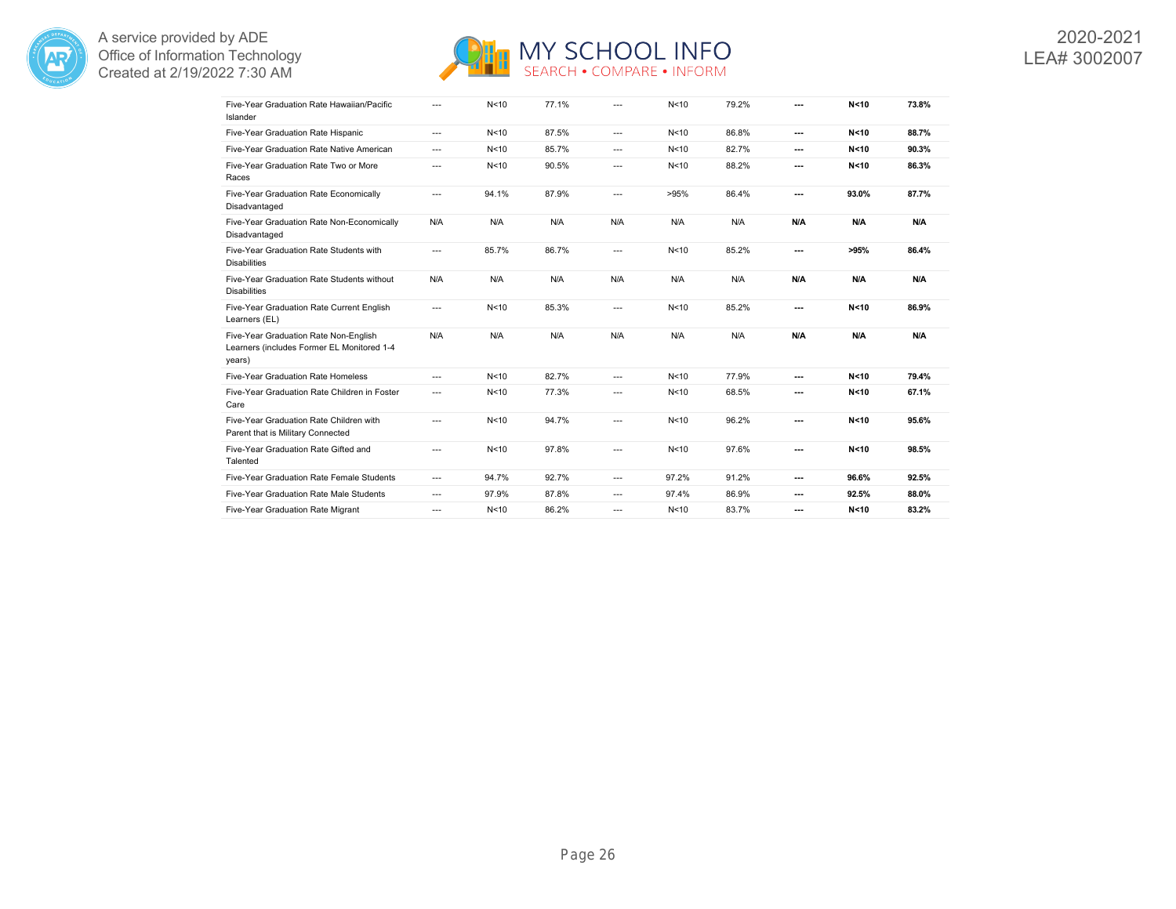



| Five-Year Graduation Rate Hawaiian/Pacific<br>Islander                                        | $---$                    | N <sub>10</sub> | 77.1% | $---$    | N <sub>10</sub> | 79.2% | --- | N < 10 | 73.8% |
|-----------------------------------------------------------------------------------------------|--------------------------|-----------------|-------|----------|-----------------|-------|-----|--------|-------|
| Five-Year Graduation Rate Hispanic                                                            | $\cdots$                 | N <sub>10</sub> | 87.5% | $\cdots$ | N<10            | 86.8% | --- | N < 10 | 88.7% |
| Five-Year Graduation Rate Native American                                                     | $\cdots$                 | N <sub>10</sub> | 85.7% | $---$    | N <sub>10</sub> | 82.7% | --- | N < 10 | 90.3% |
| Five-Year Graduation Rate Two or More<br>Races                                                | $---$                    | N <sub>10</sub> | 90.5% | ---      | N<10            | 88.2% | --- | N < 10 | 86.3% |
| Five-Year Graduation Rate Economically<br>Disadvantaged                                       | ---                      | 94.1%           | 87.9% | $\cdots$ | >95%            | 86.4% | --- | 93.0%  | 87.7% |
| Five-Year Graduation Rate Non-Economically<br>Disadvantaged                                   | N/A                      | N/A             | N/A   | N/A      | N/A             | N/A   | N/A | N/A    | N/A   |
| Five-Year Graduation Rate Students with<br><b>Disabilities</b>                                | $\overline{\phantom{a}}$ | 85.7%           | 86.7% | ---      | N <sub>10</sub> | 85.2% | --- | >95%   | 86.4% |
| Five-Year Graduation Rate Students without<br><b>Disabilities</b>                             | N/A                      | N/A             | N/A   | N/A      | N/A             | N/A   | N/A | N/A    | N/A   |
| Five-Year Graduation Rate Current English<br>Learners (EL)                                    | $---$                    | N <sub>10</sub> | 85.3% | $---$    | N <sub>10</sub> | 85.2% | --- | N < 10 | 86.9% |
| Five-Year Graduation Rate Non-English<br>Learners (includes Former EL Monitored 1-4<br>years) | N/A                      | N/A             | N/A   | N/A      | N/A             | N/A   | N/A | N/A    | N/A   |
| Five-Year Graduation Rate Homeless                                                            | ---                      | N <sub>10</sub> | 82.7% | ---      | N <sub>10</sub> | 77.9% | --- | N < 10 | 79.4% |
| Five-Year Graduation Rate Children in Foster<br>Care                                          | $---$                    | N <sub>10</sub> | 77.3% | $---$    | N < 10          | 68.5% | --- | N < 10 | 67.1% |
| Five-Year Graduation Rate Children with<br>Parent that is Military Connected                  | $---$                    | N <sub>10</sub> | 94.7% | $---$    | N <sub>10</sub> | 96.2% | --- | N < 10 | 95.6% |
| Five-Year Graduation Rate Gifted and<br>Talented                                              | ---                      | N <sub>10</sub> | 97.8% | $---$    | N <sub>10</sub> | 97.6% | --- | N < 10 | 98.5% |
| Five-Year Graduation Rate Female Students                                                     | $---$                    | 94.7%           | 92.7% | $---$    | 97.2%           | 91.2% | --- | 96.6%  | 92.5% |
| Five-Year Graduation Rate Male Students                                                       | $\cdots$                 | 97.9%           | 87.8% | ---      | 97.4%           | 86.9% | --- | 92.5%  | 88.0% |
| Five-Year Graduation Rate Migrant                                                             | $---$                    | N <sub>10</sub> | 86.2% | $---$    | N <sub>10</sub> | 83.7% | --- | N < 10 | 83.2% |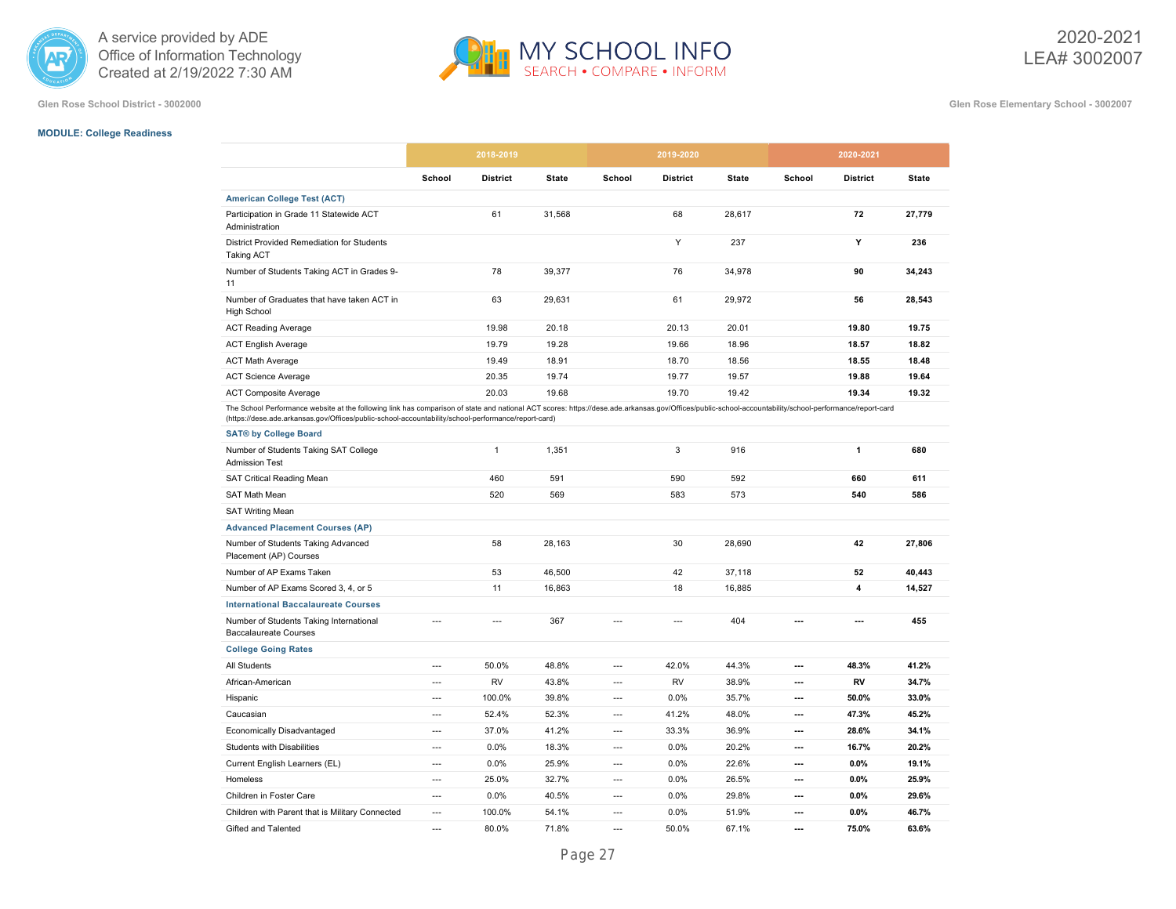



**Glen Rose School District - 3002000 Glen Rose Elementary School - 3002007**

# **MODULE: College Readiness**

|                                                                                                                                                                                                                                                                                                                |                | 2018-2019       |              |                | 2019-2020       |              |                          | 2020-2021       |              |
|----------------------------------------------------------------------------------------------------------------------------------------------------------------------------------------------------------------------------------------------------------------------------------------------------------------|----------------|-----------------|--------------|----------------|-----------------|--------------|--------------------------|-----------------|--------------|
|                                                                                                                                                                                                                                                                                                                | School         | <b>District</b> | <b>State</b> | School         | <b>District</b> | <b>State</b> | School                   | <b>District</b> | <b>State</b> |
| <b>American College Test (ACT)</b>                                                                                                                                                                                                                                                                             |                |                 |              |                |                 |              |                          |                 |              |
| Participation in Grade 11 Statewide ACT<br>Administration                                                                                                                                                                                                                                                      |                | 61              | 31,568       |                | 68              | 28.617       |                          | 72              | 27,779       |
| District Provided Remediation for Students<br><b>Taking ACT</b>                                                                                                                                                                                                                                                |                |                 |              |                | Y               | 237          |                          | Y               | 236          |
| Number of Students Taking ACT in Grades 9-<br>11                                                                                                                                                                                                                                                               |                | 78              | 39,377       |                | 76              | 34,978       |                          | 90              | 34,243       |
| Number of Graduates that have taken ACT in<br><b>High School</b>                                                                                                                                                                                                                                               |                | 63              | 29,631       |                | 61              | 29,972       |                          | 56              | 28,543       |
| <b>ACT Reading Average</b>                                                                                                                                                                                                                                                                                     |                | 19.98           | 20.18        |                | 20.13           | 20.01        |                          | 19.80           | 19.75        |
| <b>ACT English Average</b>                                                                                                                                                                                                                                                                                     |                | 19.79           | 19.28        |                | 19.66           | 18.96        |                          | 18.57           | 18.82        |
| <b>ACT Math Average</b>                                                                                                                                                                                                                                                                                        |                | 19.49           | 18.91        |                | 18.70           | 18.56        |                          | 18.55           | 18.48        |
| <b>ACT Science Average</b>                                                                                                                                                                                                                                                                                     |                | 20.35           | 19.74        |                | 19.77           | 19.57        |                          | 19.88           | 19.64        |
| <b>ACT Composite Average</b>                                                                                                                                                                                                                                                                                   |                | 20.03           | 19.68        |                | 19.70           | 19.42        |                          | 19.34           | 19.32        |
| The School Performance website at the following link has comparison of state and national ACT scores: https://dese.ade.arkansas.gov/Offices/public-school-accountability/school-performance/report-card<br>(https://dese.ade.arkansas.gov/Offices/public-school-accountability/school-performance/report-card) |                |                 |              |                |                 |              |                          |                 |              |
| <b>SAT® by College Board</b>                                                                                                                                                                                                                                                                                   |                |                 |              |                |                 |              |                          |                 |              |
| Number of Students Taking SAT College<br><b>Admission Test</b>                                                                                                                                                                                                                                                 |                | $\mathbf{1}$    | 1,351        |                | 3               | 916          |                          | $\mathbf{1}$    | 680          |
| <b>SAT Critical Reading Mean</b>                                                                                                                                                                                                                                                                               |                | 460             | 591          |                | 590             | 592          |                          | 660             | 611          |
| <b>SAT Math Mean</b>                                                                                                                                                                                                                                                                                           |                | 520             | 569          |                | 583             | 573          |                          | 540             | 586          |
| <b>SAT Writing Mean</b>                                                                                                                                                                                                                                                                                        |                |                 |              |                |                 |              |                          |                 |              |
| <b>Advanced Placement Courses (AP)</b>                                                                                                                                                                                                                                                                         |                |                 |              |                |                 |              |                          |                 |              |
| Number of Students Taking Advanced<br>Placement (AP) Courses                                                                                                                                                                                                                                                   |                | 58              | 28,163       |                | 30              | 28,690       |                          | 42              | 27,806       |
| Number of AP Exams Taken                                                                                                                                                                                                                                                                                       |                | 53              | 46,500       |                | 42              | 37,118       |                          | 52              | 40,443       |
| Number of AP Exams Scored 3, 4, or 5                                                                                                                                                                                                                                                                           |                | 11              | 16,863       |                | 18              | 16,885       |                          | 4               | 14,527       |
| <b>International Baccalaureate Courses</b>                                                                                                                                                                                                                                                                     |                |                 |              |                |                 |              |                          |                 |              |
| Number of Students Taking International<br><b>Baccalaureate Courses</b>                                                                                                                                                                                                                                        | ---            | $\overline{a}$  | 367          | $\overline{a}$ | $\overline{a}$  | 404          | ---                      | ---             | 455          |
| <b>College Going Rates</b>                                                                                                                                                                                                                                                                                     |                |                 |              |                |                 |              |                          |                 |              |
| All Students                                                                                                                                                                                                                                                                                                   | $\overline{a}$ | 50.0%           | 48.8%        | $\overline{a}$ | 42.0%           | 44.3%        | $\overline{\phantom{a}}$ | 48.3%           | 41.2%        |
| African-American                                                                                                                                                                                                                                                                                               | $---$          | <b>RV</b>       | 43.8%        | $---$          | <b>RV</b>       | 38.9%        | $\overline{\phantom{a}}$ | RV              | 34.7%        |
| Hispanic                                                                                                                                                                                                                                                                                                       | $\overline{a}$ | 100.0%          | 39.8%        | $\overline{a}$ | 0.0%            | 35.7%        | ---                      | 50.0%           | 33.0%        |
| Caucasian                                                                                                                                                                                                                                                                                                      | ---            | 52.4%           | 52.3%        | ---            | 41.2%           | 48.0%        | ---                      | 47.3%           | 45.2%        |
| Economically Disadvantaged                                                                                                                                                                                                                                                                                     | $\overline{a}$ | 37.0%           | 41.2%        | $\overline{a}$ | 33.3%           | 36.9%        | $\overline{\phantom{a}}$ | 28.6%           | 34.1%        |
| Students with Disabilities                                                                                                                                                                                                                                                                                     | $---$          | 0.0%            | 18.3%        | $---$          | 0.0%            | 20.2%        | $\overline{\phantom{a}}$ | 16.7%           | 20.2%        |
| Current English Learners (EL)                                                                                                                                                                                                                                                                                  | $---$          | 0.0%            | 25.9%        | $---$          | 0.0%            | 22.6%        | ---                      | 0.0%            | 19.1%        |
| Homeless                                                                                                                                                                                                                                                                                                       | $---$          | 25.0%           | 32.7%        | $\overline{a}$ | 0.0%            | 26.5%        | ---                      | 0.0%            | 25.9%        |
| Children in Foster Care                                                                                                                                                                                                                                                                                        | $\overline{a}$ | 0.0%            | 40.5%        | $\overline{a}$ | 0.0%            | 29.8%        | $\overline{\phantom{a}}$ | 0.0%            | 29.6%        |
| Children with Parent that is Military Connected                                                                                                                                                                                                                                                                | $---$          | 100.0%          | 54.1%        | $---$          | 0.0%            | 51.9%        | ---                      | 0.0%            | 46.7%        |
| Gifted and Talented                                                                                                                                                                                                                                                                                            | ---            | 80.0%           | 71.8%        | $\overline{a}$ | 50.0%           | 67.1%        | ---                      | 75.0%           | 63.6%        |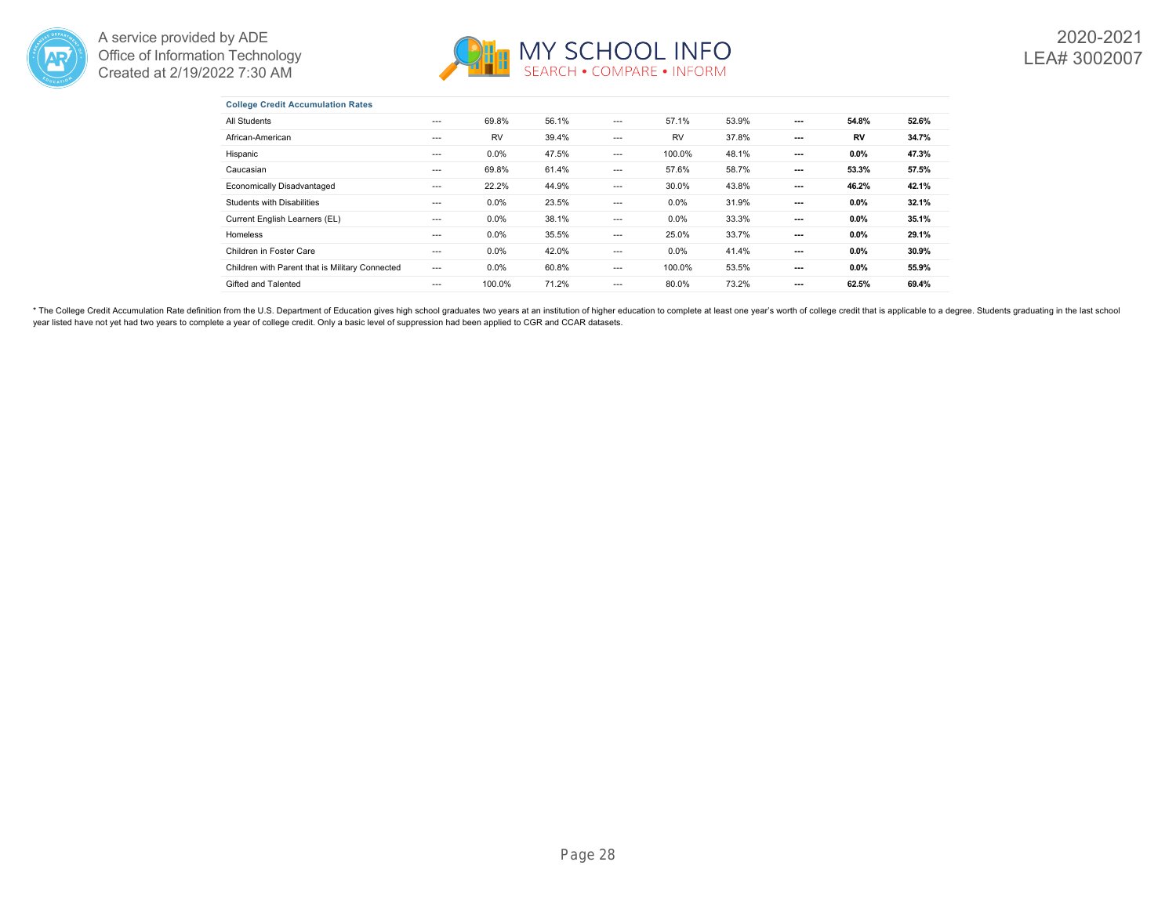



|  | <b>College Credit Accumulation Rates</b> |  |
|--|------------------------------------------|--|
|  |                                          |  |

| All Students                                    | $---$ | 69.8%     | 56.1% | ---   | 57.1%     | 53.9% | $---$                    | 54.8%   | 52.6% |
|-------------------------------------------------|-------|-----------|-------|-------|-----------|-------|--------------------------|---------|-------|
| African-American                                | $---$ | <b>RV</b> | 39.4% | $---$ | <b>RV</b> | 37.8% | ---                      | RV      | 34.7% |
| Hispanic                                        | $---$ | $0.0\%$   | 47.5% | ---   | 100.0%    | 48.1% | ---                      | 0.0%    | 47.3% |
| Caucasian                                       | ---   | 69.8%     | 61.4% | $---$ | 57.6%     | 58.7% | $\overline{\phantom{a}}$ | 53.3%   | 57.5% |
| <b>Economically Disadvantaged</b>               | $---$ | 22.2%     | 44.9% | ---   | 30.0%     | 43.8% | $---$                    | 46.2%   | 42.1% |
| Students with Disabilities                      | $---$ | $0.0\%$   | 23.5% | $---$ | $0.0\%$   | 31.9% | $---$                    | 0.0%    | 32.1% |
| Current English Learners (EL)                   | $---$ | $0.0\%$   | 38.1% | $---$ | 0.0%      | 33.3% | ---                      | $0.0\%$ | 35.1% |
| Homeless                                        | $---$ | $0.0\%$   | 35.5% | ---   | 25.0%     | 33.7% | ---                      | 0.0%    | 29.1% |
| Children in Foster Care                         | $---$ | $0.0\%$   | 42.0% | $---$ | $0.0\%$   | 41.4% | ---                      | 0.0%    | 30.9% |
| Children with Parent that is Military Connected | $---$ | $0.0\%$   | 60.8% | ---   | 100.0%    | 53.5% | $---$                    | 0.0%    | 55.9% |
| Gifted and Talented                             | ---   | 100.0%    | 71.2% | ---   | 80.0%     | 73.2% | ---                      | 62.5%   | 69.4% |

\* The College Credit Accumulation Rate definition from the U.S. Department of Education gives high school graduates two years at an institution of higher education to complete at least one year's worth of college credit th year listed have not yet had two years to complete a year of college credit. Only a basic level of suppression had been applied to CGR and CCAR datasets.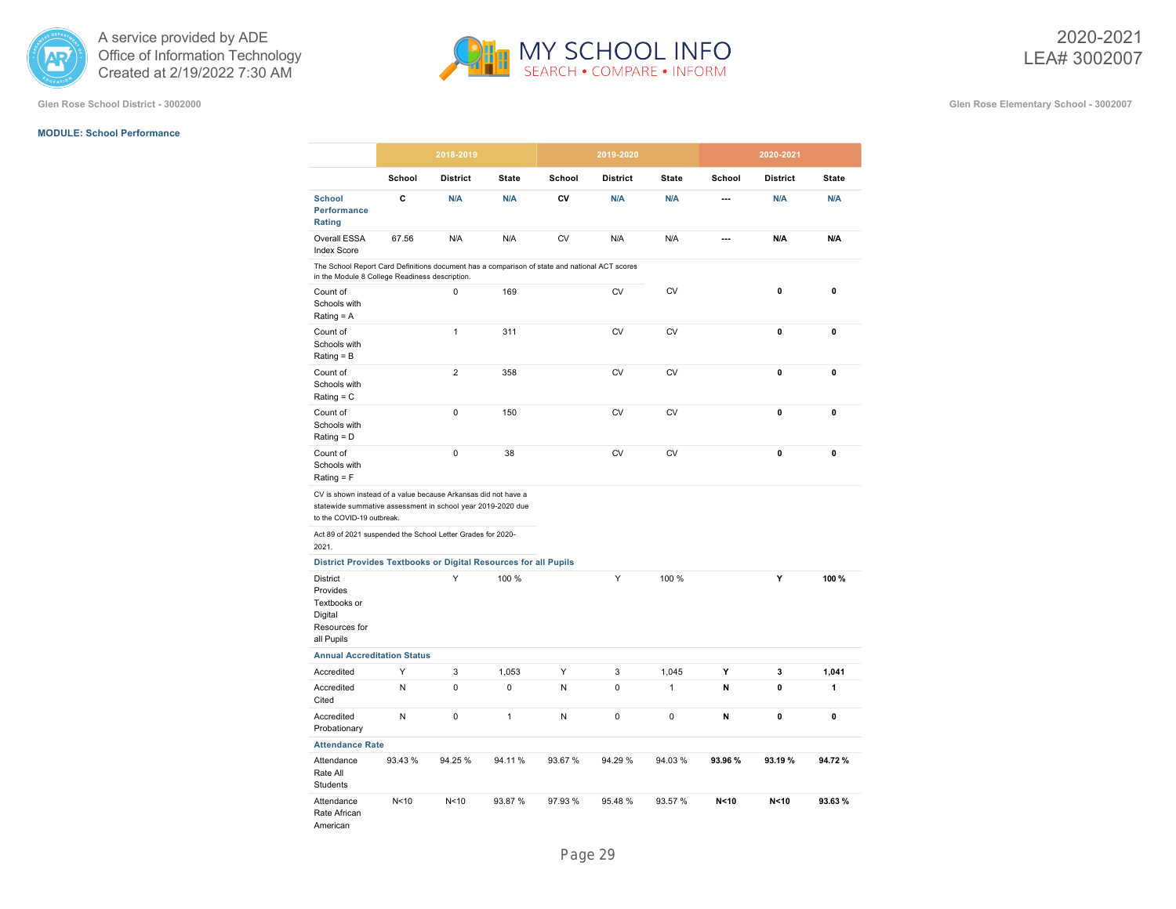

#### **MODULE: School Performance**

**Glen Rose School District - 3002000 Glen Rose Elementary School - 3002007**

|                                                                                                                                                            | 2018-2019       |                 |              |           | 2019-2020       |              |         | 2020-2021       |              |
|------------------------------------------------------------------------------------------------------------------------------------------------------------|-----------------|-----------------|--------------|-----------|-----------------|--------------|---------|-----------------|--------------|
|                                                                                                                                                            | School          | <b>District</b> | <b>State</b> | School    | <b>District</b> | <b>State</b> | School  | <b>District</b> | <b>State</b> |
| <b>School</b><br>Performance<br>Rating                                                                                                                     | C               | N/A             | N/A          | CV        | N/A             | N/A          | ---     | N/A             | N/A          |
| Overall ESSA<br><b>Index Score</b>                                                                                                                         | 67.56           | N/A             | N/A          | <b>CV</b> | N/A             | N/A          | ---     | N/A             | N/A          |
| The School Report Card Definitions document has a comparison of state and national ACT scores<br>in the Module 8 College Readiness description.            |                 |                 |              |           |                 |              |         |                 |              |
| Count of<br>Schools with<br>Rating $= A$                                                                                                                   |                 | 0               | 169          |           | <b>CV</b>       | CV           |         | 0               | 0            |
| Count of<br>Schools with<br>$Rating = B$                                                                                                                   |                 | $\mathbf{1}$    | 311          |           | <b>CV</b>       | <b>CV</b>    |         | 0               | 0            |
| Count of<br>Schools with<br>Rating $= C$                                                                                                                   |                 | $\overline{2}$  | 358          |           | <b>CV</b>       | <b>CV</b>    |         | 0               | 0            |
| Count of<br>Schools with<br>$Rating = D$                                                                                                                   |                 | $\mathbf 0$     | 150          |           | <b>CV</b>       | <b>CV</b>    |         | 0               | $\mathbf 0$  |
| Count of<br>Schools with<br>Rating $=$ F                                                                                                                   |                 | $\pmb{0}$       | 38           |           | <b>CV</b>       | <b>CV</b>    |         | 0               | 0            |
| CV is shown instead of a value because Arkansas did not have a<br>statewide summative assessment in school year 2019-2020 due<br>to the COVID-19 outbreak. |                 |                 |              |           |                 |              |         |                 |              |
| Act 89 of 2021 suspended the School Letter Grades for 2020-<br>2021.                                                                                       |                 |                 |              |           |                 |              |         |                 |              |
| District Provides Textbooks or Digital Resources for all Pupils                                                                                            |                 |                 |              |           |                 |              |         |                 |              |
| <b>District</b><br>Provides<br>Textbooks or<br>Digital<br>Resources for<br>all Pupils                                                                      |                 | Y               | 100 %        |           | Y               | 100 %        |         | Y               | 100%         |
| <b>Annual Accreditation Status</b>                                                                                                                         |                 |                 |              |           |                 |              |         |                 |              |
| Accredited                                                                                                                                                 | Y               | 3               | 1,053        | Y         | 3               | 1,045        | Y       | 3               | 1,041        |
| Accredited<br>Cited                                                                                                                                        | N               | $\mathbf 0$     | $\mathbf 0$  | N         | $\Omega$        | $\mathbf{1}$ | N       | $\mathbf{0}$    | 1            |
| Accredited<br>Probationary                                                                                                                                 | N               | $\mathbf 0$     | 1            | N         | 0               | $\mathbf 0$  | N       | 0               | 0            |
| <b>Attendance Rate</b>                                                                                                                                     |                 |                 |              |           |                 |              |         |                 |              |
| Attendance<br>Rate All<br>Students                                                                                                                         | 93.43 %         | 94.25 %         | 94.11%       | 93.67 %   | 94.29 %         | 94.03%       | 93.96 % | 93.19%          | 94.72%       |
| Attendance<br>Rate African<br>American                                                                                                                     | N <sub>10</sub> | N <sub>10</sub> | 93.87 %      | 97.93 %   | 95.48 %         | 93.57 %      | N < 10  | N < 10          | 93.63%       |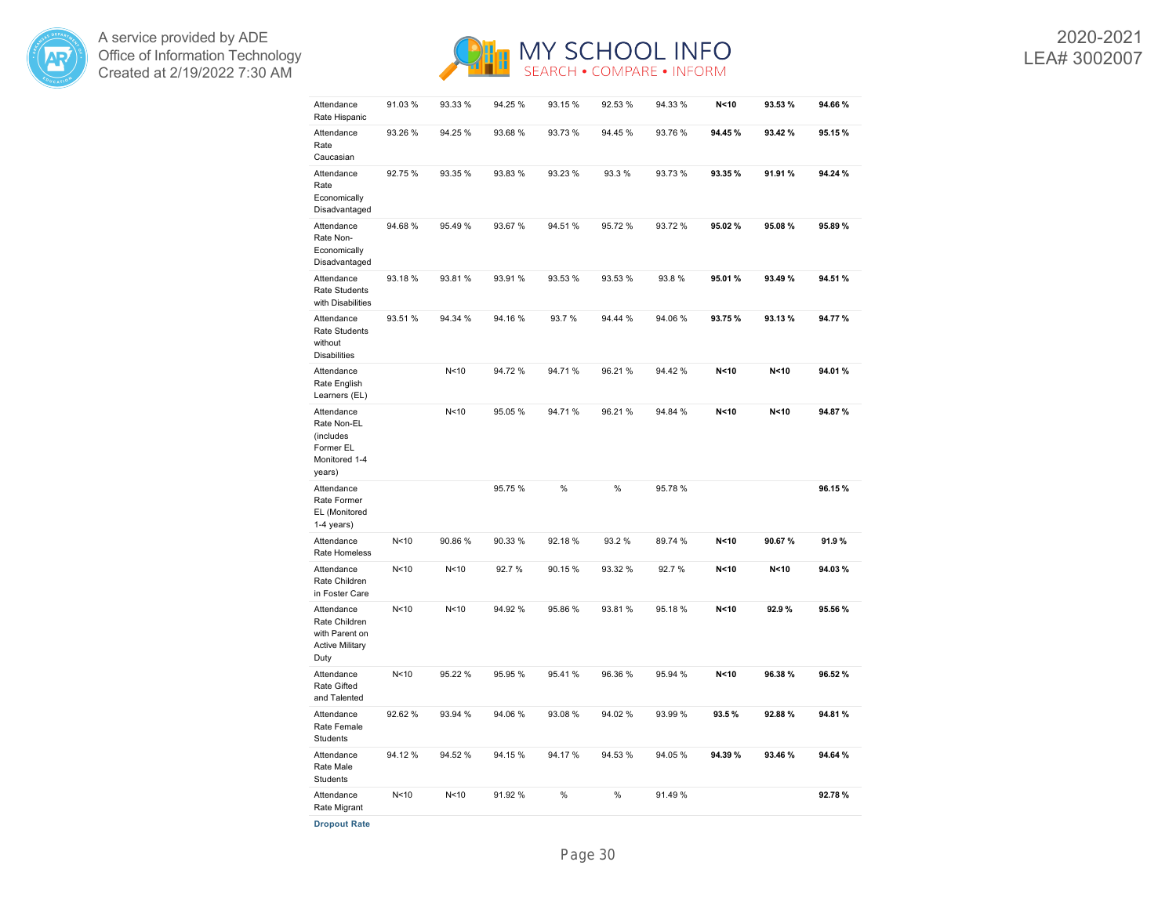



2020-2021 LEA# 3002007

| Attendance<br>Rate Hispanic                                                     | 91.03%          | 93.33 %         | 94.25 % | 93.15%  | 92.53 % | 94.33 % | N < 10          | 93.53% | 94.66%  |
|---------------------------------------------------------------------------------|-----------------|-----------------|---------|---------|---------|---------|-----------------|--------|---------|
| Attendance<br>Rate<br>Caucasian                                                 | 93.26 %         | 94.25 %         | 93.68 % | 93.73 % | 94.45 % | 93.76%  | 94.45%          | 93.42% | 95.15%  |
| Attendance<br>Rate<br>Economically<br>Disadvantaged                             | 92.75 %         | 93.35 %         | 93.83%  | 93.23 % | 93.3%   | 93.73%  | 93.35%          | 91.91% | 94.24 % |
| Attendance<br>Rate Non-<br>Economically<br>Disadvantaged                        | 94.68%          | 95.49%          | 93.67 % | 94.51 % | 95.72 % | 93.72 % | 95.02%          | 95.08% | 95.89%  |
| Attendance<br>Rate Students<br>with Disabilities                                | 93.18%          | 93.81%          | 93.91 % | 93.53 % | 93.53 % | 93.8%   | 95.01%          | 93.49% | 94.51 % |
| Attendance<br><b>Rate Students</b><br>without<br><b>Disabilities</b>            | 93.51 %         | 94.34 %         | 94.16 % | 93.7%   | 94.44 % | 94.06%  | 93.75%          | 93.13% | 94.77%  |
| Attendance<br>Rate English<br>Learners (EL)                                     |                 | N <sub>10</sub> | 94.72%  | 94.71%  | 96.21 % | 94.42%  | N <sub>10</sub> | N < 10 | 94.01%  |
| Attendance<br>Rate Non-EL<br>(includes<br>Former EL<br>Monitored 1-4<br>years)  |                 | N <sub>10</sub> | 95.05 % | 94.71%  | 96.21 % | 94.84 % | N < 10          | N < 10 | 94.87%  |
| Attendance<br>Rate Former<br>EL (Monitored<br>$1-4$ years)                      |                 |                 | 95.75 % | %       | %       | 95.78%  |                 |        | 96.15%  |
| Attendance<br>Rate Homeless                                                     | N <sub>10</sub> | 90.86%          | 90.33 % | 92.18%  | 93.2 %  | 89.74 % | N < 10          | 90.67% | 91.9%   |
| Attendance<br>Rate Children<br>in Foster Care                                   | N <sub>10</sub> | N <sub>10</sub> | 92.7%   | 90.15%  | 93.32 % | 92.7%   | N < 10          | N < 10 | 94.03%  |
| Attendance<br>Rate Children<br>with Parent on<br><b>Active Military</b><br>Duty | N <sub>10</sub> | N <sub>10</sub> | 94.92 % | 95.86 % | 93.81 % | 95.18%  | N < 10          | 92.9%  | 95.56 % |
| Attendance<br><b>Rate Gifted</b><br>and Talented                                | N <sub>10</sub> | 95.22 %         | 95.95 % | 95.41%  | 96.36 % | 95.94 % | N < 10          | 96.38% | 96.52%  |
| Attendance<br>Rate Female<br>Students                                           | 92.62 %         | 93.94 %         | 94.06 % | 93.08 % | 94.02%  | 93.99%  | 93.5%           | 92.88% | 94.81%  |
| Attendance<br>Rate Male<br>Students                                             | 94.12%          | 94.52 %         | 94.15 % | 94.17%  | 94.53 % | 94.05%  | 94.39%          | 93.46% | 94.64%  |
| Attendance<br>Rate Migrant                                                      | N <sub>10</sub> | N <sub>10</sub> | 91.92 % | %       | $\%$    | 91.49%  |                 |        | 92.78%  |
| <b>Dropout Rate</b>                                                             |                 |                 |         |         |         |         |                 |        |         |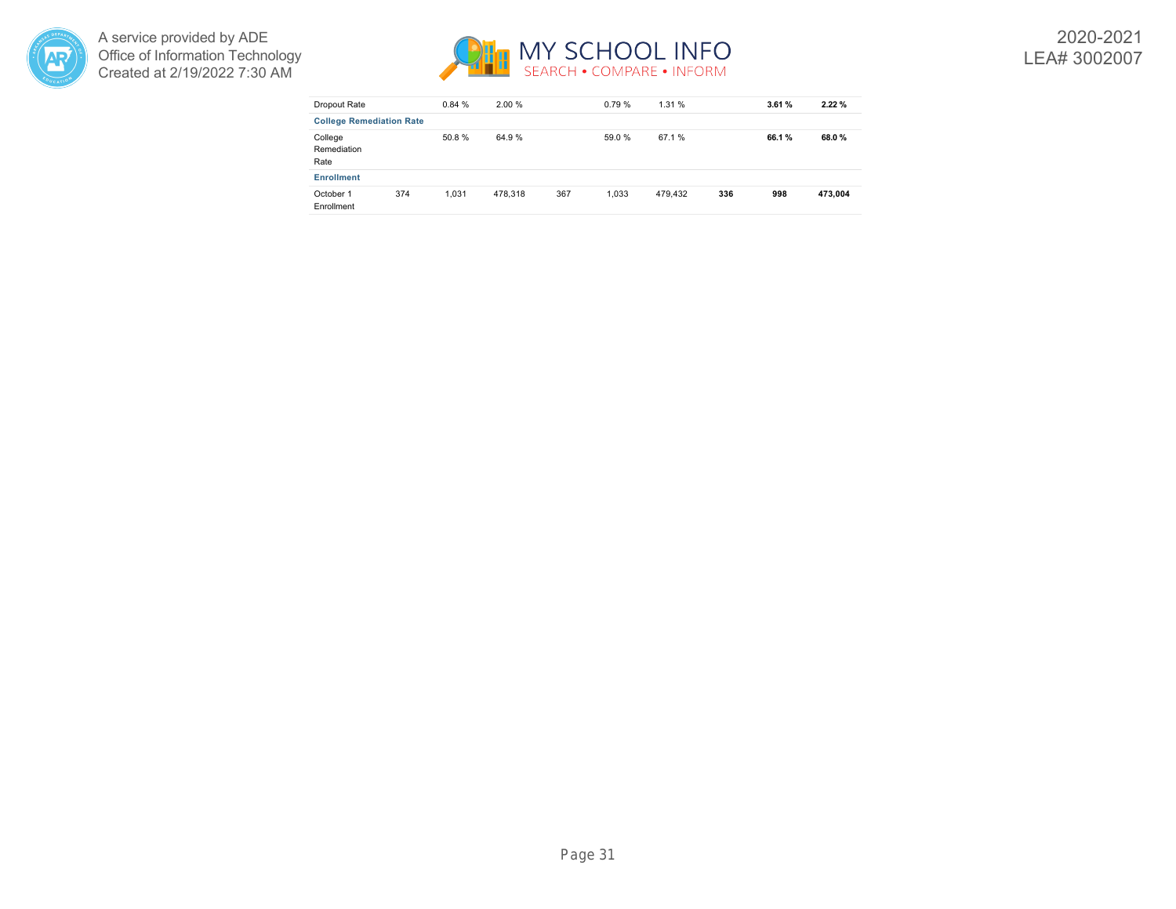



| Dropout Rate                    |     | 0.84% | 2.00 %  |     | 0.79%  | 1.31%   |     | 3.61% | 2.22%   |
|---------------------------------|-----|-------|---------|-----|--------|---------|-----|-------|---------|
| <b>College Remediation Rate</b> |     |       |         |     |        |         |     |       |         |
| College<br>Remediation<br>Rate  |     | 50.8% | 64.9%   |     | 59.0 % | 67.1 %  |     | 66.1% | 68.0%   |
| <b>Enrollment</b>               |     |       |         |     |        |         |     |       |         |
| October 1<br>Enrollment         | 374 | 1.031 | 478.318 | 367 | 1.033  | 479.432 | 336 | 998   | 473.004 |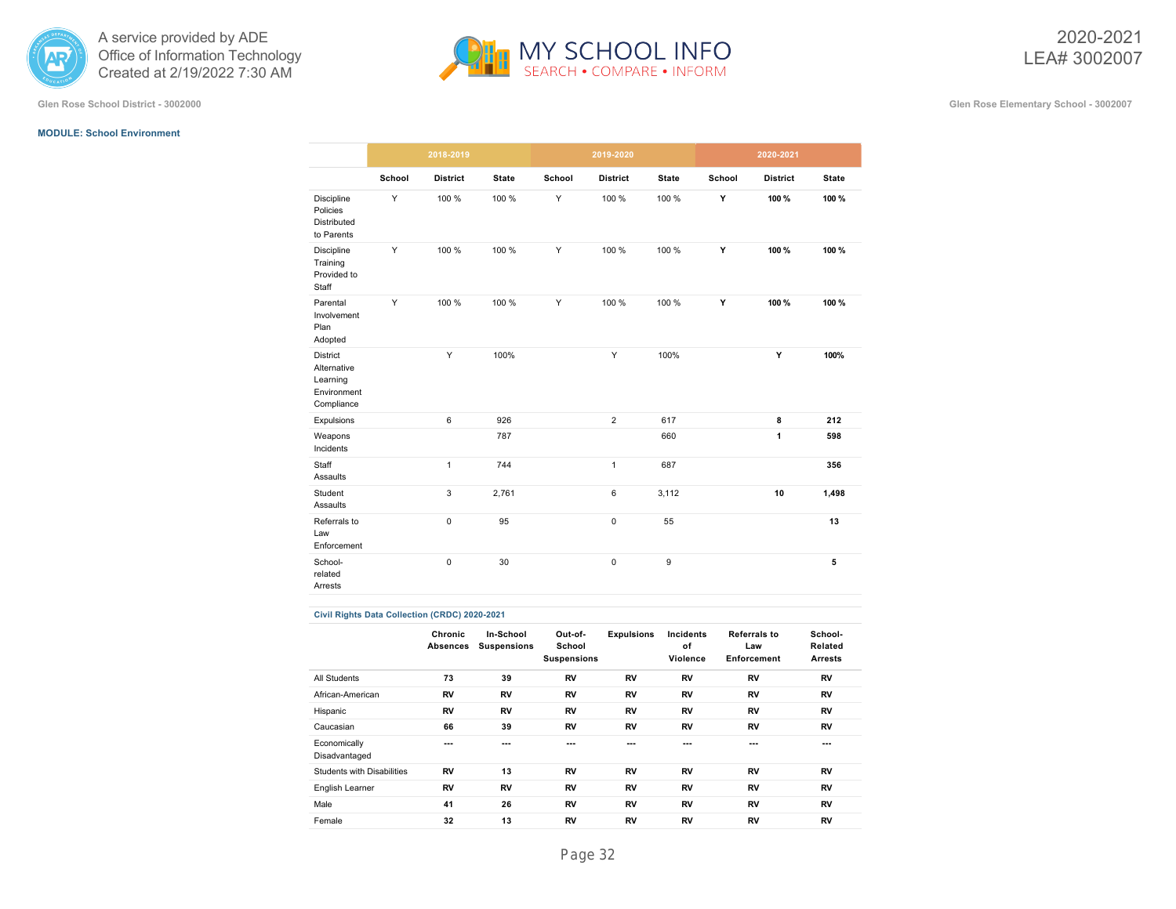



#### **MODULE: School Environment**

|                                                                  |        | 2018-2019       |              |        | 2019-2020       |                  | 2020-2021 |                 |              |  |
|------------------------------------------------------------------|--------|-----------------|--------------|--------|-----------------|------------------|-----------|-----------------|--------------|--|
|                                                                  | School | <b>District</b> | <b>State</b> | School | <b>District</b> | <b>State</b>     | School    | <b>District</b> | <b>State</b> |  |
| Discipline<br>Policies<br><b>Distributed</b><br>to Parents       | Y      | 100 %           | 100 %        | Y      | 100 %           | 100 %            | Y         | 100%            | 100%         |  |
| <b>Discipline</b><br>Training<br>Provided to<br>Staff            | Y      | 100 %           | 100 %        | Y      | 100 %           | 100 %            | Y         | 100%            | 100%         |  |
| Parental<br>Involvement<br>Plan<br>Adopted                       | Y      | 100 %           | 100 %        | Y      | 100 %           | 100 %            | Y         | 100%            | 100%         |  |
| District<br>Alternative<br>Learning<br>Environment<br>Compliance |        | Y               | 100%         |        | Υ               | 100%             |           | Y               | 100%         |  |
| Expulsions                                                       |        | 6               | 926          |        | $\overline{2}$  | 617              |           | 8               | 212          |  |
| Weapons<br>Incidents                                             |        |                 | 787          |        |                 | 660              |           | $\mathbf{1}$    | 598          |  |
| Staff<br>Assaults                                                |        | 1               | 744          |        | $\mathbf{1}$    | 687              |           |                 | 356          |  |
| Student<br>Assaults                                              |        | 3               | 2,761        |        | 6               | 3,112            |           | 10              | 1,498        |  |
| Referrals to<br>Law<br>Enforcement                               |        | $\pmb{0}$       | 95           |        | $\pmb{0}$       | 55               |           |                 | 13           |  |
| School-<br>related<br>Arrests                                    |        | 0               | 30           |        | $\pmb{0}$       | $\boldsymbol{9}$ |           |                 | 5            |  |

#### **Civil Rights Data Collection (CRDC) 2020-2021**

|                               | Chronic<br>Absences | In-School<br><b>Suspensions</b> | Out-of-<br>School<br><b>Suspensions</b> | <b>Expulsions</b> | Incidents<br>of<br>Violence | Referrals to<br>Law<br>Enforcement | School-<br>Related<br><b>Arrests</b> |
|-------------------------------|---------------------|---------------------------------|-----------------------------------------|-------------------|-----------------------------|------------------------------------|--------------------------------------|
| All Students                  | 73                  | 39                              | RV                                      | RV                | RV                          | RV                                 | RV                                   |
| African-American              | RV                  | RV                              | RV                                      | RV                | <b>RV</b>                   | <b>RV</b>                          | RV                                   |
| Hispanic                      | RV                  | RV                              | RV                                      | RV                | <b>RV</b>                   | RV                                 | RV                                   |
| Caucasian                     | 66                  | 39                              | RV                                      | RV                | RV                          | RV                                 | RV                                   |
| Economically<br>Disadvantaged | ---                 | ---                             | ---                                     | ---               | ---                         | ---                                | ---                                  |
| Students with Disabilities    | RV                  | 13                              | RV                                      | RV                | <b>RV</b>                   | RV                                 | RV                                   |
| English Learner               | RV                  | RV                              | RV                                      | RV                | RV                          | RV                                 | RV                                   |
| Male                          | 41                  | 26                              | RV                                      | RV                | RV                          | RV                                 | RV                                   |
| Female                        | 32                  | 13                              | RV                                      | RV                | RV                          | RV                                 | RV                                   |
|                               |                     |                                 |                                         |                   |                             |                                    |                                      |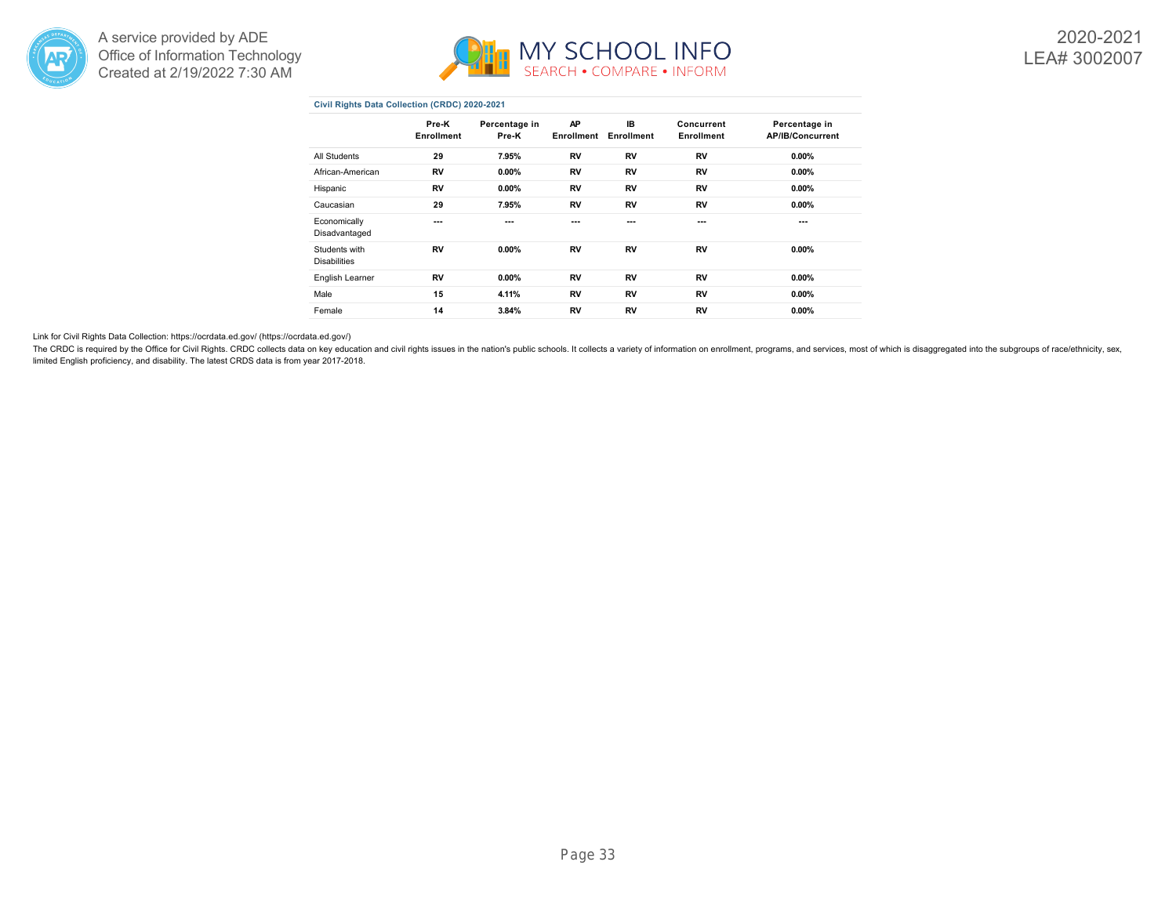



#### **Civil Rights Data Collection (CRDC) 2020-2021**

|                                      | Pre-K<br>Enrollment | Percentage in<br>Pre-K | AP<br>Enrollment | IB<br>Enrollment | Concurrent<br>Enrollment | Percentage in<br><b>AP/IB/Concurrent</b> |
|--------------------------------------|---------------------|------------------------|------------------|------------------|--------------------------|------------------------------------------|
| All Students                         | 29                  | 7.95%                  | RV               | RV               | RV                       | $0.00\%$                                 |
| African-American                     | RV                  | $0.00\%$               | RV               | RV               | RV                       | $0.00\%$                                 |
| Hispanic                             | RV                  | $0.00\%$               | RV               | RV               | RV                       | $0.00\%$                                 |
| Caucasian                            | 29                  | 7.95%                  | RV               | RV               | RV                       | $0.00\%$                                 |
| Economically<br>Disadvantaged        | ---                 | ---                    | ---              | ---              | ---                      | ---                                      |
| Students with<br><b>Disabilities</b> | RV                  | $0.00\%$               | RV               | RV               | RV                       | $0.00\%$                                 |
| English Learner                      | RV                  | $0.00\%$               | RV               | RV               | RV                       | $0.00\%$                                 |
| Male                                 | 15                  | 4.11%                  | RV               | RV               | RV                       | $0.00\%$                                 |
| Female                               | 14                  | 3.84%                  | RV               | RV               | RV                       | $0.00\%$                                 |

Link for Civil Rights Data Collection: [https://ocrdata.ed.gov/ \(https://ocrdata.ed.gov/\)](https://ocrdata.ed.gov/)

The CRDC is required by the Office for Civil Rights. CRDC collects data on key education and civil rights issues in the nation's public schools. It collects data variety of information on enrollment, programs, and services limited English proficiency, and disability. The latest CRDS data is from year 2017-2018.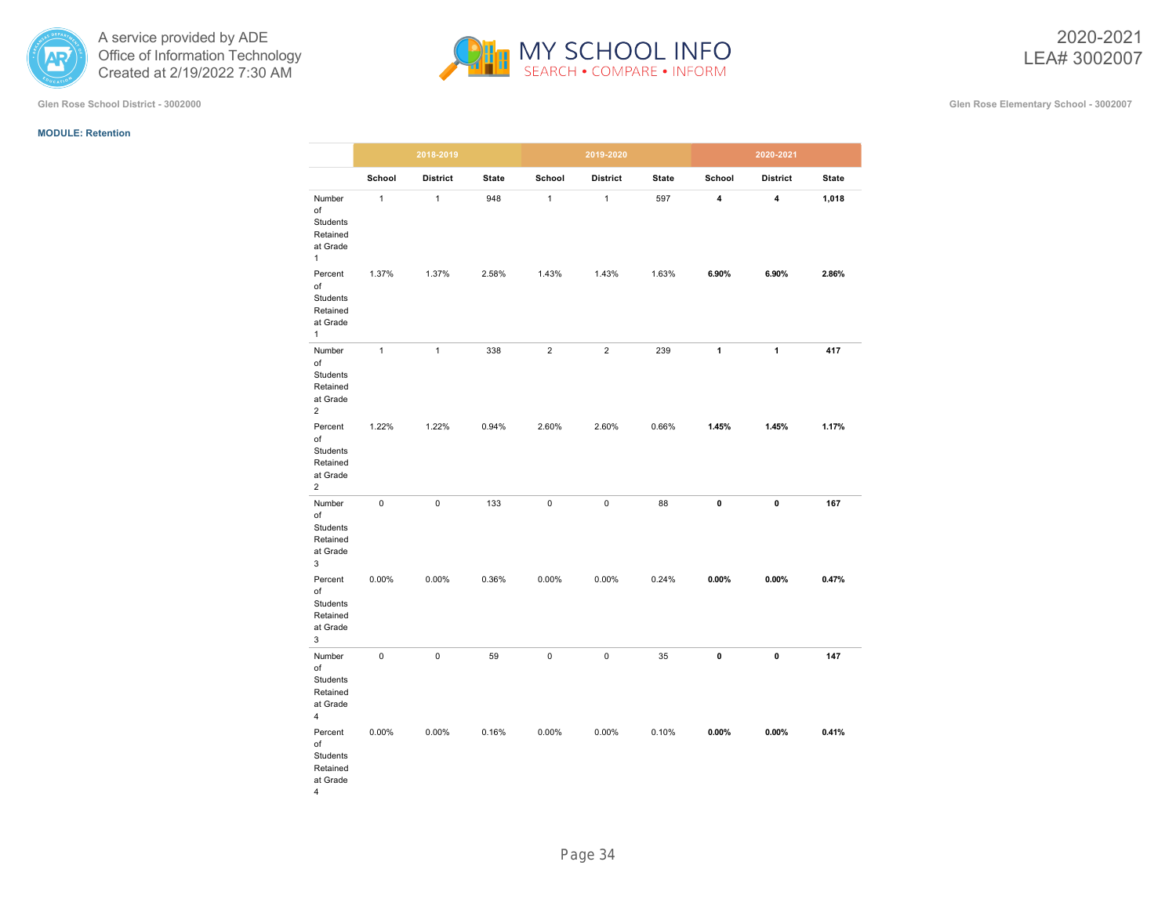

**Glen Rose School District - 3002000 Glen Rose Elementary School - 3002007**

#### **MODULE: Retention**



|                                                                     |              | 2018-2019       |              |                | 2019-2020       |              |          | 2020-2021               |              |
|---------------------------------------------------------------------|--------------|-----------------|--------------|----------------|-----------------|--------------|----------|-------------------------|--------------|
|                                                                     | School       | <b>District</b> | <b>State</b> | School         | <b>District</b> | <b>State</b> | School   | <b>District</b>         | <b>State</b> |
| Number<br>of<br>Students<br>Retained<br>at Grade<br>$\mathbf{1}$    | $\mathbf{1}$ | $\mathbf{1}$    | 948          | $\mathbf{1}$   | $\mathbf{1}$    | 597          | 4        | $\overline{\mathbf{4}}$ | 1,018        |
| Percent<br>of<br>Students<br>Retained<br>at Grade<br>$\mathbf{1}$   | 1.37%        | 1.37%           | 2.58%        | 1.43%          | 1.43%           | 1.63%        | 6.90%    | 6.90%                   | 2.86%        |
| Number<br>of<br>Students<br>Retained<br>at Grade<br>2               | $\mathbf{1}$ | $\mathbf{1}$    | 338          | $\overline{c}$ | $\overline{2}$  | 239          | 1        | $\mathbf{1}$            | 417          |
| Percent<br>of<br>Students<br>Retained<br>at Grade<br>$\overline{2}$ | 1.22%        | 1.22%           | 0.94%        | 2.60%          | 2.60%           | 0.66%        | 1.45%    | 1.45%                   | 1.17%        |
| Number<br>of<br>Students<br>Retained<br>at Grade<br>3               | 0            | 0               | 133          | $\pmb{0}$      | 0               | 88           | 0        | 0                       | 167          |
| Percent<br>of<br>Students<br>Retained<br>at Grade<br>3              | 0.00%        | 0.00%           | 0.36%        | 0.00%          | 0.00%           | 0.24%        | $0.00\%$ | $0.00\%$                | 0.47%        |
| Number<br>of<br>Students<br>Retained<br>at Grade<br>4               | 0            | 0               | 59           | $\pmb{0}$      | 0               | 35           | 0        | 0                       | 147          |
| Percent<br>of<br>Students<br>Retained<br>at Grade<br>4              | 0.00%        | 0.00%           | 0.16%        | 0.00%          | 0.00%           | 0.10%        | $0.00\%$ | $0.00\%$                | 0.41%        |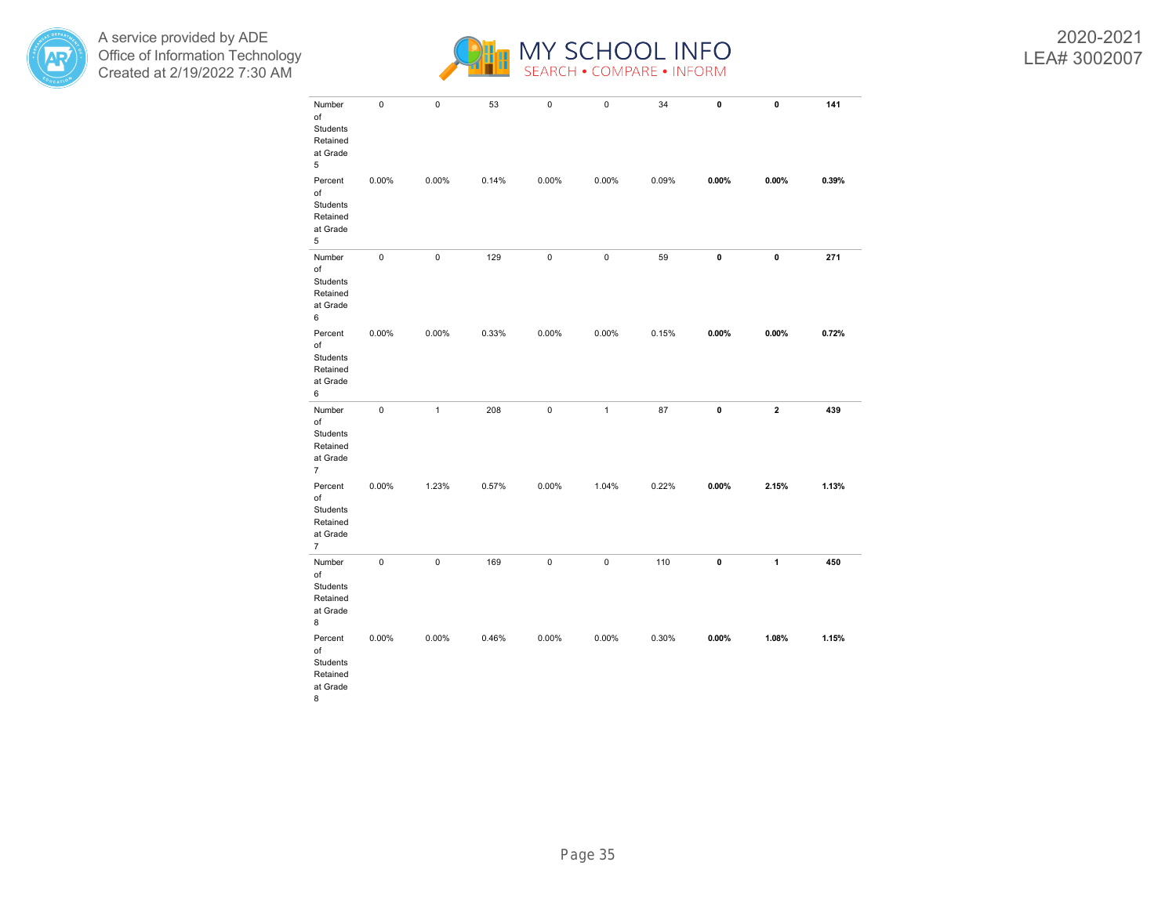



2020-2021 LEA# 3002007

| Number<br>of<br>Students<br>Retained<br>at Grade<br>5               | $\pmb{0}$   | 0            | 53    | $\pmb{0}$   | $\pmb{0}$    | 34    | 0        | 0        | 141   |
|---------------------------------------------------------------------|-------------|--------------|-------|-------------|--------------|-------|----------|----------|-------|
| Percent<br>of<br>Students<br>Retained<br>at Grade<br>5              | 0.00%       | 0.00%        | 0.14% | 0.00%       | 0.00%        | 0.09% | $0.00\%$ | $0.00\%$ | 0.39% |
| Number<br>of<br>Students<br>Retained<br>at Grade<br>6               | $\mathbf 0$ | 0            | 129   | $\pmb{0}$   | $\mathbf 0$  | 59    | 0        | 0        | 271   |
| Percent<br>of<br>Students<br>Retained<br>at Grade<br>6              | 0.00%       | 0.00%        | 0.33% | 0.00%       | 0.00%        | 0.15% | $0.00\%$ | $0.00\%$ | 0.72% |
| Number<br>of<br>Students<br>Retained<br>at Grade<br>$\overline{7}$  | $\pmb{0}$   | $\mathbf{1}$ | 208   | $\pmb{0}$   | $\mathbf{1}$ | 87    | 0        | 2        | 439   |
| Percent<br>of<br>Students<br>Retained<br>at Grade<br>$\overline{7}$ | 0.00%       | 1.23%        | 0.57% | 0.00%       | 1.04%        | 0.22% | $0.00\%$ | 2.15%    | 1.13% |
| Number<br>of<br>Students<br>Retained<br>at Grade<br>8               | $\mathbf 0$ | 0            | 169   | $\mathbf 0$ | $\pmb{0}$    | 110   | 0        | 1        | 450   |
| Percent<br>of<br>Students<br>Retained<br>at Grade<br>8              | 0.00%       | 0.00%        | 0.46% | 0.00%       | 0.00%        | 0.30% | $0.00\%$ | 1.08%    | 1.15% |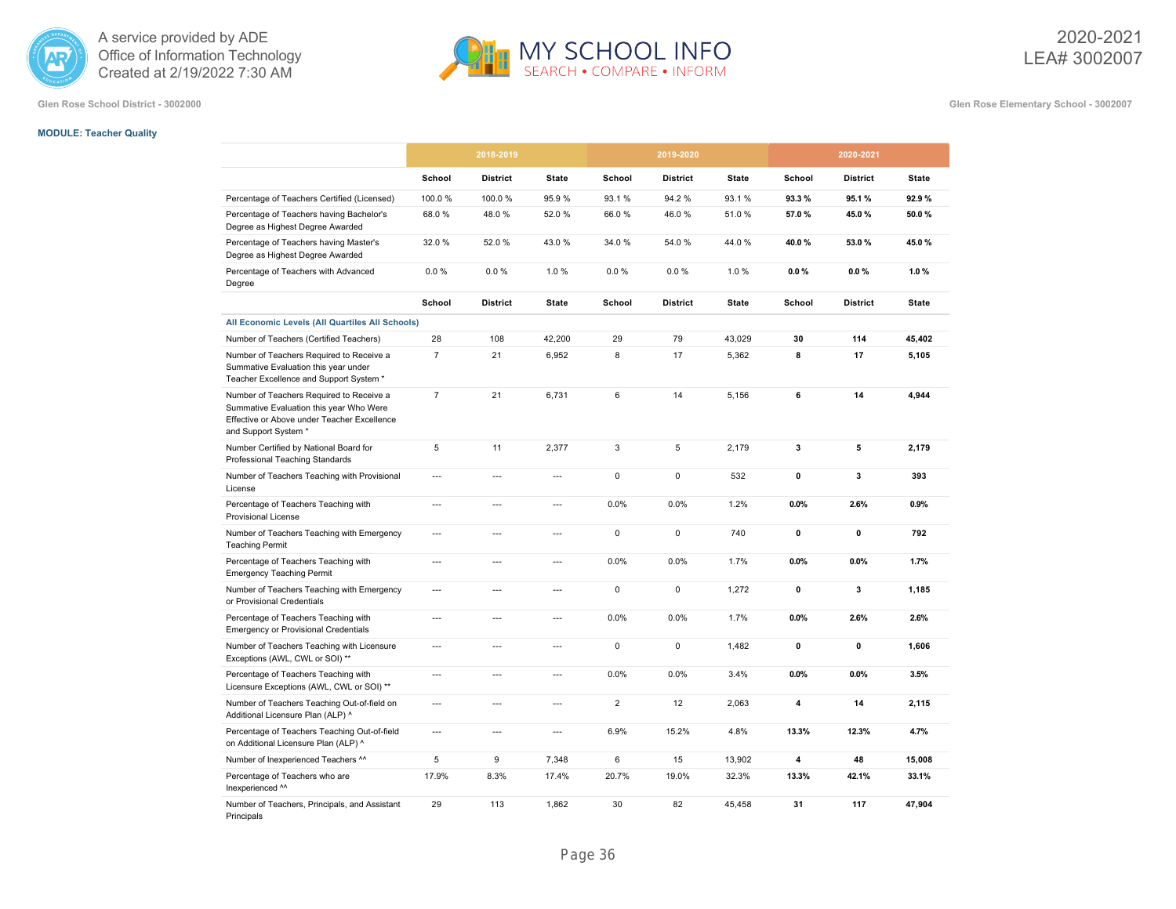



**Glen Rose School District - 3002000 Glen Rose Elementary School - 3002007**

# **MODULE: Teacher Quality**

|                                                                                                                                                            |                | 2018-2019       |                          |                | 2019-2020       |              |                | 2020-2021       |              |
|------------------------------------------------------------------------------------------------------------------------------------------------------------|----------------|-----------------|--------------------------|----------------|-----------------|--------------|----------------|-----------------|--------------|
|                                                                                                                                                            | School         | <b>District</b> | <b>State</b>             | School         | <b>District</b> | <b>State</b> | School         | <b>District</b> | <b>State</b> |
| Percentage of Teachers Certified (Licensed)                                                                                                                | 100.0%         | 100.0%          | 95.9%                    | 93.1%          | 94.2%           | 93.1%        | 93.3%          | 95.1%           | 92.9%        |
| Percentage of Teachers having Bachelor's<br>Degree as Highest Degree Awarded                                                                               | 68.0%          | 48.0%           | 52.0%                    | 66.0%          | 46.0%           | 51.0%        | 57.0%          | 45.0%           | 50.0%        |
| Percentage of Teachers having Master's<br>Degree as Highest Degree Awarded                                                                                 | 32.0%          | 52.0%           | 43.0%                    | 34.0%          | 54.0%           | 44.0%        | 40.0%          | 53.0%           | 45.0%        |
| Percentage of Teachers with Advanced<br>Degree                                                                                                             | $0.0 \%$       | 0.0%            | 1.0%                     | 0.0 %          | $0.0 \%$        | 1.0%         | 0.0%           | 0.0%            | 1.0%         |
|                                                                                                                                                            | School         | <b>District</b> | <b>State</b>             | School         | <b>District</b> | <b>State</b> | School         | <b>District</b> | <b>State</b> |
| All Economic Levels (All Quartiles All Schools)                                                                                                            |                |                 |                          |                |                 |              |                |                 |              |
| Number of Teachers (Certified Teachers)                                                                                                                    | 28             | 108             | 42,200                   | 29             | 79              | 43,029       | 30             | 114             | 45,402       |
| Number of Teachers Required to Receive a<br>Summative Evaluation this year under<br>Teacher Excellence and Support System *                                | $\overline{7}$ | 21              | 6,952                    | 8              | 17              | 5,362        | 8              | 17              | 5,105        |
| Number of Teachers Required to Receive a<br>Summative Evaluation this year Who Were<br>Effective or Above under Teacher Excellence<br>and Support System * | $\overline{7}$ | 21              | 6,731                    | 6              | 14              | 5,156        | 6              | 14              | 4,944        |
| Number Certified by National Board for<br>Professional Teaching Standards                                                                                  | 5              | 11              | 2,377                    | 3              | 5               | 2,179        | 3              | 5               | 2,179        |
| Number of Teachers Teaching with Provisional<br>License                                                                                                    | $\overline{a}$ | $\overline{a}$  | $\overline{a}$           | 0              | 0               | 532          | $\pmb{0}$      | 3               | 393          |
| Percentage of Teachers Teaching with<br><b>Provisional License</b>                                                                                         | ---            | ---             | ---                      | 0.0%           | 0.0%            | 1.2%         | 0.0%           | 2.6%            | 0.9%         |
| Number of Teachers Teaching with Emergency<br><b>Teaching Permit</b>                                                                                       | $\overline{a}$ | $\overline{a}$  | $\overline{\phantom{a}}$ | $\mathbf 0$    | $\mathbf 0$     | 740          | $\mathbf 0$    | 0               | 792          |
| Percentage of Teachers Teaching with<br><b>Emergency Teaching Permit</b>                                                                                   | $\overline{a}$ | ---             | $\overline{\phantom{a}}$ | 0.0%           | 0.0%            | 1.7%         | 0.0%           | 0.0%            | 1.7%         |
| Number of Teachers Teaching with Emergency<br>or Provisional Credentials                                                                                   | $\overline{a}$ | $\overline{a}$  | $\overline{\phantom{a}}$ | $\mathbf 0$    | 0               | 1,272        | $\mathbf 0$    | 3               | 1,185        |
| Percentage of Teachers Teaching with<br><b>Emergency or Provisional Credentials</b>                                                                        | $\overline{a}$ | $\overline{a}$  | $\overline{\phantom{a}}$ | 0.0%           | 0.0%            | 1.7%         | 0.0%           | 2.6%            | 2.6%         |
| Number of Teachers Teaching with Licensure<br>Exceptions (AWL, CWL or SOI) **                                                                              | ---            | ---             | ---                      | $\mathsf 0$    | 0               | 1,482        | $\mathbf 0$    | 0               | 1,606        |
| Percentage of Teachers Teaching with<br>Licensure Exceptions (AWL, CWL or SOI) **                                                                          | $\overline{a}$ | $\overline{a}$  | $\overline{a}$           | 0.0%           | 0.0%            | 3.4%         | 0.0%           | 0.0%            | 3.5%         |
| Number of Teachers Teaching Out-of-field on<br>Additional Licensure Plan (ALP) ^                                                                           | $\overline{a}$ | $\overline{a}$  | $\overline{\phantom{a}}$ | $\overline{2}$ | 12              | 2,063        | 4              | 14              | 2,115        |
| Percentage of Teachers Teaching Out-of-field<br>on Additional Licensure Plan (ALP) ^                                                                       | $\overline{a}$ | ---             | ---                      | 6.9%           | 15.2%           | 4.8%         | 13.3%          | 12.3%           | 4.7%         |
| Number of Inexperienced Teachers ^^                                                                                                                        | 5              | 9               | 7,348                    | 6              | 15              | 13,902       | $\overline{4}$ | 48              | 15,008       |
| Percentage of Teachers who are<br>Inexperienced ^^                                                                                                         | 17.9%          | 8.3%            | 17.4%                    | 20.7%          | 19.0%           | 32.3%        | 13.3%          | 42.1%           | 33.1%        |
| Number of Teachers, Principals, and Assistant<br>Principals                                                                                                | 29             | 113             | 1,862                    | 30             | 82              | 45,458       | 31             | 117             | 47,904       |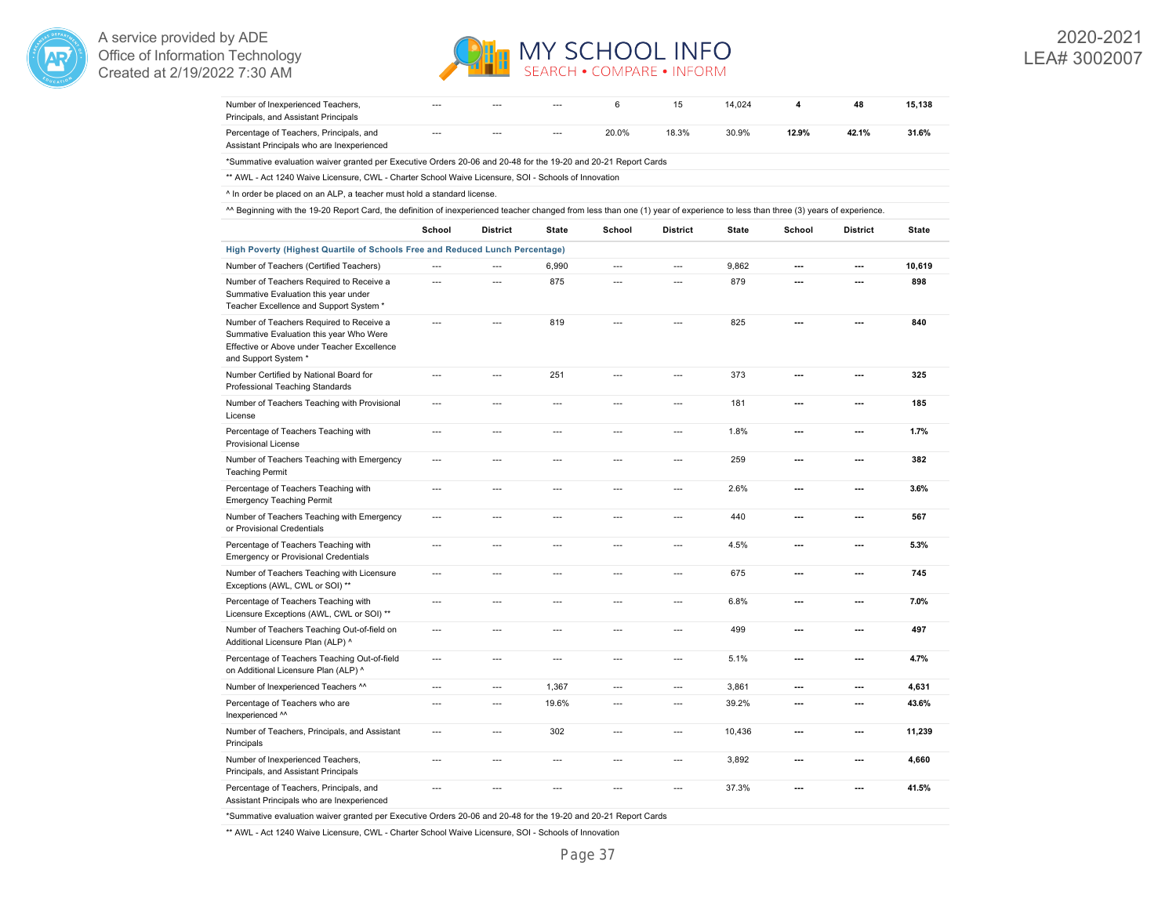



| Number of Inexperienced Teachers,<br>Principals, and Assistant Principals                                                                                                      |                |                 |                | 6              | 15              | 14,024 | 4                        | 48              | 15,138       |
|--------------------------------------------------------------------------------------------------------------------------------------------------------------------------------|----------------|-----------------|----------------|----------------|-----------------|--------|--------------------------|-----------------|--------------|
| Percentage of Teachers, Principals, and<br>Assistant Principals who are Inexperienced                                                                                          | $\overline{a}$ | $\overline{a}$  | $\overline{a}$ | 20.0%          | 18.3%           | 30.9%  | 12.9%                    | 42.1%           | 31.6%        |
| *Summative evaluation waiver granted per Executive Orders 20-06 and 20-48 for the 19-20 and 20-21 Report Cards                                                                 |                |                 |                |                |                 |        |                          |                 |              |
| ** AWL - Act 1240 Waive Licensure, CWL - Charter School Waive Licensure, SOI - Schools of Innovation                                                                           |                |                 |                |                |                 |        |                          |                 |              |
| ^ In order be placed on an ALP, a teacher must hold a standard license.                                                                                                        |                |                 |                |                |                 |        |                          |                 |              |
| ^^ Beginning with the 19-20 Report Card, the definition of inexperienced teacher changed from less than one (1) year of experience to less than three (3) years of experience. |                |                 |                |                |                 |        |                          |                 |              |
|                                                                                                                                                                                | School         | <b>District</b> | <b>State</b>   | School         | <b>District</b> | State  | School                   | <b>District</b> | <b>State</b> |
| High Poverty (Highest Quartile of Schools Free and Reduced Lunch Percentage)                                                                                                   |                |                 |                |                |                 |        |                          |                 |              |
| Number of Teachers (Certified Teachers)                                                                                                                                        | $\overline{a}$ |                 | 6,990          | $\overline{a}$ | $\overline{a}$  | 9,862  | $\overline{a}$           | ---             | 10,619       |
| Number of Teachers Required to Receive a<br>Summative Evaluation this year under<br>Teacher Excellence and Support System *                                                    | ---            | ---             | 875            | ---            | ---             | 879    | ---                      | ---             | 898          |
| Number of Teachers Required to Receive a<br>Summative Evaluation this year Who Were<br>Effective or Above under Teacher Excellence<br>and Support System *                     | $\overline{a}$ | $\overline{a}$  | 819            | $\overline{a}$ | $\overline{a}$  | 825    | $\overline{a}$           | ---             | 840          |
| Number Certified by National Board for<br>Professional Teaching Standards                                                                                                      | $\overline{a}$ | $\sim$          | 251            | $\sim$         | $\sim$          | 373    | $\sim$                   | ---             | 325          |
| Number of Teachers Teaching with Provisional<br>License                                                                                                                        | $\overline{a}$ | $\overline{a}$  | $\overline{a}$ | $\overline{a}$ | $\overline{a}$  | 181    | $\overline{a}$           | ---             | 185          |
| Percentage of Teachers Teaching with<br><b>Provisional License</b>                                                                                                             | $\overline{a}$ | $\overline{a}$  | $\overline{a}$ | $\overline{a}$ | $\sim$          | 1.8%   | $\overline{a}$           | ---             | 1.7%         |
| Number of Teachers Teaching with Emergency<br><b>Teaching Permit</b>                                                                                                           | $\overline{a}$ | $\overline{a}$  | $\overline{a}$ | $\overline{a}$ | $\overline{a}$  | 259    | $\overline{a}$           | ---             | 382          |
| Percentage of Teachers Teaching with<br><b>Emergency Teaching Permit</b>                                                                                                       | $\overline{a}$ | $\overline{a}$  | $\overline{a}$ | $\sim$         | $\overline{a}$  | 2.6%   | ---                      | ---             | 3.6%         |
| Number of Teachers Teaching with Emergency<br>or Provisional Credentials                                                                                                       | $\overline{a}$ | $\overline{a}$  | $\overline{a}$ | $\sim$         | $\overline{a}$  | 440    | $\overline{a}$           | ---             | 567          |
| Percentage of Teachers Teaching with<br><b>Emergency or Provisional Credentials</b>                                                                                            | $\overline{a}$ | $\overline{a}$  | $\overline{a}$ | $\overline{a}$ | $\overline{a}$  | 4.5%   | ---                      | ---             | 5.3%         |
| Number of Teachers Teaching with Licensure<br>Exceptions (AWL, CWL or SOI) **                                                                                                  | $\overline{a}$ | $\overline{a}$  | ---            | $\overline{a}$ | ---             | 675    | $\overline{a}$           | ---             | 745          |
| Percentage of Teachers Teaching with<br>Licensure Exceptions (AWL, CWL or SOI) **                                                                                              | $\overline{a}$ | $---$           | $\overline{a}$ | $\overline{a}$ | $\overline{a}$  | 6.8%   | $\overline{a}$           | ---             | 7.0%         |
| Number of Teachers Teaching Out-of-field on<br>Additional Licensure Plan (ALP) ^                                                                                               | $\overline{a}$ | $\overline{a}$  | $\overline{a}$ | $\overline{a}$ | ---             | 499    | ---                      | ---             | 497          |
| Percentage of Teachers Teaching Out-of-field<br>on Additional Licensure Plan (ALP) ^                                                                                           | ---            | $\overline{a}$  | $\sim$         | $\sim$         | $\sim$          | 5.1%   | $\overline{a}$           | ---             | 4.7%         |
| Number of Inexperienced Teachers ^^                                                                                                                                            | ---            | $---$           | 1,367          | $\overline{a}$ | $\overline{a}$  | 3,861  | $\overline{a}$           | ---             | 4,631        |
| Percentage of Teachers who are<br>Inexperienced ^^                                                                                                                             | ---            | $\overline{a}$  | 19.6%          | $\overline{a}$ | $\overline{a}$  | 39.2%  | $\overline{a}$           | ---             | 43.6%        |
| Number of Teachers, Principals, and Assistant<br>Principals                                                                                                                    | $---$          | $---$           | 302            | $\overline{a}$ | $\overline{a}$  | 10,436 | $\overline{a}$           | ---             | 11,239       |
| Number of Inexperienced Teachers,<br>Principals, and Assistant Principals                                                                                                      | $\overline{a}$ | $\overline{a}$  | $\overline{a}$ | $\overline{a}$ | $\overline{a}$  | 3,892  | $\overline{\phantom{a}}$ | ---             | 4,660        |
| Percentage of Teachers, Principals, and<br>Assistant Principals who are Inexperienced                                                                                          | ---            | $\overline{a}$  | $\overline{a}$ | $\overline{a}$ | $\overline{a}$  | 37.3%  | $\overline{\phantom{a}}$ | ---             | 41.5%        |

\*Summative evaluation waiver granted per Executive Orders 20-06 and 20-48 for the 19-20 and 20-21 Report Cards

\*\* AWL - Act 1240 Waive Licensure, CWL - Charter School Waive Licensure, SOI - Schools of Innovation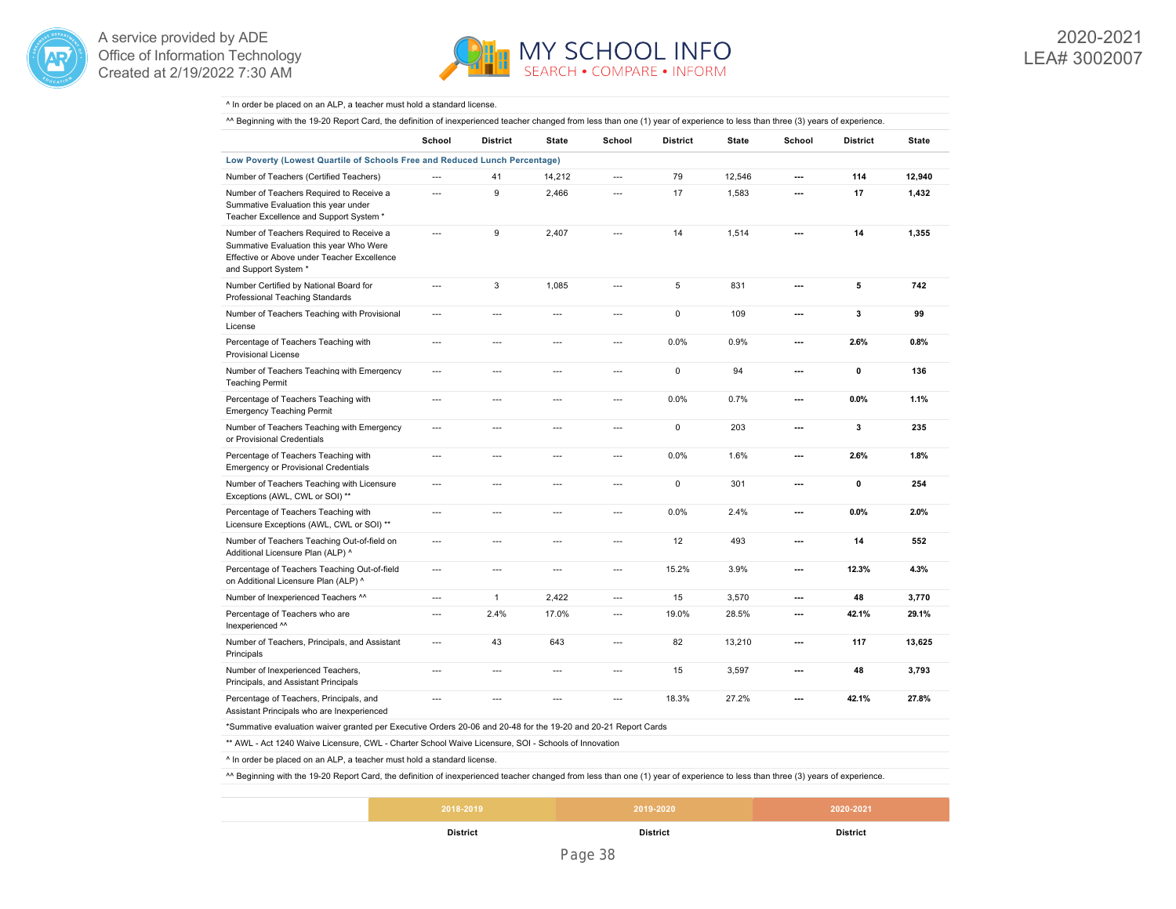



#### ^ In order be placed on an ALP, a teacher must hold a standard license.

A Beginning with the 19-20 Report Card, the definition of inexperienced teacher changed from less than one (1) year of experience to less than three (3) years of experience.

|                                                                                                                                                            | School         | <b>District</b>          | <b>State</b>             | School         | <b>District</b> | <b>State</b> | School                   | <b>District</b> | <b>State</b> |
|------------------------------------------------------------------------------------------------------------------------------------------------------------|----------------|--------------------------|--------------------------|----------------|-----------------|--------------|--------------------------|-----------------|--------------|
| Low Poverty (Lowest Quartile of Schools Free and Reduced Lunch Percentage)                                                                                 |                |                          |                          |                |                 |              |                          |                 |              |
| Number of Teachers (Certified Teachers)                                                                                                                    | ---            | 41                       | 14,212                   | ---            | 79              | 12,546       | ---                      | 114             | 12,940       |
| Number of Teachers Required to Receive a<br>Summative Evaluation this year under<br>Teacher Excellence and Support System *                                | $\overline{a}$ | 9                        | 2,466                    | $\overline{a}$ | 17              | 1,583        | ---                      | 17              | 1,432        |
| Number of Teachers Required to Receive a<br>Summative Evaluation this year Who Were<br>Effective or Above under Teacher Excellence<br>and Support System * | ---            | 9                        | 2,407                    | ---            | 14              | 1,514        | ---                      | 14              | 1,355        |
| Number Certified by National Board for<br>Professional Teaching Standards                                                                                  | ---            | 3                        | 1,085                    | $---$          | 5               | 831          | $\overline{\phantom{a}}$ | 5               | 742          |
| Number of Teachers Teaching with Provisional<br>License                                                                                                    | ---            | ---                      | $\overline{a}$           | ---            | $\mathbf 0$     | 109          | ---                      | 3               | 99           |
| Percentage of Teachers Teaching with<br><b>Provisional License</b>                                                                                         | $\sim$         | $\overline{a}$           | $\overline{a}$           | $\sim$         | 0.0%            | 0.9%         | $\sim$                   | 2.6%            | 0.8%         |
| Number of Teachers Teaching with Emergency<br><b>Teaching Permit</b>                                                                                       | ---            | $\overline{\phantom{a}}$ | $\overline{\phantom{a}}$ | ---            | $\mathbf 0$     | 94           | $\overline{\phantom{a}}$ | 0               | 136          |
| Percentage of Teachers Teaching with<br><b>Emergency Teaching Permit</b>                                                                                   | $\overline{a}$ | $\overline{a}$           | $\overline{a}$           | $\overline{a}$ | 0.0%            | 0.7%         | ---                      | 0.0%            | 1.1%         |
| Number of Teachers Teaching with Emergency<br>or Provisional Credentials                                                                                   | ---            | ---                      | $\overline{\phantom{a}}$ | ---            | 0               | 203          | ---                      | 3               | 235          |
| Percentage of Teachers Teaching with<br><b>Emergency or Provisional Credentials</b>                                                                        | ---            | ---                      | ---                      | ---            | 0.0%            | 1.6%         | ---                      | 2.6%            | 1.8%         |
| Number of Teachers Teaching with Licensure<br>Exceptions (AWL, CWL or SOI) **                                                                              | ---            | $\overline{a}$           | $---$                    | $\overline{a}$ | 0               | 301          | ---                      | 0               | 254          |
| Percentage of Teachers Teaching with<br>Licensure Exceptions (AWL, CWL or SOI) **                                                                          | ---            | ---                      | $---$                    | ---            | 0.0%            | 2.4%         | ---                      | 0.0%            | 2.0%         |
| Number of Teachers Teaching Out-of-field on<br>Additional Licensure Plan (ALP) ^                                                                           | $\overline{a}$ | $\overline{a}$           | $\overline{a}$           | $\sim$         | 12              | 493          | $\sim$                   | 14              | 552          |
| Percentage of Teachers Teaching Out-of-field<br>on Additional Licensure Plan (ALP) ^                                                                       | ---            | $\overline{\phantom{a}}$ | $\overline{\phantom{a}}$ | ---            | 15.2%           | 3.9%         | $\overline{\phantom{a}}$ | 12.3%           | 4.3%         |
| Number of Inexperienced Teachers ^^                                                                                                                        | ---            | $\mathbf{1}$             | 2,422                    | $\overline{a}$ | 15              | 3,570        | ---                      | 48              | 3,770        |
| Percentage of Teachers who are<br>Inexperienced ^^                                                                                                         | ---            | 2.4%                     | 17.0%                    | $\overline{a}$ | 19.0%           | 28.5%        | ---                      | 42.1%           | 29.1%        |
| Number of Teachers, Principals, and Assistant<br>Principals                                                                                                | ---            | 43                       | 643                      | $---$          | 82              | 13,210       | ---                      | 117             | 13,625       |
| Number of Inexperienced Teachers,<br>Principals, and Assistant Principals                                                                                  | ---            | ---                      | $\overline{\phantom{a}}$ | ---            | 15              | 3,597        | ---                      | 48              | 3,793        |
| Percentage of Teachers, Principals, and<br>Assistant Principals who are Inexperienced                                                                      | ---            | ---                      | $---$                    | $---$          | 18.3%           | 27.2%        | ---                      | 42.1%           | 27.8%        |
| *Summative evaluation waiver granted per Executive Orders 20-06 and 20-48 for the 19-20 and 20-21 Report Cards                                             |                |                          |                          |                |                 |              |                          |                 |              |
| ** AWL - Act 1240 Waive Licensure, CWL - Charter School Waive Licensure, SOI - Schools of Innovation                                                       |                |                          |                          |                |                 |              |                          |                 |              |
| $1.11$ and $1.11$ and $1.11$ and $1.11$ and $1.11$ and $1.11$ and $1.11$ and $1.11$ and $1.11$ and $1.11$                                                  |                |                          |                          |                |                 |              |                          |                 |              |

^ In order be placed on an ALP, a teacher must hold a standard license.

^^ Beginning with the 19-20 Report Card, the definition of inexperienced teacher changed from less than one (1) year of experience to less than three (3) years of experience.

| <b>District</b> | <b>District</b> | District  |  |
|-----------------|-----------------|-----------|--|
| 2018-2019       | 2019-2020       | 2020-2021 |  |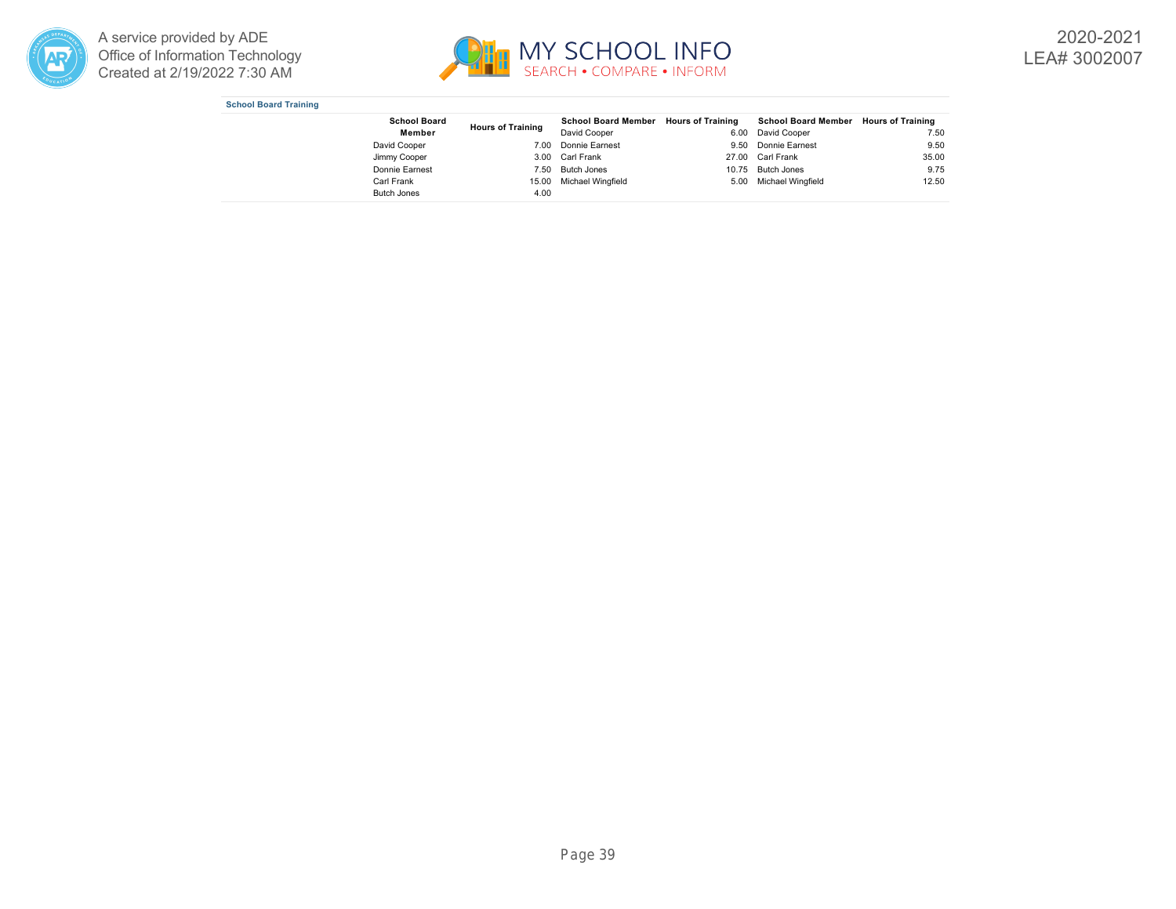



2020-2021 LEA# 3002007

|  |  | <b>School Board Training</b> |
|--|--|------------------------------|
|--|--|------------------------------|

| <b>School Board</b> | <b>Hours of Training</b> | School Board Member Hours of Training |       | School Board Member Hours of Training |       |
|---------------------|--------------------------|---------------------------------------|-------|---------------------------------------|-------|
| Member              |                          | David Cooper                          | 6.00  | David Cooper                          | 7.50  |
| David Cooper        | 7.00                     | Donnie Earnest                        | 9.50  | Donnie Earnest                        | 9.50  |
| Jimmy Cooper        |                          | 3.00 Carl Frank                       |       | 27.00 Carl Frank                      | 35.00 |
| Donnie Earnest      | 7.50                     | Butch Jones                           | 10.75 | <b>Butch Jones</b>                    | 9.75  |
| Carl Frank          | 15.00                    | Michael Wingfield                     | 5.00  | Michael Wingfield                     | 12.50 |
| <b>Butch Jones</b>  | 4.00                     |                                       |       |                                       |       |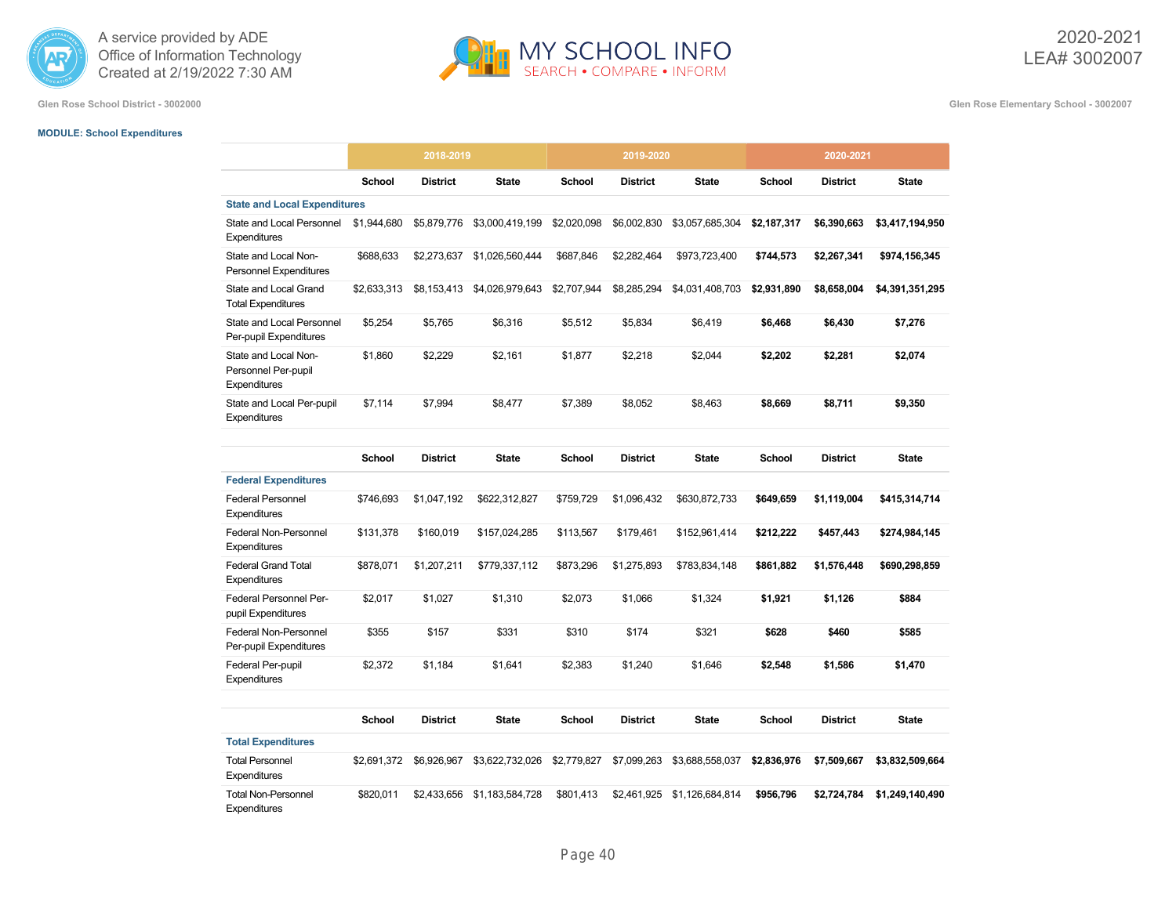



**Glen Rose School District - 3002000 Glen Rose Elementary School - 3002007**

# **MODULE: School Expenditures**

|                                                             | 2018-2019     |                 |                 |             | 2019-2020       |                 |               | 2020-2021       |                 |
|-------------------------------------------------------------|---------------|-----------------|-----------------|-------------|-----------------|-----------------|---------------|-----------------|-----------------|
|                                                             | School        | <b>District</b> | <b>State</b>    | School      | <b>District</b> | <b>State</b>    | <b>School</b> | <b>District</b> | <b>State</b>    |
| <b>State and Local Expenditures</b>                         |               |                 |                 |             |                 |                 |               |                 |                 |
| State and Local Personnel<br>Expenditures                   | \$1,944,680   | \$5,879,776     | \$3,000,419,199 | \$2,020,098 | \$6,002,830     | \$3,057,685,304 | \$2,187,317   | \$6,390,663     | \$3,417,194,950 |
| State and Local Non-<br>Personnel Expenditures              | \$688.633     | \$2,273,637     | \$1,026,560,444 | \$687.846   | \$2.282.464     | \$973,723,400   | \$744,573     | \$2,267,341     | \$974,156,345   |
| State and Local Grand<br><b>Total Expenditures</b>          | \$2,633,313   | \$8,153,413     | \$4,026,979,643 | \$2,707,944 | \$8,285,294     | \$4,031,408,703 | \$2,931,890   | \$8,658,004     | \$4,391,351,295 |
| State and Local Personnel<br>Per-pupil Expenditures         | \$5,254       | \$5,765         | \$6,316         | \$5,512     | \$5,834         | \$6,419         | \$6,468       | \$6,430         | \$7,276         |
| State and Local Non-<br>Personnel Per-pupil<br>Expenditures | \$1,860       | \$2,229         | \$2,161         | \$1,877     | \$2,218         | \$2,044         | \$2,202       | \$2,281         | \$2,074         |
| State and Local Per-pupil<br>Expenditures                   | \$7,114       | \$7,994         | \$8,477         | \$7,389     | \$8,052         | \$8,463         | \$8,669       | \$8,711         | \$9,350         |
|                                                             | <b>School</b> | <b>District</b> | <b>State</b>    | School      | <b>District</b> | <b>State</b>    | School        | <b>District</b> | <b>State</b>    |
| <b>Federal Expenditures</b>                                 |               |                 |                 |             |                 |                 |               |                 |                 |
| <b>Federal Personnel</b><br>Expenditures                    | \$746,693     | \$1,047,192     | \$622,312,827   | \$759,729   | \$1,096,432     | \$630,872,733   | \$649,659     | \$1,119,004     | \$415,314,714   |
| <b>Federal Non-Personnel</b><br>Expenditures                | \$131,378     | \$160,019       | \$157,024,285   | \$113,567   | \$179,461       | \$152,961,414   | \$212,222     | \$457,443       | \$274,984,145   |
| <b>Federal Grand Total</b><br>Expenditures                  | \$878,071     | \$1,207,211     | \$779,337,112   | \$873,296   | \$1,275,893     | \$783,834,148   | \$861.882     | \$1,576,448     | \$690,298,859   |
| Federal Personnel Per-<br>pupil Expenditures                | \$2,017       | \$1,027         | \$1,310         | \$2,073     | \$1,066         | \$1,324         | \$1,921       | \$1,126         | \$884           |
| Federal Non-Personnel<br>Per-pupil Expenditures             | \$355         | \$157           | \$331           | \$310       | \$174           | \$321           | \$628         | \$460           | \$585           |
| Federal Per-pupil<br>Expenditures                           | \$2,372       | \$1,184         | \$1,641         | \$2,383     | \$1,240         | \$1,646         | \$2,548       | \$1,586         | \$1,470         |
|                                                             | <b>School</b> | <b>District</b> | <b>State</b>    | School      | <b>District</b> | <b>State</b>    | School        | <b>District</b> | <b>State</b>    |
| <b>Total Expenditures</b>                                   |               |                 |                 |             |                 |                 |               |                 |                 |
| <b>Total Personnel</b><br>Expenditures                      | \$2,691,372   | \$6,926,967     | \$3,622,732,026 | \$2,779,827 | \$7,099,263     | \$3,688,558,037 | \$2,836,976   | \$7,509,667     | \$3,832,509,664 |
| <b>Total Non-Personnel</b><br>Expenditures                  | \$820.011     | \$2,433,656     | \$1,183,584,728 | \$801,413   | \$2,461.925     | \$1,126,684,814 | \$956,796     | \$2,724,784     | \$1,249,140,490 |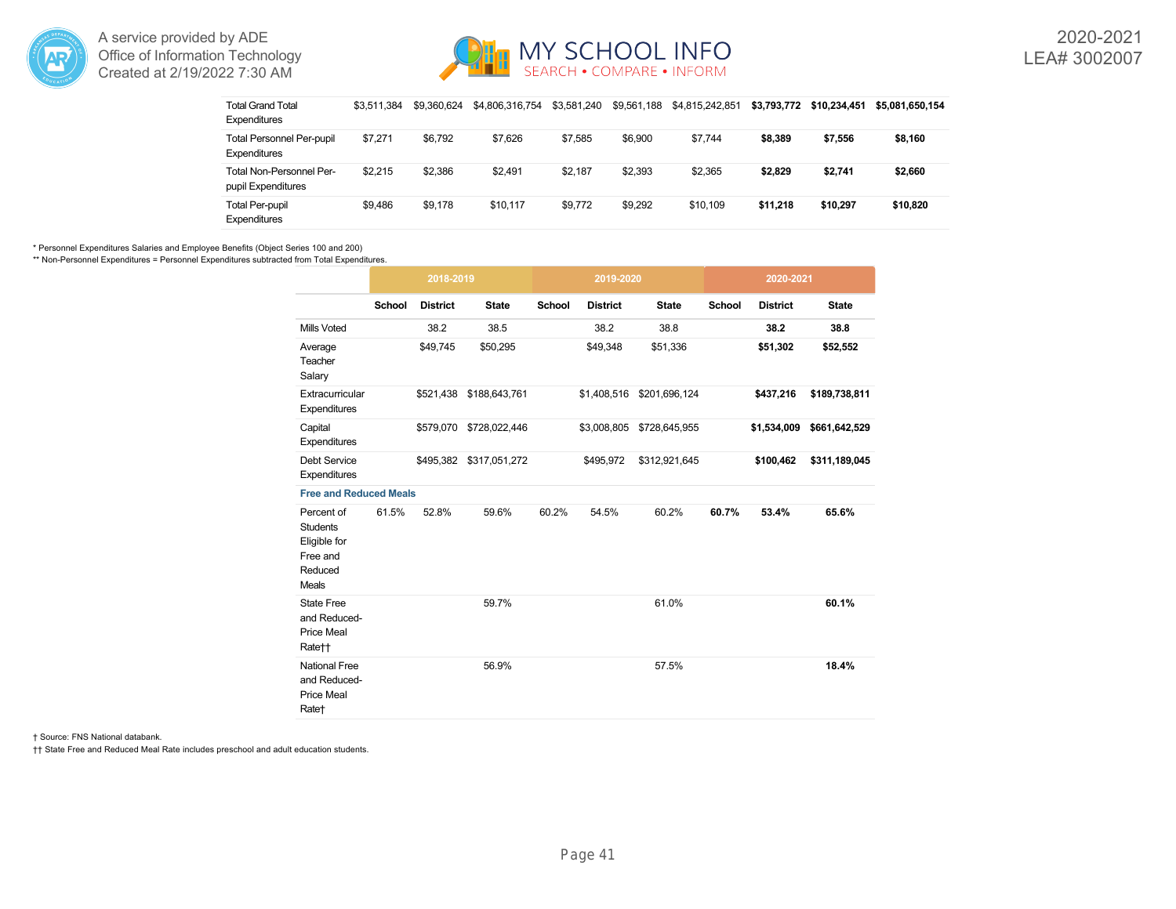



| <b>Total Grand Total</b><br>Expenditures                | \$3.511.384 | \$9.360.624 | \$4,806,316,754 | \$3.581.240 | \$9,561,188 | \$4.815.242.851 | \$3.793.772 | \$10.234.451 | \$5.081.650.154 |
|---------------------------------------------------------|-------------|-------------|-----------------|-------------|-------------|-----------------|-------------|--------------|-----------------|
| <b>Total Personnel Per-pupil</b><br><b>Expenditures</b> | \$7.271     | \$6.792     | \$7.626         | \$7.585     | \$6,900     | \$7.744         | \$8,389     | \$7,556      | \$8,160         |
| Total Non-Personnel Per-<br>pupil Expenditures          | \$2.215     | \$2.386     | \$2.491         | \$2.187     | \$2.393     | \$2.365         | \$2.829     | \$2,741      | \$2,660         |
| <b>Total Per-pupil</b><br><b>Expenditures</b>           | \$9.486     | \$9.178     | \$10.117        | \$9.772     | \$9.292     | \$10.109        | \$11.218    | \$10,297     | \$10,820        |

\* Personnel Expenditures Salaries and Employee Benefits (Object Series 100 and 200)

\*\* Non-Personnel Expenditures = Personnel Expenditures subtracted from Total Expenditures.

|                                                                                      |        | 2018-2019       |                         |        | 2019-2020       |               |               | 2020-2021       |               |
|--------------------------------------------------------------------------------------|--------|-----------------|-------------------------|--------|-----------------|---------------|---------------|-----------------|---------------|
|                                                                                      | School | <b>District</b> | <b>State</b>            | School | <b>District</b> | <b>State</b>  | <b>School</b> | <b>District</b> | <b>State</b>  |
| <b>Mills Voted</b>                                                                   |        | 38.2            | 38.5                    |        | 38.2            | 38.8          |               | 38.2            | 38.8          |
| Average<br>Teacher<br>Salary                                                         |        | \$49,745        | \$50,295                |        | \$49,348        | \$51,336      |               | \$51,302        | \$52,552      |
| Extracurricular<br>Expenditures                                                      |        | \$521,438       | \$188,643,761           |        | \$1,408,516     | \$201,696,124 |               | \$437,216       | \$189,738,811 |
| Capital<br>Expenditures                                                              |        | \$579,070       | \$728,022,446           |        | \$3,008,805     | \$728,645,955 |               | \$1,534,009     | \$661,642,529 |
| <b>Debt Service</b><br>Expenditures                                                  |        |                 | \$495,382 \$317,051,272 |        | \$495,972       | \$312,921,645 |               | \$100,462       | \$311,189,045 |
| <b>Free and Reduced Meals</b>                                                        |        |                 |                         |        |                 |               |               |                 |               |
| Percent of<br><b>Students</b><br>Eligible for<br>Free and<br>Reduced<br><b>Meals</b> | 61.5%  | 52.8%           | 59.6%                   | 60.2%  | 54.5%           | 60.2%         | 60.7%         | 53.4%           | 65.6%         |
| <b>State Free</b><br>and Reduced-<br><b>Price Meal</b><br>Rate††                     |        |                 | 59.7%                   |        |                 | 61.0%         |               |                 | 60.1%         |
| <b>National Free</b><br>and Reduced-<br><b>Price Meal</b><br>Rate†                   |        |                 | 56.9%                   |        |                 | 57.5%         |               |                 | 18.4%         |

† Source: FNS National databank.

†† State Free and Reduced Meal Rate includes preschool and adult education students.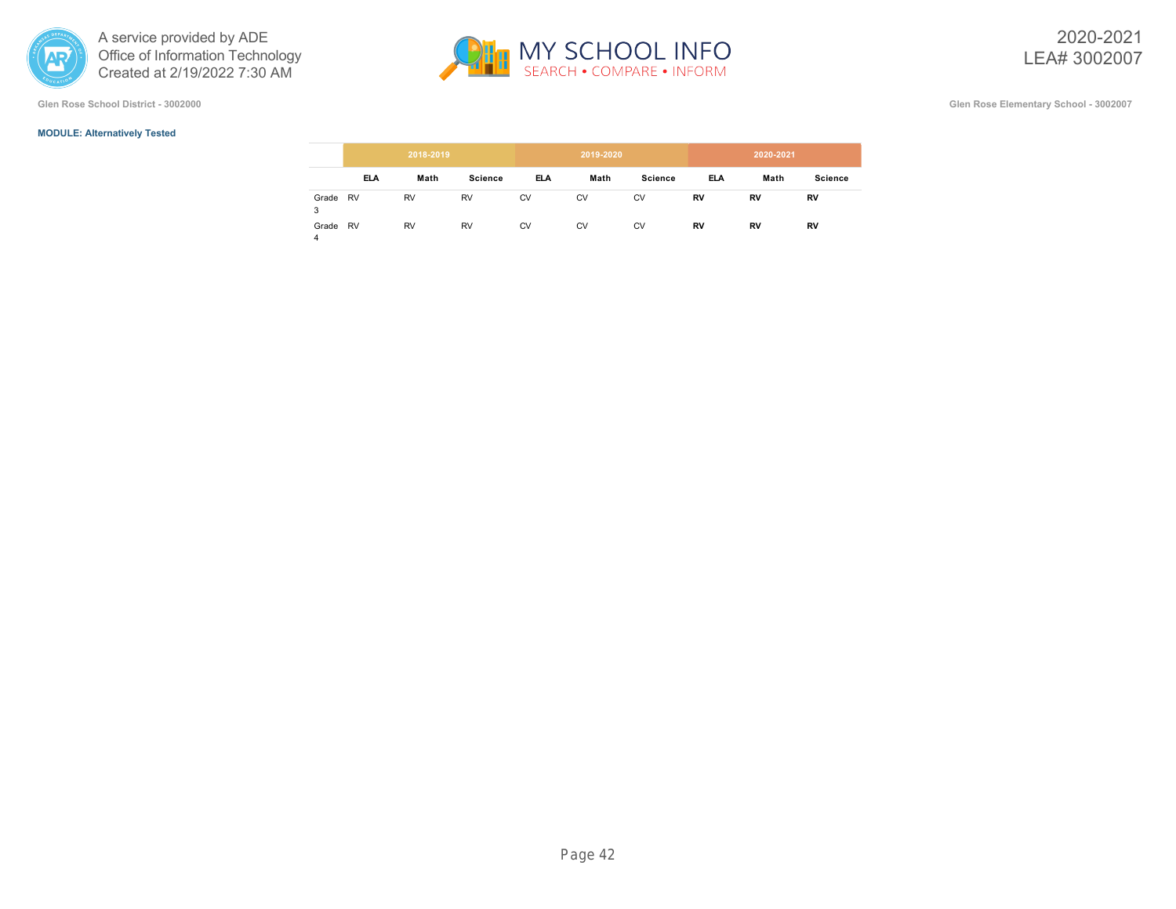

**Glen Rose School District - 3002000 Glen Rose Elementary School - 3002007**

# **MODULE: Alternatively Tested**

|            |            | 2018-2019 |                |            | 2019-2020 |                |     | 2020-2021 |                |
|------------|------------|-----------|----------------|------------|-----------|----------------|-----|-----------|----------------|
|            | <b>ELA</b> | Math      | <b>Science</b> | <b>ELA</b> | Math      | <b>Science</b> | ELA | Math      | <b>Science</b> |
| Grade<br>3 | RV         | <b>RV</b> | <b>RV</b>      | <b>CV</b>  | <b>CV</b> | <b>CV</b>      | RV  | RV        | RV             |
| Grade<br>4 | RV         | <b>RV</b> | <b>RV</b>      | <b>CV</b>  | CV        | <b>CV</b>      | RV  | RV        | RV             |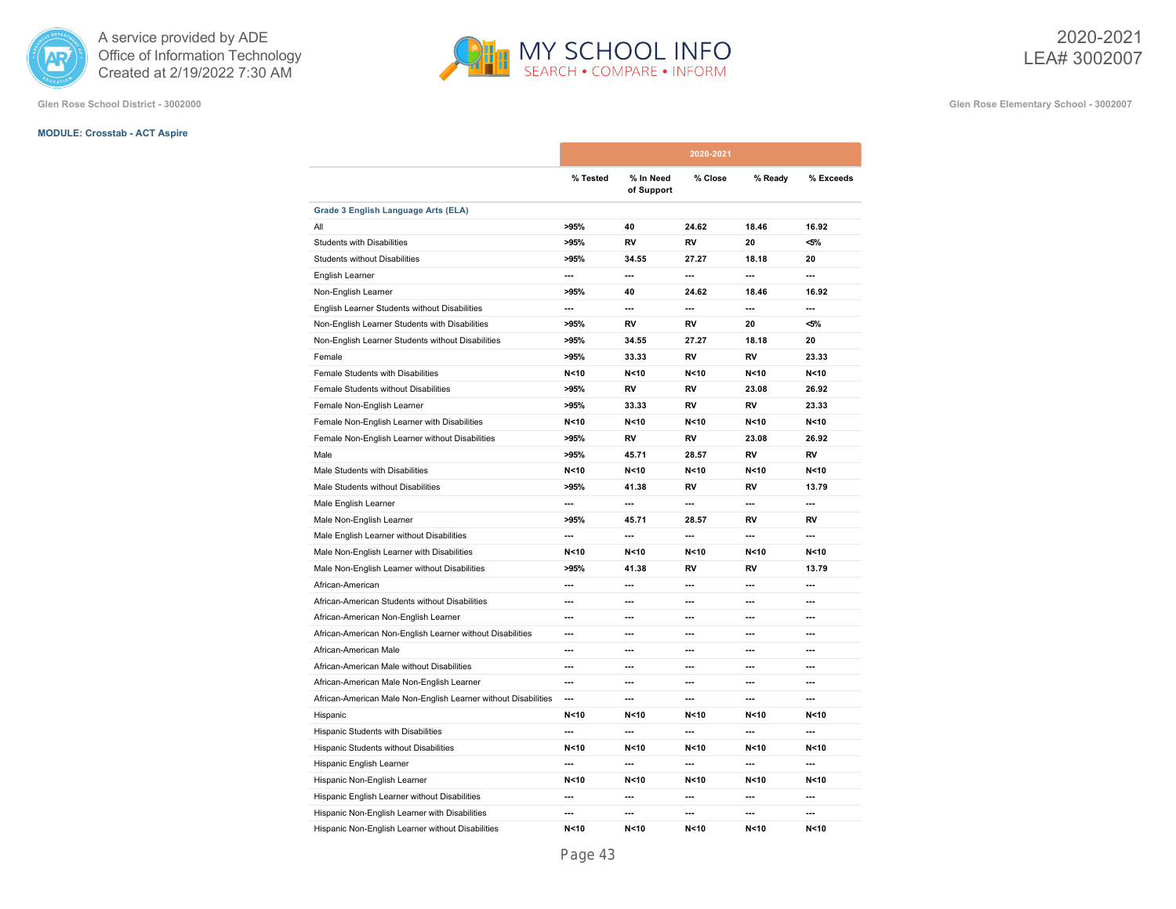

**Glen Rose School District - 3002000 Glen Rose Elementary School - 3002007**

# **MODULE: Crosstab - ACT Aspire**

|                                                                |                          |                         | 2020-2021      |                 |                 |
|----------------------------------------------------------------|--------------------------|-------------------------|----------------|-----------------|-----------------|
|                                                                | % Tested                 | % In Need<br>of Support | % Close        | % Ready         | % Exceeds       |
| Grade 3 English Language Arts (ELA)                            |                          |                         |                |                 |                 |
| ΑIΙ                                                            | >95%                     | 40                      | 24.62          | 18.46           | 16.92           |
| <b>Students with Disabilities</b>                              | >95%                     | <b>RV</b>               | <b>RV</b>      | 20              | $< 5\%$         |
| <b>Students without Disabilities</b>                           | >95%                     | 34.55                   | 27.27          | 18.18           | 20              |
| English Learner                                                | $\overline{\phantom{a}}$ | $\sim$                  | $\overline{a}$ | ---             | $\sim$          |
| Non-English Learner                                            | >95%                     | 40                      | 24.62          | 18.46           | 16.92           |
| English Learner Students without Disabilities                  | $\overline{a}$           | $\overline{a}$          | $\sim$         | ---             | $\sim$          |
| Non-English Learner Students with Disabilities                 | >95%                     | <b>RV</b>               | RV             | 20              | $< 5\%$         |
| Non-English Learner Students without Disabilities              | >95%                     | 34.55                   | 27.27          | 18.18           | 20              |
| Female                                                         | >95%                     | 33.33                   | RV             | RV              | 23.33           |
| Female Students with Disabilities                              | N < 10                   | N <sub>10</sub>         | N < 10         | N < 10          | N <sub>10</sub> |
| Female Students without Disabilities                           | >95%                     | RV                      | <b>RV</b>      | 23.08           | 26.92           |
| Female Non-English Learner                                     | >95%                     | 33.33                   | <b>RV</b>      | RV              | 23.33           |
| Female Non-English Learner with Disabilities                   | N<10                     | N < 10                  | N < 10         | N < 10          | N < 10          |
| Female Non-English Learner without Disabilities                | >95%                     | <b>RV</b>               | RV             | 23.08           | 26.92           |
| Male                                                           | >95%                     | 45.71                   | 28.57          | RV              | <b>RV</b>       |
| Male Students with Disabilities                                | N<10                     | N<10                    | N < 10         | N < 10          | N < 10          |
| Male Students without Disabilities                             | >95%                     | 41.38                   | RV             | RV              | 13.79           |
| Male English Learner                                           | $\overline{\phantom{a}}$ | $\sim$                  | $\overline{a}$ | ---             | $\sim$          |
| Male Non-English Learner                                       | >95%                     | 45.71                   | 28.57          | RV              | <b>RV</b>       |
| Male English Learner without Disabilities                      | $\overline{\phantom{a}}$ | ---                     | ---            | ---             | $\overline{a}$  |
| Male Non-English Learner with Disabilities                     | N < 10                   | N < 10                  | N < 10         | N<10            | N < 10          |
| Male Non-English Learner without Disabilities                  | >95%                     | 41.38                   | RV             | RV              | 13.79           |
| African-American                                               | ---                      | ---                     | ---            | ---             | $\overline{a}$  |
| African-American Students without Disabilities                 | ---                      | ---                     | ---            | ---             | $\overline{a}$  |
| African-American Non-English Learner                           | ---                      | ---                     | ---            | ---             | $\overline{a}$  |
| African-American Non-English Learner without Disabilities      | $\overline{a}$           | ---                     | $\overline{a}$ | ---             | $\overline{a}$  |
| African-American Male                                          | ---                      | ---                     | $\overline{a}$ | ---             | $\overline{a}$  |
| African-American Male without Disabilities                     | ---                      | ---                     | ---            | ---             | ---             |
| African-American Male Non-English Learner                      | ---                      | ---                     | ---            | ---             | $\overline{a}$  |
| African-American Male Non-English Learner without Disabilities | $\overline{\phantom{a}}$ | ---                     | $\overline{a}$ | ---             | $\overline{a}$  |
| Hispanic                                                       | N < 10                   | N < 10                  | N < 10         | N <sub>10</sub> | N < 10          |
| Hispanic Students with Disabilities                            | ---                      | ---                     | ---            | ---             | ---             |
| Hispanic Students without Disabilities                         | N < 10                   | N < 10                  | N < 10         | N <sub>10</sub> | N < 10          |
| Hispanic English Learner                                       | $\overline{a}$           | ---                     | $\overline{a}$ | ---             | $\overline{a}$  |
| Hispanic Non-English Learner                                   | N < 10                   | N < 10                  | N < 10         | N <sub>10</sub> | N < 10          |
| Hispanic English Learner without Disabilities                  | ---                      | ---                     | ---            | ---             | ---             |
| Hispanic Non-English Learner with Disabilities                 | ---                      | ---                     | ---            | ---             | ---             |
| Hispanic Non-English Learner without Disabilities              | N < 10                   | N<10                    | N < 10         | N < 10          | N < 10          |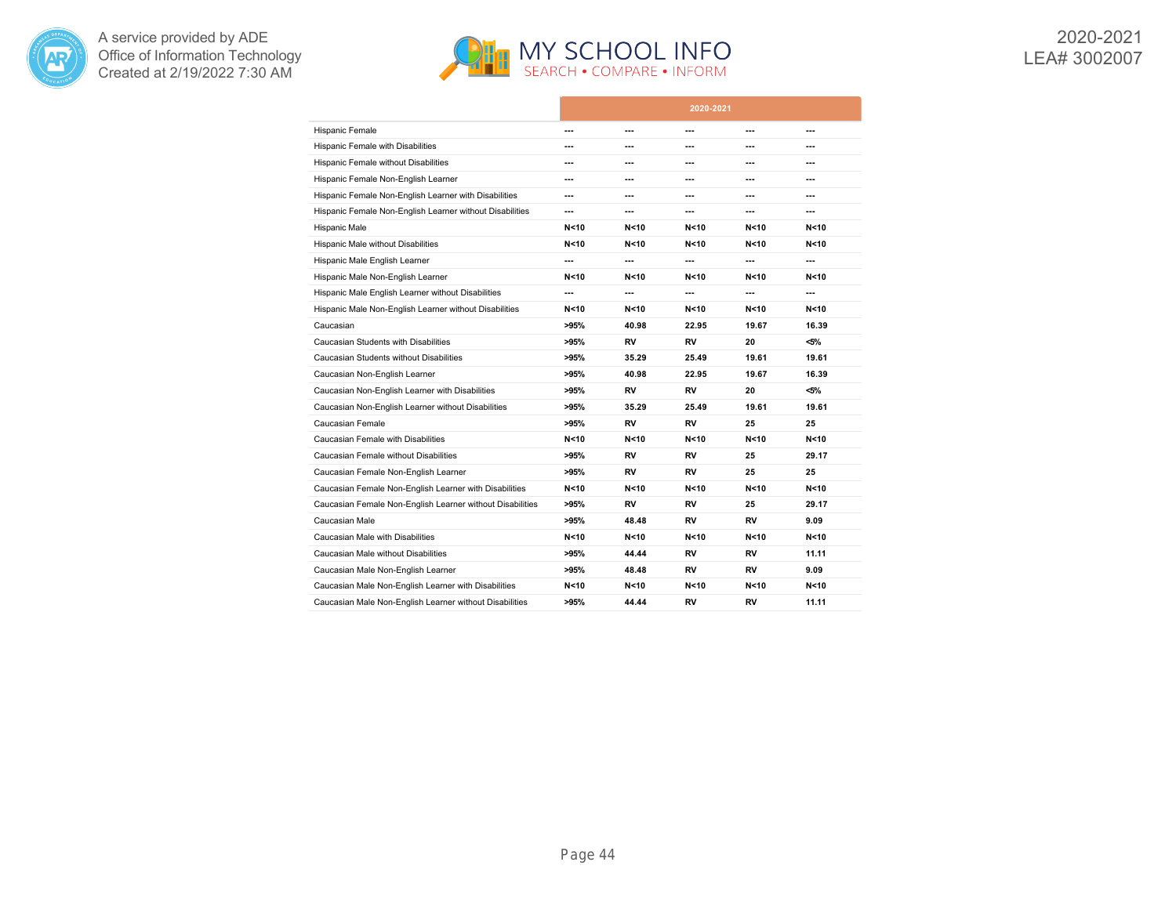



|                                                           |        |                 | 2020-2021       |                 |                 |
|-----------------------------------------------------------|--------|-----------------|-----------------|-----------------|-----------------|
| Hispanic Female                                           | ---    | ---             | ---             | ---             | ---             |
| <b>Hispanic Female with Disabilities</b>                  | ---    | ---             | ---             | ---             | ---             |
| Hispanic Female without Disabilities                      | ---    | ---             | ---             | ---             | ---             |
| Hispanic Female Non-English Learner                       | ---    | ---             | ---             | ---             | ---             |
| Hispanic Female Non-English Learner with Disabilities     | ---    | ---             | ---             | ---             | ---             |
| Hispanic Female Non-English Learner without Disabilities  | ---    | ---             | ---             | ---             | ---             |
| Hispanic Male                                             | N < 10 | N<10            | N < 10          | N < 10          | N<10            |
| Hispanic Male without Disabilities                        | N < 10 | N<10            | N <sub>10</sub> | N < 10          | N<10            |
| Hispanic Male English Learner                             | ---    | ---             | ---             | ---             | ---             |
| Hispanic Male Non-English Learner                         | N < 10 | N<10            | N < 10          | N < 10          | N<10            |
| Hispanic Male English Learner without Disabilities        | ---    | ---             | ---             | ---             | ---             |
| Hispanic Male Non-English Learner without Disabilities    | N < 10 | N<10            | N <sub>10</sub> | N < 10          | N<10            |
| Caucasian                                                 | >95%   | 40.98           | 22.95           | 19.67           | 16.39           |
| Caucasian Students with Disabilities                      | >95%   | RV              | RV              | 20              | <5%             |
| Caucasian Students without Disabilities                   | >95%   | 35.29           | 25.49           | 19.61           | 19.61           |
| Caucasian Non-English Learner                             | >95%   | 40.98           | 22.95           | 19.67           | 16.39           |
| Caucasian Non-English Learner with Disabilities           | >95%   | RV              | <b>RV</b>       | 20              | $< 5\%$         |
| Caucasian Non-English Learner without Disabilities        | >95%   | 35.29           | 25.49           | 19.61           | 19.61           |
| Caucasian Female                                          | >95%   | RV              | <b>RV</b>       | 25              | 25              |
| Caucasian Female with Disabilities                        | N < 10 | N <sub>10</sub> | N <sub>10</sub> | N <sub>10</sub> | N <sub>10</sub> |
| Caucasian Female without Disabilities                     | >95%   | RV              | RV              | 25              | 29.17           |
| Caucasian Female Non-English Learner                      | >95%   | RV              | RV              | 25              | 25              |
| Caucasian Female Non-English Learner with Disabilities    | N < 10 | N<10            | N < 10          | N < 10          | N<10            |
| Caucasian Female Non-English Learner without Disabilities | >95%   | RV              | <b>RV</b>       | 25              | 29.17           |
| Caucasian Male                                            | >95%   | 48.48           | RV              | RV              | 9.09            |
| Caucasian Male with Disabilities                          | N < 10 | N<10            | N < 10          | N<10            | N<10            |
| Caucasian Male without Disabilities                       | >95%   | 44.44           | RV              | RV              | 11.11           |
| Caucasian Male Non-English Learner                        | >95%   | 48.48           | RV              | RV              | 9.09            |
| Caucasian Male Non-English Learner with Disabilities      | N < 10 | N<10            | N <sub>10</sub> | N <sub>10</sub> | N <sub>10</sub> |
| Caucasian Male Non-English Learner without Disabilities   | >95%   | 44.44           | RV              | RV              | 11.11           |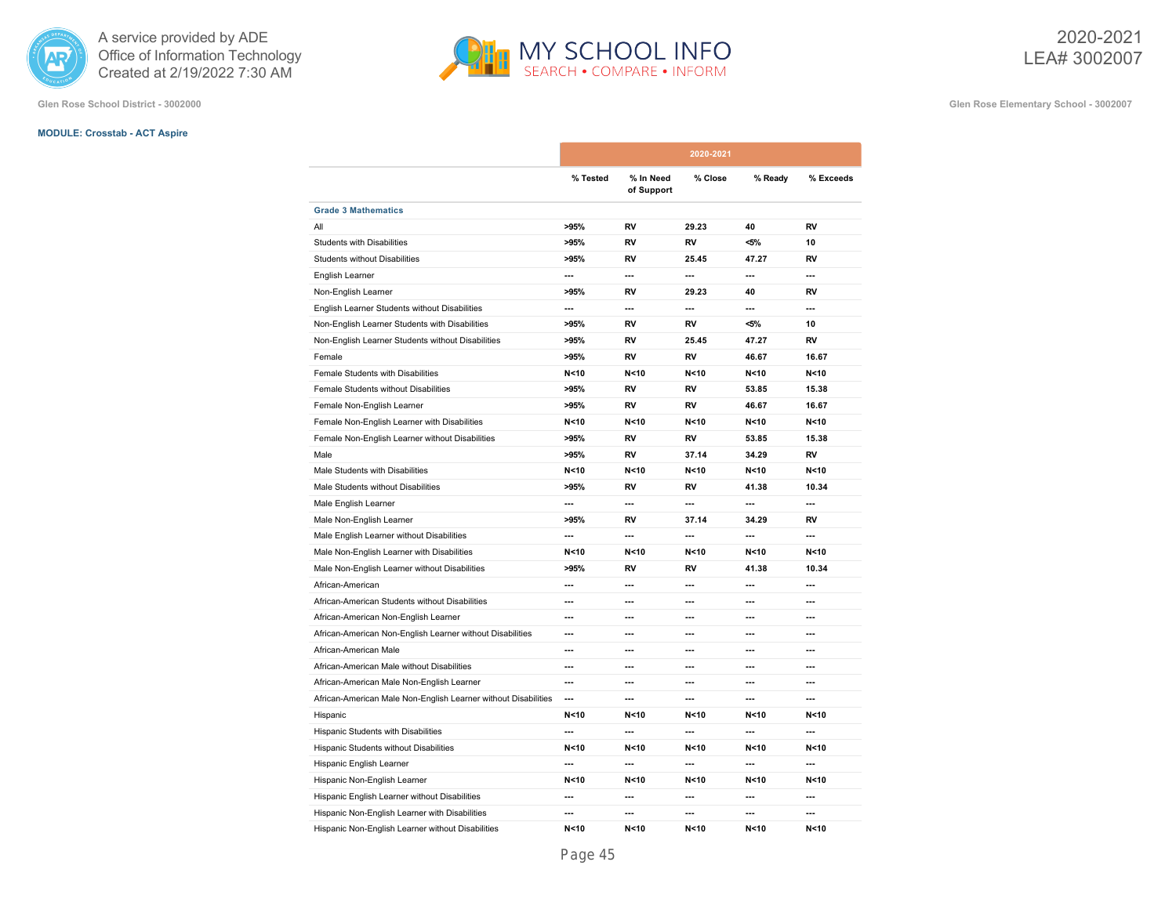

# **MODULE: Crosstab - ACT Aspire**

**Glen Rose School District - 3002000 Glen Rose Elementary School - 3002007**

|                                                                |                          |                         | 2020-2021                |                          |                 |
|----------------------------------------------------------------|--------------------------|-------------------------|--------------------------|--------------------------|-----------------|
|                                                                | % Tested                 | % In Need<br>of Support | % Close                  | % Ready                  | % Exceeds       |
| <b>Grade 3 Mathematics</b>                                     |                          |                         |                          |                          |                 |
| All                                                            | >95%                     | RV                      | 29.23                    | 40                       | RV              |
| <b>Students with Disabilities</b>                              | >95%                     | RV                      | RV                       | $<$ 5%                   | 10              |
| <b>Students without Disabilities</b>                           | >95%                     | RV                      | 25.45                    | 47.27                    | RV              |
| English Learner                                                | ---                      | ---                     | ---                      | ---                      | ---             |
| Non-English Learner                                            | >95%                     | <b>RV</b>               | 29.23                    | 40                       | RV              |
| English Learner Students without Disabilities                  | ---                      | ---                     | ---                      | $\overline{\phantom{a}}$ | ---             |
| Non-English Learner Students with Disabilities                 | >95%                     | RV                      | RV                       | $<$ 5%                   | 10              |
| Non-English Learner Students without Disabilities              | >95%                     | RV                      | 25.45                    | 47.27                    | RV              |
| Female                                                         | >95%                     | RV                      | <b>RV</b>                | 46.67                    | 16.67           |
| Female Students with Disabilities                              | N < 10                   | N < 10                  | N < 10                   | N < 10                   | N < 10          |
| Female Students without Disabilities                           | >95%                     | <b>RV</b>               | <b>RV</b>                | 53.85                    | 15.38           |
| Female Non-English Learner                                     | >95%                     | RV                      | RV                       | 46.67                    | 16.67           |
| Female Non-English Learner with Disabilities                   | N < 10                   | N <sub>10</sub>         | N <sub>10</sub>          | N < 10                   | N <sub>10</sub> |
| Female Non-English Learner without Disabilities                | >95%                     | RV                      | RV                       | 53.85                    | 15.38           |
| Male                                                           | >95%                     | RV                      | 37.14                    | 34.29                    | RV              |
| Male Students with Disabilities                                | N < 10                   | N < 10                  | N < 10                   | N < 10                   | N < 10          |
| Male Students without Disabilities                             | >95%                     | RV                      | RV                       | 41.38                    | 10.34           |
| Male English Learner                                           | $\overline{\phantom{a}}$ | ---                     | ---                      | ---                      | $\sim$          |
| Male Non-English Learner                                       | >95%                     | RV                      | 37.14                    | 34.29                    | RV              |
| Male English Learner without Disabilities                      | $\overline{\phantom{a}}$ | ---                     | ---                      | ---                      | ---             |
| Male Non-English Learner with Disabilities                     | N < 10                   | N < 10                  | N < 10                   | N < 10                   | N < 10          |
| Male Non-English Learner without Disabilities                  | >95%                     | RV                      | RV                       | 41.38                    | 10.34           |
| African-American                                               | $\overline{\phantom{a}}$ | ---                     | ---                      | ---                      | ---             |
| African-American Students without Disabilities                 | ---                      | ---                     | $\overline{a}$           | ---                      | ---             |
| African-American Non-English Learner                           | ---                      | ---                     | ---                      | ---                      | ---             |
| African-American Non-English Learner without Disabilities      | $\overline{\phantom{a}}$ | ---                     | $\overline{a}$           | $\overline{\phantom{a}}$ | ---             |
| African-American Male                                          | ---                      | ---                     | $\overline{a}$           | ---                      | ---             |
| African-American Male without Disabilities                     | ---                      | ---                     | ---                      | ---                      | ---             |
| African-American Male Non-English Learner                      | $\overline{a}$           | ---                     | ---                      | ---                      | ---             |
| African-American Male Non-English Learner without Disabilities | $\overline{\phantom{a}}$ | ---                     | $\overline{\phantom{a}}$ | $\overline{\phantom{a}}$ | ---             |
| Hispanic                                                       | N < 10                   | N < 10                  | N <sub>10</sub>          | N <sub>10</sub>          | N < 10          |
| Hispanic Students with Disabilities                            | $\overline{a}$           | ---                     | ---                      | ---                      | ---             |
| Hispanic Students without Disabilities                         | N < 10                   | N < 10                  | N < 10                   | N < 10                   | N < 10          |
| Hispanic English Learner                                       | $\overline{a}$           | ---                     | $\sim$                   | ---                      | $\sim$          |
| Hispanic Non-English Learner                                   | N < 10                   | N <sub>10</sub>         | N <sub>10</sub>          | N <sub>10</sub>          | N < 10          |
| Hispanic English Learner without Disabilities                  | ---                      | ---                     | ---                      | ---                      | ---             |
| Hispanic Non-English Learner with Disabilities                 | ---                      | ---                     | ---                      | ---                      | ---             |
| Hispanic Non-English Learner without Disabilities              | N < 10                   | N < 10                  | N < 10                   | N < 10                   | N<10            |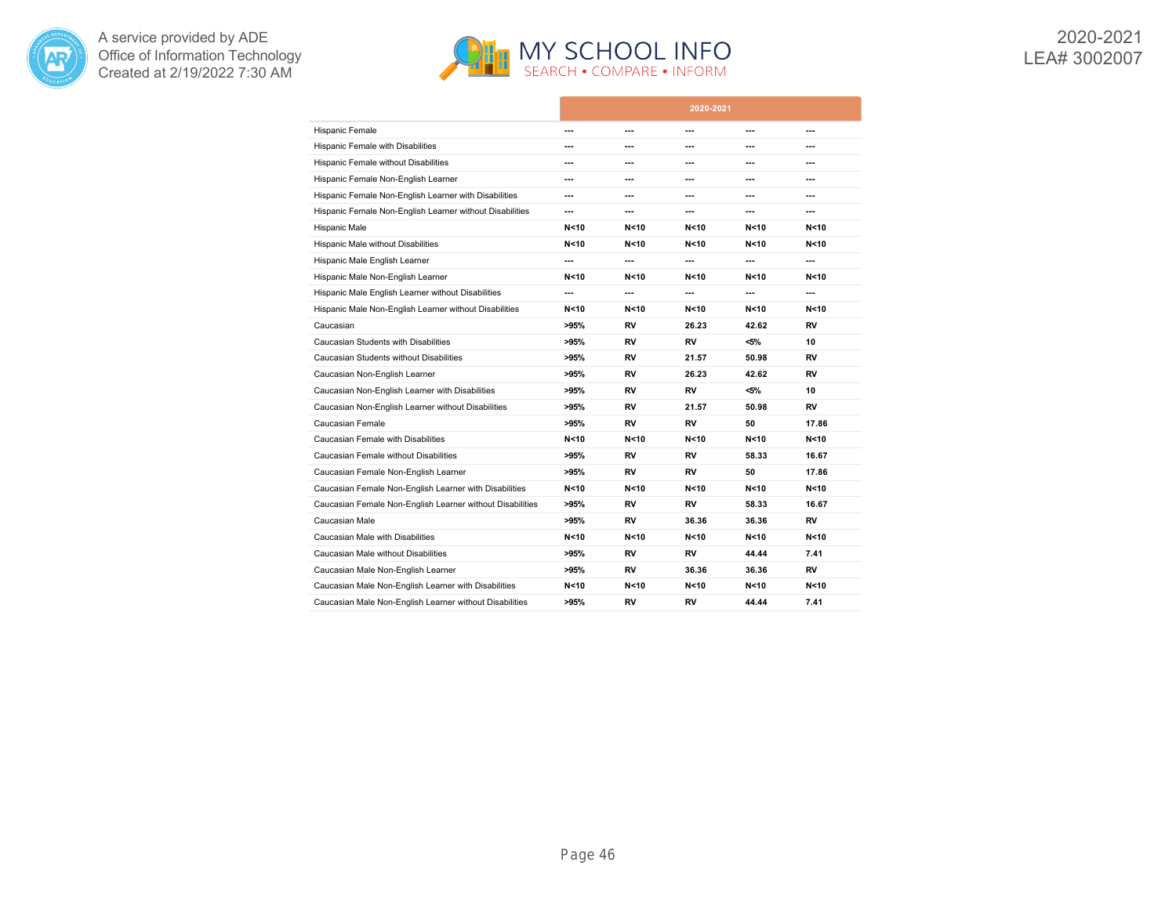



|                                                           |        |                 | 2020-2021       |                 |                 |
|-----------------------------------------------------------|--------|-----------------|-----------------|-----------------|-----------------|
| Hispanic Female                                           | ---    | ---             | ---             | ---             | ---             |
| <b>Hispanic Female with Disabilities</b>                  | ---    | ---             | ---             | ---             | ---             |
| Hispanic Female without Disabilities                      | ---    | ---             | ---             | ---             | $\overline{a}$  |
| Hispanic Female Non-English Learner                       | ---    | ---             | ---             | ---             | ---             |
| Hispanic Female Non-English Learner with Disabilities     | ---    | ---             | ---             | ---             | $---$           |
| Hispanic Female Non-English Learner without Disabilities  | ---    | ---             | ---             | ---             | ---             |
| Hispanic Male                                             | N < 10 | N < 10          | N < 10          | N < 10          | N < 10          |
| Hispanic Male without Disabilities                        | N < 10 | N <sub>10</sub> | N < 10          | N < 10          | N < 10          |
| Hispanic Male English Learner                             | ---    | ---             | ---             | ---             | ---             |
| Hispanic Male Non-English Learner                         | N < 10 | N < 10          | N < 10          | N < 10          | N <sub>10</sub> |
| Hispanic Male English Learner without Disabilities        | ---    | ---             | ---             | ---             | ---             |
| Hispanic Male Non-English Learner without Disabilities    | N < 10 | N <sub>10</sub> | N < 10          | N <sub>10</sub> | N <sub>10</sub> |
| Caucasian                                                 | >95%   | RV              | 26.23           | 42.62           | RV              |
| Caucasian Students with Disabilities                      | >95%   | RV              | RV              | $< 5\%$         | 10              |
| Caucasian Students without Disabilities                   | >95%   | RV              | 21.57           | 50.98           | <b>RV</b>       |
| Caucasian Non-English Learner                             | >95%   | RV              | 26.23           | 42.62           | RV              |
| Caucasian Non-English Learner with Disabilities           | >95%   | <b>RV</b>       | RV              | $< 5\%$         | 10              |
| Caucasian Non-English Learner without Disabilities        | >95%   | RV              | 21.57           | 50.98           | RV              |
| Caucasian Female                                          | >95%   | RV              | <b>RV</b>       | 50              | 17.86           |
| Caucasian Female with Disabilities                        | N < 10 | N <sub>10</sub> | N <sub>10</sub> | N <sub>10</sub> | N <sub>10</sub> |
| Caucasian Female without Disabilities                     | >95%   | RV              | RV              | 58.33           | 16.67           |
| Caucasian Female Non-English Learner                      | >95%   | RV              | RV              | 50              | 17.86           |
| Caucasian Female Non-English Learner with Disabilities    | N < 10 | N<10            | N < 10          | N < 10          | N < 10          |
| Caucasian Female Non-English Learner without Disabilities | >95%   | RV              | <b>RV</b>       | 58.33           | 16.67           |
| Caucasian Male                                            | >95%   | RV              | 36.36           | 36.36           | RV              |
| Caucasian Male with Disabilities                          | N < 10 | N<10            | N < 10          | N < 10          | N <sub>10</sub> |
| Caucasian Male without Disabilities                       | >95%   | RV              | RV              | 44.44           | 7.41            |
| Caucasian Male Non-English Learner                        | >95%   | RV              | 36.36           | 36.36           | RV              |
| Caucasian Male Non-English Learner with Disabilities      | N < 10 | N <sub>10</sub> | N <sub>10</sub> | N <sub>10</sub> | N <sub>10</sub> |
| Caucasian Male Non-English Learner without Disabilities   | >95%   | RV              | RV              | 44.44           | 7.41            |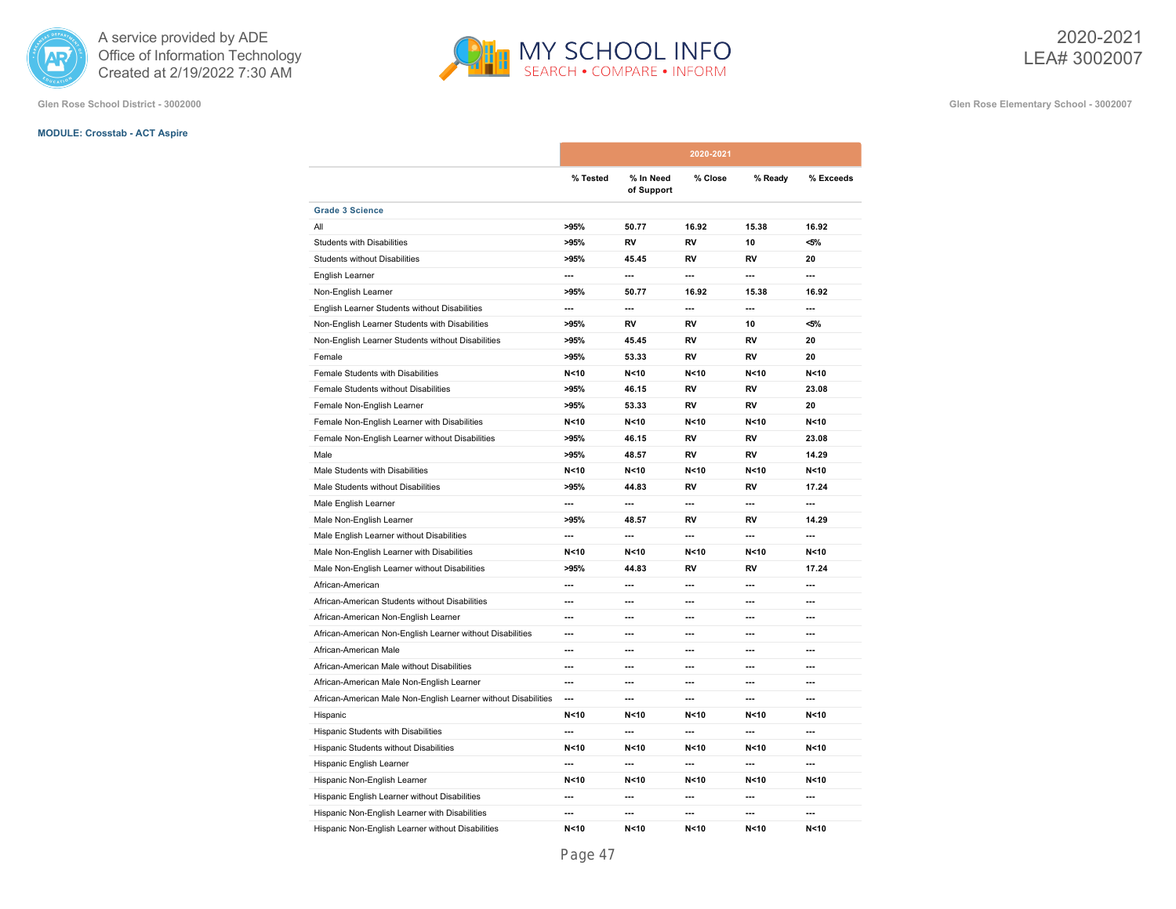

**Glen Rose School District - 3002000 Glen Rose Elementary School - 3002007**

# **MODULE: Crosstab - ACT Aspire**

|                                                                |                          |                         | 2020-2021      |                          |           |
|----------------------------------------------------------------|--------------------------|-------------------------|----------------|--------------------------|-----------|
|                                                                | % Tested                 | % In Need<br>of Support | % Close        | % Ready                  | % Exceeds |
| <b>Grade 3 Science</b>                                         |                          |                         |                |                          |           |
| All                                                            | >95%                     | 50.77                   | 16.92          | 15.38                    | 16.92     |
| <b>Students with Disabilities</b>                              | >95%                     | RV                      | RV             | 10                       | $< 5\%$   |
| <b>Students without Disabilities</b>                           | >95%                     | 45.45                   | RV             | RV                       | 20        |
| English Learner                                                | $\overline{\phantom{a}}$ | ---                     | ---            | ---                      | $\sim$    |
| Non-English Learner                                            | >95%                     | 50.77                   | 16.92          | 15.38                    | 16.92     |
| English Learner Students without Disabilities                  | $\overline{\phantom{a}}$ | ---                     | ---            | ---                      | ---       |
| Non-English Learner Students with Disabilities                 | >95%                     | RV                      | RV             | 10                       | <5%       |
| Non-English Learner Students without Disabilities              | >95%                     | 45.45                   | RV             | RV                       | 20        |
| Female                                                         | >95%                     | 53.33                   | RV             | RV                       | 20        |
| Female Students with Disabilities                              | N < 10                   | N < 10                  | N < 10         | N <sub>10</sub>          | N<10      |
| Female Students without Disabilities                           | >95%                     | 46.15                   | RV             | RV                       | 23.08     |
| Female Non-English Learner                                     | >95%                     | 53.33                   | RV             | <b>RV</b>                | 20        |
| Female Non-English Learner with Disabilities                   | N < 10                   | N < 10                  | N < 10         | N < 10                   | N < 10    |
| Female Non-English Learner without Disabilities                | >95%                     | 46.15                   | RV             | RV                       | 23.08     |
| Male                                                           | >95%                     | 48.57                   | RV             | RV                       | 14.29     |
| Male Students with Disabilities                                | N < 10                   | N < 10                  | N < 10         | N < 10                   | N<10      |
| Male Students without Disabilities                             | >95%                     | 44.83                   | RV             | RV                       | 17.24     |
| Male English Learner                                           | $\overline{\phantom{a}}$ | ---                     | ---            | $\overline{\phantom{a}}$ | $\sim$    |
| Male Non-English Learner                                       | >95%                     | 48.57                   | RV             | RV                       | 14.29     |
| Male English Learner without Disabilities                      | $\overline{\phantom{a}}$ | ---                     | ---            | ---                      | ---       |
| Male Non-English Learner with Disabilities                     | N < 10                   | N < 10                  | N < 10         | N < 10                   | N<10      |
| Male Non-English Learner without Disabilities                  | >95%                     | 44.83                   | RV             | RV                       | 17.24     |
| African-American                                               | ---                      | ---                     | ---            | ---                      | ---       |
| African-American Students without Disabilities                 | ---                      | ---                     | ---            | ---                      | ---       |
| African-American Non-English Learner                           | ---                      | ---                     | ---            | ---                      | ---       |
| African-American Non-English Learner without Disabilities      | ---                      | ---                     | ---            | ---                      | ---       |
| African-American Male                                          | ---                      | ---                     | ---            | $\overline{\phantom{a}}$ | ---       |
| African-American Male without Disabilities                     | ---                      | ---                     | ---            | ---                      | ---       |
| African-American Male Non-English Learner                      | ---                      | ---                     | ---            | ---                      | ---       |
| African-American Male Non-English Learner without Disabilities | $\overline{a}$           | ---                     | $\overline{a}$ | $\overline{a}$           | ---       |
| Hispanic                                                       | N < 10                   | N <sub>10</sub>         | N < 10         | N < 10                   | N < 10    |
| Hispanic Students with Disabilities                            | ---                      | ---                     | ---            | ---                      | ---       |
| Hispanic Students without Disabilities                         | N < 10                   | N < 10                  | N < 10         | N < 10                   | N<10      |
| Hispanic English Learner                                       | $\overline{a}$           | ---                     | $\overline{a}$ | ---                      | ---       |
| Hispanic Non-English Learner                                   | N < 10                   | N < 10                  | N < 10         | N < 10                   | N < 10    |
| Hispanic English Learner without Disabilities                  | ---                      | ---                     | ---            | ---                      | ---       |
| Hispanic Non-English Learner with Disabilities                 | ---                      | ---                     | ---            | ---                      | ---       |
| Hispanic Non-English Learner without Disabilities              | N < 10                   | N < 10                  | N < 10         | N < 10                   | N<10      |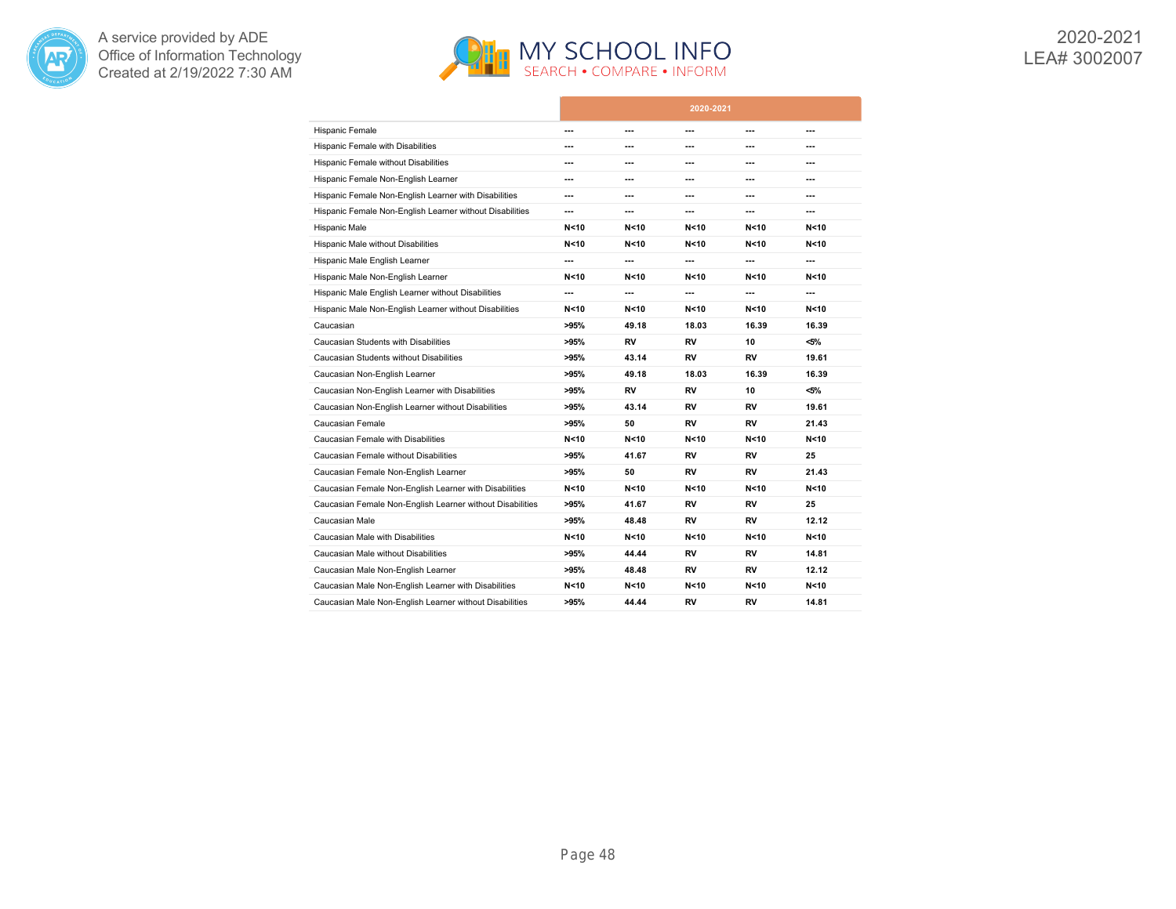



|                                                           |        |                 | 2020-2021       |                 |                 |
|-----------------------------------------------------------|--------|-----------------|-----------------|-----------------|-----------------|
| <b>Hispanic Female</b>                                    | ---    | ---             | ---             | ---             | ---             |
| <b>Hispanic Female with Disabilities</b>                  | ---    | ---             | ---             | ---             | ---             |
| Hispanic Female without Disabilities                      | ---    | ---             | ---             | ---             | $\overline{a}$  |
| Hispanic Female Non-English Learner                       | ---    | ---             | ---             | ---             | ---             |
| Hispanic Female Non-English Learner with Disabilities     | ---    | ---             | ---             | ---             | $---$           |
| Hispanic Female Non-English Learner without Disabilities  | ---    | ---             | ---             | ---             | ---             |
| Hispanic Male                                             | N < 10 | N < 10          | N < 10          | N < 10          | N < 10          |
| Hispanic Male without Disabilities                        | N < 10 | N < 10          | N <sub>10</sub> | N < 10          | N < 10          |
| Hispanic Male English Learner                             | ---    | ---             | ---             | ---             | ---             |
| Hispanic Male Non-English Learner                         | N < 10 | N < 10          | N < 10          | N<10            | N <sub>10</sub> |
| Hispanic Male English Learner without Disabilities        | ---    | ---             | ---             | ---             | ---             |
| Hispanic Male Non-English Learner without Disabilities    | N < 10 | N < 10          | N <sub>10</sub> | N < 10          | N <sub>10</sub> |
| Caucasian                                                 | >95%   | 49.18           | 18.03           | 16.39           | 16.39           |
| Caucasian Students with Disabilities                      | >95%   | RV              | RV              | 10              | $< 5\%$         |
| Caucasian Students without Disabilities                   | >95%   | 43.14           | <b>RV</b>       | <b>RV</b>       | 19.61           |
| Caucasian Non-English Learner                             | >95%   | 49.18           | 18.03           | 16.39           | 16.39           |
| Caucasian Non-English Learner with Disabilities           | >95%   | <b>RV</b>       | <b>RV</b>       | 10              | $< 5\%$         |
| Caucasian Non-English Learner without Disabilities        | >95%   | 43.14           | RV              | RV              | 19.61           |
| Caucasian Female                                          | >95%   | 50              | RV              | RV              | 21.43           |
| Caucasian Female with Disabilities                        | N < 10 | N <sub>10</sub> | N <sub>10</sub> | N <sub>10</sub> | N <sub>10</sub> |
| Caucasian Female without Disabilities                     | >95%   | 41.67           | RV              | RV              | 25              |
| Caucasian Female Non-English Learner                      | >95%   | 50              | RV              | RV              | 21.43           |
| Caucasian Female Non-English Learner with Disabilities    | N < 10 | N < 10          | N < 10          | N<10            | N <sub>10</sub> |
| Caucasian Female Non-English Learner without Disabilities | >95%   | 41.67           | <b>RV</b>       | RV              | 25              |
| Caucasian Male                                            | >95%   | 48.48           | RV              | RV              | 12.12           |
| Caucasian Male with Disabilities                          | N < 10 | N < 10          | N <sub>10</sub> | N<10            | N < 10          |
| Caucasian Male without Disabilities                       | >95%   | 44.44           | RV              | RV              | 14.81           |
| Caucasian Male Non-English Learner                        | >95%   | 48.48           | RV              | RV              | 12.12           |
| Caucasian Male Non-English Learner with Disabilities      | N < 10 | N < 10          | N <sub>10</sub> | N < 10          | N <sub>10</sub> |
| Caucasian Male Non-English Learner without Disabilities   | >95%   | 44.44           | RV              | RV              | 14.81           |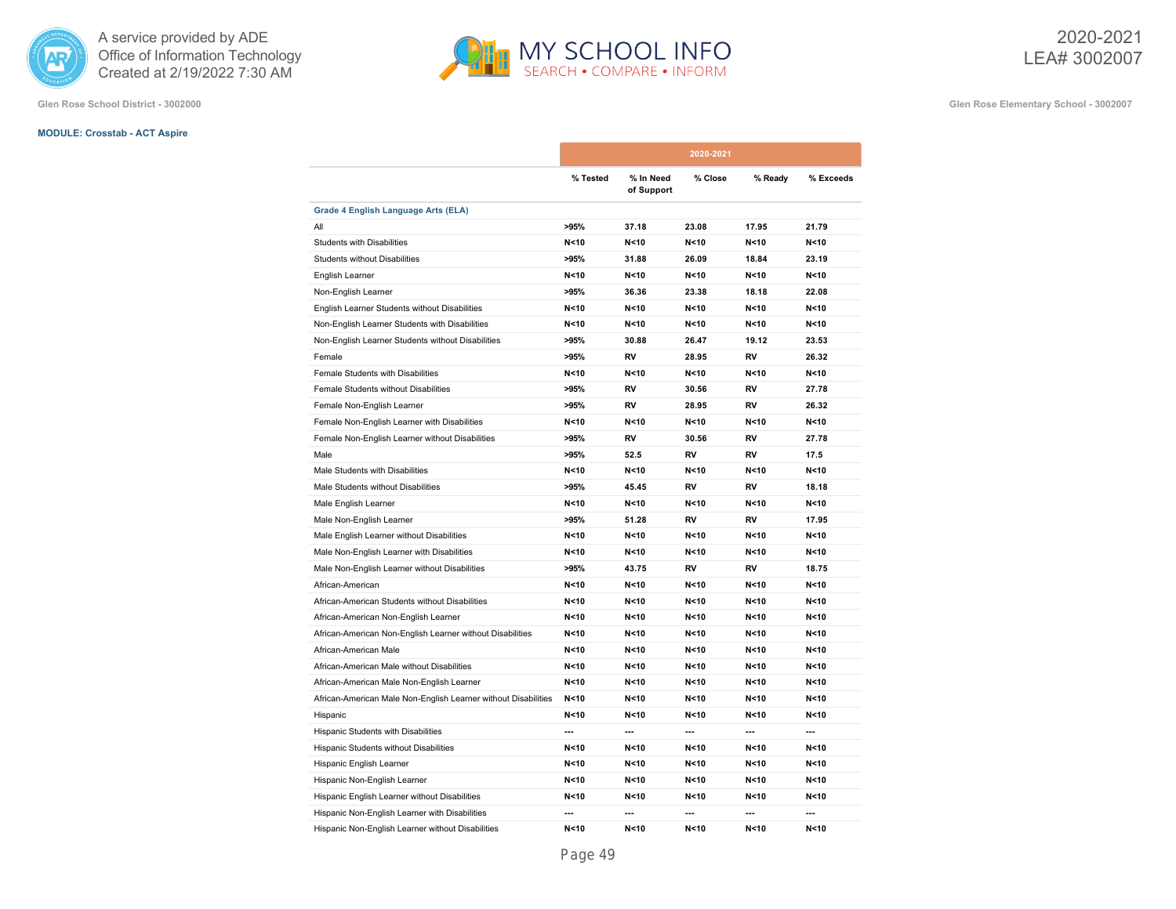

**Glen Rose School District - 3002000 Glen Rose Elementary School - 3002007**

# **MODULE: Crosstab - ACT Aspire**

|                                                                |          |                         | 2020-2021       |                          |                 |
|----------------------------------------------------------------|----------|-------------------------|-----------------|--------------------------|-----------------|
|                                                                | % Tested | % In Need<br>of Support | % Close         | % Ready                  | % Exceeds       |
| Grade 4 English Language Arts (ELA)                            |          |                         |                 |                          |                 |
| All                                                            | >95%     | 37.18                   | 23.08           | 17.95                    | 21.79           |
| <b>Students with Disabilities</b>                              | N < 10   | N < 10                  | N < 10          | N < 10                   | N < 10          |
| <b>Students without Disabilities</b>                           | >95%     | 31.88                   | 26.09           | 18.84                    | 23.19           |
| English Learner                                                | N < 10   | N < 10                  | N <sub>10</sub> | N < 10                   | N < 10          |
| Non-English Learner                                            | >95%     | 36.36                   | 23.38           | 18.18                    | 22.08           |
| English Learner Students without Disabilities                  | N < 10   | N < 10                  | N < 10          | N < 10                   | N < 10          |
| Non-English Learner Students with Disabilities                 | N < 10   | N < 10                  | N < 10          | N <sub>10</sub>          | N < 10          |
| Non-English Learner Students without Disabilities              | >95%     | 30.88                   | 26.47           | 19.12                    | 23.53           |
| Female                                                         | >95%     | RV                      | 28.95           | RV                       | 26.32           |
| Female Students with Disabilities                              | N < 10   | N < 10                  | N <sub>10</sub> | N < 10                   | N < 10          |
| Female Students without Disabilities                           | >95%     | <b>RV</b>               | 30.56           | <b>RV</b>                | 27.78           |
| Female Non-English Learner                                     | >95%     | <b>RV</b>               | 28.95           | <b>RV</b>                | 26.32           |
| Female Non-English Learner with Disabilities                   | N < 10   | N < 10                  | N < 10          | N < 10                   | N < 10          |
| Female Non-English Learner without Disabilities                | >95%     | RV                      | 30.56           | RV                       | 27.78           |
| Male                                                           | >95%     | 52.5                    | RV              | RV                       | 17.5            |
| Male Students with Disabilities                                | N < 10   | N < 10                  | N < 10          | N < 10                   | N < 10          |
| Male Students without Disabilities                             | >95%     | 45.45                   | <b>RV</b>       | <b>RV</b>                | 18.18           |
| Male English Learner                                           | N < 10   | N < 10                  | N < 10          | N < 10                   | N < 10          |
| Male Non-English Learner                                       | >95%     | 51.28                   | <b>RV</b>       | <b>RV</b>                | 17.95           |
| Male English Learner without Disabilities                      | N < 10   | N < 10                  | N < 10          | N < 10                   | N < 10          |
| Male Non-English Learner with Disabilities                     | N < 10   | N < 10                  | N < 10          | N < 10                   | N < 10          |
| Male Non-English Learner without Disabilities                  | >95%     | 43.75                   | <b>RV</b>       | <b>RV</b>                | 18.75           |
| African-American                                               | N < 10   | N < 10                  | N < 10          | N <sub>10</sub>          | N < 10          |
| African-American Students without Disabilities                 | N < 10   | N<10                    | N < 10          | N < 10                   | N < 10          |
| African-American Non-English Learner                           | N<10     | N<10                    | N < 10          | N<10                     | N <sub>10</sub> |
| African-American Non-English Learner without Disabilities      | N<10     | N < 10                  | N < 10          | N<10                     | N < 10          |
| African-American Male                                          | N < 10   | N < 10                  | N < 10          | N < 10                   | N < 10          |
| African-American Male without Disabilities                     | N < 10   | N < 10                  | N < 10          | N < 10                   | N < 10          |
| African-American Male Non-English Learner                      | N < 10   | N < 10                  | N < 10          | N < 10                   | N < 10          |
| African-American Male Non-English Learner without Disabilities | N < 10   | N < 10                  | N < 10          | N < 10                   | N < 10          |
| Hispanic                                                       | N<10     | N<10                    | N < 10          | N<10                     | N < 10          |
| Hispanic Students with Disabilities                            | ---      | ---                     | ---             | $\overline{\phantom{a}}$ | $\overline{a}$  |
| Hispanic Students without Disabilities                         | N < 10   | N < 10                  | N < 10          | N < 10                   | N < 10          |
| Hispanic English Learner                                       | N < 10   | N < 10                  | N < 10          | N < 10                   | N < 10          |
| Hispanic Non-English Learner                                   | N < 10   | N < 10                  | N < 10          | N < 10                   | N < 10          |
| Hispanic English Learner without Disabilities                  | N < 10   | N < 10                  | N<10            | N < 10                   | N < 10          |
| Hispanic Non-English Learner with Disabilities                 | ---      | ---                     | ---             | ---                      | ---             |
| Hispanic Non-English Learner without Disabilities              | N < 10   | N < 10                  | N < 10          | N < 10                   | N < 10          |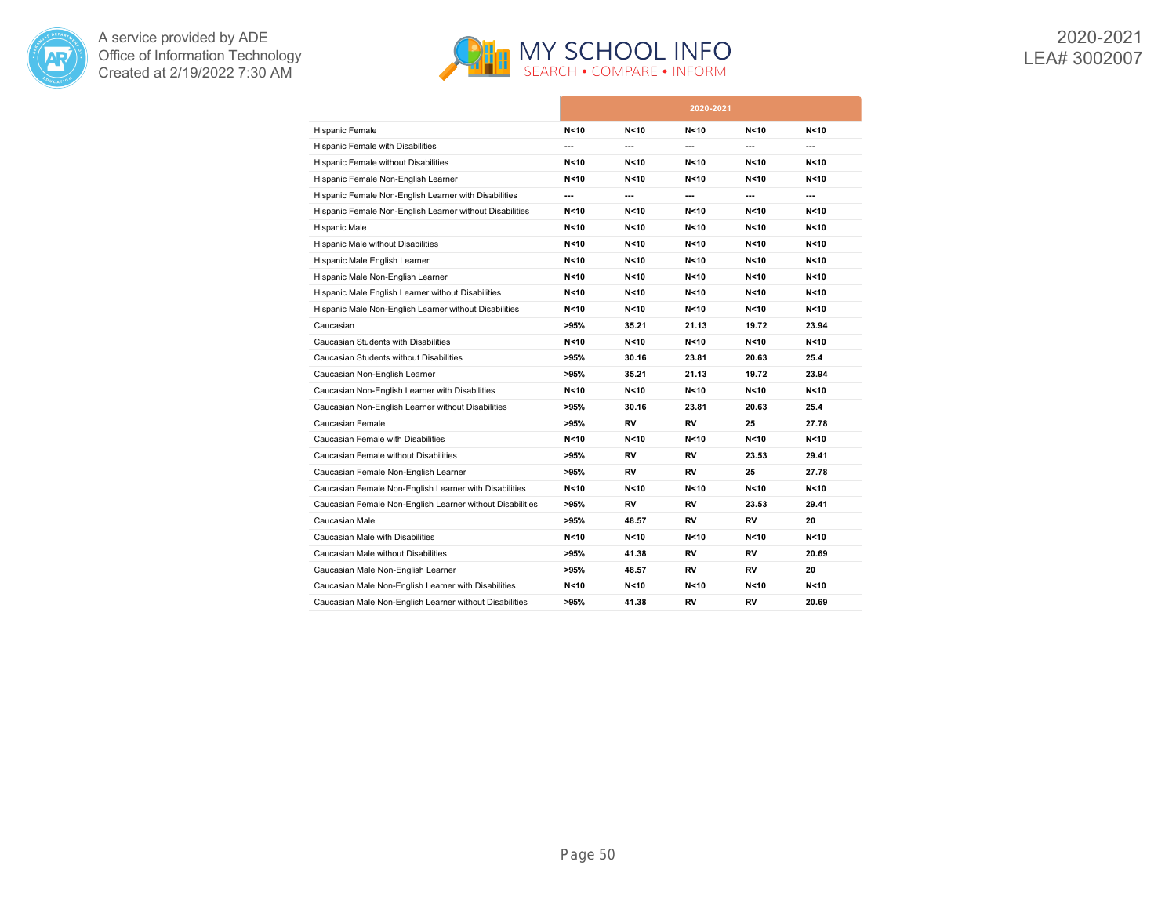



|                                                           |        |                 | 2020-2021       |                 |       |
|-----------------------------------------------------------|--------|-----------------|-----------------|-----------------|-------|
| Hispanic Female                                           | N < 10 | N<10            | N < 10          | N < 10          | N<10  |
| Hispanic Female with Disabilities                         | ---    | ---             | ---             | ---             | ---   |
| Hispanic Female without Disabilities                      | N < 10 | N<10            | N < 10          | N<10            | N<10  |
| Hispanic Female Non-English Learner                       | N<10   | N<10            | N < 10          | N<10            | N<10  |
| Hispanic Female Non-English Learner with Disabilities     | ---    | ---             | ---             | ---             | ---   |
| Hispanic Female Non-English Learner without Disabilities  | N<10   | N<10            | N<10            | N<10            | N<10  |
| Hispanic Male                                             | N < 10 | N <sub>10</sub> | N <sub>10</sub> | N <sub>10</sub> | N<10  |
| Hispanic Male without Disabilities                        | N<10   | N<10            | N < 10          | N<10            | N<10  |
| Hispanic Male English Learner                             | N < 10 | N<10            | N < 10          | N<10            | N<10  |
| Hispanic Male Non-English Learner                         | N < 10 | N<10            | N < 10          | N<10            | N<10  |
| Hispanic Male English Learner without Disabilities        | N < 10 | N<10            | N < 10          | N<10            | N<10  |
| Hispanic Male Non-English Learner without Disabilities    | N < 10 | N<10            | N < 10          | N<10            | N<10  |
| Caucasian                                                 | >95%   | 35.21           | 21.13           | 19.72           | 23.94 |
| Caucasian Students with Disabilities                      | N < 10 | N<10            | N <sub>10</sub> | N<10            | N<10  |
| Caucasian Students without Disabilities                   | >95%   | 30.16           | 23.81           | 20.63           | 25.4  |
| Caucasian Non-English Learner                             | >95%   | 35.21           | 21.13           | 19.72           | 23.94 |
| Caucasian Non-English Learner with Disabilities           | N<10   | N<10            | N <sub>10</sub> | N<10            | N<10  |
| Caucasian Non-English Learner without Disabilities        | >95%   | 30.16           | 23.81           | 20.63           | 25.4  |
| Caucasian Female                                          | >95%   | RV              | RV              | 25              | 27.78 |
| Caucasian Female with Disabilities                        | N < 10 | N<10            | N <sub>10</sub> | N<10            | N<10  |
| Caucasian Female without Disabilities                     | >95%   | RV              | RV              | 23.53           | 29.41 |
| Caucasian Female Non-English Learner                      | >95%   | RV              | <b>RV</b>       | 25              | 27.78 |
| Caucasian Female Non-English Learner with Disabilities    | N<10   | N<10            | N < 10          | N<10            | N<10  |
| Caucasian Female Non-English Learner without Disabilities | >95%   | RV              | RV              | 23.53           | 29.41 |
| Caucasian Male                                            | >95%   | 48.57           | RV              | RV              | 20    |
| Caucasian Male with Disabilities                          | N<10   | N<10            | N<10            | N<10            | N<10  |
| Caucasian Male without Disabilities                       | >95%   | 41.38           | RV              | RV              | 20.69 |
| Caucasian Male Non-English Learner                        | >95%   | 48.57           | RV              | RV              | 20    |
| Caucasian Male Non-English Learner with Disabilities      | N<10   | N<10            | N <sub>10</sub> | N < 10          | N<10  |
| Caucasian Male Non-English Learner without Disabilities   | >95%   | 41.38           | RV              | <b>RV</b>       | 20.69 |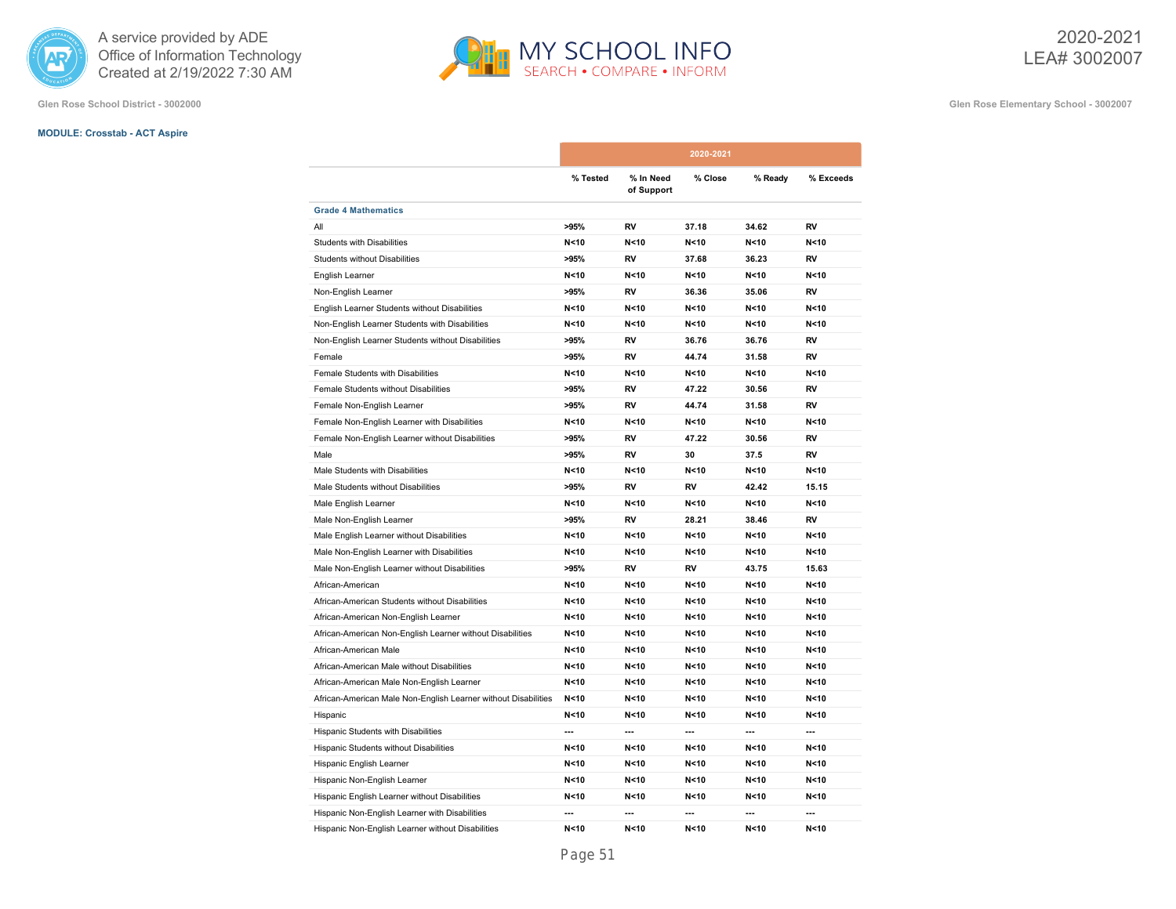

**Glen Rose School District - 3002000 Glen Rose Elementary School - 3002007**

# **MODULE: Crosstab - ACT Aspire**

|                                                                |          |                         | 2020-2021       |         |                 |
|----------------------------------------------------------------|----------|-------------------------|-----------------|---------|-----------------|
|                                                                | % Tested | % In Need<br>of Support | % Close         | % Ready | % Exceeds       |
| <b>Grade 4 Mathematics</b>                                     |          |                         |                 |         |                 |
| All                                                            | >95%     | RV                      | 37.18           | 34.62   | RV              |
| <b>Students with Disabilities</b>                              | N < 10   | N < 10                  | N < 10          | N < 10  | N < 10          |
| Students without Disabilities                                  | >95%     | <b>RV</b>               | 37.68           | 36.23   | <b>RV</b>       |
| English Learner                                                | N < 10   | N < 10                  | N <sub>10</sub> | N < 10  | N <sub>10</sub> |
| Non-English Learner                                            | >95%     | RV                      | 36.36           | 35.06   | RV              |
| English Learner Students without Disabilities                  | N < 10   | N < 10                  | N < 10          | N < 10  | N <sub>10</sub> |
| Non-English Learner Students with Disabilities                 | N < 10   | N < 10                  | N < 10          | N < 10  | N < 10          |
| Non-English Learner Students without Disabilities              | >95%     | RV                      | 36.76           | 36.76   | <b>RV</b>       |
| Female                                                         | >95%     | RV                      | 44.74           | 31.58   | RV              |
| Female Students with Disabilities                              | N < 10   | N < 10                  | N < 10          | N < 10  | N < 10          |
| Female Students without Disabilities                           | >95%     | <b>RV</b>               | 47.22           | 30.56   | <b>RV</b>       |
| Female Non-English Learner                                     | >95%     | RV                      | 44.74           | 31.58   | <b>RV</b>       |
| Female Non-English Learner with Disabilities                   | N<10     | N < 10                  | N<10            | N < 10  | N < 10          |
| Female Non-English Learner without Disabilities                | >95%     | RV                      | 47.22           | 30.56   | RV              |
| Male                                                           | >95%     | <b>RV</b>               | 30              | 37.5    | <b>RV</b>       |
| Male Students with Disabilities                                | N < 10   | N < 10                  | N < 10          | N < 10  | N < 10          |
| Male Students without Disabilities                             | >95%     | RV                      | RV              | 42.42   | 15.15           |
| Male English Learner                                           | N < 10   | N < 10                  | N < 10          | N < 10  | N < 10          |
| Male Non-English Learner                                       | >95%     | <b>RV</b>               | 28.21           | 38.46   | <b>RV</b>       |
| Male English Learner without Disabilities                      | N < 10   | N < 10                  | N < 10          | N < 10  | N < 10          |
| Male Non-English Learner with Disabilities                     | N < 10   | N < 10                  | N < 10          | N < 10  | N < 10          |
| Male Non-English Learner without Disabilities                  | >95%     | RV                      | RV              | 43.75   | 15.63           |
| African-American                                               | N < 10   | N < 10                  | N < 10          | N < 10  | N < 10          |
| African-American Students without Disabilities                 | N < 10   | N<10                    | N < 10          | N < 10  | N < 10          |
| African-American Non-English Learner                           | N < 10   | N < 10                  | N < 10          | N < 10  | N < 10          |
| African-American Non-English Learner without Disabilities      | N < 10   | N < 10                  | N < 10          | N<10    | N < 10          |
| African-American Male                                          | N < 10   | N < 10                  | N < 10          | N < 10  | N < 10          |
| African-American Male without Disabilities                     | N < 10   | N<10                    | N < 10          | N < 10  | N < 10          |
| African-American Male Non-English Learner                      | N < 10   | N<10                    | N < 10          | N < 10  | N < 10          |
| African-American Male Non-English Learner without Disabilities | N < 10   | N<10                    | N < 10          | N<10    | N <sub>10</sub> |
| Hispanic                                                       | N<10     | N < 10                  | N < 10          | N < 10  | N < 10          |
| Hispanic Students with Disabilities                            | ---      | ---                     | ---             | ---     | ---             |
| Hispanic Students without Disabilities                         | N<10     | N<10                    | N < 10          | N < 10  | N < 10          |
| Hispanic English Learner                                       | N<10     | N<10                    | N < 10          | N<10    | N < 10          |
| Hispanic Non-English Learner                                   | N < 10   | N < 10                  | N < 10          | N < 10  | N < 10          |
| Hispanic English Learner without Disabilities                  | N < 10   | N<10                    | N < 10          | N < 10  | N < 10          |
| Hispanic Non-English Learner with Disabilities                 | ---      | ---                     | ---             | ---     | ---             |
| Hispanic Non-English Learner without Disabilities              | N < 10   | N < 10                  | N < 10          | N < 10  | N < 10          |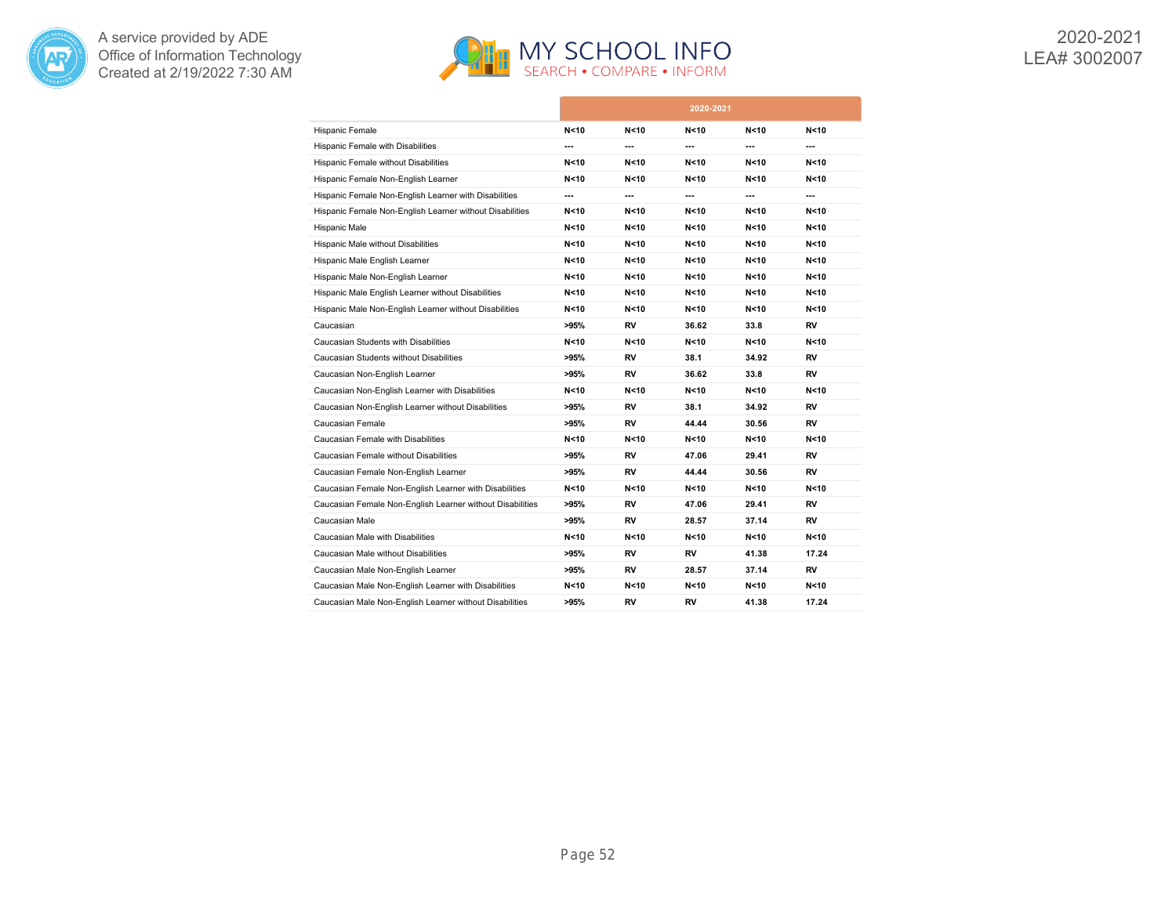



|                                                           |        |                 | 2020-2021       |        |       |
|-----------------------------------------------------------|--------|-----------------|-----------------|--------|-------|
| Hispanic Female                                           | N < 10 | N<10            | N < 10          | N<10   | N<10  |
| Hispanic Female with Disabilities                         | ---    | ---             | ---             | ---    | ---   |
| Hispanic Female without Disabilities                      | N < 10 | N<10            | N < 10          | N<10   | N<10  |
| Hispanic Female Non-English Learner                       | N < 10 | N<10            | N < 10          | N<10   | N<10  |
| Hispanic Female Non-English Learner with Disabilities     | ---    | ---             | ---             | ---    | ---   |
| Hispanic Female Non-English Learner without Disabilities  | N < 10 | N<10            | N < 10          | N<10   | N<10  |
| Hispanic Male                                             | N < 10 | N<10            | N < 10          | N<10   | N<10  |
| Hispanic Male without Disabilities                        | N < 10 | N<10            | N < 10          | N<10   | N<10  |
| Hispanic Male English Learner                             | N < 10 | N<10            | N < 10          | N<10   | N<10  |
| Hispanic Male Non-English Learner                         | N<10   | N<10            | N < 10          | N<10   | N<10  |
| Hispanic Male English Learner without Disabilities        | N < 10 | N<10            | N < 10          | N<10   | N<10  |
| Hispanic Male Non-English Learner without Disabilities    | N < 10 | N<10            | N<10            | N<10   | N<10  |
| Caucasian                                                 | >95%   | RV              | 36.62           | 33.8   | RV    |
| Caucasian Students with Disabilities                      | N<10   | N <sub>10</sub> | N <sub>10</sub> | N < 10 | N<10  |
| Caucasian Students without Disabilities                   | >95%   | RV              | 38.1            | 34.92  | RV    |
| Caucasian Non-English Learner                             | >95%   | RV              | 36.62           | 33.8   | RV    |
| Caucasian Non-English Learner with Disabilities           | N<10   | N<10            | N < 10          | N<10   | N<10  |
| Caucasian Non-English Learner without Disabilities        | >95%   | RV              | 38.1            | 34.92  | RV    |
| Caucasian Female                                          | >95%   | RV              | 44.44           | 30.56  | RV    |
| Caucasian Female with Disabilities                        | N < 10 | N<10            | N < 10          | N<10   | N<10  |
| Caucasian Female without Disabilities                     | >95%   | RV              | 47.06           | 29.41  | RV    |
| Caucasian Female Non-English Learner                      | >95%   | RV              | 44.44           | 30.56  | RV    |
| Caucasian Female Non-English Learner with Disabilities    | N<10   | N<10            | N<10            | N<10   | N<10  |
| Caucasian Female Non-English Learner without Disabilities | >95%   | RV              | 47.06           | 29.41  | RV    |
| Caucasian Male                                            | >95%   | RV              | 28.57           | 37.14  | RV    |
| Caucasian Male with Disabilities                          | N<10   | N<10            | N<10            | N<10   | N<10  |
| Caucasian Male without Disabilities                       | >95%   | RV              | RV              | 41.38  | 17.24 |
| Caucasian Male Non-English Learner                        | >95%   | RV              | 28.57           | 37.14  | RV    |
| Caucasian Male Non-English Learner with Disabilities      | N<10   | N <sub>10</sub> | N < 10          | N<10   | N<10  |
| Caucasian Male Non-English Learner without Disabilities   | >95%   | RV              | RV              | 41.38  | 17.24 |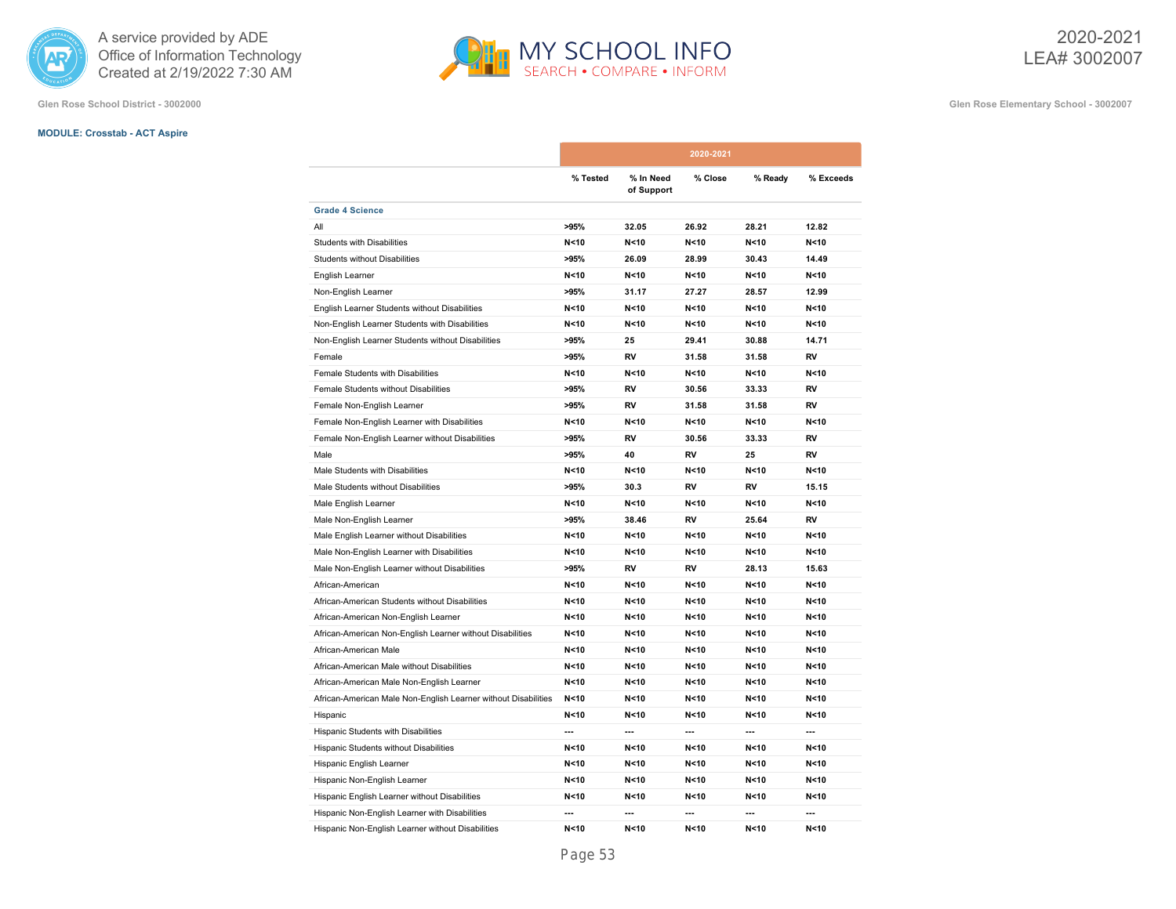

**Glen Rose School District - 3002000 Glen Rose Elementary School - 3002007**

# **MODULE: Crosstab - ACT Aspire**

|                                                                |          |                         | 2020-2021       |                          |                 |
|----------------------------------------------------------------|----------|-------------------------|-----------------|--------------------------|-----------------|
|                                                                | % Tested | % In Need<br>of Support | % Close         | % Ready                  | % Exceeds       |
| <b>Grade 4 Science</b>                                         |          |                         |                 |                          |                 |
| All                                                            | >95%     | 32.05                   | 26.92           | 28.21                    | 12.82           |
| <b>Students with Disabilities</b>                              | N < 10   | N<10                    | N<10            | N < 10                   | N < 10          |
| <b>Students without Disabilities</b>                           | >95%     | 26.09                   | 28.99           | 30.43                    | 14.49           |
| English Learner                                                | N < 10   | N < 10                  | N < 10          | N < 10                   | N < 10          |
| Non-English Learner                                            | >95%     | 31.17                   | 27.27           | 28.57                    | 12.99           |
| English Learner Students without Disabilities                  | N < 10   | N<10                    | N < 10          | N < 10                   | N <sub>10</sub> |
| Non-English Learner Students with Disabilities                 | N < 10   | N < 10                  | N < 10          | N < 10                   | N < 10          |
| Non-English Learner Students without Disabilities              | >95%     | 25                      | 29.41           | 30.88                    | 14.71           |
| Female                                                         | >95%     | RV                      | 31.58           | 31.58                    | <b>RV</b>       |
| Female Students with Disabilities                              | N < 10   | N < 10                  | N < 10          | N<10                     | N < 10          |
| Female Students without Disabilities                           | >95%     | <b>RV</b>               | 30.56           | 33.33                    | <b>RV</b>       |
| Female Non-English Learner                                     | >95%     | <b>RV</b>               | 31.58           | 31.58                    | <b>RV</b>       |
| Female Non-English Learner with Disabilities                   | N < 10   | N < 10                  | N < 10          | N < 10                   | N < 10          |
| Female Non-English Learner without Disabilities                | >95%     | RV                      | 30.56           | 33.33                    | RV              |
| Male                                                           | >95%     | 40                      | RV              | 25                       | <b>RV</b>       |
| Male Students with Disabilities                                | N < 10   | N < 10                  | N < 10          | N<10                     | N < 10          |
| Male Students without Disabilities                             | >95%     | 30.3                    | RV              | <b>RV</b>                | 15.15           |
| Male English Learner                                           | N < 10   | N < 10                  | N < 10          | N < 10                   | N < 10          |
| Male Non-English Learner                                       | >95%     | 38.46                   | RV              | 25.64                    | <b>RV</b>       |
| Male English Learner without Disabilities                      | N < 10   | N<10                    | N < 10          | N < 10                   | N < 10          |
| Male Non-English Learner with Disabilities                     | N < 10   | N < 10                  | N<10            | N < 10                   | N < 10          |
| Male Non-English Learner without Disabilities                  | >95%     | <b>RV</b>               | RV              | 28.13                    | 15.63           |
| African-American                                               | N < 10   | N < 10                  | N < 10          | N < 10                   | N < 10          |
| African-American Students without Disabilities                 | N < 10   | N < 10                  | N < 10          | N < 10                   | N < 10          |
| African-American Non-English Learner                           | N < 10   | N < 10                  | N <sub>10</sub> | N < 10                   | N < 10          |
| African-American Non-English Learner without Disabilities      | N < 10   | N < 10                  | N < 10          | N < 10                   | N < 10          |
| African-American Male                                          | N < 10   | N < 10                  | N < 10          | N < 10                   | N < 10          |
| African-American Male without Disabilities                     | N < 10   | N<10                    | N <sub>10</sub> | N < 10                   | N < 10          |
| African-American Male Non-English Learner                      | N < 10   | N < 10                  | N <sub>10</sub> | N < 10                   | N <sub>10</sub> |
| African-American Male Non-English Learner without Disabilities | N < 10   | N < 10                  | N < 10          | N < 10                   | N < 10          |
| Hispanic                                                       | N < 10   | N < 10                  | N < 10          | N < 10                   | N < 10          |
| Hispanic Students with Disabilities                            | ---      | $\overline{a}$          | ---             | $\overline{a}$           | $\sim$          |
| Hispanic Students without Disabilities                         | N < 10   | N < 10                  | N < 10          | N < 10                   | N <sub>10</sub> |
| Hispanic English Learner                                       | N < 10   | N < 10                  | N < 10          | N < 10                   | N < 10          |
| Hispanic Non-English Learner                                   | N < 10   | N < 10                  | N <sub>10</sub> | N < 10                   | N < 10          |
| Hispanic English Learner without Disabilities                  | N < 10   | N < 10                  | N <sub>10</sub> | N < 10                   | N <sub>10</sub> |
| Hispanic Non-English Learner with Disabilities                 | ---      | $\overline{a}$          | ---             | $\overline{\phantom{a}}$ | $\overline{a}$  |
| Hispanic Non-English Learner without Disabilities              | N < 10   | N < 10                  | N < 10          | N < 10                   | N <sub>10</sub> |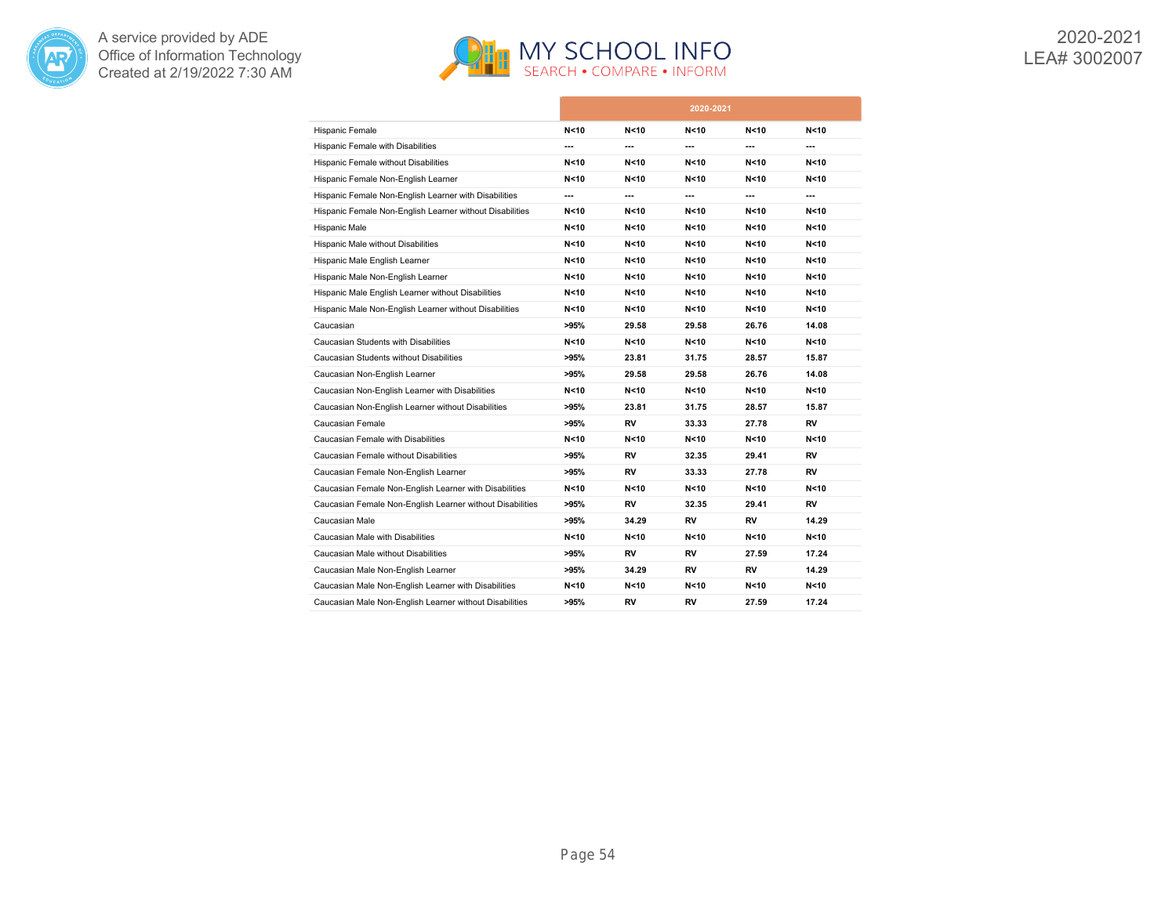



|                                                           |        |                 | 2020-2021       |        |       |
|-----------------------------------------------------------|--------|-----------------|-----------------|--------|-------|
| Hispanic Female                                           | N < 10 | N <sub>10</sub> | N <sub>10</sub> | N<10   | N<10  |
| Hispanic Female with Disabilities                         | ---    | ---             | ---             | ---    | ---   |
| Hispanic Female without Disabilities                      | N < 10 | N<10            | N < 10          | N<10   | N<10  |
| Hispanic Female Non-English Learner                       | N < 10 | N<10            | N < 10          | N<10   | N<10  |
| Hispanic Female Non-English Learner with Disabilities     | ---    | ---             | ---             | ---    | ---   |
| Hispanic Female Non-English Learner without Disabilities  | N<10   | N <sub>10</sub> | N < 10          | N<10   | N<10  |
| Hispanic Male                                             | N < 10 | N<10            | N < 10          | N < 10 | N<10  |
| Hispanic Male without Disabilities                        | N < 10 | N <sub>10</sub> | N < 10          | N<10   | N<10  |
| Hispanic Male English Learner                             | N < 10 | N<10            | N<10            | N<10   | N<10  |
| Hispanic Male Non-English Learner                         | N<10   | N<10            | N<10            | N<10   | N<10  |
| Hispanic Male English Learner without Disabilities        | N < 10 | N <sub>10</sub> | N <sub>10</sub> | N<10   | N<10  |
| Hispanic Male Non-English Learner without Disabilities    | N < 10 | N <sub>10</sub> | N <sub>10</sub> | N<10   | N<10  |
| Caucasian                                                 | >95%   | 29.58           | 29.58           | 26.76  | 14.08 |
| Caucasian Students with Disabilities                      | N < 10 | N<10            | N <sub>10</sub> | N<10   | N<10  |
| Caucasian Students without Disabilities                   | >95%   | 23.81           | 31.75           | 28.57  | 15.87 |
| Caucasian Non-English Learner                             | >95%   | 29.58           | 29.58           | 26.76  | 14.08 |
| Caucasian Non-English Learner with Disabilities           | N<10   | N<10            | N < 10          | N<10   | N<10  |
| Caucasian Non-English Learner without Disabilities        | >95%   | 23.81           | 31.75           | 28.57  | 15.87 |
| Caucasian Female                                          | >95%   | RV              | 33.33           | 27.78  | RV    |
| Caucasian Female with Disabilities                        | N < 10 | N<10            | N < 10          | N < 10 | N<10  |
| Caucasian Female without Disabilities                     | >95%   | RV              | 32.35           | 29.41  | RV    |
| Caucasian Female Non-English Learner                      | >95%   | RV              | 33.33           | 27.78  | RV    |
| Caucasian Female Non-English Learner with Disabilities    | N<10   | N<10            | N<10            | N<10   | N<10  |
| Caucasian Female Non-English Learner without Disabilities | >95%   | RV              | 32.35           | 29.41  | RV    |
| Caucasian Male                                            | >95%   | 34.29           | RV              | RV     | 14.29 |
| Caucasian Male with Disabilities                          | N<10   | N<10            | N < 10          | N<10   | N<10  |
| Caucasian Male without Disabilities                       | >95%   | RV              | RV              | 27.59  | 17.24 |
| Caucasian Male Non-English Learner                        | >95%   | 34.29           | RV              | RV     | 14.29 |
| Caucasian Male Non-English Learner with Disabilities      | N<10   | N<10            | N <sub>10</sub> | N < 10 | N<10  |
| Caucasian Male Non-English Learner without Disabilities   | >95%   | RV              | RV              | 27.59  | 17.24 |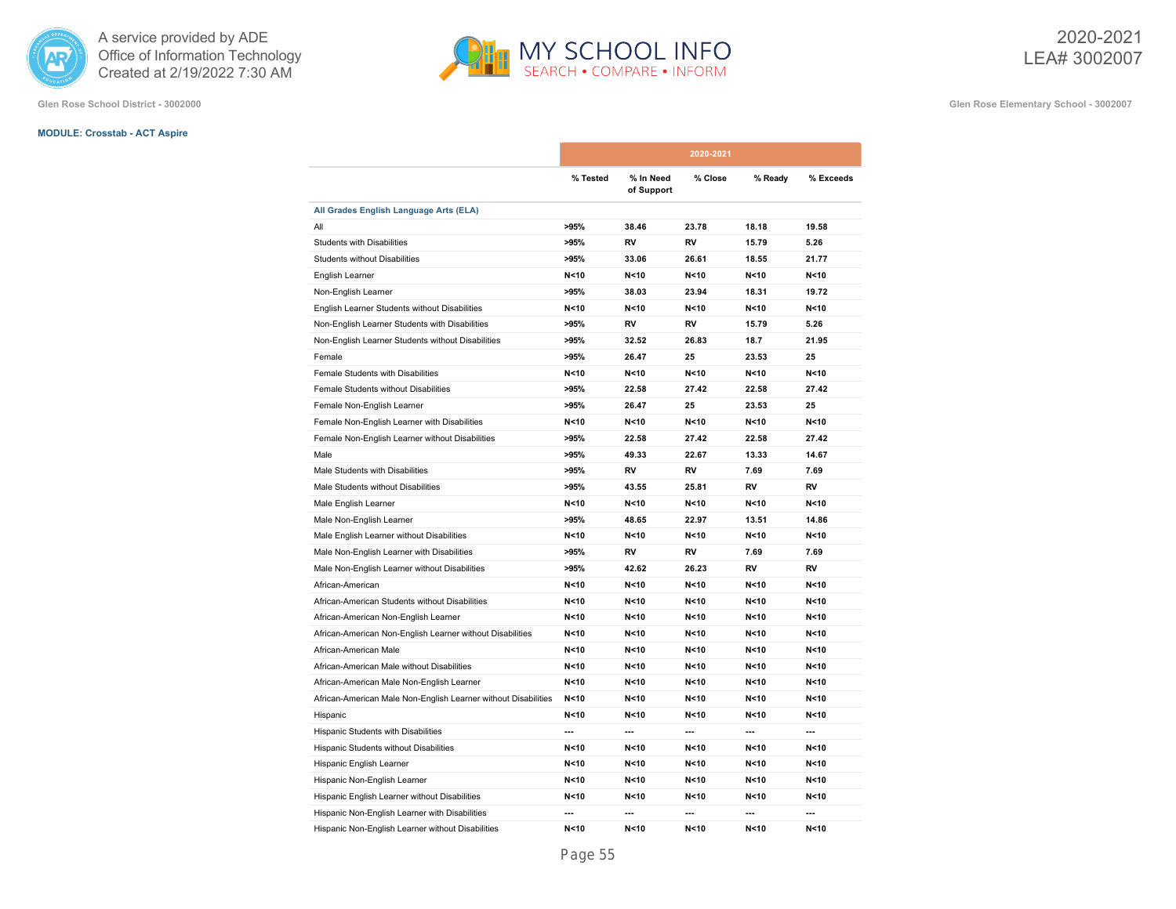

# **MODULE: Crosstab - ACT Aspire**

**Glen Rose School District - 3002000 Glen Rose Elementary School - 3002007**

|                                                                |          |                         | 2020-2021 |         |                 |
|----------------------------------------------------------------|----------|-------------------------|-----------|---------|-----------------|
|                                                                | % Tested | % In Need<br>of Support | % Close   | % Ready | % Exceeds       |
| All Grades English Language Arts (ELA)                         |          |                         |           |         |                 |
| All                                                            | >95%     | 38.46                   | 23.78     | 18.18   | 19.58           |
| <b>Students with Disabilities</b>                              | >95%     | RV                      | RV        | 15.79   | 5.26            |
| <b>Students without Disabilities</b>                           | >95%     | 33.06                   | 26.61     | 18.55   | 21.77           |
| English Learner                                                | N < 10   | N < 10                  | N < 10    | N < 10  | N < 10          |
| Non-English Learner                                            | >95%     | 38.03                   | 23.94     | 18.31   | 19.72           |
| English Learner Students without Disabilities                  | N < 10   | N<10                    | N < 10    | N < 10  | N <sub>10</sub> |
| Non-English Learner Students with Disabilities                 | >95%     | RV                      | RV        | 15.79   | 5.26            |
| Non-English Learner Students without Disabilities              | >95%     | 32.52                   | 26.83     | 18.7    | 21.95           |
| Female                                                         | >95%     | 26.47                   | 25        | 23.53   | 25              |
| Female Students with Disabilities                              | N < 10   | N<10                    | N<10      | N < 10  | N < 10          |
| Female Students without Disabilities                           | >95%     | 22.58                   | 27.42     | 22.58   | 27.42           |
| Female Non-English Learner                                     | >95%     | 26.47                   | 25        | 23.53   | 25              |
| Female Non-English Learner with Disabilities                   | N < 10   | N < 10                  | N < 10    | N < 10  | N < 10          |
| Female Non-English Learner without Disabilities                | >95%     | 22.58                   | 27.42     | 22.58   | 27.42           |
| Male                                                           | >95%     | 49.33                   | 22.67     | 13.33   | 14.67           |
| Male Students with Disabilities                                | >95%     | <b>RV</b>               | <b>RV</b> | 7.69    | 7.69            |
| Male Students without Disabilities                             | >95%     | 43.55                   | 25.81     | RV      | RV              |
| Male English Learner                                           | N < 10   | N < 10                  | N < 10    | N < 10  | N < 10          |
| Male Non-English Learner                                       | >95%     | 48.65                   | 22.97     | 13.51   | 14.86           |
| Male English Learner without Disabilities                      | N < 10   | N < 10                  | N<10      | N < 10  | N <sub>10</sub> |
| Male Non-English Learner with Disabilities                     | >95%     | RV                      | RV        | 7.69    | 7.69            |
| Male Non-English Learner without Disabilities                  | >95%     | 42.62                   | 26.23     | RV      | <b>RV</b>       |
| African-American                                               | N < 10   | N<10                    | N < 10    | N < 10  | N < 10          |
| African-American Students without Disabilities                 | N < 10   | N < 10                  | N<10      | N < 10  | N < 10          |
| African-American Non-English Learner                           | N < 10   | N < 10                  | N<10      | N<10    | N < 10          |
| African-American Non-English Learner without Disabilities      | N < 10   | N < 10                  | N < 10    | N < 10  | N < 10          |
| African-American Male                                          | N < 10   | N<10                    | N < 10    | N < 10  | N < 10          |
| African-American Male without Disabilities                     | N < 10   | N < 10                  | N<10      | N < 10  | N <sub>10</sub> |
| African-American Male Non-English Learner                      | N < 10   | N < 10                  | N<10      | N<10    | N < 10          |
| African-American Male Non-English Learner without Disabilities | N < 10   | N < 10                  | N < 10    | N < 10  | N < 10          |
| Hispanic                                                       | N < 10   | N<10                    | N < 10    | N < 10  | N < 10          |
| Hispanic Students with Disabilities                            | ---      | ---                     | ---       | ---     | $\overline{a}$  |
| Hispanic Students without Disabilities                         | N<10     | N < 10                  | N<10      | N<10    | N < 10          |
| Hispanic English Learner                                       | N < 10   | N < 10                  | N<10      | N < 10  | N < 10          |
| Hispanic Non-English Learner                                   | N < 10   | N < 10                  | N < 10    | N < 10  | N < 10          |
| Hispanic English Learner without Disabilities                  | N < 10   | N < 10                  | N<10      | N < 10  | N<10            |
| Hispanic Non-English Learner with Disabilities                 | ---      | ---                     | ---       |         | ---             |
| Hispanic Non-English Learner without Disabilities              | N < 10   | N < 10                  | N < 10    | N < 10  | N < 10          |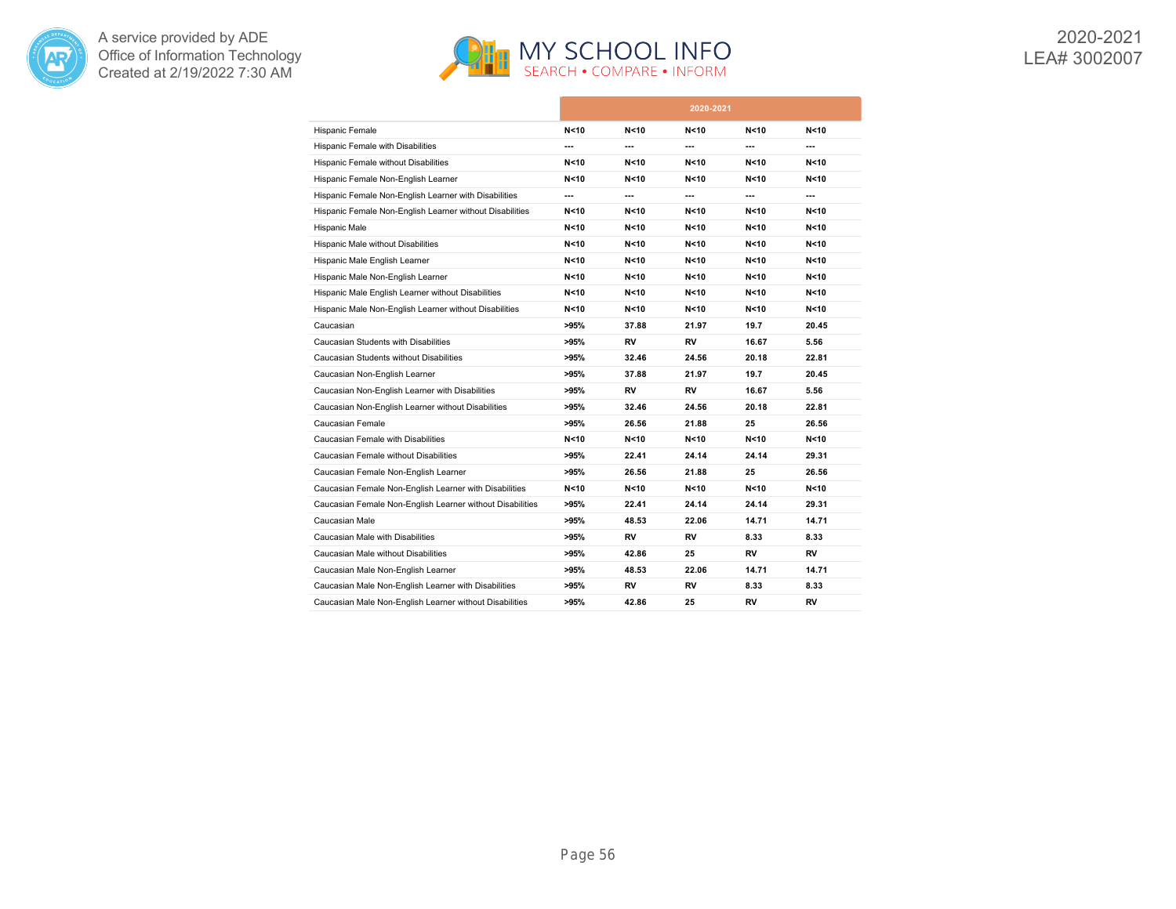



|                                                           |        |       | 2020-2021 |       |       |
|-----------------------------------------------------------|--------|-------|-----------|-------|-------|
| Hispanic Female                                           | N < 10 | N<10  | N < 10    | N<10  | N<10  |
| Hispanic Female with Disabilities                         | ---    | ---   | ---       | ---   | ---   |
| Hispanic Female without Disabilities                      | N<10   | N<10  | N < 10    | N<10  | N<10  |
| Hispanic Female Non-English Learner                       | N < 10 | N<10  | N < 10    | N<10  | N<10  |
| Hispanic Female Non-English Learner with Disabilities     | ---    | ---   | ---       | ---   | ---   |
| Hispanic Female Non-English Learner without Disabilities  | N < 10 | N<10  | N < 10    | N<10  | N<10  |
| Hispanic Male                                             | N < 10 | N<10  | N < 10    | N<10  | N<10  |
| Hispanic Male without Disabilities                        | N < 10 | N<10  | N < 10    | N<10  | N<10  |
| Hispanic Male English Learner                             | N < 10 | N<10  | N < 10    | N<10  | N<10  |
| Hispanic Male Non-English Learner                         | N<10   | N<10  | N < 10    | N<10  | N<10  |
| Hispanic Male English Learner without Disabilities        | N < 10 | N<10  | N < 10    | N<10  | N<10  |
| Hispanic Male Non-English Learner without Disabilities    | N<10   | N<10  | N<10      | N<10  | N<10  |
| Caucasian                                                 | >95%   | 37.88 | 21.97     | 19.7  | 20.45 |
| Caucasian Students with Disabilities                      | >95%   | RV    | RV        | 16.67 | 5.56  |
| Caucasian Students without Disabilities                   | >95%   | 32.46 | 24.56     | 20.18 | 22.81 |
| Caucasian Non-English Learner                             | >95%   | 37.88 | 21.97     | 19.7  | 20.45 |
| Caucasian Non-English Learner with Disabilities           | >95%   | RV    | RV        | 16.67 | 5.56  |
| Caucasian Non-English Learner without Disabilities        | >95%   | 32.46 | 24.56     | 20.18 | 22.81 |
| Caucasian Female                                          | >95%   | 26.56 | 21.88     | 25    | 26.56 |
| Caucasian Female with Disabilities                        | N<10   | N<10  | N<10      | N<10  | N<10  |
| Caucasian Female without Disabilities                     | >95%   | 22.41 | 24.14     | 24.14 | 29.31 |
| Caucasian Female Non-English Learner                      | >95%   | 26.56 | 21.88     | 25    | 26.56 |
| Caucasian Female Non-English Learner with Disabilities    | N<10   | N<10  | N<10      | N<10  | N<10  |
| Caucasian Female Non-English Learner without Disabilities | >95%   | 22.41 | 24.14     | 24.14 | 29.31 |
| Caucasian Male                                            | >95%   | 48.53 | 22.06     | 14.71 | 14.71 |
| Caucasian Male with Disabilities                          | >95%   | RV    | RV        | 8.33  | 8.33  |
| Caucasian Male without Disabilities                       | >95%   | 42.86 | 25        | RV    | RV    |
| Caucasian Male Non-English Learner                        | >95%   | 48.53 | 22.06     | 14.71 | 14.71 |
| Caucasian Male Non-English Learner with Disabilities      | >95%   | RV    | RV        | 8.33  | 8.33  |
| Caucasian Male Non-English Learner without Disabilities   | >95%   | 42.86 | 25        | RV    | RV    |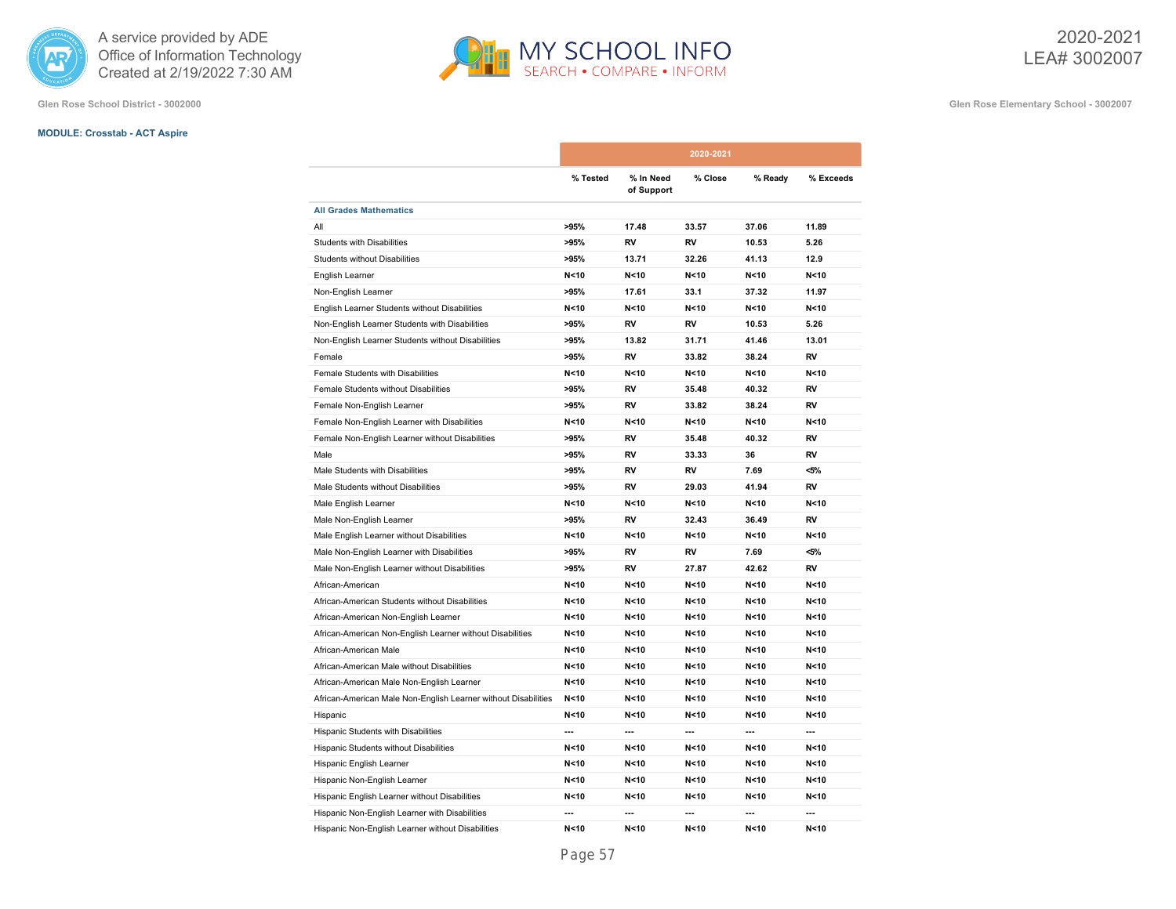

**Glen Rose School District - 3002000 Glen Rose Elementary School - 3002007**

# **MODULE: Crosstab - ACT Aspire**

|                                                                |          |                         | 2020-2021 |                 |                 |
|----------------------------------------------------------------|----------|-------------------------|-----------|-----------------|-----------------|
|                                                                | % Tested | % In Need<br>of Support | % Close   | % Ready         | % Exceeds       |
| <b>All Grades Mathematics</b>                                  |          |                         |           |                 |                 |
| All                                                            | >95%     | 17.48                   | 33.57     | 37.06           | 11.89           |
| Students with Disabilities                                     | >95%     | RV                      | RV        | 10.53           | 5.26            |
| <b>Students without Disabilities</b>                           | >95%     | 13.71                   | 32.26     | 41.13           | 12.9            |
| English Learner                                                | N < 10   | N < 10                  | N < 10    | N < 10          | N < 10          |
| Non-English Learner                                            | >95%     | 17.61                   | 33.1      | 37.32           | 11.97           |
| English Learner Students without Disabilities                  | N < 10   | N < 10                  | N < 10    | N < 10          | N < 10          |
| Non-English Learner Students with Disabilities                 | >95%     | RV                      | RV        | 10.53           | 5.26            |
| Non-English Learner Students without Disabilities              | >95%     | 13.82                   | 31.71     | 41.46           | 13.01           |
| Female                                                         | >95%     | <b>RV</b>               | 33.82     | 38.24           | <b>RV</b>       |
| Female Students with Disabilities                              | N < 10   | N < 10                  | N < 10    | N < 10          | N < 10          |
| Female Students without Disabilities                           | >95%     | <b>RV</b>               | 35.48     | 40.32           | <b>RV</b>       |
| Female Non-English Learner                                     | >95%     | RV                      | 33.82     | 38.24           | RV              |
| Female Non-English Learner with Disabilities                   | N < 10   | N < 10                  | N < 10    | N < 10          | N <sub>10</sub> |
| Female Non-English Learner without Disabilities                | >95%     | RV                      | 35.48     | 40.32           | <b>RV</b>       |
| Male                                                           | >95%     | RV                      | 33.33     | 36              | RV              |
| Male Students with Disabilities                                | >95%     | RV                      | RV        | 7.69            | <5%             |
| Male Students without Disabilities                             | >95%     | RV                      | 29.03     | 41.94           | RV              |
| Male English Learner                                           | N < 10   | N < 10                  | N < 10    | N < 10          | N<10            |
| Male Non-English Learner                                       | >95%     | RV                      | 32.43     | 36.49           | <b>RV</b>       |
| Male English Learner without Disabilities                      | N < 10   | N < 10                  | N < 10    | N <sub>10</sub> | N < 10          |
| Male Non-English Learner with Disabilities                     | >95%     | RV                      | RV        | 7.69            | <5%             |
| Male Non-English Learner without Disabilities                  | >95%     | RV                      | 27.87     | 42.62           | RV              |
| African-American                                               | N < 10   | N < 10                  | N < 10    | N < 10          | N < 10          |
| African-American Students without Disabilities                 | N < 10   | N<10                    | N < 10    | N < 10          | N < 10          |
| African-American Non-English Learner                           | N < 10   | N<10                    | N < 10    | N < 10          | N<10            |
| African-American Non-English Learner without Disabilities      | N < 10   | N<10                    | N < 10    | N < 10          | N < 10          |
| African-American Male                                          | N<10     | N<10                    | N<10      | N<10            | N < 10          |
| African-American Male without Disabilities                     | N < 10   | N < 10                  | N < 10    | N < 10          | N < 10          |
| African-American Male Non-English Learner                      | N < 10   | N < 10                  | N < 10    | N < 10          | N < 10          |
| African-American Male Non-English Learner without Disabilities | N < 10   | N<10                    | N < 10    | N < 10          | N < 10          |
| Hispanic                                                       | N < 10   | N < 10                  | N < 10    | N < 10          | N<10            |
| Hispanic Students with Disabilities                            | ---      | ---                     | ---       | ---             | ---             |
| Hispanic Students without Disabilities                         | N < 10   | N < 10                  | N < 10    | N < 10          | N < 10          |
| Hispanic English Learner                                       | N < 10   | N < 10                  | N < 10    | N < 10          | N <sub>10</sub> |
| Hispanic Non-English Learner                                   | N < 10   | N<10                    | N < 10    | N < 10          | N<10            |
| Hispanic English Learner without Disabilities                  | N < 10   | N < 10                  | N < 10    | N < 10          | N<10            |
| Hispanic Non-English Learner with Disabilities                 | ---      | ---                     | ---       |                 |                 |
| Hispanic Non-English Learner without Disabilities              | N < 10   | N < 10                  | N < 10    | N < 10          | N<10            |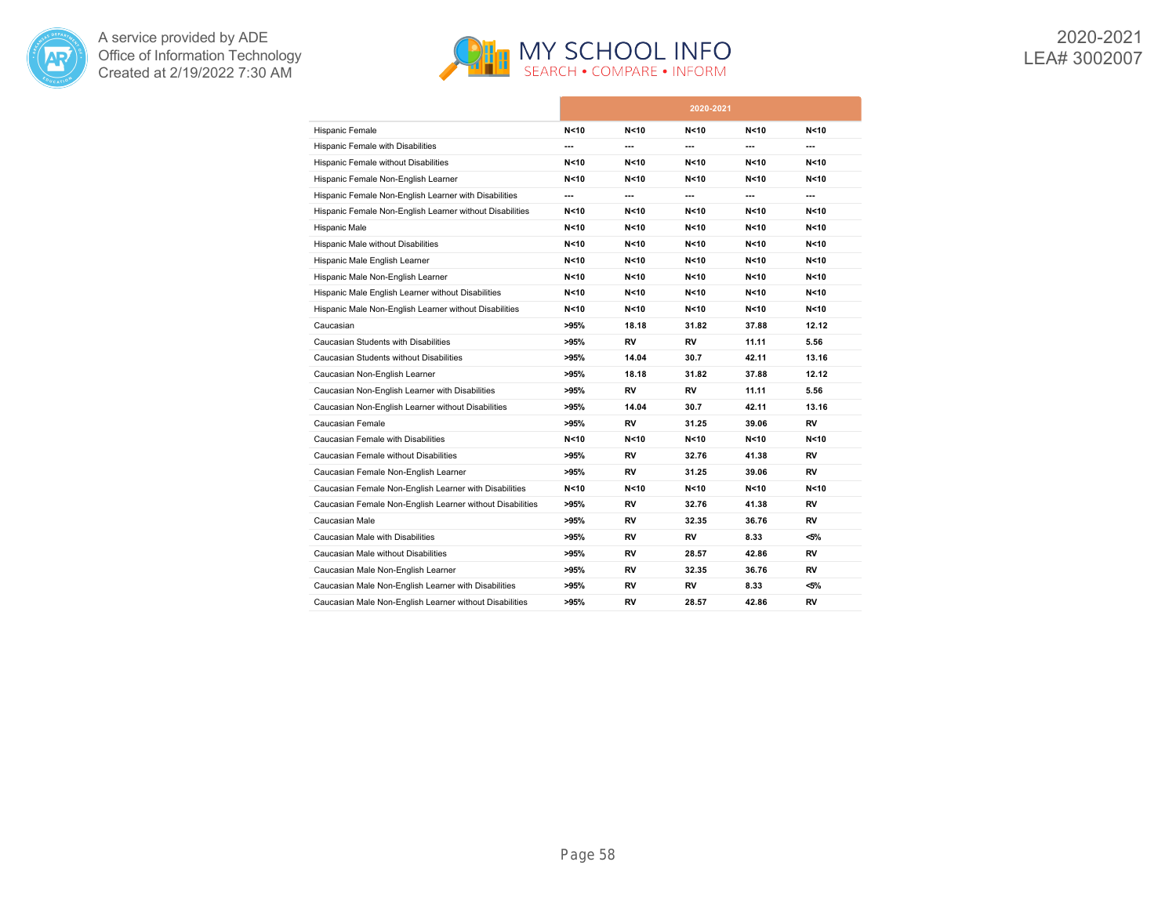



|                                                           |        |                 | 2020-2021       |        |         |
|-----------------------------------------------------------|--------|-----------------|-----------------|--------|---------|
| Hispanic Female                                           | N < 10 | N <sub>10</sub> | N < 10          | N < 10 | N<10    |
| Hispanic Female with Disabilities                         | ---    | ---             | ---             | ---    | ---     |
| Hispanic Female without Disabilities                      | N < 10 | N<10            | N < 10          | N<10   | N<10    |
| Hispanic Female Non-English Learner                       | N < 10 | N<10            | N < 10          | N<10   | N<10    |
| Hispanic Female Non-English Learner with Disabilities     | ---    | ---             | ---             | ---    | ---     |
| Hispanic Female Non-English Learner without Disabilities  | N < 10 | N <sub>10</sub> | N < 10          | N<10   | N<10    |
| Hispanic Male                                             | N < 10 | N<10            | N < 10          | N < 10 | N<10    |
| Hispanic Male without Disabilities                        | N<10   | N <sub>10</sub> | N < 10          | N<10   | N<10    |
| Hispanic Male English Learner                             | N < 10 | N<10            | N<10            | N<10   | N<10    |
| Hispanic Male Non-English Learner                         | N<10   | N<10            | N<10            | N<10   | N<10    |
| Hispanic Male English Learner without Disabilities        | N < 10 | N <sub>10</sub> | N <sub>10</sub> | N<10   | N<10    |
| Hispanic Male Non-English Learner without Disabilities    | N < 10 | N <sub>10</sub> | N <sub>10</sub> | N<10   | N<10    |
| Caucasian                                                 | >95%   | 18.18           | 31.82           | 37.88  | 12.12   |
| Caucasian Students with Disabilities                      | >95%   | RV              | RV              | 11.11  | 5.56    |
| Caucasian Students without Disabilities                   | >95%   | 14.04           | 30.7            | 42.11  | 13.16   |
| Caucasian Non-English Learner                             | >95%   | 18.18           | 31.82           | 37.88  | 12.12   |
| Caucasian Non-English Learner with Disabilities           | >95%   | RV              | RV              | 11.11  | 5.56    |
| Caucasian Non-English Learner without Disabilities        | >95%   | 14.04           | 30.7            | 42.11  | 13.16   |
| Caucasian Female                                          | >95%   | RV              | 31.25           | 39.06  | RV      |
| Caucasian Female with Disabilities                        | N<10   | N<10            | N < 10          | N < 10 | N<10    |
| Caucasian Female without Disabilities                     | >95%   | RV              | 32.76           | 41.38  | RV      |
| Caucasian Female Non-English Learner                      | >95%   | RV              | 31.25           | 39.06  | RV      |
| Caucasian Female Non-English Learner with Disabilities    | N<10   | N<10            | N<10            | N<10   | N<10    |
| Caucasian Female Non-English Learner without Disabilities | >95%   | RV              | 32.76           | 41.38  | RV      |
| Caucasian Male                                            | >95%   | RV              | 32.35           | 36.76  | RV      |
| Caucasian Male with Disabilities                          | >95%   | RV              | RV              | 8.33   | <5%     |
| Caucasian Male without Disabilities                       | >95%   | RV              | 28.57           | 42.86  | RV      |
| Caucasian Male Non-English Learner                        | >95%   | RV              | 32.35           | 36.76  | RV      |
| Caucasian Male Non-English Learner with Disabilities      | >95%   | RV              | RV              | 8.33   | $< 5\%$ |
| Caucasian Male Non-English Learner without Disabilities   | >95%   | RV              | 28.57           | 42.86  | RV      |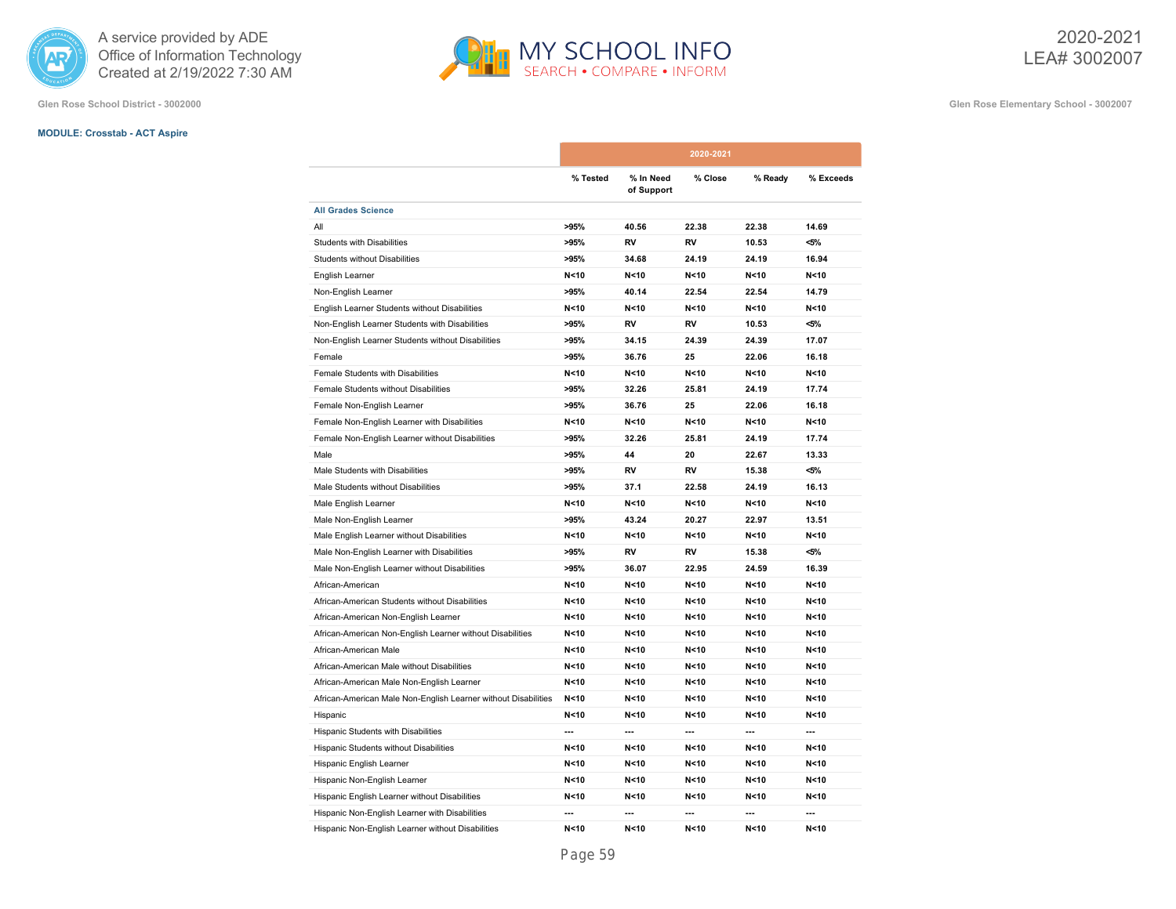

**Glen Rose School District - 3002000 Glen Rose Elementary School - 3002007**

# **MODULE: Crosstab - ACT Aspire**

|                                                                |          |                         | 2020-2021       |                 |                 |
|----------------------------------------------------------------|----------|-------------------------|-----------------|-----------------|-----------------|
|                                                                | % Tested | % In Need<br>of Support | % Close         | % Ready         | % Exceeds       |
| <b>All Grades Science</b>                                      |          |                         |                 |                 |                 |
| All                                                            | >95%     | 40.56                   | 22.38           | 22.38           | 14.69           |
| <b>Students with Disabilities</b>                              | >95%     | RV                      | RV              | 10.53           | <5%             |
| <b>Students without Disabilities</b>                           | >95%     | 34.68                   | 24.19           | 24.19           | 16.94           |
| English Learner                                                | N < 10   | N < 10                  | N < 10          | N < 10          | N <sub>10</sub> |
| Non-English Learner                                            | >95%     | 40.14                   | 22.54           | 22.54           | 14.79           |
| English Learner Students without Disabilities                  | N < 10   | N < 10                  | N<10            | N < 10          | N < 10          |
| Non-English Learner Students with Disabilities                 | >95%     | RV                      | RV              | 10.53           | <5%             |
| Non-English Learner Students without Disabilities              | >95%     | 34.15                   | 24.39           | 24.39           | 17.07           |
| Female                                                         | >95%     | 36.76                   | 25              | 22.06           | 16.18           |
| Female Students with Disabilities                              | N < 10   | N < 10                  | N<10            | N < 10          | N < 10          |
| Female Students without Disabilities                           | >95%     | 32.26                   | 25.81           | 24.19           | 17.74           |
| Female Non-English Learner                                     | >95%     | 36.76                   | 25              | 22.06           | 16.18           |
| Female Non-English Learner with Disabilities                   | N < 10   | N<10                    | N<10            | N < 10          | N < 10          |
| Female Non-English Learner without Disabilities                | >95%     | 32.26                   | 25.81           | 24.19           | 17.74           |
| Male                                                           | >95%     | 44                      | 20              | 22.67           | 13.33           |
| Male Students with Disabilities                                | >95%     | RV                      | RV              | 15.38           | <5%             |
| Male Students without Disabilities                             | >95%     | 37.1                    | 22.58           | 24.19           | 16.13           |
| Male English Learner                                           | N < 10   | N < 10                  | N <sub>10</sub> | N < 10          | N < 10          |
| Male Non-English Learner                                       | >95%     | 43.24                   | 20.27           | 22.97           | 13.51           |
| Male English Learner without Disabilities                      | N < 10   | N < 10                  | N < 10          | N < 10          | N < 10          |
| Male Non-English Learner with Disabilities                     | >95%     | RV                      | RV              | 15.38           | $< 5\%$         |
| Male Non-English Learner without Disabilities                  | >95%     | 36.07                   | 22.95           | 24.59           | 16.39           |
| African-American                                               | N<10     | N < 10                  | N<10            | N <sub>10</sub> | N <sub>10</sub> |
| African-American Students without Disabilities                 | N<10     | N < 10                  | N<10            | N < 10          | N < 10          |
| African-American Non-English Learner                           | N < 10   | N < 10                  | N < 10          | N < 10          | N < 10          |
| African-American Non-English Learner without Disabilities      | N < 10   | N < 10                  | N<10            | N < 10          | N < 10          |
| African-American Male                                          | N < 10   | N <sub>10</sub>         | N < 10          | N < 10          | N <sub>10</sub> |
| African-American Male without Disabilities                     | N<10     | N < 10                  | N <sub>10</sub> | N < 10          | N < 10          |
| African-American Male Non-English Learner                      | N < 10   | N < 10                  | N <sub>10</sub> | N < 10          | N < 10          |
| African-American Male Non-English Learner without Disabilities | N < 10   | N < 10                  | N<10            | N < 10          | N < 10          |
| Hispanic                                                       | N<10     | N <sub>10</sub>         | N<10            | N <sub>10</sub> | N < 10          |
| Hispanic Students with Disabilities                            | ---      | ---                     | ---             | ---             | ---             |
| Hispanic Students without Disabilities                         | N < 10   | N < 10                  | N<10            | N < 10          | N < 10          |
| Hispanic English Learner                                       | N < 10   | N < 10                  | N<10            | N < 10          | N <sub>10</sub> |
| Hispanic Non-English Learner                                   | N < 10   | N < 10                  | N < 10          | N < 10          | N < 10          |
| Hispanic English Learner without Disabilities                  | N < 10   | N < 10                  | N <sub>10</sub> | N < 10          | N < 10          |
| Hispanic Non-English Learner with Disabilities                 | ---      | ---                     | ---             | ---             | ---             |
| Hispanic Non-English Learner without Disabilities              | N < 10   | N < 10                  | N < 10          | N < 10          | N < 10          |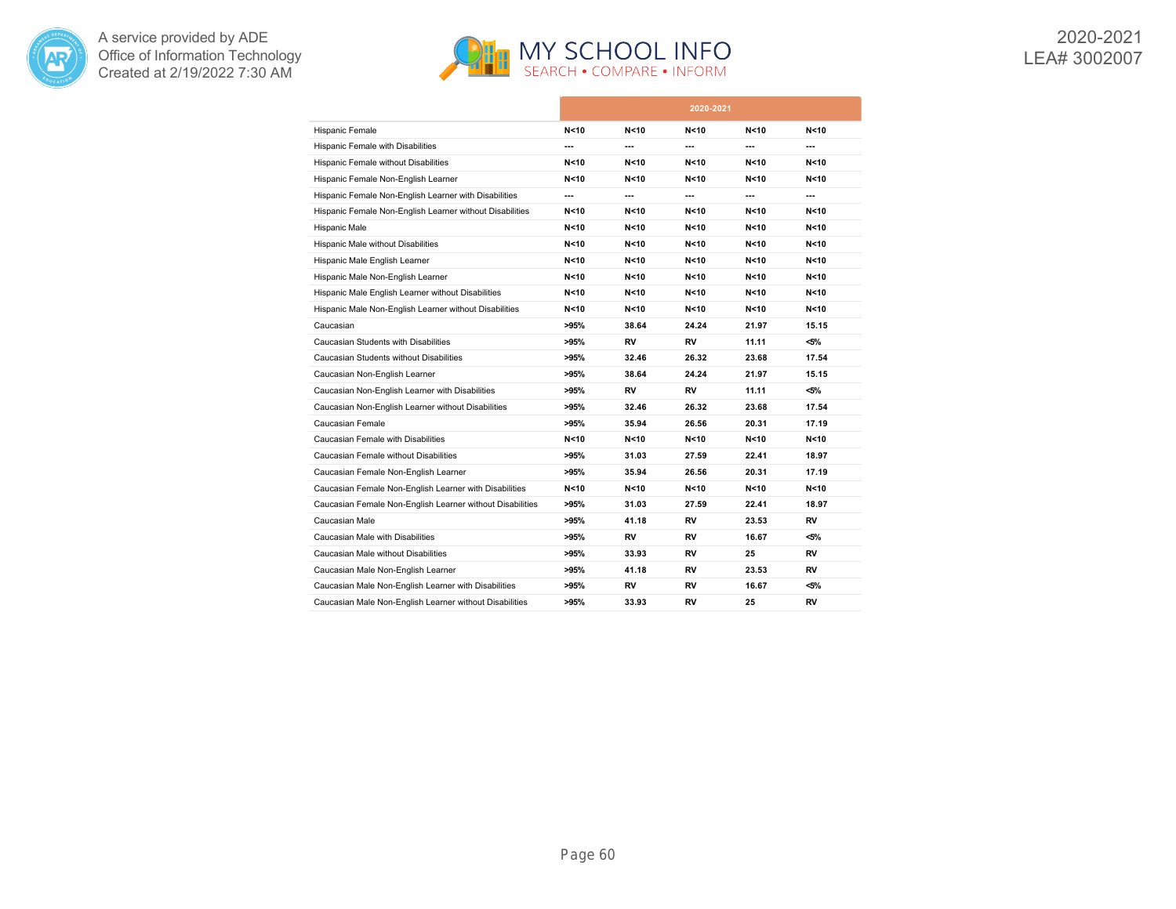



|                                                           |        |                 | 2020-2021       |                 |         |
|-----------------------------------------------------------|--------|-----------------|-----------------|-----------------|---------|
| Hispanic Female                                           | N < 10 | N<10            | N <sub>10</sub> | N < 10          | N<10    |
| Hispanic Female with Disabilities                         | ---    | ---             | ---             | ---             | ---     |
| Hispanic Female without Disabilities                      | N < 10 | N<10            | N < 10          | N<10            | N<10    |
| Hispanic Female Non-English Learner                       | N<10   | N<10            | N < 10          | N<10            | N<10    |
| Hispanic Female Non-English Learner with Disabilities     | ---    | ---             | ---             | ---             | ---     |
| Hispanic Female Non-English Learner without Disabilities  | N<10   | N<10            | N<10            | N<10            | N<10    |
| Hispanic Male                                             | N < 10 | N <sub>10</sub> | N <sub>10</sub> | N <sub>10</sub> | N<10    |
| Hispanic Male without Disabilities                        | N<10   | N<10            | N < 10          | N<10            | N<10    |
| Hispanic Male English Learner                             | N < 10 | N<10            | N < 10          | N<10            | N<10    |
| Hispanic Male Non-English Learner                         | N < 10 | N<10            | N < 10          | N<10            | N<10    |
| Hispanic Male English Learner without Disabilities        | N < 10 | N <sub>10</sub> | N <sub>10</sub> | N<10            | N<10    |
| Hispanic Male Non-English Learner without Disabilities    | N<10   | N<10            | N < 10          | N<10            | N<10    |
| Caucasian                                                 | >95%   | 38.64           | 24.24           | 21.97           | 15.15   |
| Caucasian Students with Disabilities                      | >95%   | RV              | RV              | 11.11           | <5%     |
| Caucasian Students without Disabilities                   | >95%   | 32.46           | 26.32           | 23.68           | 17.54   |
| Caucasian Non-English Learner                             | >95%   | 38.64           | 24.24           | 21.97           | 15.15   |
| Caucasian Non-English Learner with Disabilities           | >95%   | RV              | RV              | 11.11           | $<$ 5%  |
| Caucasian Non-English Learner without Disabilities        | >95%   | 32.46           | 26.32           | 23.68           | 17.54   |
| Caucasian Female                                          | >95%   | 35.94           | 26.56           | 20.31           | 17.19   |
| Caucasian Female with Disabilities                        | N < 10 | N<10            | N < 10          | N<10            | N<10    |
| Caucasian Female without Disabilities                     | >95%   | 31.03           | 27.59           | 22.41           | 18.97   |
| Caucasian Female Non-English Learner                      | >95%   | 35.94           | 26.56           | 20.31           | 17.19   |
| Caucasian Female Non-English Learner with Disabilities    | N<10   | N<10            | N < 10          | N<10            | N<10    |
| Caucasian Female Non-English Learner without Disabilities | >95%   | 31.03           | 27.59           | 22.41           | 18.97   |
| Caucasian Male                                            | >95%   | 41.18           | RV              | 23.53           | RV      |
| Caucasian Male with Disabilities                          | >95%   | RV              | RV              | 16.67           | <5%     |
| Caucasian Male without Disabilities                       | >95%   | 33.93           | RV              | 25              | RV      |
| Caucasian Male Non-English Learner                        | >95%   | 41.18           | RV              | 23.53           | RV      |
| Caucasian Male Non-English Learner with Disabilities      | >95%   | RV              | RV              | 16.67           | $< 5\%$ |
| Caucasian Male Non-English Learner without Disabilities   | >95%   | 33.93           | RV              | 25              | RV      |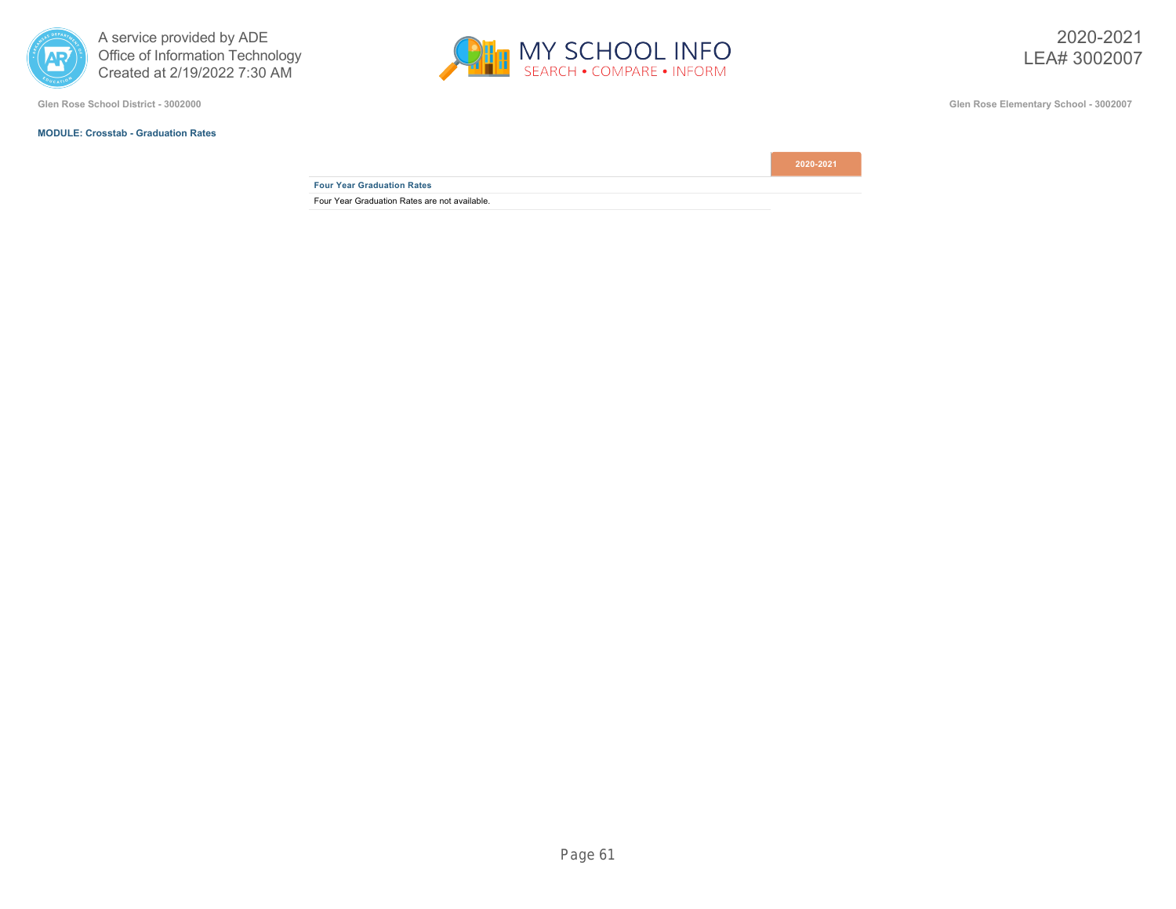

**Glen Rose School District - 3002000 Glen Rose Elementary School - 3002007**

### **MODULE: Crosstab - Graduation Rates**



**Four Year Graduation Rates**

Four Year Graduation Rates are not available.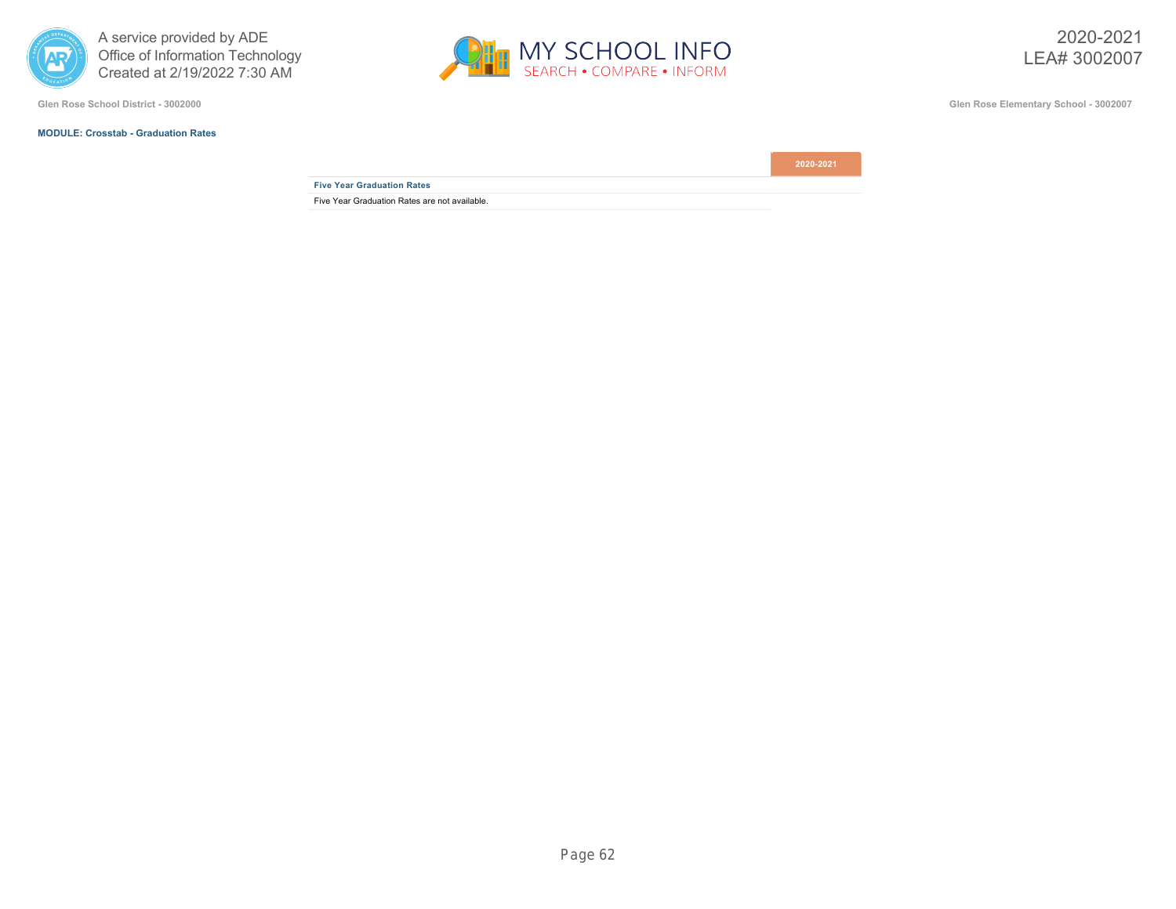

### **MODULE: Crosstab - Graduation Rates**



**Glen Rose School District - 3002000 Glen Rose Elementary School - 3002007**

**Five Year Graduation Rates**

Five Year Graduation Rates are not available.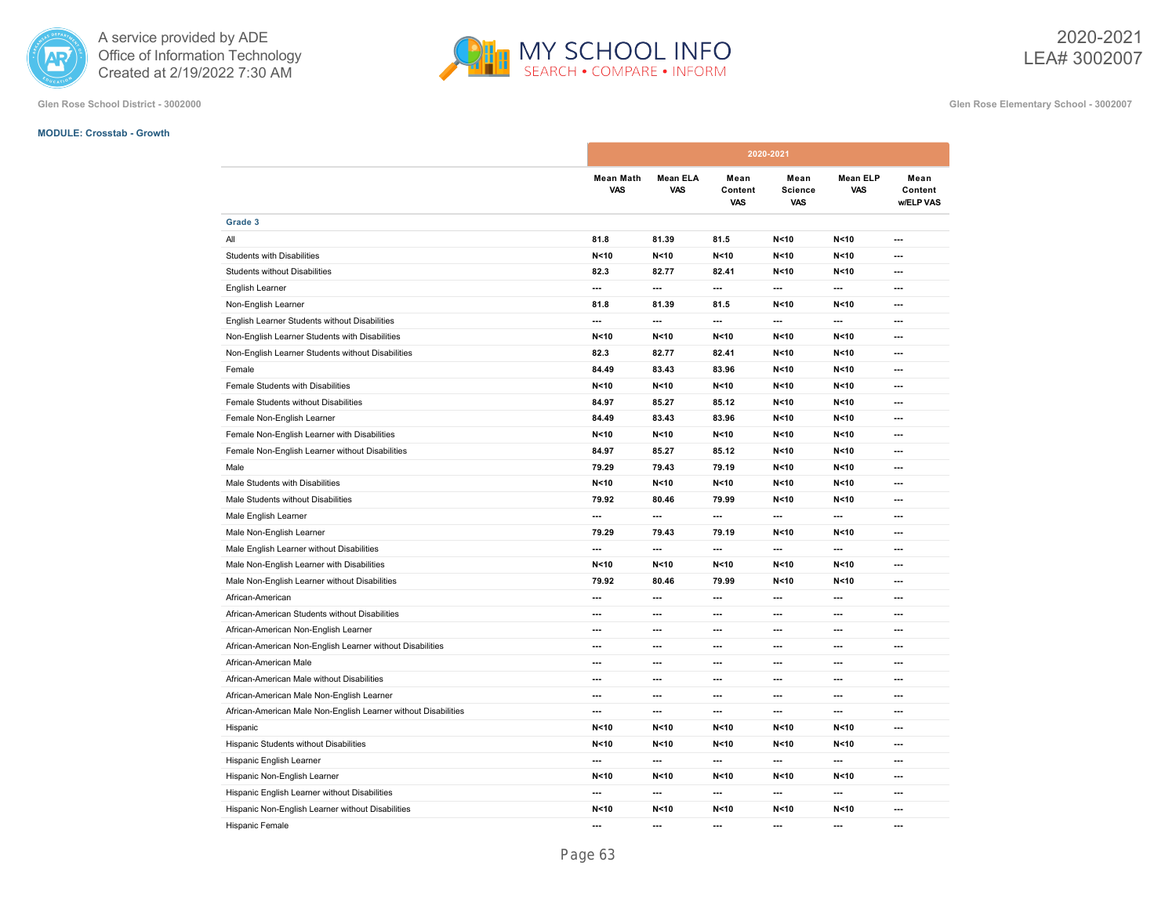



**Glen Rose School District - 3002000 Glen Rose Elementary School - 3002007**

#### **MODULE: Crosstab - Growth**

|                                                                |                 | 2020-2021               |                          |                               |                               |                               |                              |
|----------------------------------------------------------------|-----------------|-------------------------|--------------------------|-------------------------------|-------------------------------|-------------------------------|------------------------------|
|                                                                |                 | <b>Mean Math</b><br>VAS | <b>Mean ELA</b><br>VAS   | Mean<br>Content<br><b>VAS</b> | Mean<br>Science<br><b>VAS</b> | <b>Mean ELP</b><br><b>VAS</b> | Mean<br>Content<br>w/ELP VAS |
| Grade 3                                                        |                 |                         |                          |                               |                               |                               |                              |
| All                                                            | 81.8            |                         | 81.39                    | 81.5                          | N < 10                        | N < 10                        | ---                          |
| Students with Disabilities                                     | N <sub>10</sub> |                         | N < 10                   | N < 10                        | N < 10                        | N < 10                        | ---                          |
| <b>Students without Disabilities</b>                           | 82.3            |                         | 82.77                    | 82.41                         | N < 10                        | N < 10                        | ---                          |
| English Learner                                                | ---             |                         | ---                      | ---                           | ---                           | ---                           | ---                          |
| Non-English Learner                                            | 81.8            |                         | 81.39                    | 81.5                          | N < 10                        | N < 10                        | $\overline{\phantom{a}}$     |
| English Learner Students without Disabilities                  | ---             |                         | $\overline{\phantom{a}}$ | $\hspace{0.05cm} \ldots$      | ---                           | $\overline{\phantom{a}}$      | $\overline{\phantom{a}}$     |
| Non-English Learner Students with Disabilities                 | N <sub>10</sub> |                         | N < 10                   | N < 10                        | N <sub>10</sub>               | N <sub>10</sub>               | $\overline{\phantom{a}}$     |
| Non-English Learner Students without Disabilities              | 82.3            |                         | 82.77                    | 82.41                         | N < 10                        | N < 10                        | $\overline{\phantom{a}}$     |
| Female                                                         | 84.49           |                         | 83.43                    | 83.96                         | N < 10                        | N < 10                        | ---                          |
| Female Students with Disabilities                              | N <sub>10</sub> |                         | N < 10                   | N < 10                        | N < 10                        | N <sub>10</sub>               | ---                          |
| Female Students without Disabilities                           | 84.97           |                         | 85.27                    | 85.12                         | N < 10                        | N < 10                        | ---                          |
| Female Non-English Learner                                     | 84.49           |                         | 83.43                    | 83.96                         | N < 10                        | N < 10                        | ---                          |
| Female Non-English Learner with Disabilities                   | N < 10          |                         | N < 10                   | N < 10                        | N < 10                        | N < 10                        | ---                          |
| Female Non-English Learner without Disabilities                | 84.97           |                         | 85.27                    | 85.12                         | N < 10                        | N < 10                        | ---                          |
| Male                                                           | 79.29           |                         | 79.43                    | 79.19                         | N < 10                        | N < 10                        | ---                          |
| Male Students with Disabilities                                | N<10            |                         | N < 10                   | N < 10                        | N < 10                        | N < 10                        | ---                          |
| Male Students without Disabilities                             | 79.92           |                         | 80.46                    | 79.99                         | N < 10                        | N < 10                        | $\overline{\phantom{a}}$     |
| Male English Learner                                           | ---             |                         | $\overline{\phantom{a}}$ | $\overline{\phantom{a}}$      | ---                           | $\overline{\phantom{a}}$      | $\overline{\phantom{a}}$     |
| Male Non-English Learner                                       | 79.29           |                         | 79.43                    | 79.19                         | N <sub>10</sub>               | N < 10                        | $\overline{\phantom{a}}$     |
| Male English Learner without Disabilities                      | ---             |                         | ---                      | ---                           | ---                           | ---                           | ---                          |
| Male Non-English Learner with Disabilities                     | N <sub>10</sub> |                         | N < 10                   | N < 10                        | N < 10                        | N < 10                        | ---                          |
| Male Non-English Learner without Disabilities                  | 79.92           |                         | 80.46                    | 79.99                         | N < 10                        | N < 10                        | ---                          |
| African-American                                               | ---             |                         | ---                      | ---                           | ---                           | ---                           | ---                          |
| African-American Students without Disabilities                 | ---             |                         | ---                      | ---                           | ---                           | ---                           | ---                          |
| African-American Non-English Learner                           | ---             |                         | $\overline{\phantom{a}}$ | $\overline{a}$                | ---                           | ---                           | ---                          |
| African-American Non-English Learner without Disabilities      | ---             |                         | $\overline{\phantom{a}}$ | ---                           | ---                           | ---                           | ---                          |
| African-American Male                                          | ---             |                         | ---                      | ---                           | ---                           | ---                           | ---                          |
| African-American Male without Disabilities                     | ---             |                         | ---                      | ---                           | ---                           | ---                           | ---                          |
| African-American Male Non-English Learner                      | ---             |                         | $\overline{\phantom{a}}$ | $---$                         | ---                           | $\overline{\phantom{a}}$      | $\overline{\phantom{a}}$     |
| African-American Male Non-English Learner without Disabilities | ---             |                         | $\overline{\phantom{a}}$ | $\overline{\phantom{a}}$      | $\overline{\phantom{a}}$      | $\overline{\phantom{a}}$      | $\overline{\phantom{a}}$     |
| Hispanic                                                       | N <sub>10</sub> |                         | N < 10                   | N < 10                        | N <sub>10</sub>               | N < 10                        | ---                          |
| Hispanic Students without Disabilities                         | N <sub>10</sub> |                         | N < 10                   | N < 10                        | N < 10                        | N < 10                        | $\overline{\phantom{a}}$     |
| Hispanic English Learner                                       | ---             |                         | ---                      | ---                           | ---                           | ---                           | ---                          |
| Hispanic Non-English Learner                                   | N <sub>10</sub> |                         | N < 10                   | N < 10                        | N < 10                        | N < 10                        | ---                          |
| Hispanic English Learner without Disabilities                  | ---             |                         | ---                      | ---                           | ---                           | ---                           | ---                          |
| Hispanic Non-English Learner without Disabilities              | N < 10          |                         | N < 10                   | N < 10                        | N < 10                        | N < 10                        | ---                          |
| <b>Hispanic Female</b>                                         | ---             |                         | ---                      | ---                           | ---                           | ---                           | ---                          |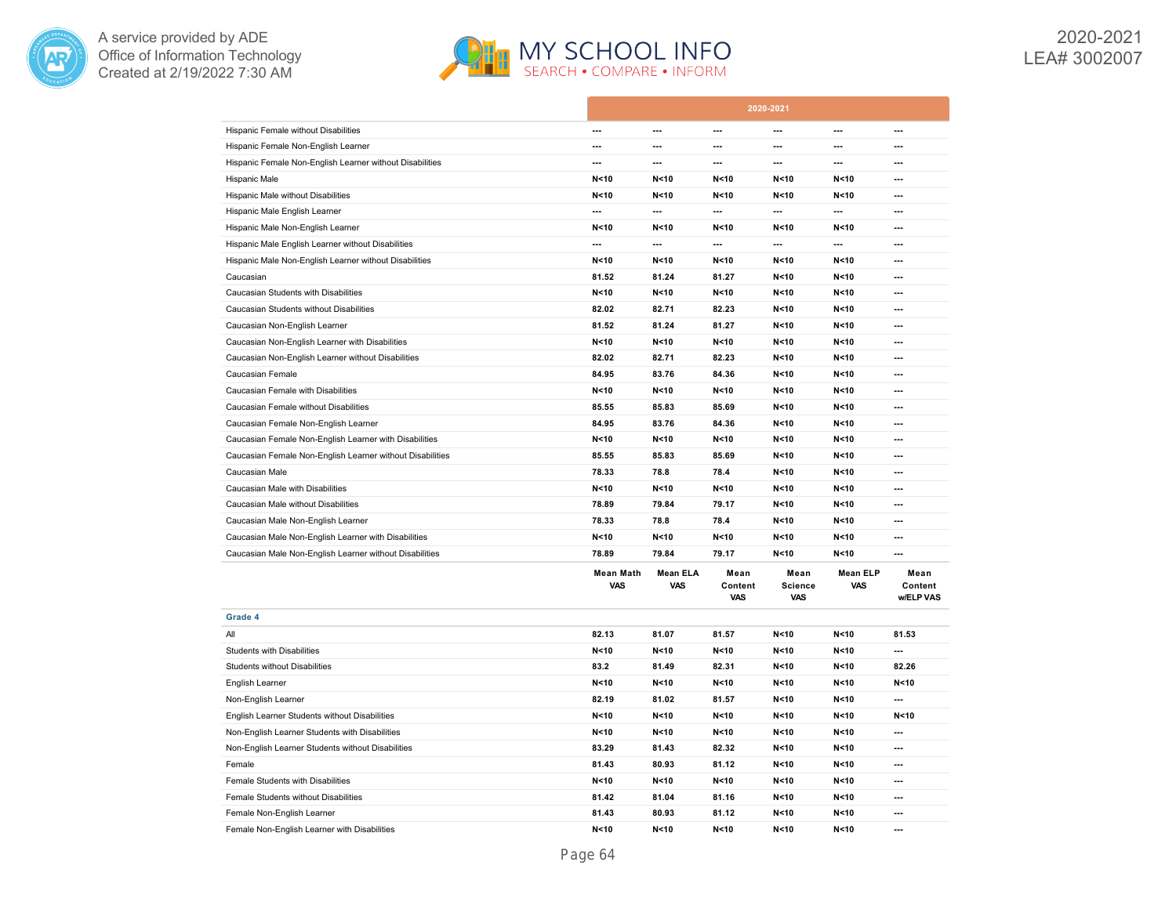



|                                                           |                                |                        |                               | 2020-2021                            |                               |                              |
|-----------------------------------------------------------|--------------------------------|------------------------|-------------------------------|--------------------------------------|-------------------------------|------------------------------|
| Hispanic Female without Disabilities                      | ---                            | ---                    | $\overline{a}$                | ---                                  | $\overline{a}$                | ---                          |
| Hispanic Female Non-English Learner                       | ---                            | ---                    | ---                           | ---                                  | ---                           | ---                          |
| Hispanic Female Non-English Learner without Disabilities  | $\overline{a}$                 | $\overline{a}$         | $\overline{a}$                | $\overline{a}$                       | $\overline{a}$                | $\overline{\phantom{a}}$     |
| Hispanic Male                                             | N <sub>10</sub>                | N < 10                 | N < 10                        | N < 10                               | N < 10                        | ---                          |
| Hispanic Male without Disabilities                        | N < 10                         | N < 10                 | N < 10                        | N < 10                               | N < 10                        | ---                          |
| Hispanic Male English Learner                             | $\overline{a}$                 | $\overline{a}$         | $\overline{a}$                | ---                                  | ---                           | $\overline{a}$               |
| Hispanic Male Non-English Learner                         | N <sub>10</sub>                | N < 10                 | N < 10                        | N < 10                               | N < 10                        | ---                          |
| Hispanic Male English Learner without Disabilities        | $\overline{a}$                 | ---                    | $\overline{a}$                | $\overline{a}$                       | $\overline{a}$                | ---                          |
| Hispanic Male Non-English Learner without Disabilities    | N < 10                         | N < 10                 | N < 10                        | N < 10                               | N < 10                        | ---                          |
| Caucasian                                                 | 81.52                          | 81.24                  | 81.27                         | N < 10                               | N < 10                        | ---                          |
| Caucasian Students with Disabilities                      | N <sub>10</sub>                | N < 10                 | N < 10                        | N < 10                               | N < 10                        | $\overline{\phantom{a}}$     |
| Caucasian Students without Disabilities                   | 82.02                          | 82.71                  | 82.23                         | N < 10                               | N < 10                        | $\overline{a}$               |
| Caucasian Non-English Learner                             | 81.52                          | 81.24                  | 81.27                         | N < 10                               | N<10                          | ---                          |
| Caucasian Non-English Learner with Disabilities           | N <sub>10</sub>                | N < 10                 | N < 10                        | N <sub>10</sub>                      | N < 10                        | $\overline{\phantom{a}}$     |
| Caucasian Non-English Learner without Disabilities        | 82.02                          | 82.71                  | 82.23                         | N < 10                               | N < 10                        | ---                          |
| Caucasian Female                                          | 84.95                          | 83.76                  | 84.36                         | N < 10                               | N < 10                        | ---                          |
| Caucasian Female with Disabilities                        | N <sub>10</sub>                | N <sub>10</sub>        | N < 10                        | N < 10                               | N < 10                        | $\overline{a}$               |
| Caucasian Female without Disabilities                     | 85.55                          | 85.83                  | 85.69                         | N < 10                               | N < 10                        | ---                          |
| Caucasian Female Non-English Learner                      | 84.95                          | 83.76                  | 84.36                         | N < 10                               | N < 10                        | $\overline{a}$               |
| Caucasian Female Non-English Learner with Disabilities    | N <sub>10</sub>                | N <sub>10</sub>        | N < 10                        | N < 10                               | N < 10                        | ---                          |
| Caucasian Female Non-English Learner without Disabilities | 85.55                          | 85.83                  | 85.69                         | N < 10                               | N < 10                        | ---                          |
| Caucasian Male                                            | 78.33                          | 78.8                   | 78.4                          | N < 10                               | N < 10                        | $\overline{\phantom{a}}$     |
| Caucasian Male with Disabilities                          | N <sub>10</sub>                | N < 10                 | N < 10                        | N < 10                               | N < 10                        | ---                          |
| Caucasian Male without Disabilities                       | 78.89                          | 79.84                  | 79.17                         | N<10                                 | N<10                          | ---                          |
| Caucasian Male Non-English Learner                        | 78.33                          | 78.8                   | 78.4                          | N < 10                               | N < 10                        | $\overline{a}$               |
| Caucasian Male Non-English Learner with Disabilities      | N <sub>10</sub>                | N < 10                 | N < 10                        | N < 10                               | N < 10                        | ---                          |
| Caucasian Male Non-English Learner without Disabilities   | 78.89                          | 79.84                  | 79.17                         | N < 10                               | N < 10                        | ---                          |
|                                                           | <b>Mean Math</b><br><b>VAS</b> | Mean ELA<br><b>VAS</b> | Mean<br>Content<br><b>VAS</b> | Mean<br><b>Science</b><br><b>VAS</b> | <b>Mean ELP</b><br><b>VAS</b> | Mean<br>Content<br>w/ELP VAS |
| Grade 4                                                   |                                |                        |                               |                                      |                               |                              |
| All                                                       | 82.13                          | 81.07                  | 81.57                         | N < 10                               | N < 10                        | 81.53                        |
| <b>Students with Disabilities</b>                         | N <sub>10</sub>                | N < 10                 | N < 10                        | N < 10                               | N < 10                        | ---                          |
| <b>Students without Disabilities</b>                      | 83.2                           | 81.49                  | 82.31                         | N < 10                               | N < 10                        | 82.26                        |
| English Learner                                           | N < 10                         | N < 10                 | N < 10                        | N < 10                               | N < 10                        | N < 10                       |
| Non-English Learner                                       | 82.19                          | 81.02                  | 81.57                         | N < 10                               | N < 10                        | ---                          |
| English Learner Students without Disabilities             | N <sub>10</sub>                | N < 10                 | N < 10                        | N < 10                               | N < 10                        | N < 10                       |
| Non-English Learner Students with Disabilities            | N <sub>10</sub>                | N < 10                 | N < 10                        | N <sub>10</sub>                      | N < 10                        | $\overline{a}$               |
| Non-English Learner Students without Disabilities         | 83.29                          | 81.43                  | 82.32                         | N < 10                               | N < 10                        | ---                          |
| Female                                                    | 81.43                          | 80.93                  | 81.12                         | N < 10                               | N < 10                        | $\overline{a}$               |
| Female Students with Disabilities                         | N < 10                         | N < 10                 | N < 10                        | N < 10                               | N < 10                        | $\overline{\phantom{a}}$     |
|                                                           |                                |                        |                               |                                      |                               |                              |
| Female Students without Disabilities                      | 81.42                          | 81.04                  | 81.16                         | N < 10                               | N < 10                        | ---                          |
| Female Non-English Learner                                | 81.43                          | 80.93                  | 81.12                         | N < 10                               | N < 10                        | ---                          |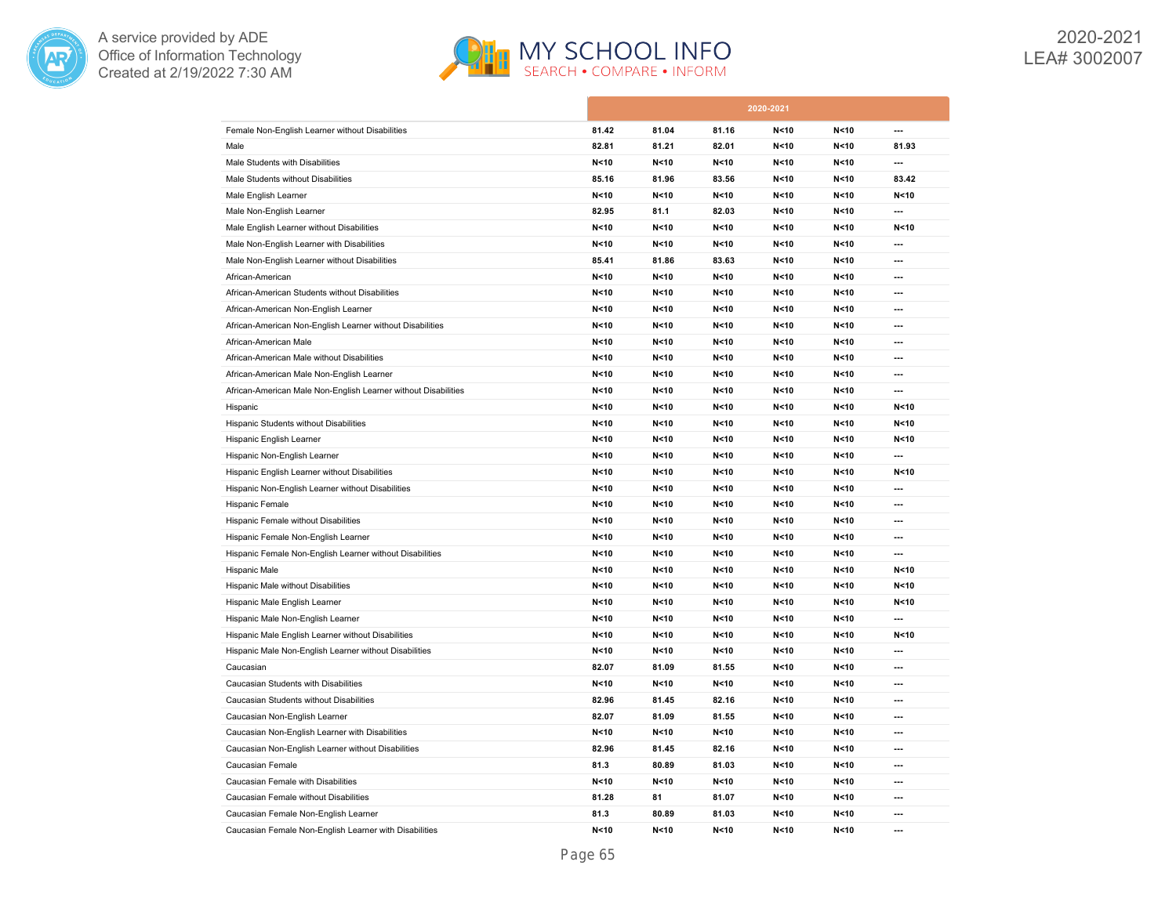



2020-2021 LEA# 3002007

|                                                                |                 |                 |        | 2020-2021       |        |                 |
|----------------------------------------------------------------|-----------------|-----------------|--------|-----------------|--------|-----------------|
| Female Non-English Learner without Disabilities                | 81.42           | 81.04           | 81.16  | N < 10          | N < 10 | $\overline{a}$  |
| Male                                                           | 82.81           | 81.21           | 82.01  | N < 10          | N < 10 | 81.93           |
| Male Students with Disabilities                                | N < 10          | N <sub>10</sub> | N < 10 | N < 10          | N < 10 | ---             |
| Male Students without Disabilities                             | 85.16           | 81.96           | 83.56  | N < 10          | N < 10 | 83.42           |
| Male English Learner                                           | N <sub>10</sub> | N <sub>10</sub> | N < 10 | N < 10          | N < 10 | N < 10          |
| Male Non-English Learner                                       | 82.95           | 81.1            | 82.03  | N < 10          | N < 10 | ---             |
| Male English Learner without Disabilities                      | N <sub>10</sub> | N < 10          | N < 10 | N < 10          | N < 10 | N < 10          |
| Male Non-English Learner with Disabilities                     | N <sub>10</sub> | N <sub>10</sub> | N < 10 | N < 10          | N < 10 | ---             |
| Male Non-English Learner without Disabilities                  | 85.41           | 81.86           | 83.63  | N < 10          | N < 10 | ---             |
| African-American                                               | N < 10          | N <sub>10</sub> | N < 10 | N<10            | N < 10 | ---             |
| African-American Students without Disabilities                 | N <sub>10</sub> | N <sub>10</sub> | N < 10 | N < 10          | N < 10 | ---             |
| African-American Non-English Learner                           | N < 10          | N < 10          | N < 10 | N < 10          | N < 10 | ---             |
| African-American Non-English Learner without Disabilities      | N <sub>10</sub> | N <sub>10</sub> | N < 10 | N < 10          | N < 10 | ---             |
| African-American Male                                          | N <sub>10</sub> | N < 10          | N < 10 | N < 10          | N < 10 | ---             |
| African-American Male without Disabilities                     | N <sub>10</sub> | N <sub>10</sub> | N < 10 | N < 10          | N < 10 | ---             |
| African-American Male Non-English Learner                      | N <sub>10</sub> | N < 10          | N < 10 | N < 10          | N < 10 | ---             |
| African-American Male Non-English Learner without Disabilities | N <sub>10</sub> | N < 10          | N < 10 | N < 10          | N < 10 | ---             |
| Hispanic                                                       | N <sub>10</sub> | N <sub>10</sub> | N < 10 | N < 10          | N < 10 | N < 10          |
| Hispanic Students without Disabilities                         | N <sub>10</sub> | N < 10          | N < 10 | N < 10          | N < 10 | N < 10          |
| Hispanic English Learner                                       | N < 10          | N < 10          | N < 10 | N < 10          | N < 10 | N < 10          |
| Hispanic Non-English Learner                                   | N <sub>10</sub> | N < 10          | N < 10 | N < 10          | N < 10 | $\overline{a}$  |
| Hispanic English Learner without Disabilities                  | N < 10          | N < 10          | N < 10 | N < 10          | N < 10 | N<10            |
| Hispanic Non-English Learner without Disabilities              | N < 10          | N < 10          | N < 10 | N < 10          | N < 10 | ---             |
| Hispanic Female                                                | N < 10          | N <sub>10</sub> | N < 10 | N < 10          | N < 10 | ---             |
| Hispanic Female without Disabilities                           | N < 10          | N < 10          | N < 10 | N < 10          | N < 10 | ---             |
| Hispanic Female Non-English Learner                            | N <sub>10</sub> | N <sub>10</sub> | N < 10 | N < 10          | N < 10 | ---             |
| Hispanic Female Non-English Learner without Disabilities       | N < 10          | N <sub>10</sub> | N < 10 | N <sub>10</sub> | N < 10 | ---             |
| Hispanic Male                                                  | N <sub>10</sub> | N <sub>10</sub> | N < 10 | N < 10          | N < 10 | N < 10          |
| Hispanic Male without Disabilities                             | N <sub>10</sub> | N <sub>10</sub> | N < 10 | N < 10          | N < 10 | N < 10          |
| Hispanic Male English Learner                                  | N <sub>10</sub> | N <sub>10</sub> | N < 10 | N < 10          | N < 10 | N < 10          |
| Hispanic Male Non-English Learner                              | N <sub>10</sub> | N <sub>10</sub> | N < 10 | N < 10          | N < 10 | ---             |
| Hispanic Male English Learner without Disabilities             | N <sub>10</sub> | N <sub>10</sub> | N < 10 | N < 10          | N < 10 | N <sub>10</sub> |
| Hispanic Male Non-English Learner without Disabilities         | N <sub>10</sub> | N < 10          | N < 10 | N < 10          | N < 10 | ---             |
| Caucasian                                                      | 82.07           | 81.09           | 81.55  | N<10            | N < 10 | ---             |
| Caucasian Students with Disabilities                           | N <sub>10</sub> | N <sub>10</sub> | N < 10 | N < 10          | N < 10 | ---             |
| Caucasian Students without Disabilities                        | 82.96           | 81.45           | 82.16  | N < 10          | N < 10 | ---             |
| Caucasian Non-English Learner                                  | 82.07           | 81.09           | 81.55  | N < 10          | N < 10 | ---             |
| Caucasian Non-English Learner with Disabilities                | N <sub>10</sub> | N <sub>10</sub> | N < 10 | N < 10          | N < 10 | ---             |
| Caucasian Non-English Learner without Disabilities             | 82.96           | 81.45           | 82.16  | N < 10          | N < 10 | ---             |
| Caucasian Female                                               | 81.3            | 80.89           | 81.03  | N < 10          | N < 10 | ---             |
| Caucasian Female with Disabilities                             | N <sub>10</sub> | N <sub>10</sub> | N < 10 | N < 10          | N < 10 | ---             |
| Caucasian Female without Disabilities                          | 81.28           | 81              | 81.07  | N < 10          | N < 10 | ---             |
| Caucasian Female Non-English Learner                           | 81.3            | 80.89           | 81.03  | N < 10          | N < 10 | ---             |
| Caucasian Female Non-English Learner with Disabilities         | N <sub>10</sub> | N <sub>10</sub> | N < 10 | N <sub>10</sub> | N < 10 | ---             |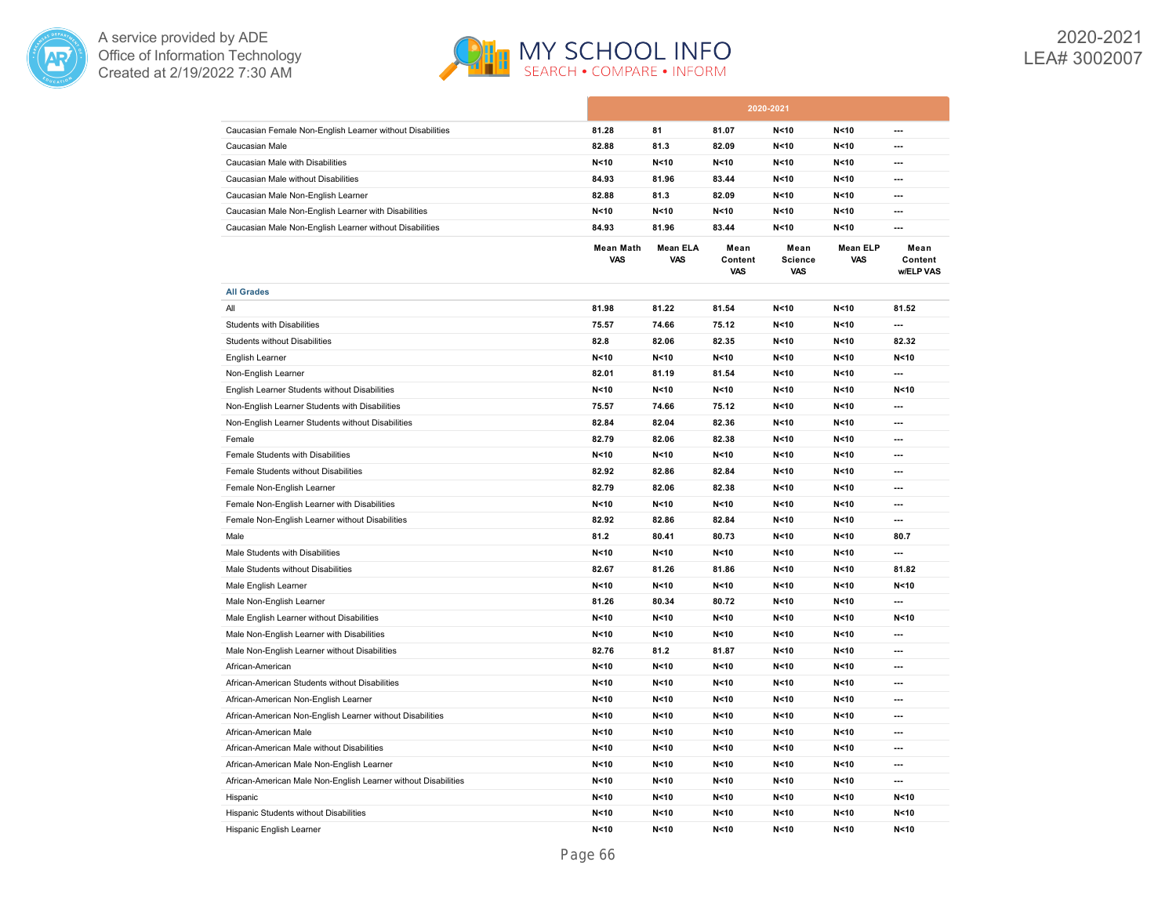



|                                                                |                                |                               |                               | 2020-2021                            |                               |                              |
|----------------------------------------------------------------|--------------------------------|-------------------------------|-------------------------------|--------------------------------------|-------------------------------|------------------------------|
| Caucasian Female Non-English Learner without Disabilities      | 81.28                          | 81                            | 81.07                         | N < 10                               | N < 10                        | ---                          |
| Caucasian Male                                                 | 82.88                          | 81.3                          | 82.09                         | N < 10                               | N < 10                        | ---                          |
| Caucasian Male with Disabilities                               | N <sub>10</sub>                | N <sub>10</sub>               | N < 10                        | N < 10                               | N < 10                        | $\overline{a}$               |
| Caucasian Male without Disabilities                            | 84.93                          | 81.96                         | 83.44                         | N < 10                               | N < 10                        | ---                          |
| Caucasian Male Non-English Learner                             | 82.88                          | 81.3                          | 82.09                         | N < 10                               | N < 10                        | ---                          |
| Caucasian Male Non-English Learner with Disabilities           | N < 10                         | N < 10                        | N < 10                        | N < 10                               | N < 10                        | ---                          |
| Caucasian Male Non-English Learner without Disabilities        | 84.93                          | 81.96                         | 83.44                         | N < 10                               | N < 10                        | ---                          |
|                                                                | <b>Mean Math</b><br><b>VAS</b> | <b>Mean ELA</b><br><b>VAS</b> | Mean<br>Content<br><b>VAS</b> | Mean<br><b>Science</b><br><b>VAS</b> | <b>Mean ELP</b><br><b>VAS</b> | Mean<br>Content<br>w/ELP VAS |
| <b>All Grades</b>                                              |                                |                               |                               |                                      |                               |                              |
| All                                                            | 81.98                          | 81.22                         | 81.54                         | N < 10                               | N < 10                        | 81.52                        |
| <b>Students with Disabilities</b>                              | 75.57                          | 74.66                         | 75.12                         | N < 10                               | N < 10                        | ---                          |
| <b>Students without Disabilities</b>                           | 82.8                           | 82.06                         | 82.35                         | N < 10                               | N < 10                        | 82.32                        |
| English Learner                                                | N <sub>10</sub>                | N < 10                        | N < 10                        | N < 10                               | N < 10                        | N < 10                       |
| Non-English Learner                                            | 82.01                          | 81.19                         | 81.54                         | N < 10                               | N < 10                        | $\overline{a}$               |
| English Learner Students without Disabilities                  | N <sub>10</sub>                | N <sub>10</sub>               | N < 10                        | N < 10                               | N < 10                        | N < 10                       |
| Non-English Learner Students with Disabilities                 | 75.57                          | 74.66                         | 75.12                         | N < 10                               | N < 10                        | ---                          |
| Non-English Learner Students without Disabilities              | 82.84                          | 82.04                         | 82.36                         | N < 10                               | N < 10                        | $\overline{a}$               |
| Female                                                         | 82.79                          | 82.06                         | 82.38                         | N < 10                               | N < 10                        | $\overline{\phantom{a}}$     |
| Female Students with Disabilities                              | N < 10                         | N < 10                        | N < 10                        | N < 10                               | N < 10                        | ---                          |
| Female Students without Disabilities                           | 82.92                          | 82.86                         | 82.84                         | N < 10                               | N < 10                        | $\overline{\phantom{a}}$     |
| Female Non-English Learner                                     | 82.79                          | 82.06                         | 82.38                         | N < 10                               | N < 10                        | $\overline{\phantom{a}}$     |
| Female Non-English Learner with Disabilities                   | N < 10                         | N < 10                        | N < 10                        | N < 10                               | N < 10                        | ---                          |
| Female Non-English Learner without Disabilities                | 82.92                          | 82.86                         | 82.84                         | N < 10                               | N < 10                        | $\overline{\phantom{a}}$     |
| Male                                                           | 81.2                           | 80.41                         | 80.73                         | N < 10                               | N < 10                        | 80.7                         |
| Male Students with Disabilities                                | N <sub>10</sub>                | N < 10                        | N < 10                        | N < 10                               | N < 10                        | ---                          |
| Male Students without Disabilities                             | 82.67                          | 81.26                         | 81.86                         | N < 10                               | N < 10                        | 81.82                        |
| Male English Learner                                           | N < 10                         | N < 10                        | N < 10                        | N < 10                               | N < 10                        | N < 10                       |
| Male Non-English Learner                                       | 81.26                          | 80.34                         | 80.72                         | N < 10                               | N < 10                        | $\overline{\phantom{a}}$     |
| Male English Learner without Disabilities                      | N <sub>10</sub>                | N < 10                        | N <sub>10</sub>               | N < 10                               | N < 10                        | N < 10                       |
| Male Non-English Learner with Disabilities                     | N < 10                         | N <sub>10</sub>               | N < 10                        | N < 10                               | N < 10                        | $\overline{a}$               |
| Male Non-English Learner without Disabilities                  | 82.76                          | 81.2                          | 81.87                         | N < 10                               | N < 10                        | $\overline{a}$               |
| African-American                                               | N <sub>10</sub>                | N <sub>10</sub>               | N <sub>10</sub>               | N < 10                               | N < 10                        | ---                          |
| African-American Students without Disabilities                 | N < 10                         | N <sub>10</sub>               | N < 10                        | N < 10                               | N < 10                        | $\overline{a}$               |
| African-American Non-English Learner                           | N <sub>10</sub>                | N <sub>10</sub>               | N < 10                        | N < 10                               | N < 10                        | $\overline{a}$               |
| African-American Non-English Learner without Disabilities      | N <sub>10</sub>                | N <sub>10</sub>               | N < 10                        | N < 10                               | N < 10                        | ---                          |
| African-American Male                                          | N < 10                         | N <sub>10</sub>               | N < 10                        | N < 10                               | N < 10                        | $\overline{a}$               |
| African-American Male without Disabilities                     | N <sub>10</sub>                | N <sub>10</sub>               | N < 10                        | N < 10                               | N < 10                        | $\overline{a}$               |
| African-American Male Non-English Learner                      | N <sub>10</sub>                | N <sub>10</sub>               | N < 10                        | N < 10                               | N < 10                        | ---                          |
| African-American Male Non-English Learner without Disabilities | N <sub>10</sub>                | N <sub>10</sub>               | N < 10                        | N < 10                               | N < 10                        | ---                          |
| Hispanic                                                       | N <sub>10</sub>                | N <sub>10</sub>               | N < 10                        | N < 10                               | N < 10                        | N < 10                       |
| Hispanic Students without Disabilities                         | N <sub>10</sub>                | N <sub>10</sub>               | N < 10                        | N < 10                               | N <sub>10</sub>               | N < 10                       |
| Hispanic English Learner                                       | N <sub>10</sub>                | N <sub>10</sub>               | N < 10                        | N < 10                               | N < 10                        | N < 10                       |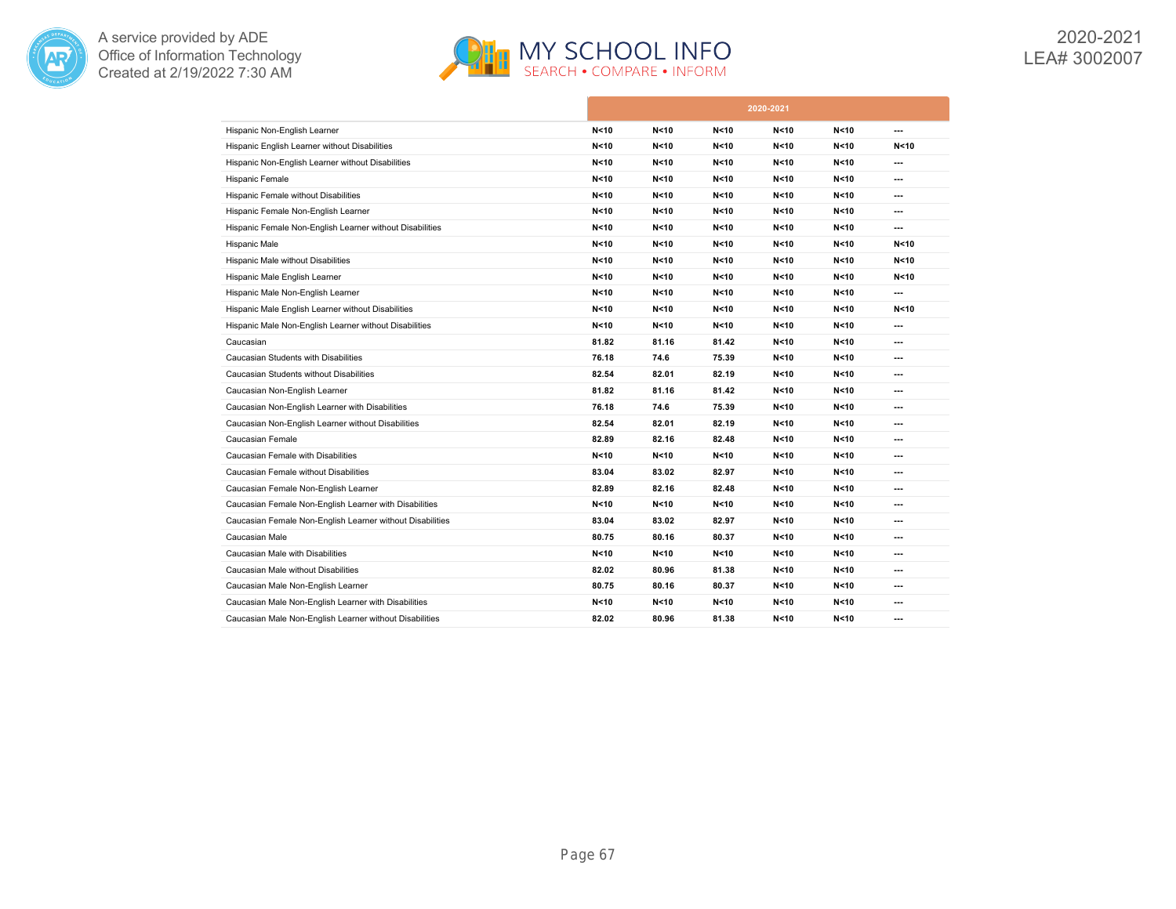



2020-2021 LEA# 3002007

|                                                           |                 |        |                 | 2020-2021 |                 |                |
|-----------------------------------------------------------|-----------------|--------|-----------------|-----------|-----------------|----------------|
| Hispanic Non-English Learner                              | N < 10          | N < 10 | N < 10          | N < 10    | N<10            | ---            |
| Hispanic English Learner without Disabilities             | N <sub>10</sub> | N < 10 | N < 10          | N < 10    | N < 10          | N < 10         |
| Hispanic Non-English Learner without Disabilities         | N <sub>10</sub> | N < 10 | N < 10          | N < 10    | N < 10          | ---            |
| Hispanic Female                                           | N <sub>10</sub> | N < 10 | N < 10          | N < 10    | N < 10          | ---            |
| Hispanic Female without Disabilities                      | N <sub>10</sub> | N < 10 | N < 10          | N < 10    | N < 10          | ---            |
| Hispanic Female Non-English Learner                       | N < 10          | N < 10 | N < 10          | N < 10    | N < 10          | ---            |
| Hispanic Female Non-English Learner without Disabilities  | N < 10          | N < 10 | N < 10          | N < 10    | N < 10          | ---            |
| Hispanic Male                                             | N < 10          | N < 10 | N < 10          | N < 10    | N < 10          | N < 10         |
| Hispanic Male without Disabilities                        | N <sub>10</sub> | N < 10 | N < 10          | N < 10    | N < 10          | N < 10         |
| Hispanic Male English Learner                             | N < 10          | N < 10 | N < 10          | N < 10    | N < 10          | N < 10         |
| Hispanic Male Non-English Learner                         | N < 10          | N < 10 | N < 10          | N < 10    | N < 10          | ---            |
| Hispanic Male English Learner without Disabilities        | N <sub>10</sub> | N < 10 | N < 10          | N < 10    | N < 10          | N < 10         |
| Hispanic Male Non-English Learner without Disabilities    | N <sub>10</sub> | N < 10 | N <sub>10</sub> | N < 10    | N < 10          | ---            |
| Caucasian                                                 | 81.82           | 81.16  | 81.42           | N < 10    | N < 10          | ---            |
| Caucasian Students with Disabilities                      | 76.18           | 74.6   | 75.39           | N < 10    | N < 10          | ---            |
| Caucasian Students without Disabilities                   | 82.54           | 82.01  | 82.19           | N < 10    | N < 10          | ---            |
| Caucasian Non-English Learner                             | 81.82           | 81.16  | 81.42           | N < 10    | N < 10          | ---            |
| Caucasian Non-English Learner with Disabilities           | 76.18           | 74.6   | 75.39           | N < 10    | N < 10          | ---            |
| Caucasian Non-English Learner without Disabilities        | 82.54           | 82.01  | 82.19           | N < 10    | N < 10          | ---            |
| Caucasian Female                                          | 82.89           | 82.16  | 82.48           | N < 10    | N < 10          | ---            |
| Caucasian Female with Disabilities                        | N < 10          | N < 10 | N < 10          | N < 10    | N<10            | ---            |
| Caucasian Female without Disabilities                     | 83.04           | 83.02  | 82.97           | N < 10    | N < 10          | ---            |
| Caucasian Female Non-English Learner                      | 82.89           | 82.16  | 82.48           | N < 10    | N < 10          | ---            |
| Caucasian Female Non-English Learner with Disabilities    | N < 10          | N < 10 | N < 10          | N < 10    | N < 10          | ---            |
| Caucasian Female Non-English Learner without Disabilities | 83.04           | 83.02  | 82.97           | N < 10    | N < 10          | ---            |
| Caucasian Male                                            | 80.75           | 80.16  | 80.37           | N < 10    | N <sub>10</sub> | ---            |
| Caucasian Male with Disabilities                          | N <sub>10</sub> | N < 10 | N < 10          | N < 10    | N < 10          | ---            |
| Caucasian Male without Disabilities                       | 82.02           | 80.96  | 81.38           | N < 10    | N < 10          | $\overline{a}$ |
| Caucasian Male Non-English Learner                        | 80.75           | 80.16  | 80.37           | N < 10    | N < 10          | ---            |
| Caucasian Male Non-English Learner with Disabilities      | N <sub>10</sub> | N < 10 | N < 10          | N < 10    | N < 10          | ---            |
| Caucasian Male Non-English Learner without Disabilities   | 82.02           | 80.96  | 81.38           | N < 10    | N < 10          | ---            |